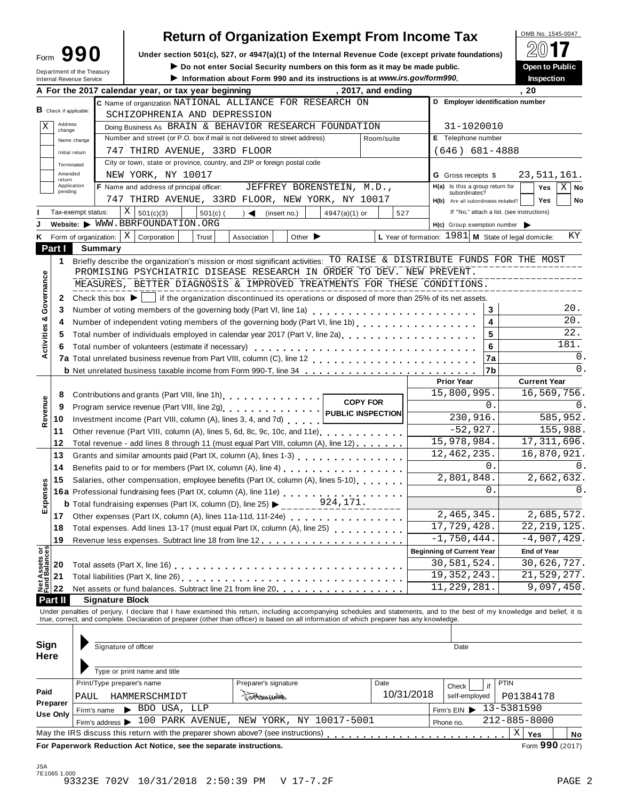| Form                                                 | ч |  |
|------------------------------------------------------|---|--|
| Department of the Treasu<br>Internal Revenue Service |   |  |

## **Return of Organization Exempt From Income Tax**

| 99<br>Form                                                    |         | Under section 501(c), 527, or 4947(a)(1) of the Internal Revenue Code (except private foundations)                                                                                                      |            |               |                             |                           |                    |     |                                                        |                                            |                     |                |
|---------------------------------------------------------------|---------|---------------------------------------------------------------------------------------------------------------------------------------------------------------------------------------------------------|------------|---------------|-----------------------------|---------------------------|--------------------|-----|--------------------------------------------------------|--------------------------------------------|---------------------|----------------|
| Department of the Treasury<br><b>Internal Revenue Service</b> |         | Do not enter Social Security numbers on this form as it may be made public.<br><b>Open to Public</b><br>Information about Form 990 and its instructions is at www.irs.gov/form990.<br><b>Inspection</b> |            |               |                             |                           |                    |     |                                                        |                                            |                     |                |
|                                                               |         | A For the 2017 calendar year, or tax year beginning                                                                                                                                                     |            |               |                             |                           | , 2017, and ending |     |                                                        |                                            | , 20                |                |
|                                                               |         | C Name of organization NATIONAL ALLIANCE FOR RESEARCH ON                                                                                                                                                |            |               |                             |                           |                    |     | D Employer identification number                       |                                            |                     |                |
| $B$ Check if applicable:                                      |         | SCHIZOPHRENIA AND DEPRESSION                                                                                                                                                                            |            |               |                             |                           |                    |     |                                                        |                                            |                     |                |
| Address<br>Χ<br>change                                        |         | Doing Business As BRAIN & BEHAVIOR RESEARCH FOUNDATION                                                                                                                                                  |            |               |                             |                           |                    |     | 31-1020010                                             |                                            |                     |                |
| Name change                                                   |         | Number and street (or P.O. box if mail is not delivered to street address)                                                                                                                              |            |               |                             |                           | Room/suite         |     | E Telephone number                                     |                                            |                     |                |
| Initial return                                                |         | 747 THIRD AVENUE, 33RD FLOOR                                                                                                                                                                            |            |               |                             |                           |                    |     | $(646)$ 681-4888                                       |                                            |                     |                |
| Terminated                                                    |         | City or town, state or province, country, and ZIP or foreign postal code                                                                                                                                |            |               |                             |                           |                    |     |                                                        |                                            |                     |                |
| Amended<br>return                                             |         | NEW YORK, NY 10017                                                                                                                                                                                      |            |               |                             |                           |                    |     | <b>G</b> Gross receipts \$                             |                                            |                     | 23, 511, 161.  |
| Application<br>pending                                        |         | <b>F</b> Name and address of principal officer:                                                                                                                                                         |            |               |                             | JEFFREY BORENSTEIN, M.D., |                    |     | H(a) Is this a group return for                        |                                            | Yes                 | $X \mid$<br>No |
|                                                               |         | 747 THIRD AVENUE, 33RD FLOOR, NEW YORK, NY 10017                                                                                                                                                        |            |               |                             |                           |                    |     | subordinates?<br>H(b) Are all subordinates included?   |                                            | <b>Yes</b>          | No             |
| Tax-exempt status:                                            |         | Χ<br>501(c)(3)                                                                                                                                                                                          | $501(c)$ ( | $\rightarrow$ | (insert no.)                | $4947(a)(1)$ or           |                    | 527 |                                                        | If "No," attach a list. (see instructions) |                     |                |
|                                                               |         | Website: WWW.BBRFOUNDATION.ORG                                                                                                                                                                          |            |               |                             |                           |                    |     | H(c) Group exemption number                            |                                            |                     |                |
| <b>K</b> Form of organization:                                |         | X<br>Corporation                                                                                                                                                                                        | Trust      | Association   | Other $\blacktriangleright$ |                           |                    |     | L Year of formation: $1981$ M State of legal domicile: |                                            |                     | ΚY             |
| Part I                                                        | Summary |                                                                                                                                                                                                         |            |               |                             |                           |                    |     |                                                        |                                            |                     |                |
| 1                                                             |         | Briefly describe the organization's mission or most significant activities: TO RAISE & DISTRIBUTE FUNDS FOR THE MOST                                                                                    |            |               |                             |                           |                    |     |                                                        |                                            |                     |                |
|                                                               |         | PROMISING PSYCHIATRIC DISEASE RESEARCH IN ORDER TO DEV. NEW PREVENT.                                                                                                                                    |            |               |                             |                           |                    |     |                                                        |                                            |                     |                |
|                                                               |         | MEASURES, BETTER DIAGNOSIS & IMPROVED TREATMENTS FOR THESE CONDITIONS.                                                                                                                                  |            |               |                             |                           |                    |     |                                                        |                                            |                     |                |
| $\mathbf{2}$                                                  |         | Check this box $\blacktriangleright$   if the organization discontinued its operations or disposed of more than 25% of its net assets.                                                                  |            |               |                             |                           |                    |     |                                                        |                                            |                     |                |
| 3                                                             |         |                                                                                                                                                                                                         |            |               |                             |                           |                    |     |                                                        | 3                                          |                     | 20.            |
|                                                               |         | Number of independent voting members of the governing body (Part VI, line 1b)                                                                                                                           |            |               |                             |                           |                    |     |                                                        | 4                                          |                     | 20.            |
| 5                                                             |         | Total number of individuals employed in calendar year 2017 (Part V, line 2a)<br>The 2a)                                                                                                                 |            |               |                             |                           |                    |     |                                                        | 5                                          |                     | 22.            |
|                                                               |         | Total number of volunteers (estimate if necessary)                                                                                                                                                      |            |               |                             |                           |                    |     |                                                        | 6                                          |                     | 181.           |
|                                                               |         |                                                                                                                                                                                                         |            |               |                             |                           |                    |     |                                                        | 7a                                         |                     | $\Omega$ .     |
|                                                               |         |                                                                                                                                                                                                         |            |               |                             |                           |                    |     |                                                        | 7b                                         |                     | $\Omega$ .     |
|                                                               |         |                                                                                                                                                                                                         |            |               |                             |                           |                    |     | <b>Prior Year</b>                                      |                                            | <b>Current Year</b> |                |
| 8<br>Revenue                                                  |         |                                                                                                                                                                                                         |            |               |                             |                           |                    |     | 15,800,995.                                            |                                            |                     | 16,569,756.    |
| 9                                                             |         |                                                                                                                                                                                                         |            |               |                             |                           | <b>COPY FOR</b>    |     |                                                        | 0.                                         |                     | 0.             |
| 10                                                            |         | Investment income (Part VIII, column (A), lines 3, 4, and 7d)                                                                                                                                           |            |               |                             |                           |                    |     | 230,916.                                               |                                            |                     | 585,952.       |
| 11                                                            |         | Other revenue (Part VIII, column (A), lines 5, 6d, 8c, 9c, 10c, and 11e)                                                                                                                                |            |               |                             |                           |                    |     | $-52,927.$                                             |                                            |                     | 155,988.       |
| 12                                                            |         | Total revenue - add lines 8 through 11 (must equal Part VIII, column (A), line 12)                                                                                                                      |            |               |                             |                           |                    |     | 15,978,984.                                            |                                            |                     | 17, 311, 696.  |
| 13                                                            |         | Grants and similar amounts paid (Part IX, column (A), lines 1-3)                                                                                                                                        |            |               |                             |                           |                    |     | 12, 462, 235.                                          |                                            |                     | 16,870,921.    |
| 14                                                            |         |                                                                                                                                                                                                         |            |               |                             |                           |                    |     |                                                        | 0.                                         |                     | $\Omega$ .     |
| 15                                                            |         | Salaries, other compensation, employee benefits (Part IX, column (A), lines 5-10)                                                                                                                       |            |               |                             |                           |                    |     | 2,801,848.                                             |                                            |                     | 2,662,632.     |
|                                                               |         | 16a Professional fundraising fees (Part IX, column (A), line 11e)                                                                                                                                       |            |               |                             |                           |                    |     |                                                        | 0.                                         |                     | $\Omega$ .     |
| Exper                                                         |         |                                                                                                                                                                                                         |            |               |                             |                           |                    |     |                                                        |                                            |                     |                |
| 17                                                            |         | Other expenses (Part IX, column (A), lines 11a-11d, 11f-24e)                                                                                                                                            |            |               |                             |                           |                    |     | 2,465,345.                                             |                                            |                     | 2,685,572.     |
| 18                                                            |         | Total expenses. Add lines 13-17 (must equal Part IX, column (A), line 25)                                                                                                                               |            |               |                             |                           |                    |     | 17,729,428.                                            |                                            |                     | 22, 219, 125.  |
| 19                                                            |         |                                                                                                                                                                                                         |            |               |                             |                           |                    |     | $-1,750,444.$                                          |                                            |                     | $-4,907,429.$  |
|                                                               |         |                                                                                                                                                                                                         |            |               |                             |                           |                    |     | <b>Beginning of Current Year</b>                       |                                            | <b>End of Year</b>  |                |
|                                                               |         |                                                                                                                                                                                                         |            |               |                             |                           |                    |     | 30,581,524.                                            |                                            |                     | 30,626,727.    |
|                                                               |         |                                                                                                                                                                                                         |            |               |                             |                           |                    |     | 19, 352, 243.                                          |                                            |                     | 21,529,277.    |
|                                                               |         | Net assets or fund balances. Subtract line 21 from line 20.                                                                                                                                             |            |               |                             |                           |                    |     | 11, 229, 281.                                          |                                            |                     | 9,097,450.     |
|                                                               |         |                                                                                                                                                                                                         |            |               |                             |                           |                    |     |                                                        |                                            |                     |                |

ı

Under penalties of perjury, I declare that I have examined this return, including accompanying schedules and statements, and to the best of my knowledge and belief, it is<br>true, correct, and complete. Declaration of prepare

| Sign<br><b>Here</b>         | Signature of officer                                                              |                                          |                    | Date                   |                          |
|-----------------------------|-----------------------------------------------------------------------------------|------------------------------------------|--------------------|------------------------|--------------------------|
|                             | Type or print name and title                                                      |                                          |                    |                        |                          |
| Paid                        | Print/Type preparer's name<br>HAMMERSCHMIDT<br>PAUL                               | Preparer's signature<br>danhannanthois   | Date<br>10/31/2018 | Check<br>self-employed | <b>PTIN</b><br>P01384178 |
| Preparer<br><b>Use Only</b> | BDO USA, LLP<br>Firm's name                                                       |                                          |                    | Firm's $EIN$           | 13-5381590               |
|                             | Firm's address $\blacktriangleright$                                              | 100 PARK AVENUE, NEW YORK, NY 10017-5001 |                    | Phone no.              | 212-885-8000             |
|                             | May the IRS discuss this return with the preparer shown above? (see instructions) |                                          |                    |                        | Χ<br>Yes<br>No           |
|                             | Fer Benerusel, Beduction, Ast Netice, and the concrete instructions               |                                          |                    |                        | $F_{2} = 000 (0.017)$    |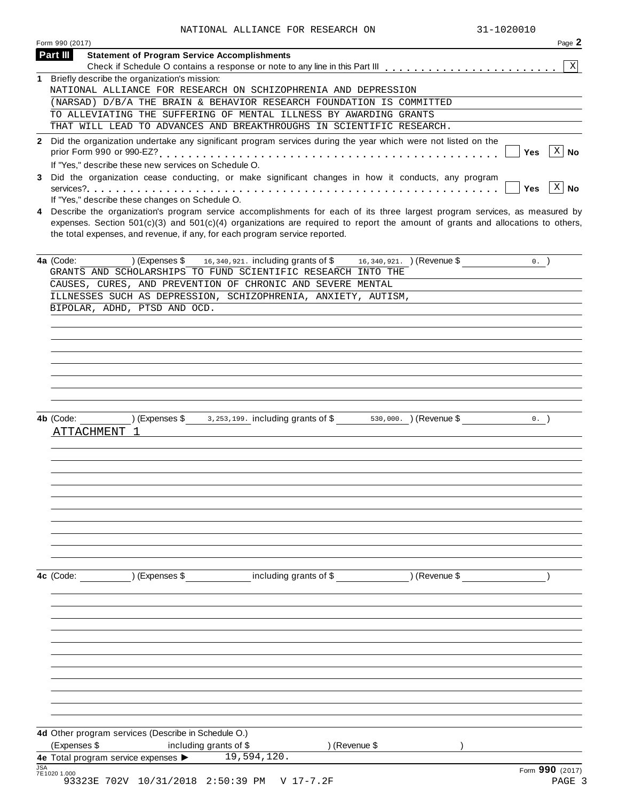| Form 990 (2017)          |                                                                                                                                                                                                                                                                  |                        |               | Page 2                     |
|--------------------------|------------------------------------------------------------------------------------------------------------------------------------------------------------------------------------------------------------------------------------------------------------------|------------------------|---------------|----------------------------|
|                          |                                                                                                                                                                                                                                                                  |                        |               |                            |
| Part III                 | <b>Statement of Program Service Accomplishments</b>                                                                                                                                                                                                              |                        |               | $\mathbf{x}$               |
|                          | 1 Briefly describe the organization's mission:                                                                                                                                                                                                                   |                        |               |                            |
|                          | NATIONAL ALLIANCE FOR RESEARCH ON SCHIZOPHRENIA AND DEPRESSION                                                                                                                                                                                                   |                        |               |                            |
|                          | (NARSAD) D/B/A THE BRAIN & BEHAVIOR RESEARCH FOUNDATION IS COMMITTED                                                                                                                                                                                             |                        |               |                            |
|                          | TO ALLEVIATING THE SUFFERING OF MENTAL ILLNESS BY AWARDING GRANTS                                                                                                                                                                                                |                        |               |                            |
|                          | THAT WILL LEAD TO ADVANCES AND BREAKTHROUGHS IN SCIENTIFIC RESEARCH.                                                                                                                                                                                             |                        |               |                            |
|                          | 2 Did the organization undertake any significant program services during the year which were not listed on the                                                                                                                                                   |                        |               |                            |
|                          |                                                                                                                                                                                                                                                                  |                        |               | $\overline{X}$ No<br>Yes   |
|                          | If "Yes," describe these new services on Schedule O.                                                                                                                                                                                                             |                        |               |                            |
|                          | 3 Did the organization cease conducting, or make significant changes in how it conducts, any program                                                                                                                                                             |                        |               |                            |
|                          |                                                                                                                                                                                                                                                                  |                        |               | $x \mid N$ o<br><b>Yes</b> |
|                          | If "Yes," describe these changes on Schedule O.                                                                                                                                                                                                                  |                        |               |                            |
| 4                        | Describe the organization's program service accomplishments for each of its three largest program services, as measured by<br>expenses. Section $501(c)(3)$ and $501(c)(4)$ organizations are required to report the amount of grants and allocations to others, |                        |               |                            |
|                          | the total expenses, and revenue, if any, for each program service reported.                                                                                                                                                                                      |                        |               |                            |
|                          |                                                                                                                                                                                                                                                                  |                        |               |                            |
| 4a (Code:                | ) (Expenses $\frac{6}{3}$ expenses $\frac{16}{3}$ and $\frac{16}{3}$ and $\frac{16}{3}$ and $\frac{16}{3}$ and $\frac{16}{3}$ and $\frac{16}{3}$ (Revenue $\frac{6}{3}$                                                                                          |                        |               | $0.$ )                     |
|                          | GRANTS AND SCHOLARSHIPS TO FUND SCIENTIFIC RESEARCH INTO THE                                                                                                                                                                                                     |                        |               |                            |
|                          | CAUSES, CURES, AND PREVENTION OF CHRONIC AND SEVERE MENTAL                                                                                                                                                                                                       |                        |               |                            |
|                          | ILLNESSES SUCH AS DEPRESSION, SCHIZOPHRENIA, ANXIETY, AUTISM,                                                                                                                                                                                                    |                        |               |                            |
|                          | BIPOLAR, ADHD, PTSD AND OCD.                                                                                                                                                                                                                                     |                        |               |                            |
|                          |                                                                                                                                                                                                                                                                  |                        |               |                            |
|                          |                                                                                                                                                                                                                                                                  |                        |               |                            |
|                          |                                                                                                                                                                                                                                                                  |                        |               |                            |
|                          |                                                                                                                                                                                                                                                                  |                        |               |                            |
|                          |                                                                                                                                                                                                                                                                  |                        |               |                            |
|                          |                                                                                                                                                                                                                                                                  |                        |               |                            |
|                          |                                                                                                                                                                                                                                                                  |                        |               |                            |
|                          |                                                                                                                                                                                                                                                                  |                        |               |                            |
|                          |                                                                                                                                                                                                                                                                  |                        |               |                            |
| 4b (Code:                | $(\text{Expenses }$ \$ 3,253,199. including grants of \$ 530,000. ) (Revenue \$                                                                                                                                                                                  |                        |               | $0.$ )                     |
| ATTACHMENT 1             |                                                                                                                                                                                                                                                                  |                        |               |                            |
|                          |                                                                                                                                                                                                                                                                  |                        |               |                            |
|                          |                                                                                                                                                                                                                                                                  |                        |               |                            |
|                          |                                                                                                                                                                                                                                                                  |                        |               |                            |
|                          |                                                                                                                                                                                                                                                                  |                        |               |                            |
|                          |                                                                                                                                                                                                                                                                  |                        |               |                            |
|                          |                                                                                                                                                                                                                                                                  |                        |               |                            |
|                          |                                                                                                                                                                                                                                                                  |                        |               |                            |
|                          |                                                                                                                                                                                                                                                                  |                        |               |                            |
|                          |                                                                                                                                                                                                                                                                  |                        |               |                            |
|                          |                                                                                                                                                                                                                                                                  |                        |               |                            |
|                          |                                                                                                                                                                                                                                                                  |                        |               |                            |
|                          |                                                                                                                                                                                                                                                                  | including grants of \$ | ) (Revenue \$ |                            |
|                          |                                                                                                                                                                                                                                                                  |                        |               |                            |
|                          |                                                                                                                                                                                                                                                                  |                        |               |                            |
|                          |                                                                                                                                                                                                                                                                  |                        |               |                            |
|                          |                                                                                                                                                                                                                                                                  |                        |               |                            |
|                          |                                                                                                                                                                                                                                                                  |                        |               |                            |
|                          |                                                                                                                                                                                                                                                                  |                        |               |                            |
|                          |                                                                                                                                                                                                                                                                  |                        |               |                            |
|                          |                                                                                                                                                                                                                                                                  |                        |               |                            |
|                          |                                                                                                                                                                                                                                                                  |                        |               |                            |
|                          |                                                                                                                                                                                                                                                                  |                        |               |                            |
| 4c (Code: ) (Expenses \$ |                                                                                                                                                                                                                                                                  |                        |               |                            |
|                          |                                                                                                                                                                                                                                                                  |                        |               |                            |
|                          | 4d Other program services (Describe in Schedule O.)                                                                                                                                                                                                              |                        |               |                            |
| (Expenses \$             | including grants of \$                                                                                                                                                                                                                                           | ) (Revenue \$          |               |                            |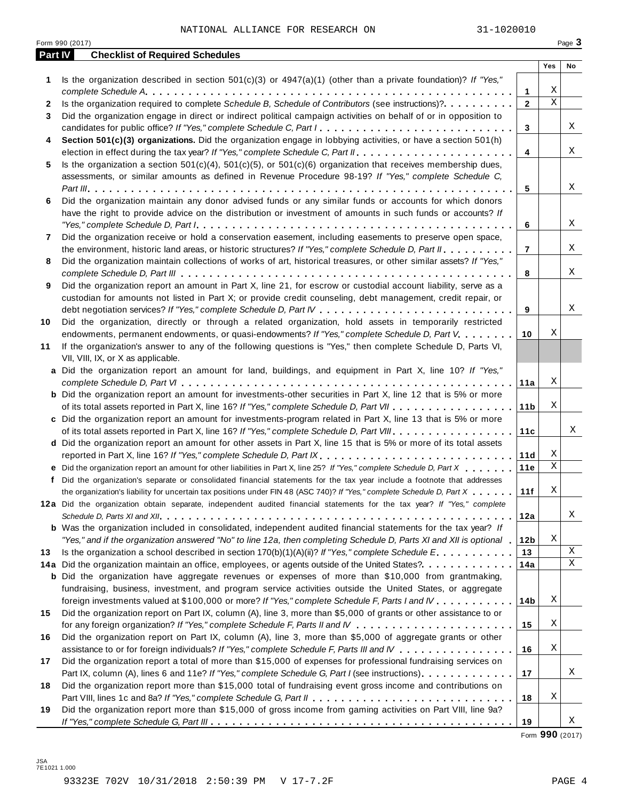|         | Form 990 (2017)                                                                                                                                                                                                                                                                                                                                                                               |                 |                  | Page 3      |
|---------|-----------------------------------------------------------------------------------------------------------------------------------------------------------------------------------------------------------------------------------------------------------------------------------------------------------------------------------------------------------------------------------------------|-----------------|------------------|-------------|
| Part IV | <b>Checklist of Required Schedules</b>                                                                                                                                                                                                                                                                                                                                                        |                 |                  |             |
|         |                                                                                                                                                                                                                                                                                                                                                                                               |                 | Yes              | No          |
| 1       | Is the organization described in section $501(c)(3)$ or $4947(a)(1)$ (other than a private foundation)? If "Yes,"                                                                                                                                                                                                                                                                             |                 |                  |             |
|         |                                                                                                                                                                                                                                                                                                                                                                                               | 1               | Χ<br>$\mathbf X$ |             |
| 2       | Is the organization required to complete Schedule B, Schedule of Contributors (see instructions)?.                                                                                                                                                                                                                                                                                            | $\mathbf{2}$    |                  |             |
| 3       | Did the organization engage in direct or indirect political campaign activities on behalf of or in opposition to                                                                                                                                                                                                                                                                              |                 |                  | Χ           |
|         | candidates for public office? If "Yes," complete Schedule C, Part I.                                                                                                                                                                                                                                                                                                                          | 3               |                  |             |
| 4       | Section 501(c)(3) organizations. Did the organization engage in lobbying activities, or have a section 501(h)                                                                                                                                                                                                                                                                                 | $\overline{4}$  |                  | Χ           |
|         |                                                                                                                                                                                                                                                                                                                                                                                               |                 |                  |             |
| 5       | Is the organization a section $501(c)(4)$ , $501(c)(5)$ , or $501(c)(6)$ organization that receives membership dues,                                                                                                                                                                                                                                                                          |                 |                  |             |
|         | assessments, or similar amounts as defined in Revenue Procedure 98-19? If "Yes," complete Schedule C,                                                                                                                                                                                                                                                                                         | 5               |                  | Χ           |
| 6       | Did the organization maintain any donor advised funds or any similar funds or accounts for which donors                                                                                                                                                                                                                                                                                       |                 |                  |             |
|         | have the right to provide advice on the distribution or investment of amounts in such funds or accounts? If                                                                                                                                                                                                                                                                                   |                 |                  |             |
|         | "Yes," complete Schedule D, Part $l_1, \ldots, l_k, \ldots, l_k, \ldots, l_k, \ldots, l_k, \ldots, l_k, \ldots, l_k, \ldots, l_k, \ldots, l_k, \ldots, l_k, \ldots, l_k, \ldots, l_k, \ldots, l_k, \ldots, l_k, \ldots, l_k, \ldots, l_k, \ldots, l_k, \ldots, l_k, \ldots, l_k, \ldots, l_k, \ldots, l_k, \ldots, l_k, \ldots, l_k, \ldots, l_k, \ldots, l_k, \ldots, l_k, \ldots, l_k, \ld$ | 6               |                  | Χ           |
| 7       | Did the organization receive or hold a conservation easement, including easements to preserve open space,                                                                                                                                                                                                                                                                                     |                 |                  |             |
|         | the environment, historic land areas, or historic structures? If "Yes," complete Schedule D, Part II.                                                                                                                                                                                                                                                                                         | $\overline{7}$  |                  | Χ           |
| 8       | Did the organization maintain collections of works of art, historical treasures, or other similar assets? If "Yes,"                                                                                                                                                                                                                                                                           |                 |                  |             |
|         |                                                                                                                                                                                                                                                                                                                                                                                               | 8               |                  | Χ           |
| 9       | Did the organization report an amount in Part X, line 21, for escrow or custodial account liability, serve as a                                                                                                                                                                                                                                                                               |                 |                  |             |
|         | custodian for amounts not listed in Part X; or provide credit counseling, debt management, credit repair, or                                                                                                                                                                                                                                                                                  |                 |                  |             |
|         |                                                                                                                                                                                                                                                                                                                                                                                               | 9               |                  | Χ           |
| 10      | Did the organization, directly or through a related organization, hold assets in temporarily restricted                                                                                                                                                                                                                                                                                       |                 |                  |             |
|         | endowments, permanent endowments, or quasi-endowments? If "Yes," complete Schedule D, Part V.                                                                                                                                                                                                                                                                                                 | 10              | Χ                |             |
| 11      | If the organization's answer to any of the following questions is "Yes," then complete Schedule D, Parts VI,                                                                                                                                                                                                                                                                                  |                 |                  |             |
|         | VII, VIII, IX, or X as applicable.                                                                                                                                                                                                                                                                                                                                                            |                 |                  |             |
|         | a Did the organization report an amount for land, buildings, and equipment in Part X, line 10? If "Yes,"                                                                                                                                                                                                                                                                                      |                 |                  |             |
|         |                                                                                                                                                                                                                                                                                                                                                                                               | 11a             | Χ                |             |
|         | <b>b</b> Did the organization report an amount for investments-other securities in Part X, line 12 that is 5% or more                                                                                                                                                                                                                                                                         |                 |                  |             |
|         |                                                                                                                                                                                                                                                                                                                                                                                               | 11 <sub>b</sub> | Χ                |             |
|         | c Did the organization report an amount for investments-program related in Part X, line 13 that is 5% or more                                                                                                                                                                                                                                                                                 |                 |                  |             |
|         |                                                                                                                                                                                                                                                                                                                                                                                               | 11c             |                  | Χ           |
|         | d Did the organization report an amount for other assets in Part X, line 15 that is 5% or more of its total assets                                                                                                                                                                                                                                                                            |                 |                  |             |
|         | reported in Part X, line 16? If "Yes," complete Schedule D, Part IX.                                                                                                                                                                                                                                                                                                                          | 11d             | Χ                |             |
|         | e Did the organization report an amount for other liabilities in Part X, line 25? If "Yes," complete Schedule D, Part X                                                                                                                                                                                                                                                                       | 11e             | Χ                |             |
|         | f Did the organization's separate or consolidated financial statements for the tax year include a footnote that addresses                                                                                                                                                                                                                                                                     |                 |                  |             |
|         | the organization's liability for uncertain tax positions under FIN 48 (ASC 740)? If "Yes," complete Schedule D, Part X                                                                                                                                                                                                                                                                        | 11f             | Χ                |             |
|         | 12a Did the organization obtain separate, independent audited financial statements for the tax year? If "Yes," complete                                                                                                                                                                                                                                                                       |                 |                  |             |
|         |                                                                                                                                                                                                                                                                                                                                                                                               | 12a             |                  | Χ           |
|         | <b>b</b> Was the organization included in consolidated, independent audited financial statements for the tax year? If                                                                                                                                                                                                                                                                         |                 |                  |             |
|         | "Yes," and if the organization answered "No" to line 12a, then completing Schedule D, Parts XI and XII is optional 1                                                                                                                                                                                                                                                                          | 12 <sub>b</sub> | Χ                |             |
| 13      | Is the organization a school described in section $170(b)(1)(A)(ii)?$ If "Yes," complete Schedule E.                                                                                                                                                                                                                                                                                          | 13              |                  | $\mathbf X$ |
|         | 14a Did the organization maintain an office, employees, or agents outside of the United States?.                                                                                                                                                                                                                                                                                              | 14a             |                  | $\mathbf X$ |
|         | <b>b</b> Did the organization have aggregate revenues or expenses of more than \$10,000 from grantmaking,                                                                                                                                                                                                                                                                                     |                 |                  |             |
|         | fundraising, business, investment, and program service activities outside the United States, or aggregate                                                                                                                                                                                                                                                                                     |                 |                  |             |
|         | foreign investments valued at \$100,000 or more? If "Yes," complete Schedule F, Parts I and IV                                                                                                                                                                                                                                                                                                | 14 <sub>b</sub> | Χ                |             |
| 15      | Did the organization report on Part IX, column (A), line 3, more than \$5,000 of grants or other assistance to or                                                                                                                                                                                                                                                                             |                 |                  |             |
|         |                                                                                                                                                                                                                                                                                                                                                                                               | 15              | Χ                |             |
| 16      | Did the organization report on Part IX, column (A), line 3, more than \$5,000 of aggregate grants or other                                                                                                                                                                                                                                                                                    |                 |                  |             |
|         | assistance to or for foreign individuals? If "Yes," complete Schedule F, Parts III and IV                                                                                                                                                                                                                                                                                                     | 16              | Χ                |             |
| 17      | Did the organization report a total of more than \$15,000 of expenses for professional fundraising services on                                                                                                                                                                                                                                                                                |                 |                  |             |
|         | Part IX, column (A), lines 6 and 11e? If "Yes," complete Schedule G, Part I (see instructions)                                                                                                                                                                                                                                                                                                | 17              |                  | Χ           |
| 18      | Did the organization report more than \$15,000 total of fundraising event gross income and contributions on                                                                                                                                                                                                                                                                                   |                 |                  |             |
|         |                                                                                                                                                                                                                                                                                                                                                                                               | 18              | Χ                |             |
| 19      | Did the organization report more than \$15,000 of gross income from gaming activities on Part VIII, line 9a?                                                                                                                                                                                                                                                                                  |                 |                  |             |
|         |                                                                                                                                                                                                                                                                                                                                                                                               | 19              |                  | Χ           |

Form **990** (2017)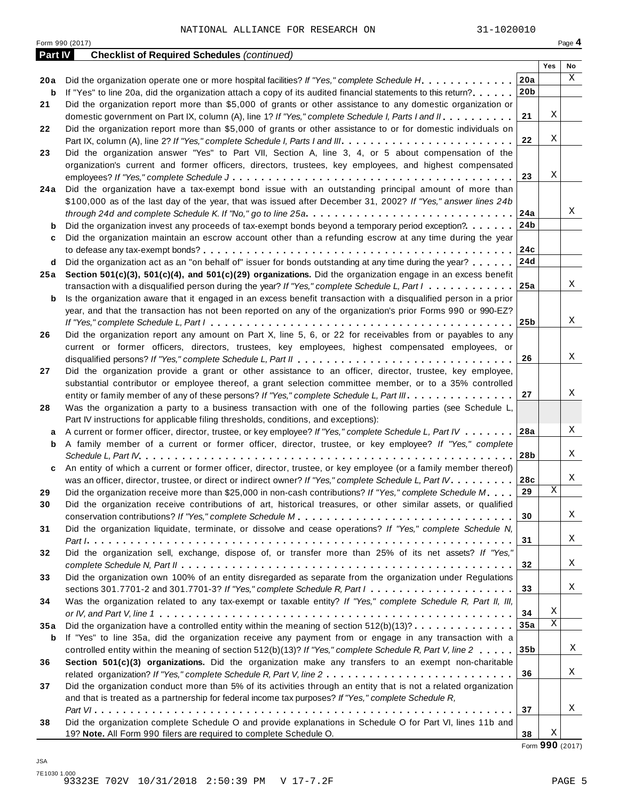Form <sup>990</sup> (2017) Page **4**

| <b>Part IV</b> | <b>Checklist of Required Schedules (continued)</b>                                                                                          |                 |     |    |
|----------------|---------------------------------------------------------------------------------------------------------------------------------------------|-----------------|-----|----|
|                |                                                                                                                                             |                 | Yes | No |
| 20 a           | Did the organization operate one or more hospital facilities? If "Yes," complete Schedule H.                                                | 20a             |     | X  |
| b              | If "Yes" to line 20a, did the organization attach a copy of its audited financial statements to this return?                                | 20 <sub>b</sub> |     |    |
| 21             | Did the organization report more than \$5,000 of grants or other assistance to any domestic organization or                                 |                 |     |    |
|                | domestic government on Part IX, column (A), line 1? If "Yes," complete Schedule I, Parts I and II.                                          | 21              | Χ   |    |
| 22             | Did the organization report more than \$5,000 of grants or other assistance to or for domestic individuals on                               |                 |     |    |
|                |                                                                                                                                             | 22              | Χ   |    |
| 23             | Did the organization answer "Yes" to Part VII, Section A, line 3, 4, or 5 about compensation of the                                         |                 |     |    |
|                | organization's current and former officers, directors, trustees, key employees, and highest compensated                                     |                 |     |    |
|                |                                                                                                                                             | 23              | Χ   |    |
| 24 a           | Did the organization have a tax-exempt bond issue with an outstanding principal amount of more than                                         |                 |     |    |
|                | \$100,000 as of the last day of the year, that was issued after December 31, 2002? If "Yes," answer lines 24b                               |                 |     |    |
|                | through 24d and complete Schedule K. If "No," go to line 25a $\ldots \ldots \ldots \ldots \ldots \ldots \ldots \ldots \ldots \ldots \ldots$ | 24a             |     | Χ  |
| b              | Did the organization invest any proceeds of tax-exempt bonds beyond a temporary period exception?                                           | 24b             |     |    |
| c              | Did the organization maintain an escrow account other than a refunding escrow at any time during the year                                   |                 |     |    |
|                |                                                                                                                                             | 24c             |     |    |
| d              | Did the organization act as an "on behalf of" issuer for bonds outstanding at any time during the year?                                     | 24d             |     |    |
| 25 a           | Section 501(c)(3), 501(c)(4), and 501(c)(29) organizations. Did the organization engage in an excess benefit                                |                 |     |    |
|                | transaction with a disqualified person during the year? If "Yes," complete Schedule L, Part $1, \ldots, \ldots, \ldots$                     | 25a             |     | Χ  |
| b              | Is the organization aware that it engaged in an excess benefit transaction with a disqualified person in a prior                            |                 |     |    |
|                | year, and that the transaction has not been reported on any of the organization's prior Forms 990 or 990-EZ?                                |                 |     |    |
|                |                                                                                                                                             | 25 <sub>b</sub> |     | X  |
| 26             | Did the organization report any amount on Part X, line 5, 6, or 22 for receivables from or payables to any                                  |                 |     |    |
|                | current or former officers, directors, trustees, key employees, highest compensated employees, or                                           |                 |     |    |
|                |                                                                                                                                             | 26              |     | Χ  |
| 27             | Did the organization provide a grant or other assistance to an officer, director, trustee, key employee,                                    |                 |     |    |
|                | substantial contributor or employee thereof, a grant selection committee member, or to a 35% controlled                                     |                 |     |    |
|                | entity or family member of any of these persons? If "Yes," complete Schedule L, Part III.                                                   | 27              |     | Χ  |
| 28             | Was the organization a party to a business transaction with one of the following parties (see Schedule L,                                   |                 |     |    |
|                | Part IV instructions for applicable filing thresholds, conditions, and exceptions):                                                         |                 |     |    |
| а              | A current or former officer, director, trustee, or key employee? If "Yes," complete Schedule L, Part IV                                     | 28a             |     | Χ  |
| b              | A family member of a current or former officer, director, trustee, or key employee? If "Yes," complete                                      |                 |     |    |
|                |                                                                                                                                             | 28b             |     | Χ  |
| c              | An entity of which a current or former officer, director, trustee, or key employee (or a family member thereof)                             |                 |     |    |
|                | was an officer, director, trustee, or direct or indirect owner? If "Yes," complete Schedule L, Part IV.                                     | 28c             |     | Χ  |
| 29             | Did the organization receive more than \$25,000 in non-cash contributions? If "Yes," complete Schedule M                                    | 29              | Χ   |    |
| 30             | Did the organization receive contributions of art, historical treasures, or other similar assets, or qualified                              |                 |     |    |
|                |                                                                                                                                             | 30              |     | Χ  |
| 31             | Did the organization liquidate, terminate, or dissolve and cease operations? If "Yes," complete Schedule N,                                 |                 |     |    |
|                |                                                                                                                                             | 31              |     | Χ  |
| 32             | Did the organization sell, exchange, dispose of, or transfer more than 25% of its net assets? If "Yes,"                                     |                 |     | Χ  |
|                |                                                                                                                                             | 32              |     |    |
| 33             | Did the organization own 100% of an entity disregarded as separate from the organization under Regulations                                  |                 |     | Χ  |
|                | sections 301.7701-2 and 301.7701-3? If "Yes," complete Schedule R, Part $l_1, \ldots, l_l, \ldots, l_l, \ldots, l_l, \ldots, l_l$           | 33              |     |    |
| 34             | Was the organization related to any tax-exempt or taxable entity? If "Yes," complete Schedule R, Part II, III,                              |                 | Χ   |    |
|                |                                                                                                                                             | 34              | X   |    |
| 35 a           | Did the organization have a controlled entity within the meaning of section $512(b)(13)? \ldots \ldots \ldots \ldots$                       | 35a             |     |    |
| b              | If "Yes" to line 35a, did the organization receive any payment from or engage in any transaction with a                                     |                 |     | X  |
|                | controlled entity within the meaning of section 512(b)(13)? If "Yes," complete Schedule R, Part V, line 2                                   | 35 <sub>b</sub> |     |    |
| 36             | Section 501(c)(3) organizations. Did the organization make any transfers to an exempt non-charitable                                        |                 |     | Χ  |
|                |                                                                                                                                             | 36              |     |    |
| 37             | Did the organization conduct more than 5% of its activities through an entity that is not a related organization                            |                 |     |    |
|                | and that is treated as a partnership for federal income tax purposes? If "Yes," complete Schedule R,                                        | 37              |     | Χ  |
| 38             | Did the organization complete Schedule O and provide explanations in Schedule O for Part VI, lines 11b and                                  |                 |     |    |
|                | 19? Note. All Form 990 filers are required to complete Schedule O.                                                                          | 38              | Χ   |    |
|                |                                                                                                                                             |                 |     |    |

Form **990** (2017)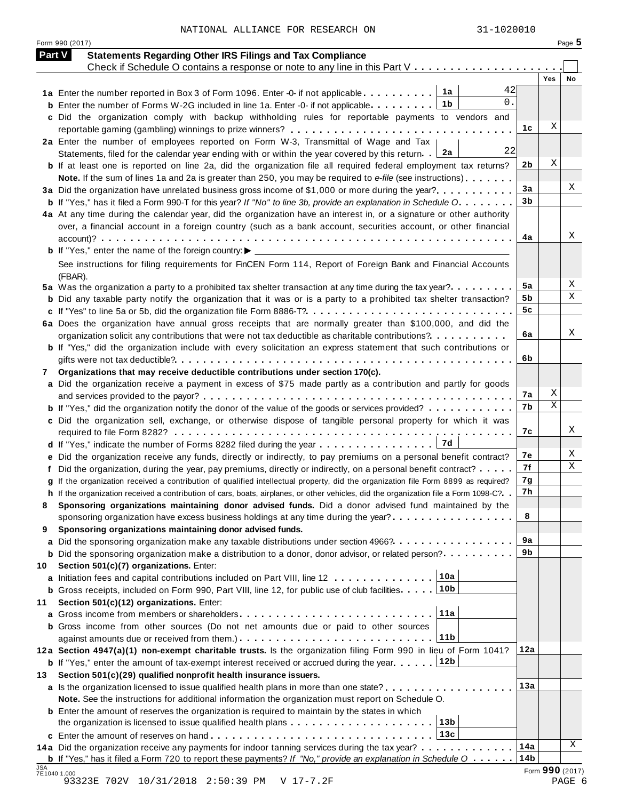NATIONAL ALLIANCE FOR RESEARCH ON 31-1020010

| <b>Part V</b> | <b>Statements Regarding Other IRS Filings and Tax Compliance</b>                                                                                  |                 |                 |    |
|---------------|---------------------------------------------------------------------------------------------------------------------------------------------------|-----------------|-----------------|----|
|               | Check if Schedule O contains a response or note to any line in this Part $V_1, \ldots, \ldots, \ldots, \ldots, \ldots$                            |                 | Yes             | No |
|               | 42<br>1a Enter the number reported in Box 3 of Form 1096. Enter -0- if not applicable $\ldots \ldots \ldots$                                      |                 |                 |    |
|               | 0.<br>1b<br><b>b</b> Enter the number of Forms W-2G included in line 1a. Enter -0- if not applicable                                              |                 |                 |    |
|               | c Did the organization comply with backup withholding rules for reportable payments to vendors and                                                |                 |                 |    |
|               |                                                                                                                                                   | 1с              | Χ               |    |
|               | 2a Enter the number of employees reported on Form W-3, Transmittal of Wage and Tax                                                                |                 |                 |    |
|               | 22<br>2a<br>Statements, filed for the calendar year ending with or within the year covered by this return.                                        |                 |                 |    |
|               | <b>b</b> If at least one is reported on line 2a, did the organization file all required federal employment tax returns?                           | 2 <sub>b</sub>  | Χ               |    |
|               | Note. If the sum of lines 1a and 2a is greater than 250, you may be required to e-file (see instructions)                                         |                 |                 | Χ  |
|               | 3a Did the organization have unrelated business gross income of \$1,000 or more during the year?                                                  | 3a              |                 |    |
|               | <b>b</b> If "Yes," has it filed a Form 990-T for this year? If "No" to line 3b, provide an explanation in Schedule O                              | 3 <sub>b</sub>  |                 |    |
|               | 4a At any time during the calendar year, did the organization have an interest in, or a signature or other authority                              |                 |                 |    |
|               | over, a financial account in a foreign country (such as a bank account, securities account, or other financial                                    | 4a              |                 | Χ  |
|               |                                                                                                                                                   |                 |                 |    |
|               | See instructions for filing requirements for FinCEN Form 114, Report of Foreign Bank and Financial Accounts                                       |                 |                 |    |
|               | (FBAR).                                                                                                                                           |                 |                 |    |
|               | 5a Was the organization a party to a prohibited tax shelter transaction at any time during the tax year?                                          | 5a              |                 | Χ  |
|               | <b>b</b> Did any taxable party notify the organization that it was or is a party to a prohibited tax shelter transaction?                         | 5b              |                 | X  |
|               |                                                                                                                                                   | 5c              |                 |    |
|               | 6a Does the organization have annual gross receipts that are normally greater than \$100,000, and did the                                         |                 |                 |    |
|               | organization solicit any contributions that were not tax deductible as charitable contributions?                                                  | 6a              |                 | Χ  |
|               | <b>b</b> If "Yes," did the organization include with every solicitation an express statement that such contributions or                           |                 |                 |    |
|               |                                                                                                                                                   | 6b              |                 |    |
| 7             | Organizations that may receive deductible contributions under section 170(c).                                                                     |                 |                 |    |
|               | a Did the organization receive a payment in excess of \$75 made partly as a contribution and partly for goods                                     |                 |                 |    |
|               |                                                                                                                                                   | 7a              | Χ               |    |
|               | <b>b</b> If "Yes," did the organization notify the donor of the value of the goods or services provided?                                          | 7b              | Χ               |    |
|               | c Did the organization sell, exchange, or otherwise dispose of tangible personal property for which it was                                        |                 |                 |    |
|               |                                                                                                                                                   | 7c              |                 | Χ  |
|               |                                                                                                                                                   |                 |                 |    |
|               | e Did the organization receive any funds, directly or indirectly, to pay premiums on a personal benefit contract?                                 | 7e              |                 | Χ  |
|               | f Did the organization, during the year, pay premiums, directly or indirectly, on a personal benefit contract?                                    | 7f              |                 | Χ  |
|               | g If the organization received a contribution of qualified intellectual property, did the organization file Form 8899 as required?                | 7g              |                 |    |
|               | h If the organization received a contribution of cars, boats, airplanes, or other vehicles, did the organization file a Form 1098-C?. .           | 7h              |                 |    |
|               | Sponsoring organizations maintaining donor advised funds. Did a donor advised fund maintained by the                                              |                 |                 |    |
|               | sponsoring organization have excess business holdings at any time during the year? $\dots \dots \dots \dots \dots$                                | 8               |                 |    |
| 9             | Sponsoring organizations maintaining donor advised funds.<br>a Did the sponsoring organization make any taxable distributions under section 4966? | 9а              |                 |    |
|               | <b>b</b> Did the sponsoring organization make a distribution to a donor, donor advisor, or related person?                                        | 9b              |                 |    |
| 10            | Section 501(c)(7) organizations. Enter:                                                                                                           |                 |                 |    |
|               | 10a<br>a Initiation fees and capital contributions included on Part VIII, line 12                                                                 |                 |                 |    |
|               | 10 <sub>b</sub><br><b>b</b> Gross receipts, included on Form 990, Part VIII, line 12, for public use of club facilities.                          |                 |                 |    |
| 11            | Section 501(c)(12) organizations. Enter:                                                                                                          |                 |                 |    |
|               | 11a                                                                                                                                               |                 |                 |    |
|               | <b>b</b> Gross income from other sources (Do not net amounts due or paid to other sources                                                         |                 |                 |    |
|               | 11b                                                                                                                                               |                 |                 |    |
|               | 12a Section 4947(a)(1) non-exempt charitable trusts. Is the organization filing Form 990 in lieu of Form 1041?                                    | 12a             |                 |    |
|               | 12b<br><b>b</b> If "Yes," enter the amount of tax-exempt interest received or accrued during the year.                                            |                 |                 |    |
| 13            | Section 501(c)(29) qualified nonprofit health insurance issuers.                                                                                  |                 |                 |    |
|               | a Is the organization licensed to issue qualified health plans in more than one state?                                                            | 13a             |                 |    |
|               | Note. See the instructions for additional information the organization must report on Schedule O.                                                 |                 |                 |    |
|               | <b>b</b> Enter the amount of reserves the organization is required to maintain by the states in which                                             |                 |                 |    |
|               | 13 <sub>b</sub><br>the organization is licensed to issue qualified health plans                                                                   |                 |                 |    |
|               | 13c                                                                                                                                               |                 |                 |    |
|               | 14a Did the organization receive any payments for indoor tanning services during the tax year?                                                    | 14a             |                 | Χ  |
| <b>JSA</b>    | <b>b</b> If "Yes," has it filed a Form 720 to report these payments? If "No," provide an explanation in Schedule $0$                              | 14 <sub>b</sub> | Form 990 (2017) |    |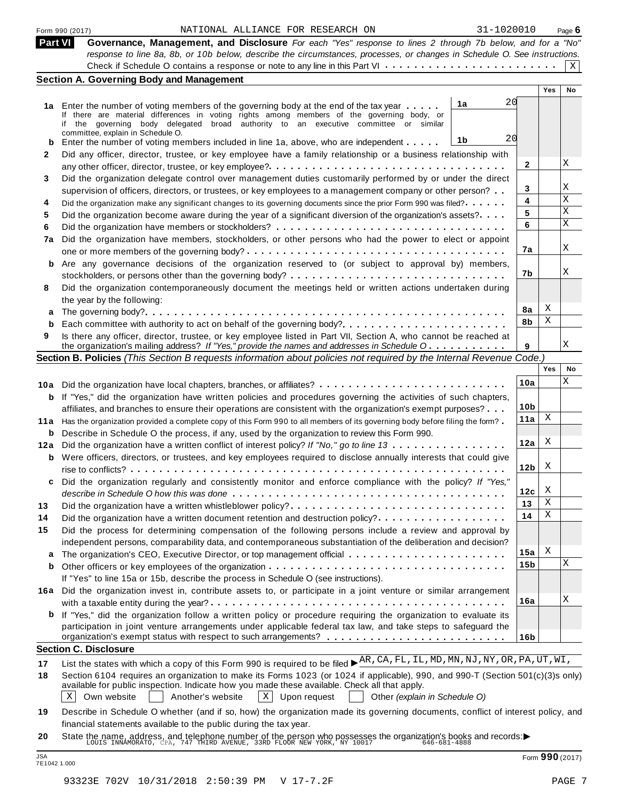|  | Form 990 (2017) |  |
|--|-----------------|--|
|  |                 |  |

#### Form 990 (2017) Page **6** NATIONAL ALLIANCE FOR RESEARCH ON 31-1020010

**Part VI Governance, Management, and Disclosure** *For each "Yes" response to lines 2 through 7b below, and for a "No" response to line 8a, 8b, or 10b below, describe the circumstances, processes, or changes in Schedule O. See instructions.* Examples (2017)<br>
Covernance, Management, and Disclosure For each "Yes" response to lines 2 through 7b below, and for a<br>
response to line 8a, 8b, or 10b below, describe the circumstances, processes, or changes in Schedule O  $|X|$ 

| Part VI | Governance, Management, and Disclosure For each "Yes" response to lines 2 through 7b below, and for a "No"                                                                                                       |                 |            |             |
|---------|------------------------------------------------------------------------------------------------------------------------------------------------------------------------------------------------------------------|-----------------|------------|-------------|
|         | response to line 8a, 8b, or 10b below, describe the circumstances, processes, or changes in Schedule O. See instructions.                                                                                        |                 |            |             |
|         |                                                                                                                                                                                                                  |                 |            | $X \vert$   |
|         | <b>Section A. Governing Body and Management</b>                                                                                                                                                                  |                 |            |             |
|         |                                                                                                                                                                                                                  |                 | Yes        | No          |
|         | 20<br>1a<br>1a Enter the number of voting members of the governing body at the end of the tax year                                                                                                               |                 |            |             |
|         | If there are material differences in voting rights among members of the governing body, or                                                                                                                       |                 |            |             |
|         | if the governing body delegated broad authority to an executive committee or similar<br>committee, explain in Schedule O.                                                                                        |                 |            |             |
| b       | 20<br>1b<br>Enter the number of voting members included in line 1a, above, who are independent                                                                                                                   |                 |            |             |
| 2       | Did any officer, director, trustee, or key employee have a family relationship or a business relationship with                                                                                                   |                 |            |             |
|         |                                                                                                                                                                                                                  | $\mathbf{2}$    |            | Χ           |
| 3       | Did the organization delegate control over management duties customarily performed by or under the direct                                                                                                        |                 |            |             |
|         | supervision of officers, directors, or trustees, or key employees to a management company or other person?                                                                                                       | 3               |            | Χ           |
| 4       | Did the organization make any significant changes to its governing documents since the prior Form 990 was filed?                                                                                                 | 4               |            | $\mathbf X$ |
| 5       | Did the organization become aware during the year of a significant diversion of the organization's assets?                                                                                                       | 5               |            | X           |
| 6       |                                                                                                                                                                                                                  | 6               |            | X           |
| 7a      | Did the organization have members, stockholders, or other persons who had the power to elect or appoint                                                                                                          |                 |            |             |
|         |                                                                                                                                                                                                                  | 7a              |            | Χ           |
|         | Are any governance decisions of the organization reserved to (or subject to approval by) members,                                                                                                                |                 |            |             |
| b       |                                                                                                                                                                                                                  | 7b              |            | Χ           |
|         |                                                                                                                                                                                                                  |                 |            |             |
| 8       | Did the organization contemporaneously document the meetings held or written actions undertaken during                                                                                                           |                 |            |             |
|         | the year by the following:                                                                                                                                                                                       | 8a              | Χ          |             |
| а       |                                                                                                                                                                                                                  | 8b              | Χ          |             |
| b       | Each committee with authority to act on behalf of the governing body?                                                                                                                                            |                 |            |             |
| 9       | Is there any officer, director, trustee, or key employee listed in Part VII, Section A, who cannot be reached at<br>the organization's mailing address? If "Yes," provide the names and addresses in Schedule O. | 9               |            | Χ           |
|         | Section B. Policies (This Section B requests information about policies not required by the Internal Revenue Code.)                                                                                              |                 |            |             |
|         |                                                                                                                                                                                                                  |                 | <b>Yes</b> | No          |
|         |                                                                                                                                                                                                                  | 10a             |            | Χ           |
|         | 10a Did the organization have local chapters, branches, or affiliates?                                                                                                                                           |                 |            |             |
| b       | If "Yes," did the organization have written policies and procedures governing the activities of such chapters,                                                                                                   |                 |            |             |
|         | affiliates, and branches to ensure their operations are consistent with the organization's exempt purposes?                                                                                                      | 10 <sub>b</sub> | Χ          |             |
| 11 a    | Has the organization provided a complete copy of this Form 990 to all members of its governing body before filing the form?                                                                                      | 11a             |            |             |
| b       | Describe in Schedule O the process, if any, used by the organization to review this Form 990.                                                                                                                    |                 | Χ          |             |
| 12a     | Did the organization have a written conflict of interest policy? If "No," go to line 13                                                                                                                          | 12a             |            |             |
| b       | Were officers, directors, or trustees, and key employees required to disclose annually interests that could give                                                                                                 |                 |            |             |
|         |                                                                                                                                                                                                                  | 12 <sub>b</sub> | X          |             |
| c       | Did the organization regularly and consistently monitor and enforce compliance with the policy? If "Yes,"                                                                                                        |                 |            |             |
|         |                                                                                                                                                                                                                  | 12c             | Χ          |             |
| 13      |                                                                                                                                                                                                                  | 13              | Χ          |             |
| 14      | Did the organization have a written document retention and destruction policy?                                                                                                                                   | 14              | Χ          |             |
| 15      | Did the process for determining compensation of the following persons include a review and approval by                                                                                                           |                 |            |             |
|         | independent persons, comparability data, and contemporaneous substantiation of the deliberation and decision?                                                                                                    |                 |            |             |
| а       |                                                                                                                                                                                                                  | 15a             | Χ          |             |
| b       |                                                                                                                                                                                                                  | 15 <sub>b</sub> |            | X           |
|         | If "Yes" to line 15a or 15b, describe the process in Schedule O (see instructions).                                                                                                                              |                 |            |             |
| 16а     | Did the organization invest in, contribute assets to, or participate in a joint venture or similar arrangement                                                                                                   |                 |            |             |
|         |                                                                                                                                                                                                                  | 16a             |            | Χ           |
| b       | If "Yes," did the organization follow a written policy or procedure requiring the organization to evaluate its                                                                                                   |                 |            |             |
|         | participation in joint venture arrangements under applicable federal tax law, and take steps to safeguard the                                                                                                    |                 |            |             |
|         |                                                                                                                                                                                                                  | 16 <sub>b</sub> |            |             |
|         | <b>Section C. Disclosure</b>                                                                                                                                                                                     |                 |            |             |
| 17      |                                                                                                                                                                                                                  |                 |            |             |
| 18      | Section 6104 requires an organization to make its Forms 1023 (or 1024 if applicable), 990, and 990-T (Section 501(c)(3)s only)                                                                                   |                 |            |             |
|         | available for public inspection. Indicate how you made these available. Check all that apply.                                                                                                                    |                 |            |             |
|         | Own website<br>$\vert X \vert$<br>$X \mid$<br>Another's website<br>Upon request<br>Other (explain in Schedule O)                                                                                                 |                 |            |             |
|         |                                                                                                                                                                                                                  |                 |            |             |

**19** Describe in Schedule O whether (and if so, how) the organization made its governing documents, conflict of interest policy, and financial statements available to the public during the tax year.

**20** nnancial statements available to the public during the tax year.<br>State the name, address, and telephone number of the person who possesses the organization's books and records:<br>LOUIS INNAMORATO, CPA, 747 THIRD AVENUE, 33RD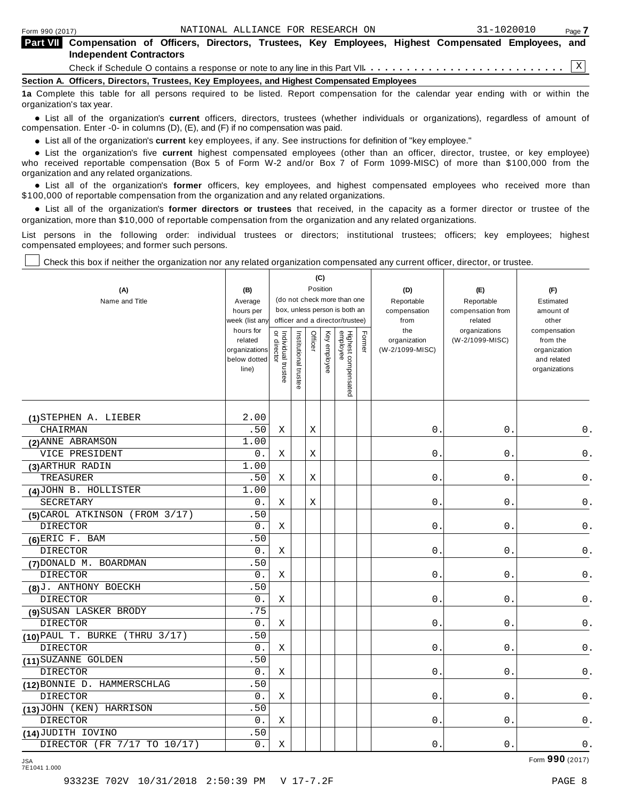| Form 990 (2017)                                                                                                                                    | NATIONAL ALLIANCE FOR RESEARCH ON |  |  | 31-1020010 | Page 7 |
|----------------------------------------------------------------------------------------------------------------------------------------------------|-----------------------------------|--|--|------------|--------|
| <b>Part VII</b> Compensation of Officers, Directors, Trustees, Key Employees, Highest Compensated Employees, and<br><b>Independent Contractors</b> |                                   |  |  |            |        |
|                                                                                                                                                    |                                   |  |  |            |        |
| Section A. Officers, Directors, Trustees, Key Employees, and Highest Compensated Employees                                                         |                                   |  |  |            |        |
| 1a Complete this table for all persons required to be listed. Report compensation for the calendar year ending with or within the                  |                                   |  |  |            |        |

organization's tax year. anization's lax year.<br>● List all of the organization's **current** officers, directors, trustees (whether individuals or organizations), regardless of amount of<br>nnensation Enter -0- in columns (D) (E) and (E) if no compensa

compensation. Enter -0- in columns (D), (E), and (F) if no compensation was paid.

**■** List all of the organization's **current** key employees, if any. See instructions for definition of "key employee."<br>■ List the experimentals five expect highest expressed explores (other than an efficer director t

**Example in the organization's current** key employees, if any. See instructions for definition of key employee.<br>• List the organization's five **current** highest compensated employees (other than an officer, director, trust who received reportable compensation (Box 5 of Form W-2 and/or Box 7 of Form 1099-MISC) of more than \$100,000 from the

organization and any related organizations.<br>• List all of the organization's **former** officers, key employees, and highest compensated employees who received more than<br>\$1.00.000 of reportable componention from the erganiza \$100,000 of reportable compensation from the organization and any related organizations.

% List all of the organization's **former directors or trustees** that received, in the capacity as a former director or trustee of the organization, more than \$10,000 of reportable compensation from the organization and any related organizations.

List persons in the following order: individual trustees or directors; institutional trustees; officers; key employees; highest compensated employees; and former such persons.

Check this box if neither the organization nor any related organization compensated any current officer, director, or trustee.

| (A)                               | (B)                                                            |                                                              |                       |         | (C)<br>Position |                                 |        | (D)                                    | (E)                              | (F)                                                                      |
|-----------------------------------|----------------------------------------------------------------|--------------------------------------------------------------|-----------------------|---------|-----------------|---------------------------------|--------|----------------------------------------|----------------------------------|--------------------------------------------------------------------------|
| Name and Title                    | Average                                                        | (do not check more than one<br>box, unless person is both an |                       |         |                 |                                 |        | Reportable                             | Reportable                       | Estimated                                                                |
|                                   | hours per                                                      |                                                              |                       |         |                 |                                 |        | compensation                           | compensation from                | amount of                                                                |
|                                   | week (list any                                                 |                                                              |                       |         |                 | officer and a director/trustee) |        | from                                   | related                          | other                                                                    |
|                                   | hours for<br>related<br>organizations<br>below dotted<br>line) | Individual trustee<br>or director                            | Institutional trustee | Officer | Key employee    | Highest compensated<br>employee | Former | the<br>organization<br>(W-2/1099-MISC) | organizations<br>(W-2/1099-MISC) | compensation<br>from the<br>organization<br>and related<br>organizations |
| (1) STEPHEN A. LIEBER             | 2.00                                                           |                                                              |                       |         |                 |                                 |        |                                        |                                  |                                                                          |
| CHAIRMAN                          | .50                                                            | Χ                                                            |                       | X       |                 |                                 |        | 0.                                     | $0$ .                            | 0.                                                                       |
| (2) ANNE ABRAMSON                 | 1.00                                                           |                                                              |                       |         |                 |                                 |        |                                        |                                  |                                                                          |
| VICE PRESIDENT                    | 0.                                                             | $\mathbf X$                                                  |                       | Χ       |                 |                                 |        | $0$ .                                  | $0$ .                            | $\mathsf 0$ .                                                            |
| (3) ARTHUR RADIN                  | 1.00                                                           |                                                              |                       |         |                 |                                 |        |                                        |                                  |                                                                          |
| TREASURER                         | .50                                                            | Χ                                                            |                       | X       |                 |                                 |        | 0.                                     | 0.                               | $\mathsf 0$ .                                                            |
| (4) JOHN B. HOLLISTER             | 1.00                                                           |                                                              |                       |         |                 |                                 |        |                                        |                                  |                                                                          |
| SECRETARY                         | 0.                                                             | Χ                                                            |                       | Χ       |                 |                                 |        | 0.                                     | $0$ .                            | $\mathsf 0$ .                                                            |
| (FROM 3/17)<br>(5) CAROL ATKINSON | .50                                                            |                                                              |                       |         |                 |                                 |        |                                        |                                  |                                                                          |
| <b>DIRECTOR</b>                   | 0.                                                             | Χ                                                            |                       |         |                 |                                 |        | $0$ .                                  | $0$ .                            | $\mathsf 0$ .                                                            |
| $(6)$ ERIC F. BAM                 | .50                                                            |                                                              |                       |         |                 |                                 |        |                                        |                                  |                                                                          |
| <b>DIRECTOR</b>                   | 0.                                                             | Χ                                                            |                       |         |                 |                                 |        | $0$ .                                  | 0.                               | 0.                                                                       |
| (7) DONALD M. BOARDMAN            | .50                                                            |                                                              |                       |         |                 |                                 |        |                                        |                                  |                                                                          |
| <b>DIRECTOR</b>                   | $0$ .                                                          | Χ                                                            |                       |         |                 |                                 |        | $\mathsf{O}$ .                         | 0.                               | 0.                                                                       |
| (8) J. ANTHONY BOECKH             | .50                                                            |                                                              |                       |         |                 |                                 |        |                                        |                                  |                                                                          |
| <b>DIRECTOR</b>                   | 0.                                                             | Χ                                                            |                       |         |                 |                                 |        | $\mathsf{O}$ .                         | 0.                               | $0$ .                                                                    |
| (9) SUSAN LASKER BRODY            | .75                                                            |                                                              |                       |         |                 |                                 |        |                                        |                                  |                                                                          |
| <b>DIRECTOR</b>                   | 0.                                                             | Χ                                                            |                       |         |                 |                                 |        | $\mathsf{O}$ .                         | $0$ .                            | $0$ .                                                                    |
| (THRU 3/17)<br>(10) PAUL T. BURKE | .50                                                            |                                                              |                       |         |                 |                                 |        |                                        |                                  |                                                                          |
| <b>DIRECTOR</b>                   | $0$ .                                                          | Χ                                                            |                       |         |                 |                                 |        | $0$ .                                  | $0$ .                            | $\mathsf 0$ .                                                            |
| (11) SUZANNE GOLDEN               | .50                                                            |                                                              |                       |         |                 |                                 |        |                                        |                                  |                                                                          |
| DIRECTOR                          | 0.                                                             | Χ                                                            |                       |         |                 |                                 |        | $\mathbf 0$ .                          | 0.                               | $0$ .                                                                    |
| (12) BONNIE D. HAMMERSCHLAG       | .50                                                            |                                                              |                       |         |                 |                                 |        |                                        |                                  |                                                                          |
| <b>DIRECTOR</b>                   | 0.                                                             | Χ                                                            |                       |         |                 |                                 |        | 0.                                     | $0$ .                            | 0.                                                                       |
| (13) JOHN (KEN) HARRISON          | .50                                                            |                                                              |                       |         |                 |                                 |        |                                        |                                  |                                                                          |
| <b>DIRECTOR</b>                   | 0.                                                             | Χ                                                            |                       |         |                 |                                 |        | $0$ .                                  | $0$ .                            | $0$ .                                                                    |
| (14) JUDITH IOVINO                | .50                                                            |                                                              |                       |         |                 |                                 |        |                                        |                                  |                                                                          |
| DIRECTOR (FR 7/17 TO 10/17)       | $\overline{0}$ .                                               | Χ                                                            |                       |         |                 |                                 |        | $0$ .                                  | $0$ .                            | $0$ .                                                                    |

JSA Form **990** (2017) 7E1041 1.000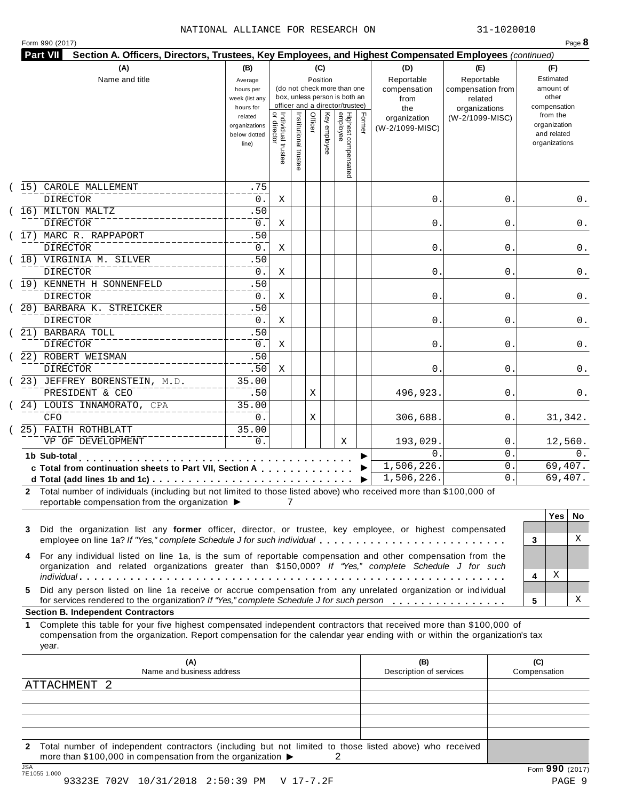|  | Form 990 (2017) |
|--|-----------------|
|  |                 |

|         | (A)<br>Name and title                                                                                                                                                                                                                                                                                                                                                                                                                                                                                       | (B)<br>Average<br>hours per<br>week (list any<br>hours for | (C)<br>Position<br>(do not check more than one<br>box, unless person is both an<br>officer and a director/trustee) |                       |         |              |                                 |        | (D)<br>Reportable<br>compensation<br>from<br>the | (E)<br>Reportable<br>compensation from<br>related<br>organizations | (F)<br>Estimated<br>amount of<br>other<br>compensation   |
|---------|-------------------------------------------------------------------------------------------------------------------------------------------------------------------------------------------------------------------------------------------------------------------------------------------------------------------------------------------------------------------------------------------------------------------------------------------------------------------------------------------------------------|------------------------------------------------------------|--------------------------------------------------------------------------------------------------------------------|-----------------------|---------|--------------|---------------------------------|--------|--------------------------------------------------|--------------------------------------------------------------------|----------------------------------------------------------|
|         |                                                                                                                                                                                                                                                                                                                                                                                                                                                                                                             | related<br>organizations<br>below dotted<br>line)          | Individual trustee<br>   or director                                                                               | Institutional trustee | Officer | Key employee | Highest compensated<br>employee | Former | organization<br>(W-2/1099-MISC)                  | (W-2/1099-MISC)                                                    | from the<br>organization<br>and related<br>organizations |
| (15)    | CAROLE MALLEMENT                                                                                                                                                                                                                                                                                                                                                                                                                                                                                            | .75                                                        |                                                                                                                    |                       |         |              |                                 |        |                                                  |                                                                    |                                                          |
|         | <b>DIRECTOR</b>                                                                                                                                                                                                                                                                                                                                                                                                                                                                                             | 0.                                                         | Χ                                                                                                                  |                       |         |              |                                 |        | $\mathsf{0}$ .                                   | 0                                                                  | 0.                                                       |
|         | (16) MILTON MALTZ                                                                                                                                                                                                                                                                                                                                                                                                                                                                                           | .50                                                        |                                                                                                                    |                       |         |              |                                 |        |                                                  |                                                                    |                                                          |
|         | <b>DIRECTOR</b><br>(17) MARC R. RAPPAPORT                                                                                                                                                                                                                                                                                                                                                                                                                                                                   | 0.<br>.50                                                  | Χ                                                                                                                  |                       |         |              |                                 |        | $\mathsf{0}$ .                                   | 0                                                                  | 0.                                                       |
|         | <b>DIRECTOR</b>                                                                                                                                                                                                                                                                                                                                                                                                                                                                                             | 0.                                                         | Χ                                                                                                                  |                       |         |              |                                 |        | $\mathsf{0}$ .                                   | 0                                                                  | 0.                                                       |
|         | (18) VIRGINIA M. SILVER                                                                                                                                                                                                                                                                                                                                                                                                                                                                                     | .50                                                        |                                                                                                                    |                       |         |              |                                 |        |                                                  |                                                                    |                                                          |
|         | DIRECTOR                                                                                                                                                                                                                                                                                                                                                                                                                                                                                                    | 0.                                                         | Χ                                                                                                                  |                       |         |              |                                 |        | $\mathsf{0}$ .                                   | 0                                                                  | 0.                                                       |
|         | (19) KENNETH H SONNENFELD                                                                                                                                                                                                                                                                                                                                                                                                                                                                                   | .50                                                        |                                                                                                                    |                       |         |              |                                 |        |                                                  |                                                                    |                                                          |
|         | DIRECTOR                                                                                                                                                                                                                                                                                                                                                                                                                                                                                                    | $0$ .                                                      | Χ                                                                                                                  |                       |         |              |                                 |        | $\mathsf{0}$ .                                   | 0                                                                  | 0.                                                       |
|         | (20) BARBARA K. STREICKER                                                                                                                                                                                                                                                                                                                                                                                                                                                                                   | .50                                                        |                                                                                                                    |                       |         |              |                                 |        |                                                  |                                                                    |                                                          |
|         | DIRECTOR                                                                                                                                                                                                                                                                                                                                                                                                                                                                                                    | 0.                                                         | Χ                                                                                                                  |                       |         |              |                                 |        | 0.                                               | 0                                                                  | 0.                                                       |
|         | (21) BARBARA TOLL                                                                                                                                                                                                                                                                                                                                                                                                                                                                                           | .50                                                        |                                                                                                                    |                       |         |              |                                 |        |                                                  |                                                                    |                                                          |
|         | <b>DIRECTOR</b>                                                                                                                                                                                                                                                                                                                                                                                                                                                                                             | 0.                                                         | X                                                                                                                  |                       |         |              |                                 |        | 0.                                               | 0                                                                  | 0.                                                       |
|         | (22) ROBERT WEISMAN                                                                                                                                                                                                                                                                                                                                                                                                                                                                                         | .50                                                        |                                                                                                                    |                       |         |              |                                 |        |                                                  |                                                                    |                                                          |
|         | DIRECTOR                                                                                                                                                                                                                                                                                                                                                                                                                                                                                                    | .50<br>35.00                                               | Χ                                                                                                                  |                       |         |              |                                 |        | 0.                                               | 0                                                                  | 0.                                                       |
|         | (23) JEFFREY BORENSTEIN, M.D.<br>PRESIDENT & CEO                                                                                                                                                                                                                                                                                                                                                                                                                                                            | .50                                                        |                                                                                                                    |                       | Χ       |              |                                 |        | 496,923.                                         | 0                                                                  | 0.                                                       |
|         | (24) LOUIS INNAMORATO, CPA                                                                                                                                                                                                                                                                                                                                                                                                                                                                                  | 35.00                                                      |                                                                                                                    |                       |         |              |                                 |        |                                                  |                                                                    |                                                          |
|         | <b>CFO</b>                                                                                                                                                                                                                                                                                                                                                                                                                                                                                                  | 0.                                                         |                                                                                                                    |                       | Χ       |              |                                 |        | 306,688.                                         | 0                                                                  | 31,342.                                                  |
|         | 25) FAITH ROTHBLATT                                                                                                                                                                                                                                                                                                                                                                                                                                                                                         | 35.00                                                      |                                                                                                                    |                       |         |              |                                 |        |                                                  |                                                                    |                                                          |
|         | VP OF DEVELOPMENT                                                                                                                                                                                                                                                                                                                                                                                                                                                                                           | 0.                                                         |                                                                                                                    |                       |         |              | Χ                               |        | 193,029.                                         | 0                                                                  | 12,560.                                                  |
|         | 1b Sub-total<br>the contract of the contract of the                                                                                                                                                                                                                                                                                                                                                                                                                                                         |                                                            |                                                                                                                    |                       |         |              |                                 |        | 0                                                | 0.                                                                 | 0.                                                       |
|         | c Total from continuation sheets to Part VII, Section A                                                                                                                                                                                                                                                                                                                                                                                                                                                     |                                                            |                                                                                                                    |                       |         |              |                                 |        | 1,506,226.                                       | 0.                                                                 | 69,407.                                                  |
|         |                                                                                                                                                                                                                                                                                                                                                                                                                                                                                                             |                                                            |                                                                                                                    |                       |         |              |                                 | ▶      | 1,506,226.                                       | 0                                                                  | 69,407.                                                  |
| 3       | 2 Total number of individuals (including but not limited to those listed above) who received more than \$100,000 of<br>reportable compensation from the organization ▶<br>Did the organization list any former officer, director, or trustee, key employee, or highest compensated                                                                                                                                                                                                                          |                                                            | 7                                                                                                                  |                       |         |              |                                 |        |                                                  |                                                                    | <b>Yes</b><br>No.                                        |
| 4<br>5. | employee on line 1a? If "Yes," complete Schedule J for such individual<br>For any individual listed on line 1a, is the sum of reportable compensation and other compensation from the<br>organization and related organizations greater than \$150,000? If "Yes," complete Schedule J for such<br>Did any person listed on line 1a receive or accrue compensation from any unrelated organization or individual<br>for services rendered to the organization? If "Yes," complete Schedule J for such person |                                                            |                                                                                                                    |                       |         |              |                                 |        |                                                  |                                                                    | X<br>3<br>Χ<br>4<br>Χ<br>5                               |
|         | <b>Section B. Independent Contractors</b>                                                                                                                                                                                                                                                                                                                                                                                                                                                                   |                                                            |                                                                                                                    |                       |         |              |                                 |        |                                                  |                                                                    |                                                          |
|         | Complete this table for your five highest compensated independent contractors that received more than \$100,000 of<br>compensation from the organization. Report compensation for the calendar year ending with or within the organization's tax<br>year.                                                                                                                                                                                                                                                   |                                                            |                                                                                                                    |                       |         |              |                                 |        |                                                  |                                                                    |                                                          |
| 1       |                                                                                                                                                                                                                                                                                                                                                                                                                                                                                                             |                                                            |                                                                                                                    |                       |         |              |                                 |        | (B)<br>Description of services                   |                                                                    | (C)<br>Compensation                                      |
|         | (A)                                                                                                                                                                                                                                                                                                                                                                                                                                                                                                         |                                                            |                                                                                                                    |                       |         |              |                                 |        |                                                  |                                                                    |                                                          |
|         | Name and business address                                                                                                                                                                                                                                                                                                                                                                                                                                                                                   |                                                            |                                                                                                                    |                       |         |              |                                 |        |                                                  |                                                                    |                                                          |
|         | <b>ATTACHMENT</b><br>$\overline{2}$                                                                                                                                                                                                                                                                                                                                                                                                                                                                         |                                                            |                                                                                                                    |                       |         |              |                                 |        |                                                  |                                                                    |                                                          |
|         |                                                                                                                                                                                                                                                                                                                                                                                                                                                                                                             |                                                            |                                                                                                                    |                       |         |              |                                 |        |                                                  |                                                                    |                                                          |
|         |                                                                                                                                                                                                                                                                                                                                                                                                                                                                                                             |                                                            |                                                                                                                    |                       |         |              |                                 |        |                                                  |                                                                    |                                                          |

93323E 702V 10/31/2018 2:50:39 PM V 17-7.2F PAGE 9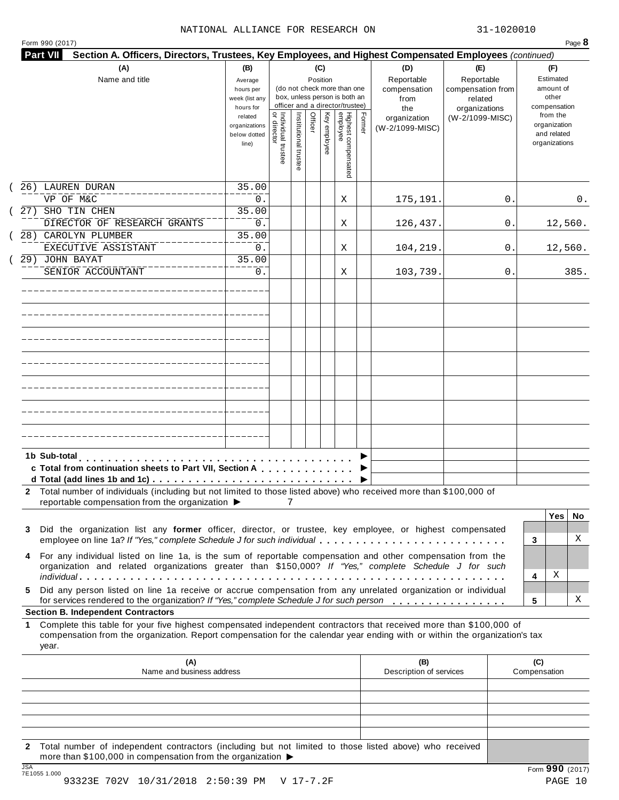| $P$ aqe $b$ |
|-------------|
|             |

| <b>Part VII</b><br>Section A. Officers, Directors, Trustees, Key Employees, and Highest Compensated Employees (continued)                                                                                                                                       |                                                            |                                                                                                                    |                     |         |              |                                 |        |                                                  |                                                                    |    |                                                          |         |
|-----------------------------------------------------------------------------------------------------------------------------------------------------------------------------------------------------------------------------------------------------------------|------------------------------------------------------------|--------------------------------------------------------------------------------------------------------------------|---------------------|---------|--------------|---------------------------------|--------|--------------------------------------------------|--------------------------------------------------------------------|----|----------------------------------------------------------|---------|
| (A)<br>Name and title                                                                                                                                                                                                                                           | (B)<br>Average<br>hours per<br>week (list any<br>hours for | (C)<br>Position<br>(do not check more than one<br>box, unless person is both an<br>officer and a director/trustee) |                     |         |              |                                 |        | (D)<br>Reportable<br>compensation<br>from<br>the | (E)<br>Reportable<br>compensation from<br>related<br>organizations |    | (F)<br>Estimated<br>amount of<br>other<br>compensation   |         |
|                                                                                                                                                                                                                                                                 | related<br>organizations<br>below dotted<br>line)          | Individual trustee<br>director                                                                                     | Institutional trust | Officer | Key employee | Highest compensated<br>employee | Former | organization<br>(W-2/1099-MISC)                  | (W-2/1099-MISC)                                                    |    | from the<br>organization<br>and related<br>organizations |         |
| 26) LAUREN DURAN                                                                                                                                                                                                                                                | 35.00                                                      |                                                                                                                    |                     |         |              |                                 |        |                                                  |                                                                    |    |                                                          |         |
| VP OF M&C<br>27) SHO TIN CHEN                                                                                                                                                                                                                                   | 0.<br>35.00                                                |                                                                                                                    |                     |         |              | Χ                               |        | 175,191.                                         |                                                                    | 0. |                                                          | 0.      |
| DIRECTOR OF RESEARCH GRANTS                                                                                                                                                                                                                                     | 0.                                                         |                                                                                                                    |                     |         |              | Χ                               |        | 126,437.                                         |                                                                    | 0. |                                                          | 12,560. |
| 28) CAROLYN PLUMBER                                                                                                                                                                                                                                             | 35.00                                                      |                                                                                                                    |                     |         |              |                                 |        |                                                  |                                                                    |    |                                                          |         |
| EXECUTIVE ASSISTANT                                                                                                                                                                                                                                             | 0.                                                         |                                                                                                                    |                     |         |              | Χ                               |        | 104,219.                                         |                                                                    | 0. |                                                          | 12,560. |
| 29) JOHN BAYAT<br>SENIOR ACCOUNTANT                                                                                                                                                                                                                             | 35.00<br>0.                                                |                                                                                                                    |                     |         |              | Χ                               |        | 103,739.                                         |                                                                    | 0. |                                                          | 385.    |
|                                                                                                                                                                                                                                                                 |                                                            |                                                                                                                    |                     |         |              |                                 |        |                                                  |                                                                    |    |                                                          |         |
|                                                                                                                                                                                                                                                                 |                                                            |                                                                                                                    |                     |         |              |                                 |        |                                                  |                                                                    |    |                                                          |         |
|                                                                                                                                                                                                                                                                 |                                                            |                                                                                                                    |                     |         |              |                                 |        |                                                  |                                                                    |    |                                                          |         |
|                                                                                                                                                                                                                                                                 |                                                            |                                                                                                                    |                     |         |              |                                 |        |                                                  |                                                                    |    |                                                          |         |
|                                                                                                                                                                                                                                                                 |                                                            |                                                                                                                    |                     |         |              |                                 |        |                                                  |                                                                    |    |                                                          |         |
|                                                                                                                                                                                                                                                                 |                                                            |                                                                                                                    |                     |         |              |                                 |        |                                                  |                                                                    |    |                                                          |         |
|                                                                                                                                                                                                                                                                 |                                                            |                                                                                                                    |                     |         |              |                                 |        |                                                  |                                                                    |    |                                                          |         |
|                                                                                                                                                                                                                                                                 |                                                            |                                                                                                                    |                     |         |              |                                 |        |                                                  |                                                                    |    |                                                          |         |
| 1b Sub-total<br>c Total from continuation sheets to Part VII, Section A<br>2 Total number of individuals (including but not limited to those listed above) who received more than \$100,000 of<br>reportable compensation from the organization ▶               |                                                            |                                                                                                                    |                     |         |              |                                 |        |                                                  |                                                                    |    |                                                          |         |
|                                                                                                                                                                                                                                                                 |                                                            |                                                                                                                    |                     |         |              |                                 |        |                                                  |                                                                    |    | Yes                                                      | No      |
| Did the organization list any former officer, director, or trustee, key employee, or highest compensated<br>3<br>employee on line 1a? If "Yes," complete Schedule J for such individual                                                                         |                                                            |                                                                                                                    |                     |         |              |                                 |        |                                                  |                                                                    |    | 3                                                        | Χ       |
| For any individual listed on line 1a, is the sum of reportable compensation and other compensation from the                                                                                                                                                     |                                                            |                                                                                                                    |                     |         |              |                                 |        |                                                  |                                                                    |    |                                                          |         |
| organization and related organizations greater than \$150,000? If "Yes," complete Schedule J for such                                                                                                                                                           |                                                            |                                                                                                                    |                     |         |              |                                 |        |                                                  |                                                                    |    |                                                          |         |
|                                                                                                                                                                                                                                                                 |                                                            |                                                                                                                    |                     |         |              |                                 |        |                                                  |                                                                    |    | Χ<br>4                                                   |         |
| Did any person listed on line 1a receive or accrue compensation from any unrelated organization or individual<br>5.<br>for services rendered to the organization? If "Yes," complete Schedule J for such person                                                 |                                                            |                                                                                                                    |                     |         |              |                                 |        |                                                  |                                                                    |    | 5                                                        | Χ       |
| <b>Section B. Independent Contractors</b>                                                                                                                                                                                                                       |                                                            |                                                                                                                    |                     |         |              |                                 |        |                                                  |                                                                    |    |                                                          |         |
| Complete this table for your five highest compensated independent contractors that received more than \$100,000 of<br>1.<br>compensation from the organization. Report compensation for the calendar year ending with or within the organization's tax<br>year. |                                                            |                                                                                                                    |                     |         |              |                                 |        |                                                  |                                                                    |    |                                                          |         |
| (A)<br>Name and business address                                                                                                                                                                                                                                |                                                            |                                                                                                                    |                     |         |              |                                 |        | (B)<br>Description of services                   |                                                                    |    | (C)<br>Compensation                                      |         |
|                                                                                                                                                                                                                                                                 |                                                            |                                                                                                                    |                     |         |              |                                 |        |                                                  |                                                                    |    |                                                          |         |
|                                                                                                                                                                                                                                                                 |                                                            |                                                                                                                    |                     |         |              |                                 |        |                                                  |                                                                    |    |                                                          |         |
|                                                                                                                                                                                                                                                                 |                                                            |                                                                                                                    |                     |         |              |                                 |        |                                                  |                                                                    |    |                                                          |         |
| 2 Total number of independent contractors (including but not limited to those listed above) who received                                                                                                                                                        |                                                            |                                                                                                                    |                     |         |              |                                 |        |                                                  |                                                                    |    |                                                          |         |
| more than \$100,000 in compensation from the organization ▶<br>$\overline{10A}$                                                                                                                                                                                 |                                                            |                                                                                                                    |                     |         |              |                                 |        |                                                  |                                                                    |    |                                                          |         |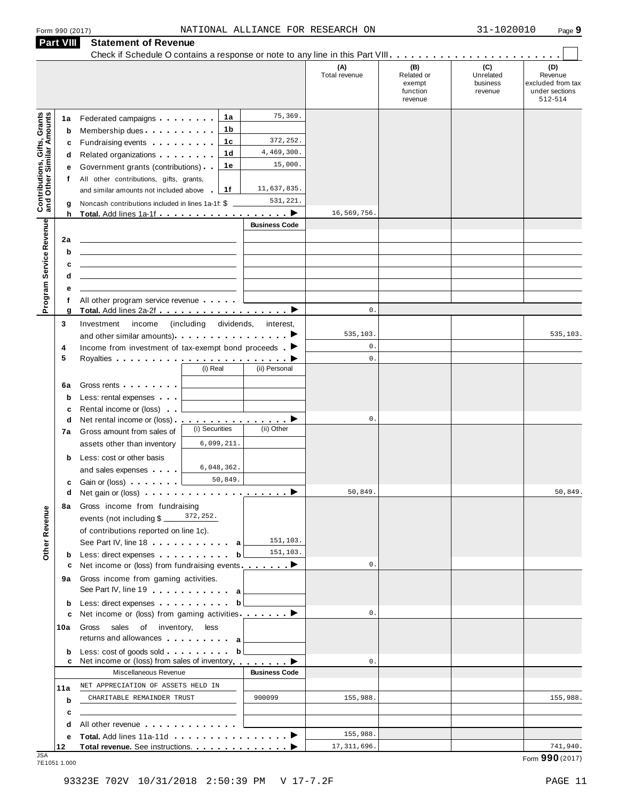|  | Form 990 (2017) |
|--|-----------------|
|  |                 |

|                                                                  | <b>Part VIII</b> | <b>Statement of Revenue</b>                                                                                                                                                                                                          |                          |                      |                      |                                                    |                                         |                                                                            |
|------------------------------------------------------------------|------------------|--------------------------------------------------------------------------------------------------------------------------------------------------------------------------------------------------------------------------------------|--------------------------|----------------------|----------------------|----------------------------------------------------|-----------------------------------------|----------------------------------------------------------------------------|
|                                                                  |                  |                                                                                                                                                                                                                                      |                          |                      | (A)<br>Total revenue | (B)<br>Related or<br>exempt<br>function<br>revenue | (C)<br>Unrelated<br>business<br>revenue | $\sim$<br>(D)<br>Revenue<br>excluded from tax<br>under sections<br>512-514 |
|                                                                  | 1a               | Federated campaigns <b>Federated</b>                                                                                                                                                                                                 | 1a                       | 75,369.              |                      |                                                    |                                         |                                                                            |
| <b>Contributions, Gifts, Grants</b><br>and Other Similar Amounts | b                | Membership dues                                                                                                                                                                                                                      | 1 b                      |                      |                      |                                                    |                                         |                                                                            |
|                                                                  | c                | Fundraising events <b>Fundraising</b>                                                                                                                                                                                                | 1c                       | 372, 252.            |                      |                                                    |                                         |                                                                            |
|                                                                  | d                | Related organizations <b>and the set of the set of the set of the set of the set of the set of the set of the set of the set of the set of the set of the set of the set of the set of the set of the set of the set of the set </b> | 1 <sub>d</sub>           | 4,469,300.           |                      |                                                    |                                         |                                                                            |
|                                                                  | е                | Government grants (contributions)                                                                                                                                                                                                    | 1е                       | 15,000.              |                      |                                                    |                                         |                                                                            |
|                                                                  | f                | All other contributions, gifts, grants,                                                                                                                                                                                              |                          |                      |                      |                                                    |                                         |                                                                            |
|                                                                  |                  | and similar amounts not included above                                                                                                                                                                                               | 1f                       | 11,637,835.          |                      |                                                    |                                         |                                                                            |
|                                                                  | g                | Noncash contributions included in lines 1a-1f: \$                                                                                                                                                                                    |                          | 531,221.             |                      |                                                    |                                         |                                                                            |
|                                                                  | h                | Total. Add lines 1a-1f                                                                                                                                                                                                               |                          | ▸                    | 16,569,756           |                                                    |                                         |                                                                            |
| Program Service Revenue                                          | 2a               |                                                                                                                                                                                                                                      |                          | <b>Business Code</b> |                      |                                                    |                                         |                                                                            |
|                                                                  | b                |                                                                                                                                                                                                                                      |                          |                      |                      |                                                    |                                         |                                                                            |
|                                                                  | c                |                                                                                                                                                                                                                                      |                          |                      |                      |                                                    |                                         |                                                                            |
|                                                                  | d                |                                                                                                                                                                                                                                      |                          |                      |                      |                                                    |                                         |                                                                            |
|                                                                  | е                |                                                                                                                                                                                                                                      |                          |                      |                      |                                                    |                                         |                                                                            |
|                                                                  | f                | All other program service revenue                                                                                                                                                                                                    |                          |                      |                      |                                                    |                                         |                                                                            |
|                                                                  | g                | Total. Add lines 2a-2f ▶                                                                                                                                                                                                             |                          |                      | $\mathbb O$ .        |                                                    |                                         |                                                                            |
|                                                                  | 3                | Investment<br>income                                                                                                                                                                                                                 | dividends,<br>(including | interest,            |                      |                                                    |                                         |                                                                            |
|                                                                  |                  | and other similar amounts). $\cdots$ $\cdots$ $\cdots$ $\cdots$                                                                                                                                                                      |                          |                      | 535,103.             |                                                    |                                         | 535,103.                                                                   |
|                                                                  | 4                | Income from investment of tax-exempt bond proceeds $\blacktriangleright$                                                                                                                                                             |                          |                      | $\mathbf 0$ .        |                                                    |                                         |                                                                            |
|                                                                  | 5                |                                                                                                                                                                                                                                      | (i) Real                 | (ii) Personal        | $\mathbb O$ .        |                                                    |                                         |                                                                            |
|                                                                  |                  |                                                                                                                                                                                                                                      |                          |                      |                      |                                                    |                                         |                                                                            |
|                                                                  | 6a               | Gross rents <b>Container</b>                                                                                                                                                                                                         |                          |                      |                      |                                                    |                                         |                                                                            |
|                                                                  | $\mathbf b$      | Less: rental expenses                                                                                                                                                                                                                |                          |                      |                      |                                                    |                                         |                                                                            |
|                                                                  | c<br>d           | Rental income or (loss)<br>Net rental income or (loss).                                                                                                                                                                              | <u>.</u> D               |                      | $\mathbf 0$ .        |                                                    |                                         |                                                                            |
|                                                                  | 7a               | Gross amount from sales of                                                                                                                                                                                                           | (i) Securities           | (ii) Other           |                      |                                                    |                                         |                                                                            |
|                                                                  |                  | assets other than inventory                                                                                                                                                                                                          | 6,099,211.               |                      |                      |                                                    |                                         |                                                                            |
|                                                                  | b                | Less: cost or other basis                                                                                                                                                                                                            |                          |                      |                      |                                                    |                                         |                                                                            |
|                                                                  |                  | and sales expenses                                                                                                                                                                                                                   | 6,048,362.               |                      |                      |                                                    |                                         |                                                                            |
|                                                                  | с                | Gain or (loss) <b>Cain Communist Communist Communist Communist Communist Communist Communist Communist Communist Communist Communist Communist Communist Communist Communist Communist Communist Communist Communist Communist C</b> | 50,849.                  |                      |                      |                                                    |                                         |                                                                            |
|                                                                  | d                | Net gain or (loss) $\cdots$ $\cdots$ $\cdots$ $\cdots$ $\cdots$ $\cdots$                                                                                                                                                             |                          |                      | 50,849.              |                                                    |                                         | 50,849.                                                                    |
|                                                                  |                  | 8a Gross income from fundraising                                                                                                                                                                                                     |                          |                      |                      |                                                    |                                         |                                                                            |
| Other Revenue                                                    |                  | events (not including \$                                                                                                                                                                                                             | 372,252.                 |                      |                      |                                                    |                                         |                                                                            |
|                                                                  |                  | of contributions reported on line 1c).                                                                                                                                                                                               |                          |                      |                      |                                                    |                                         |                                                                            |
|                                                                  |                  | See Part IV, line 18 and the same state of the same state of the same state of the same state of the same state of the same state of the same state of the same state of the same state of the same state of the same state of       |                          | 151,103.             |                      |                                                    |                                         |                                                                            |
|                                                                  | b                | Less: direct expenses                                                                                                                                                                                                                | b                        | 151,103.             |                      |                                                    |                                         |                                                                            |
|                                                                  | с                | Net income or (loss) from fundraising events _________                                                                                                                                                                               |                          |                      | $\mathbb O$ .        |                                                    |                                         |                                                                            |
|                                                                  | 9а               | Gross income from gaming activities.                                                                                                                                                                                                 |                          |                      |                      |                                                    |                                         |                                                                            |
|                                                                  |                  | See Part IV, line 19 a                                                                                                                                                                                                               |                          |                      |                      |                                                    |                                         |                                                                            |
|                                                                  | b<br>c           | Less: direct expenses<br>Net income or (loss) from gaming activities ________                                                                                                                                                        | b                        |                      | $\mathbb O$ .        |                                                    |                                         |                                                                            |
|                                                                  | 10a              | Gross sales of inventory, less                                                                                                                                                                                                       |                          |                      |                      |                                                    |                                         |                                                                            |
|                                                                  |                  | returns and allowances and allowances                                                                                                                                                                                                |                          |                      |                      |                                                    |                                         |                                                                            |
|                                                                  | b<br>c           | Less: cost of goods sold<br>Net income or (loss) from sales of inventory ▶                                                                                                                                                           | b                        |                      | $\mathbb O$ .        |                                                    |                                         |                                                                            |
|                                                                  |                  | Miscellaneous Revenue                                                                                                                                                                                                                |                          | <b>Business Code</b> |                      |                                                    |                                         |                                                                            |
|                                                                  | 11a              | NET APPRECIATION OF ASSETS HELD IN                                                                                                                                                                                                   |                          |                      |                      |                                                    |                                         |                                                                            |
|                                                                  | b                | CHARITABLE REMAINDER TRUST                                                                                                                                                                                                           |                          | 900099               | 155,988.             |                                                    |                                         | 155,988.                                                                   |
|                                                                  | c                |                                                                                                                                                                                                                                      |                          |                      |                      |                                                    |                                         |                                                                            |
|                                                                  | d                | All other revenue entitled and the state of the state of the state of the state of the state of the state of the state of the state of the state of the state of the state of the state of the state of the state of the state       |                          |                      |                      |                                                    |                                         |                                                                            |
|                                                                  | е                |                                                                                                                                                                                                                                      |                          |                      | 155,988.             |                                                    |                                         |                                                                            |
| .ISA                                                             | 12               | Total revenue. See instructions.                                                                                                                                                                                                     |                          |                      | 17, 311, 696.        |                                                    |                                         | 741,940.                                                                   |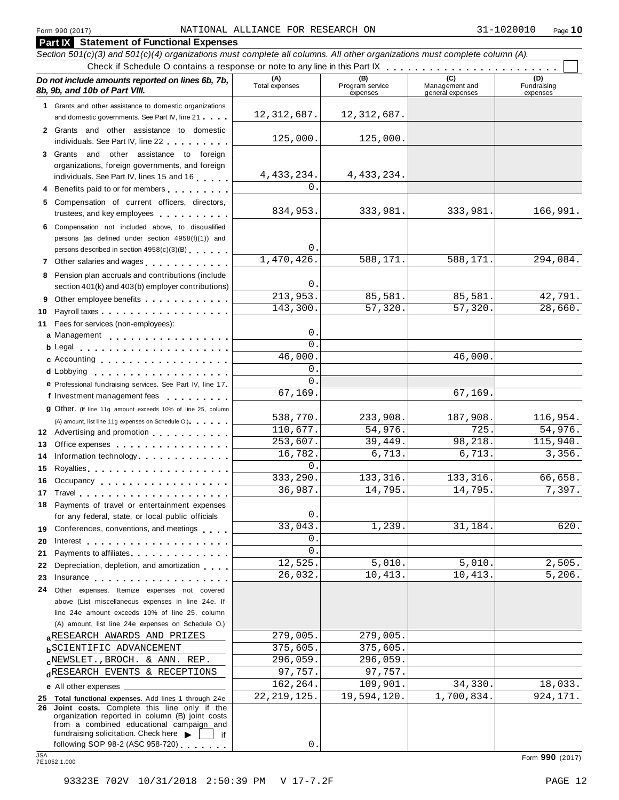**Part IX Statement of Functional Expenses**

#### Section 501(c)(3) and 501(c)(4) organizations must complete all columns. All other organizations must complete column (A). Check if Schedule <sup>O</sup> contains <sup>a</sup> response or note to any line in this Part IX m m m m m m m m m m m m m m m m m m m m m m m m *Do no* **(A) (B) (C) (D)** *t include amounts reported on lines 6b, 7b,* **8b, 9b, and 10b of Part VIII.** The construction of *B***, 9b, and 10b of Part VIII.** expenses Management and general expenses Fundraising expenses **1** Grants and other assistance to domestic organizations and domestic governments. See Part IV, line 21 **2** Grants and other assistance to domestic individuals. See Part IV, line 22 **3** Grants and other assistance to foreign organizations, foreign governments, and foreign individuals. See Part IV, lines <sup>15</sup> and <sup>16</sup> <sup>m</sup> <sup>m</sup> <sup>m</sup> <sup>m</sup> <sup>m</sup> **<sup>4</sup>** Benefits paid to or for members <sup>m</sup> <sup>m</sup> <sup>m</sup> <sup>m</sup> <sup>m</sup> <sup>m</sup> <sup>m</sup> <sup>m</sup> <sup>m</sup> **5** Compensation of current officers, directors, trustees, and key employees manufacturers. **6** Compensation not included above, to disqualified persons (as defined under section 4958(f)(1)) and persons described in section 4958(c)(3)(B) 7 Other salaries and wages **manual manual metallicity 8** Pension plan accruals and contributions (include section 401(k) and 403(b) employer contributions) **9** Section 401(k) and 403(b) employer contributions<br>9 Other employee benefits 9 Other employee benefits **10** Payroll taxes **1** Fees for services (non-employees): **11** Fees for services (non-employees):<br>**a** Management ..................<br>**b** Legal ......................... Legal m m m m m m m m m m m m m m m m m m m m m c Accounting extensive the set of the set of the set of the set of the set of the set of the set of the set of the set of the set of the set of the set of the set of the set of the set of the set of the set of the set of t Lobbying **cd** m m m m m m m m m m m m m m m m m m m A) amount, list line 11g expenses on Schedule O.<br>**12** Advertising and promotion **manual 13** Office expenses **13** Office expenses<br>**14** Information technology **manual manual metal of the metal of the metal of the metal of 15** Royalties m m m m m m m m m m m m m m m m m m m m **16** Occupancy m m m m m m m m m m m m m m m m m m **16** Occupancy ...................<br>17 Travel..................... **18** Payments of travel or entertainment expenses for any federal, state, or local public officials<br>**19** Conferences, conventions, and meetings **19** Conferences, conventions, and meetings **endorship.**<br>20 Interest **manual meeting 21** Payments to affiliates 21 Payments to affiliates<br>22 Depreciation, depletion, and amortization <sub>1</sub> , , , **22** Depreciation, depletion, and amortization **manufation**<br>23 Insurance 24 Other expenses. Itemize expenses not covered **d** Lobbying **come and the services.** See Part IV, line 17 **P** Professional fundraising services. See Part IV, line 17<br>**f** Investment management fees **g** Other. (If line 11g amount exceeds 10% of line 25, column m m m m m m m m m m m m m m m m m m (A) amount, list line 11g expenses on Schedule O.) m m m m m m m m m m m m m m m m for any federal, state, or local public officials m m m m m m m m m m m m m m above (List miscellaneous expenses in line 24e. If line 24e amount exceeds 10% of line 25, column (A) amount, list line 24e expenses on Schedule O.) **a**RESEARCH AWARDS AND PRIZES<br> **b**SCIENTIFIC ADVANCEMENT 375,605. 375,605. **c**<sup>NEWSLET</sup>., BROCH. & ANN. REP.<br>d<sup>RESEARCH EVENTS & RECEPTIONS 97,757. 97,757.</sup> **e** All other expenses **25 Total functional expenses.** Add lines 1 through 24e **26 Joint costs.** Complete this line only if the organization reported in column (B) joint costs from a combined educational campaign and fundraising solicitation. Check here  $\blacktriangleright \begin{array}{c} \square \\ \square \end{array}$  if following SOP 98-2 (ASC 958-720) following SOP 98-2 (ASC 958-720) <sup>m</sup> <sup>m</sup> <sup>m</sup> <sup>m</sup> <sup>m</sup> <sup>m</sup> <sup>m</sup> JSA Form **<sup>990</sup>** (2017) 7E1052 1.000 12,312,687. 12,312,687. 125,000. 125,000. 4,433,234. 4,433,234. 0. 834,953. 333,981. 333,981. 166,991. 0. 1,470,426. 588,171. 588,171. 294,084.  $\Omega$ 213,953. 85,581. 85,581. 42,791. 143,300. 57,320. 57,320. 28,660.  $\Omega$  $\overline{0}$ 46,000. 46,000. 0. 0. 67,169. 67,169. 538,770. 233,908. 187,908. 116,954. 110,677. 54,976. 725. 54,976. 253,607. 39,449. 98,218. 115,940. 16,782. 6,713. 6,713. 3,356. 0. 333,290. 133,316. 133,316. 66,658. 36,987. 14,795. 14,795. 7,397.  $\Omega$ 33,043. 1,239. 31,184. 620. 0.  $\overline{0}$ . 12,525. 5,010. 5,010. 2,505. 26,032. 10,413. 10,413. 5,206. **ARESEARCH AWARDS AND PRIZES**  $279,005$ . 279,005. REWSLET., BROCH. & ANN. REP. 296,059. 296,059. 162,264. 109,901. 34,330. 18,033. 22,219,125. 19,594,120. 1,700,834. 924,171.

0.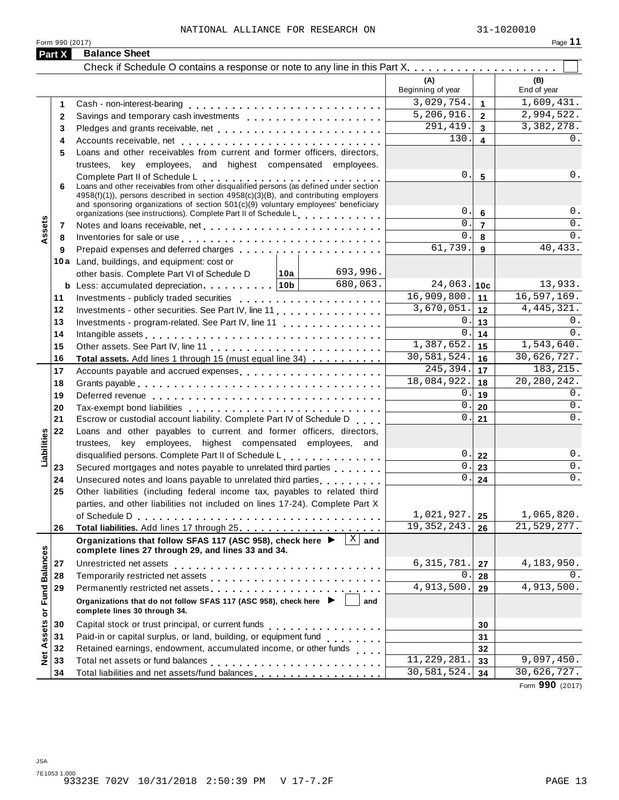|                   | Form 990 (2017) |                                                                                                                                                                                                                                |     |                           |                         | Page 11            |
|-------------------|-----------------|--------------------------------------------------------------------------------------------------------------------------------------------------------------------------------------------------------------------------------|-----|---------------------------|-------------------------|--------------------|
|                   | Part X          | <b>Balance Sheet</b>                                                                                                                                                                                                           |     |                           |                         |                    |
|                   |                 |                                                                                                                                                                                                                                |     |                           |                         |                    |
|                   |                 |                                                                                                                                                                                                                                |     | (A)<br>Beginning of year  |                         | (B)<br>End of year |
|                   | 1               |                                                                                                                                                                                                                                |     | 3,029,754.                | $\mathbf{1}$            | 1,609,431.         |
|                   | $\mathbf{2}$    | Savings and temporary cash investments                                                                                                                                                                                         |     | 5,206,916.                | $\mathbf{2}$            | 2,994,522.         |
|                   | 3               | Pledges and grants receivable, net enterpresent resources and grants receivable, net enterpresent resources                                                                                                                    |     | $\overline{291,419}$ .    | 3                       | 3,382,278.         |
|                   | 4               |                                                                                                                                                                                                                                |     | 130.                      | $\overline{\mathbf{4}}$ | 0.                 |
|                   | 5               | Loans and other receivables from current and former officers, directors,                                                                                                                                                       |     |                           |                         |                    |
|                   |                 | trustees, key employees, and highest compensated employees.                                                                                                                                                                    |     |                           |                         |                    |
|                   |                 | Complete Part II of Schedule L<br>Loans and other receivables from other disqualified persons (as defined under section                                                                                                        |     | 0.                        | 5                       | 0.                 |
|                   | 6               | 4958(f)(1)), persons described in section 4958(c)(3)(B), and contributing employers<br>and sponsoring organizations of section $501(c)(9)$ voluntary employees' beneficiary                                                    |     | 0.                        |                         | 0.                 |
|                   |                 | organizations (see instructions). Complete Part II of Schedule L                                                                                                                                                               |     | $0$ .                     | 6                       | 0.                 |
| Assets            | 7               |                                                                                                                                                                                                                                |     | 0.                        | $\overline{7}$          | 0.                 |
|                   | 8               | Inventories for sale or use enterpreteration of the contract of the contract of the contract of the contract of                                                                                                                |     | 61,739.                   | 8                       | 40,433.            |
|                   | 9               | Prepaid expenses and deferred charges                                                                                                                                                                                          |     |                           | 9                       |                    |
|                   |                 | 10a Land, buildings, and equipment: cost or<br>693,996.<br>│ 10a │                                                                                                                                                             |     |                           |                         |                    |
|                   |                 | other basis. Complete Part VI of Schedule D<br>680,063.<br><b>b</b> Less: accumulated depreciation   10b                                                                                                                       |     | 24,063.                   | 10 <sub>c</sub>         | 13,933.            |
|                   | 11              | Investments - publicly traded securities                                                                                                                                                                                       |     | 16,909,800.               | 11                      | 16, 597, 169.      |
|                   | 12              | Investments - other securities. See Part IV, line 11.                                                                                                                                                                          |     | 3,670,051.                | 12                      | 4, 445, 321.       |
|                   | 13              | Investments - program-related. See Part IV, line 11                                                                                                                                                                            |     | 0.                        | 13                      | 0.                 |
|                   | 14              | Intangible assets experience in the contract of the contract of the contract of the contract of the contract of                                                                                                                |     | 0.                        | 14                      | $0$ .              |
|                   | 15              |                                                                                                                                                                                                                                |     | 1,387,652.                | 15                      | 1,543,640.         |
|                   | 16              | Total assets. Add lines 1 through 15 (must equal line 34)                                                                                                                                                                      |     | 30,581,524.               | 16                      | 30,626,727.        |
|                   | 17              | Accounts payable and accrued expenses entitled and accounts payable and accrued expenses                                                                                                                                       |     | $\overline{245,394}$ .    | 17                      | 183, 215.          |
|                   | 18              |                                                                                                                                                                                                                                |     | 18,084,922.               | 18                      | 20, 280, 242.      |
|                   | 19              |                                                                                                                                                                                                                                |     | 0.                        | 19                      | 0.                 |
|                   | 20              |                                                                                                                                                                                                                                |     | 0.                        | 20                      | 0.                 |
|                   | 21              | Escrow or custodial account liability. Complete Part IV of Schedule D                                                                                                                                                          |     | 0.                        | 21                      | 0.                 |
|                   | 22              | Loans and other payables to current and former officers, directors,                                                                                                                                                            |     |                           |                         |                    |
| Liabilities       |                 | trustees, key employees, highest compensated employees, and                                                                                                                                                                    |     |                           |                         |                    |
|                   |                 | disqualified persons. Complete Part II of Schedule L.                                                                                                                                                                          |     | 0.                        | 22                      | 0.                 |
|                   | 23              | Secured mortgages and notes payable to unrelated third parties                                                                                                                                                                 |     | 0.                        | 23                      | 0.                 |
|                   | 24              | Unsecured notes and loans payable to unrelated third parties                                                                                                                                                                   |     | 0.                        | 24                      | 0.                 |
|                   | 25              | Other liabilities (including federal income tax, payables to related third                                                                                                                                                     |     |                           |                         |                    |
|                   |                 | parties, and other liabilities not included on lines 17-24). Complete Part X                                                                                                                                                   |     |                           |                         |                    |
|                   |                 |                                                                                                                                                                                                                                |     | 1,021,927.                | 25                      | 1,065,820.         |
|                   | 26              |                                                                                                                                                                                                                                |     | 19, 352, 243.             | 26                      | 21,529,277.        |
|                   |                 | Organizations that follow SFAS 117 (ASC 958), check here $\blacktriangleright \begin{array}{c} \boxed{\mathbf{X}} \end{array}$ and<br>complete lines 27 through 29, and lines 33 and 34.                                       |     |                           |                         |                    |
|                   | 27              | Unrestricted net assets                                                                                                                                                                                                        |     | 6, 315, 781.              | 27                      | 4,183,950.         |
|                   | 28              |                                                                                                                                                                                                                                |     | 0.                        | 28                      | 0.                 |
|                   | 29              | Permanently restricted net assets entitled as a set of the set of the set of the set of the set of the set of the set of the set of the set of the set of the set of the set of the set of the set of the set of the set of th |     | 4,913,500.                | 29                      | 4,913,500.         |
| or Fund Balances  |                 | Organizations that do not follow SFAS 117 (ASC 958), check here $\blacktriangleright$<br>complete lines 30 through 34.                                                                                                         | and |                           |                         |                    |
|                   | 30              | Capital stock or trust principal, or current funds<br>. 1                                                                                                                                                                      |     |                           | 30                      |                    |
| <b>Net Assets</b> | 31              |                                                                                                                                                                                                                                |     |                           | 31                      |                    |
|                   | 32              | Retained earnings, endowment, accumulated income, or other funds                                                                                                                                                               |     |                           | 32                      |                    |
|                   | 33              | Total net assets or fund balances                                                                                                                                                                                              |     | $\overline{11,229,281}$ . | 33                      | 9,097,450.         |
|                   | 34              | Total liabilities and net assets/fund balances                                                                                                                                                                                 |     | 30,581,524.               | 34                      | 30,626,727.        |

Form **990** (2017)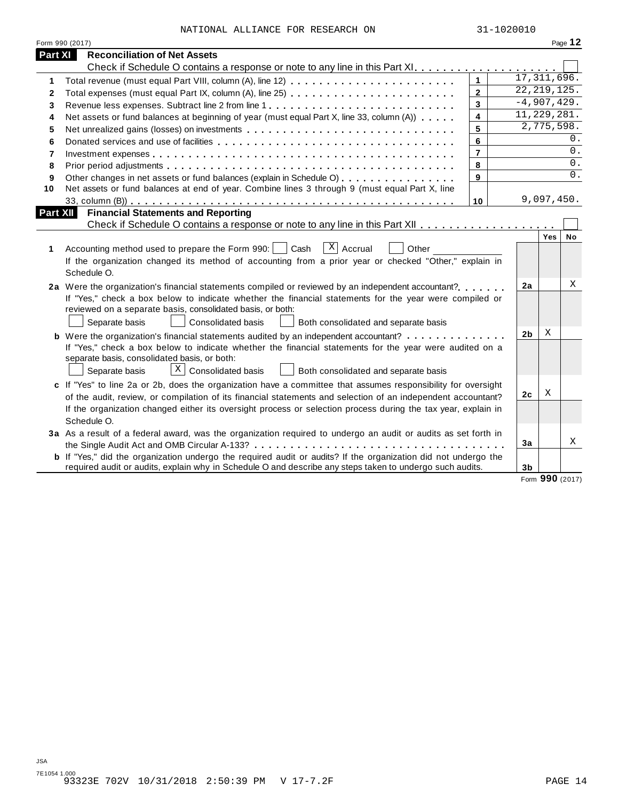| NATIONAL ALLIANCE FOR RESEARCH ON |  | 31-1020010 |
|-----------------------------------|--|------------|

|                 | Form 990 (2017)                                                                                                |                         |                |                    | Page 12 |
|-----------------|----------------------------------------------------------------------------------------------------------------|-------------------------|----------------|--------------------|---------|
| Part XI         | <b>Reconciliation of Net Assets</b>                                                                            |                         |                |                    |         |
|                 |                                                                                                                |                         |                |                    |         |
| 1               |                                                                                                                | $\mathbf{1}$            | 17,311,696.    |                    |         |
| 2               | Total expenses (must equal Part IX, column (A), line 25)                                                       | $\overline{2}$          | 22, 219, 125.  |                    |         |
| 3               |                                                                                                                | $\overline{3}$          | $-4,907,429.$  |                    |         |
| 4               | Net assets or fund balances at beginning of year (must equal Part X, line 33, column (A))                      | $\overline{\mathbf{4}}$ | 11,229,281.    |                    |         |
| 5               | Net unrealized gains (losses) on investments                                                                   | 5                       | 2,775,598.     |                    |         |
| 6               |                                                                                                                | 6                       |                |                    | 0.      |
| 7               |                                                                                                                | $\overline{7}$          |                |                    | 0.      |
| 8               |                                                                                                                | 8                       |                |                    | 0.      |
| 9               | Other changes in net assets or fund balances (explain in Schedule O)                                           | 9                       |                |                    | $0$ .   |
| 10              | Net assets or fund balances at end of year. Combine lines 3 through 9 (must equal Part X, line                 |                         |                |                    |         |
|                 |                                                                                                                | 10                      |                | 9,097,450.         |         |
| <b>Part XII</b> | <b>Financial Statements and Reporting</b>                                                                      |                         |                |                    |         |
|                 |                                                                                                                |                         |                |                    |         |
|                 |                                                                                                                |                         |                | Yes                | No      |
| 1               | $ X $ Accrual<br>Accounting method used to prepare the Form 990:     Cash<br>Other                             |                         |                |                    |         |
|                 | If the organization changed its method of accounting from a prior year or checked "Other," explain in          |                         |                |                    |         |
|                 | Schedule O.                                                                                                    |                         |                |                    |         |
|                 | 2a Were the organization's financial statements compiled or reviewed by an independent accountant?             |                         | 2a             |                    | Χ       |
|                 | If "Yes," check a box below to indicate whether the financial statements for the year were compiled or         |                         |                |                    |         |
|                 | reviewed on a separate basis, consolidated basis, or both:                                                     |                         |                |                    |         |
|                 | Separate basis<br><b>Consolidated basis</b><br>Both consolidated and separate basis                            |                         |                |                    |         |
|                 | <b>b</b> Were the organization's financial statements audited by an independent accountant?                    |                         | 2 <sub>b</sub> | X                  |         |
|                 | If "Yes," check a box below to indicate whether the financial statements for the year were audited on a        |                         |                |                    |         |
|                 | separate basis, consolidated basis, or both:                                                                   |                         |                |                    |         |
|                 | $\lfloor x \rfloor$ Consolidated basis<br>Separate basis<br>Both consolidated and separate basis               |                         |                |                    |         |
|                 | c If "Yes" to line 2a or 2b, does the organization have a committee that assumes responsibility for oversight  |                         |                |                    |         |
|                 | of the audit, review, or compilation of its financial statements and selection of an independent accountant?   |                         | 2c             | X                  |         |
|                 | If the organization changed either its oversight process or selection process during the tax year, explain in  |                         |                |                    |         |
|                 | Schedule O.                                                                                                    |                         |                |                    |         |
|                 |                                                                                                                |                         |                |                    |         |
|                 | 3a As a result of a federal award, was the organization required to undergo an audit or audits as set forth in |                         | 3a             |                    | Χ       |
|                 | b If "Yes," did the organization undergo the required audit or audits? If the organization did not undergo the |                         |                |                    |         |
|                 | required audit or audits, explain why in Schedule O and describe any steps taken to undergo such audits.       |                         | 3b             |                    |         |
|                 |                                                                                                                |                         |                | $000 \, \text{cm}$ |         |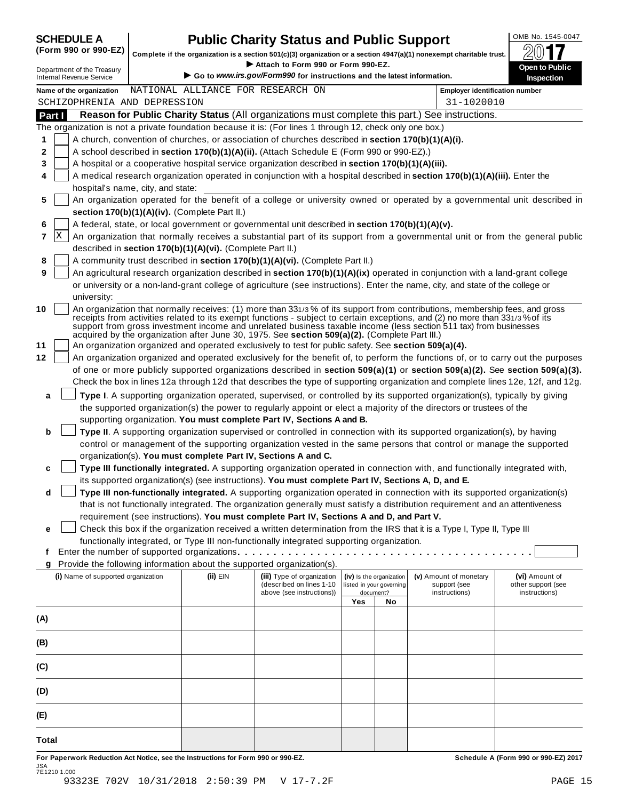| <b>SCHEDULE A</b> |  |  |
|-------------------|--|--|
| /E 888 -- 888 F   |  |  |

### **CHEDULE A Public Charity Status and Public Support**  $\frac{100\text{dB No. }1545-0047}{000\text{dB}}$

(Form 990 or 990-EZ) complete if the organization is a section 501(c)(3) organization or a section 4947(a)(1) nonexempt charitable trust.  $2017$ 

|        |                                                                                                                                                   | Complete if the organization is a section 501(c)(3) organization or a section 4947(a)(1) nonexempt charitable trust.                                                                                                 | Attach to Form 990 or Form 990-EZ.                                     |     |                          |                                       | ZV I I                       |  |  |  |
|--------|---------------------------------------------------------------------------------------------------------------------------------------------------|----------------------------------------------------------------------------------------------------------------------------------------------------------------------------------------------------------------------|------------------------------------------------------------------------|-----|--------------------------|---------------------------------------|------------------------------|--|--|--|
|        | Department of the Treasury<br><b>Internal Revenue Service</b>                                                                                     |                                                                                                                                                                                                                      | Go to www.irs.gov/Form990 for instructions and the latest information. |     |                          |                                       | Open to Public<br>Inspection |  |  |  |
|        | Name of the organization                                                                                                                          | NATIONAL ALLIANCE FOR RESEARCH ON                                                                                                                                                                                    |                                                                        |     |                          | <b>Employer identification number</b> |                              |  |  |  |
|        | SCHIZOPHRENIA AND DEPRESSION                                                                                                                      |                                                                                                                                                                                                                      |                                                                        |     |                          | 31-1020010                            |                              |  |  |  |
| Part I |                                                                                                                                                   | Reason for Public Charity Status (All organizations must complete this part.) See instructions.                                                                                                                      |                                                                        |     |                          |                                       |                              |  |  |  |
|        |                                                                                                                                                   | The organization is not a private foundation because it is: (For lines 1 through 12, check only one box.)                                                                                                            |                                                                        |     |                          |                                       |                              |  |  |  |
| 1      |                                                                                                                                                   | A church, convention of churches, or association of churches described in section 170(b)(1)(A)(i).                                                                                                                   |                                                                        |     |                          |                                       |                              |  |  |  |
| 2      |                                                                                                                                                   | A school described in section 170(b)(1)(A)(ii). (Attach Schedule E (Form 990 or 990-EZ).)                                                                                                                            |                                                                        |     |                          |                                       |                              |  |  |  |
| 3      |                                                                                                                                                   | A hospital or a cooperative hospital service organization described in section 170(b)(1)(A)(iii).                                                                                                                    |                                                                        |     |                          |                                       |                              |  |  |  |
| 4      |                                                                                                                                                   | A medical research organization operated in conjunction with a hospital described in section 170(b)(1)(A)(iii). Enter the                                                                                            |                                                                        |     |                          |                                       |                              |  |  |  |
|        | hospital's name, city, and state:                                                                                                                 |                                                                                                                                                                                                                      |                                                                        |     |                          |                                       |                              |  |  |  |
| 5      |                                                                                                                                                   | An organization operated for the benefit of a college or university owned or operated by a governmental unit described in                                                                                            |                                                                        |     |                          |                                       |                              |  |  |  |
|        | section 170(b)(1)(A)(iv). (Complete Part II.)<br>A federal, state, or local government or governmental unit described in section 170(b)(1)(A)(v). |                                                                                                                                                                                                                      |                                                                        |     |                          |                                       |                              |  |  |  |
| 6      | X                                                                                                                                                 |                                                                                                                                                                                                                      |                                                                        |     |                          |                                       |                              |  |  |  |
| 7      |                                                                                                                                                   | An organization that normally receives a substantial part of its support from a governmental unit or from the general public                                                                                         |                                                                        |     |                          |                                       |                              |  |  |  |
|        |                                                                                                                                                   | described in section 170(b)(1)(A)(vi). (Complete Part II.)<br>A community trust described in section 170(b)(1)(A)(vi). (Complete Part II.)                                                                           |                                                                        |     |                          |                                       |                              |  |  |  |
| 8<br>9 |                                                                                                                                                   | An agricultural research organization described in section 170(b)(1)(A)(ix) operated in conjunction with a land-grant college                                                                                        |                                                                        |     |                          |                                       |                              |  |  |  |
|        |                                                                                                                                                   | or university or a non-land-grant college of agriculture (see instructions). Enter the name, city, and state of the college or                                                                                       |                                                                        |     |                          |                                       |                              |  |  |  |
|        | university:                                                                                                                                       |                                                                                                                                                                                                                      |                                                                        |     |                          |                                       |                              |  |  |  |
| 10     |                                                                                                                                                   | An organization that normally receives: (1) more than 331/3% of its support from contributions, membership fees, and gross                                                                                           |                                                                        |     |                          |                                       |                              |  |  |  |
|        |                                                                                                                                                   | receipts from activities related to its exempt functions - subject to certain exceptions, and (2) no more than 331/3% of its                                                                                         |                                                                        |     |                          |                                       |                              |  |  |  |
|        |                                                                                                                                                   | support from gross investment income and unrelated business taxable income (less section 511 tax) from businesses<br>acquired by the organization after June 30, 1975. See section 509(a)(2). (Complete Part III.)   |                                                                        |     |                          |                                       |                              |  |  |  |
| 11     |                                                                                                                                                   | An organization organized and operated exclusively to test for public safety. See section 509(a)(4).                                                                                                                 |                                                                        |     |                          |                                       |                              |  |  |  |
| 12     |                                                                                                                                                   | An organization organized and operated exclusively for the benefit of, to perform the functions of, or to carry out the purposes                                                                                     |                                                                        |     |                          |                                       |                              |  |  |  |
|        |                                                                                                                                                   | of one or more publicly supported organizations described in section 509(a)(1) or section 509(a)(2). See section 509(a)(3).                                                                                          |                                                                        |     |                          |                                       |                              |  |  |  |
|        |                                                                                                                                                   | Check the box in lines 12a through 12d that describes the type of supporting organization and complete lines 12e, 12f, and 12g.                                                                                      |                                                                        |     |                          |                                       |                              |  |  |  |
| a      |                                                                                                                                                   | Type I. A supporting organization operated, supervised, or controlled by its supported organization(s), typically by giving                                                                                          |                                                                        |     |                          |                                       |                              |  |  |  |
|        |                                                                                                                                                   | the supported organization(s) the power to regularly appoint or elect a majority of the directors or trustees of the                                                                                                 |                                                                        |     |                          |                                       |                              |  |  |  |
|        |                                                                                                                                                   | supporting organization. You must complete Part IV, Sections A and B.                                                                                                                                                |                                                                        |     |                          |                                       |                              |  |  |  |
| b      |                                                                                                                                                   | Type II. A supporting organization supervised or controlled in connection with its supported organization(s), by having                                                                                              |                                                                        |     |                          |                                       |                              |  |  |  |
|        |                                                                                                                                                   | control or management of the supporting organization vested in the same persons that control or manage the supported                                                                                                 |                                                                        |     |                          |                                       |                              |  |  |  |
|        |                                                                                                                                                   | organization(s). You must complete Part IV, Sections A and C.                                                                                                                                                        |                                                                        |     |                          |                                       |                              |  |  |  |
| c      |                                                                                                                                                   | Type III functionally integrated. A supporting organization operated in connection with, and functionally integrated with,                                                                                           |                                                                        |     |                          |                                       |                              |  |  |  |
|        |                                                                                                                                                   | its supported organization(s) (see instructions). You must complete Part IV, Sections A, D, and E.                                                                                                                   |                                                                        |     |                          |                                       |                              |  |  |  |
| d      |                                                                                                                                                   | Type III non-functionally integrated. A supporting organization operated in connection with its supported organization(s)                                                                                            |                                                                        |     |                          |                                       |                              |  |  |  |
|        |                                                                                                                                                   | that is not functionally integrated. The organization generally must satisfy a distribution requirement and an attentiveness                                                                                         |                                                                        |     |                          |                                       |                              |  |  |  |
|        |                                                                                                                                                   | requirement (see instructions). You must complete Part IV, Sections A and D, and Part V.                                                                                                                             |                                                                        |     |                          |                                       |                              |  |  |  |
| е      |                                                                                                                                                   | Check this box if the organization received a written determination from the IRS that it is a Type I, Type II, Type III<br>functionally integrated, or Type III non-functionally integrated supporting organization. |                                                                        |     |                          |                                       |                              |  |  |  |
| t      |                                                                                                                                                   |                                                                                                                                                                                                                      |                                                                        |     |                          |                                       |                              |  |  |  |
| g      |                                                                                                                                                   | Provide the following information about the supported organization(s).                                                                                                                                               |                                                                        |     |                          |                                       |                              |  |  |  |
|        | (i) Name of supported organization                                                                                                                | (ii) EIN                                                                                                                                                                                                             | (iii) Type of organization                                             |     | (iv) Is the organization | (v) Amount of monetary                | (vi) Amount of               |  |  |  |
|        |                                                                                                                                                   |                                                                                                                                                                                                                      | (described on lines 1-10                                               |     | listed in your governing | support (see                          | other support (see           |  |  |  |
|        |                                                                                                                                                   |                                                                                                                                                                                                                      | above (see instructions))                                              | Yes | document?<br>No          | instructions)                         | instructions)                |  |  |  |
|        |                                                                                                                                                   |                                                                                                                                                                                                                      |                                                                        |     |                          |                                       |                              |  |  |  |
| (A)    |                                                                                                                                                   |                                                                                                                                                                                                                      |                                                                        |     |                          |                                       |                              |  |  |  |
| (B)    |                                                                                                                                                   |                                                                                                                                                                                                                      |                                                                        |     |                          |                                       |                              |  |  |  |
|        |                                                                                                                                                   |                                                                                                                                                                                                                      |                                                                        |     |                          |                                       |                              |  |  |  |
| (C)    |                                                                                                                                                   |                                                                                                                                                                                                                      |                                                                        |     |                          |                                       |                              |  |  |  |
|        |                                                                                                                                                   |                                                                                                                                                                                                                      |                                                                        |     |                          |                                       |                              |  |  |  |
| (D)    |                                                                                                                                                   |                                                                                                                                                                                                                      |                                                                        |     |                          |                                       |                              |  |  |  |
|        |                                                                                                                                                   |                                                                                                                                                                                                                      |                                                                        |     |                          |                                       |                              |  |  |  |
| (E)    |                                                                                                                                                   |                                                                                                                                                                                                                      |                                                                        |     |                          |                                       |                              |  |  |  |
|        |                                                                                                                                                   |                                                                                                                                                                                                                      |                                                                        |     |                          |                                       |                              |  |  |  |
| Total  |                                                                                                                                                   |                                                                                                                                                                                                                      |                                                                        |     |                          |                                       |                              |  |  |  |

For Paperwork Reduction Act Notice, see the Instructions for Form 990 or 990-EZ. Schedule A (Form 990 or 990-EZ) 2017 JSA 7E1210 1.000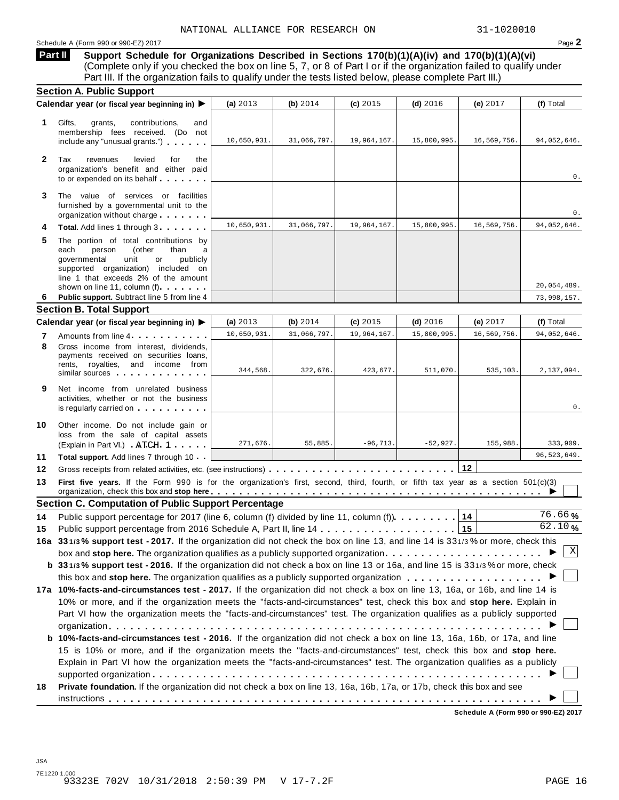### Schedule <sup>A</sup> (Form <sup>990</sup> or 990-EZ) <sup>2017</sup> Page **2**

**Support Schedule for Organizations Described in Sections 170(b)(1)(A)(iv) and 170(b)(1)(A)(vi)** (Complete only if you checked the box on line 5, 7, or 8 of Part I or if the organization failed to qualify under Part III. If the organization fails to qualify under the tests listed below, please complete Part III.) **Part II**

|              | <b>Section A. Public Support</b>                                                                                                                                                                                                                                                                                |             |             |             |             |             |             |
|--------------|-----------------------------------------------------------------------------------------------------------------------------------------------------------------------------------------------------------------------------------------------------------------------------------------------------------------|-------------|-------------|-------------|-------------|-------------|-------------|
|              | Calendar year (or fiscal year beginning in) ▶                                                                                                                                                                                                                                                                   | (a) $2013$  | (b) $2014$  | $(c)$ 2015  | $(d)$ 2016  | (e) 2017    | (f) Total   |
| 1            | Gifts,<br>contributions,<br>grants,<br>and<br>membership fees received. (Do not<br>include any "unusual grants.")                                                                                                                                                                                               | 10,650,931. | 31,066,797. | 19,964,167. | 15,800,995. | 16,569,756. | 94,052,646. |
| $\mathbf{2}$ | Tax<br>revenues<br>levied<br>for<br>the<br>organization's benefit and either paid<br>to or expended on its behalf                                                                                                                                                                                               |             |             |             |             |             | 0.          |
| 3            | The value of services or facilities<br>furnished by a governmental unit to the<br>organization without charge                                                                                                                                                                                                   |             |             |             |             |             | 0.          |
| 4            | Total. Add lines 1 through 3                                                                                                                                                                                                                                                                                    | 10,650,931. | 31,066,797. | 19,964,167. | 15,800,995. | 16,569,756. | 94,052,646. |
| 5            | The portion of total contributions by<br>each<br>person<br>(other<br>than<br>a<br>governmental<br>unit<br>publicly<br>or<br>supported organization) included on<br>line 1 that exceeds 2% of the amount                                                                                                         |             |             |             |             |             | 20,054,489. |
| 6            | shown on line 11, column (f)<br>Public support. Subtract line 5 from line 4                                                                                                                                                                                                                                     |             |             |             |             |             | 73,998,157. |
|              | <b>Section B. Total Support</b>                                                                                                                                                                                                                                                                                 |             |             |             |             |             |             |
|              | Calendar year (or fiscal year beginning in)                                                                                                                                                                                                                                                                     | (a) $2013$  | (b) $2014$  | $(c)$ 2015  | $(d)$ 2016  | (e) $2017$  | (f) Total   |
| 7            | Amounts from line 4                                                                                                                                                                                                                                                                                             | 10,650,931. | 31,066,797. | 19,964,167  | 15,800,995  | 16,569,756. | 94,052,646. |
| 8            | Gross income from interest, dividends,<br>payments received on securities loans,<br>rents, royalties, and income from<br>similar sources experiences                                                                                                                                                            | 344,568.    | 322,676.    | 423,677.    | 511,070.    | 535,103.    | 2,137,094.  |
| 9            | Net income from unrelated business<br>activities, whether or not the business<br>is regularly carried on the control of the state of the state of the state of the state of the state of the state of the state of the state of the state of the state of the state of the state of the state of the state of t |             |             |             |             |             | 0.          |
| 10           | Other income. Do not include gain or<br>loss from the sale of capital assets<br>(Explain in Part VI.) ATCH 1                                                                                                                                                                                                    | 271,676.    | 55,885.     | $-96,713.$  | $-52,927.$  | 155,988.    | 333,909.    |
| 11           | <b>Total support.</b> Add lines 7 through 10                                                                                                                                                                                                                                                                    |             |             |             |             |             | 96,523,649. |
| 12           |                                                                                                                                                                                                                                                                                                                 |             |             |             |             |             |             |
| 13           | First five years. If the Form 990 is for the organization's first, second, third, fourth, or fifth tax year as a section 501(c)(3)                                                                                                                                                                              |             |             |             |             |             |             |
|              | <b>Section C. Computation of Public Support Percentage</b>                                                                                                                                                                                                                                                      |             |             |             |             |             |             |
|              | Public support percentage for 2017 (line 6, column (f) divided by line 11, column (f)).                                                                                                                                                                                                                         |             |             |             |             | 14          | 76.66%      |
|              |                                                                                                                                                                                                                                                                                                                 |             |             |             |             |             | 62.10%      |
|              |                                                                                                                                                                                                                                                                                                                 |             |             |             |             |             |             |
|              | 16a 331/3% support test - 2017. If the organization did not check the box on line 13, and line 14 is 331/3% or more, check this                                                                                                                                                                                 |             |             |             |             |             |             |
|              | box and stop here. The organization qualifies as a publicly supported organization                                                                                                                                                                                                                              |             |             |             |             |             | Χ           |
|              | b 331/3% support test - 2016. If the organization did not check a box on line 13 or 16a, and line 15 is 331/3% or more, check                                                                                                                                                                                   |             |             |             |             |             |             |
|              |                                                                                                                                                                                                                                                                                                                 |             |             |             |             |             |             |
|              | 17a 10%-facts-and-circumstances test - 2017. If the organization did not check a box on line 13, 16a, or 16b, and line 14 is                                                                                                                                                                                    |             |             |             |             |             |             |
|              | 10% or more, and if the organization meets the "facts-and-circumstances" test, check this box and stop here. Explain in                                                                                                                                                                                         |             |             |             |             |             |             |
|              | Part VI how the organization meets the "facts-and-circumstances" test. The organization qualifies as a publicly supported                                                                                                                                                                                       |             |             |             |             |             |             |
|              | <b>b 10%-facts-and-circumstances test - 2016.</b> If the organization did not check a box on line 13, 16a, 16b, or 17a, and line                                                                                                                                                                                |             |             |             |             |             |             |
|              | 15 is 10% or more, and if the organization meets the "facts-and-circumstances" test, check this box and stop here.                                                                                                                                                                                              |             |             |             |             |             |             |
| 14<br>15     | Explain in Part VI how the organization meets the "facts-and-circumstances" test. The organization qualifies as a publicly                                                                                                                                                                                      |             |             |             |             |             |             |
| 18           | Private foundation. If the organization did not check a box on line 13, 16a, 16b, 17a, or 17b, check this box and see                                                                                                                                                                                           |             |             |             |             |             |             |

**Schedule A (Form 990 or 990-EZ) 2017**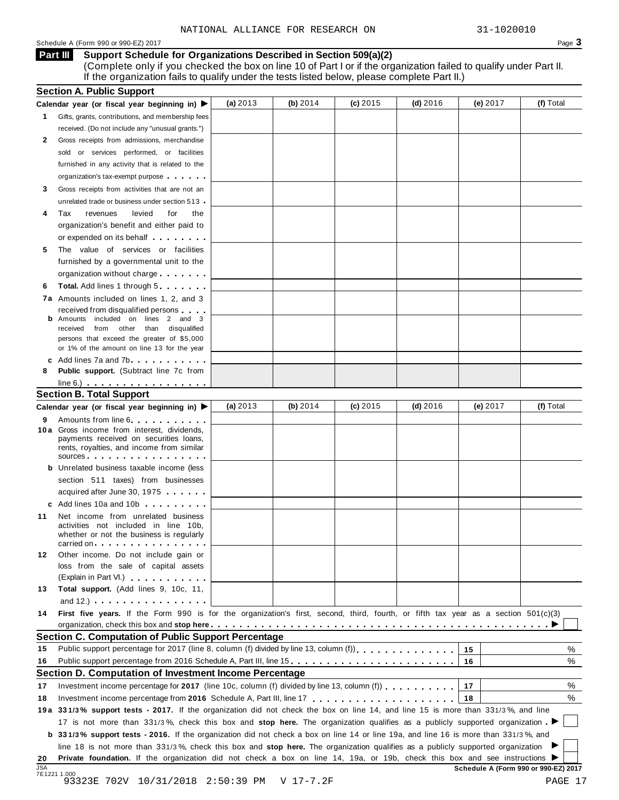#### Schedule A (Form 990 or 990-EZ) 2017 Page 3

#### **Support Schedule for Organizations Described in Section 509(a)(2) Part III**

(Complete only if you checked the box on line 10 of Part I or if the organization failed to qualify under Part II. If the organization fails to qualify under the tests listed below, please complete Part II.)

|                  | <b>Section A. Public Support</b>                                                                                                                                                                                                     |            |            |            |            |          |                                      |
|------------------|--------------------------------------------------------------------------------------------------------------------------------------------------------------------------------------------------------------------------------------|------------|------------|------------|------------|----------|--------------------------------------|
|                  | Calendar year (or fiscal year beginning in)                                                                                                                                                                                          | (a) $2013$ | (b) $2014$ | $(c)$ 2015 | (d) $2016$ | (e) 2017 | (f) Total                            |
| 1                | Gifts, grants, contributions, and membership fees                                                                                                                                                                                    |            |            |            |            |          |                                      |
|                  | received. (Do not include any "unusual grants.")                                                                                                                                                                                     |            |            |            |            |          |                                      |
| 2                | Gross receipts from admissions, merchandise                                                                                                                                                                                          |            |            |            |            |          |                                      |
|                  | sold or services performed, or facilities                                                                                                                                                                                            |            |            |            |            |          |                                      |
|                  | furnished in any activity that is related to the                                                                                                                                                                                     |            |            |            |            |          |                                      |
|                  | organization's tax-exempt purpose                                                                                                                                                                                                    |            |            |            |            |          |                                      |
| 3                | Gross receipts from activities that are not an                                                                                                                                                                                       |            |            |            |            |          |                                      |
|                  | unrelated trade or business under section 513                                                                                                                                                                                        |            |            |            |            |          |                                      |
| 4                | Tax<br>levied<br>for<br>revenues<br>the                                                                                                                                                                                              |            |            |            |            |          |                                      |
|                  | organization's benefit and either paid to                                                                                                                                                                                            |            |            |            |            |          |                                      |
|                  | or expended on its behalf <b>contains the set of the set of the set of the set of the set of the set of the set of the set of the set of the set of the set of the set of the set of the set of the set of the set of the set of</b> |            |            |            |            |          |                                      |
| 5                | The value of services or facilities                                                                                                                                                                                                  |            |            |            |            |          |                                      |
|                  | furnished by a governmental unit to the                                                                                                                                                                                              |            |            |            |            |          |                                      |
|                  | organization without charge                                                                                                                                                                                                          |            |            |            |            |          |                                      |
| 6                | <b>Total.</b> Add lines 1 through 5                                                                                                                                                                                                  |            |            |            |            |          |                                      |
|                  | 7a Amounts included on lines 1, 2, and 3                                                                                                                                                                                             |            |            |            |            |          |                                      |
|                  | received from disqualified persons                                                                                                                                                                                                   |            |            |            |            |          |                                      |
|                  | <b>b</b> Amounts included on lines 2 and 3                                                                                                                                                                                           |            |            |            |            |          |                                      |
|                  | from other than disqualified<br>received                                                                                                                                                                                             |            |            |            |            |          |                                      |
|                  | persons that exceed the greater of \$5,000<br>or 1% of the amount on line 13 for the year                                                                                                                                            |            |            |            |            |          |                                      |
|                  | c Add lines 7a and 7b.                                                                                                                                                                                                               |            |            |            |            |          |                                      |
| 8                | Public support. (Subtract line 7c from                                                                                                                                                                                               |            |            |            |            |          |                                      |
|                  | $line 6.)$ $\ldots$ $\ldots$ $\ldots$ $\ldots$ $\ldots$ $\ldots$ $\ldots$                                                                                                                                                            |            |            |            |            |          |                                      |
|                  | <b>Section B. Total Support</b>                                                                                                                                                                                                      |            |            |            |            |          |                                      |
|                  | Calendar year (or fiscal year beginning in) ▶                                                                                                                                                                                        | (a) $2013$ | (b) $2014$ | $(c)$ 2015 | $(d)$ 2016 | (e) 2017 | (f) Total                            |
| 9                | Amounts from line 6                                                                                                                                                                                                                  |            |            |            |            |          |                                      |
|                  | 10 a Gross income from interest, dividends,                                                                                                                                                                                          |            |            |            |            |          |                                      |
|                  | payments received on securities loans,<br>rents, royalties, and income from similar<br>SOUICES                                                                                                                                       |            |            |            |            |          |                                      |
|                  | <b>b</b> Unrelated business taxable income (less                                                                                                                                                                                     |            |            |            |            |          |                                      |
|                  | section 511 taxes) from businesses                                                                                                                                                                                                   |            |            |            |            |          |                                      |
|                  | acquired after June 30, 1975                                                                                                                                                                                                         |            |            |            |            |          |                                      |
|                  | c Add lines 10a and 10b                                                                                                                                                                                                              |            |            |            |            |          |                                      |
| 11               | Net income from unrelated business                                                                                                                                                                                                   |            |            |            |            |          |                                      |
|                  | activities not included in line 10b,<br>whether or not the business is regularly<br>carried on each enterprise that is a property of the care in the case of the case of the contract of the control of                              |            |            |            |            |          |                                      |
| 12               | Other income. Do not include gain or                                                                                                                                                                                                 |            |            |            |            |          |                                      |
|                  | loss from the sale of capital assets                                                                                                                                                                                                 |            |            |            |            |          |                                      |
|                  | (Explain in Part VI.) <b>Container and Containers</b>                                                                                                                                                                                |            |            |            |            |          |                                      |
| 13               | Total support. (Add lines 9, 10c, 11,                                                                                                                                                                                                |            |            |            |            |          |                                      |
|                  | and $12.$ ) $\qquad \qquad \qquad$                                                                                                                                                                                                   |            |            |            |            |          |                                      |
| 14               | First five years. If the Form 990 is for the organization's first, second, third, fourth, or fifth tax year as a section 501(c)(3)                                                                                                   |            |            |            |            |          |                                      |
|                  |                                                                                                                                                                                                                                      |            |            |            |            |          |                                      |
|                  | <b>Section C. Computation of Public Support Percentage</b>                                                                                                                                                                           |            |            |            |            |          |                                      |
| 15               |                                                                                                                                                                                                                                      |            |            |            |            | 15       | %                                    |
| 16               | Public support percentage from 2016 Schedule A, Part III, line 15.                                                                                                                                                                   |            |            |            |            | 16       | %                                    |
|                  | Section D. Computation of Investment Income Percentage                                                                                                                                                                               |            |            |            |            |          |                                      |
| 17               | Investment income percentage for 2017 (line 10c, column (f) divided by line 13, column (f) $\ldots$ ,,,,,,,                                                                                                                          |            |            |            |            | 17       | %                                    |
| 18               |                                                                                                                                                                                                                                      |            |            |            |            | 18       | %                                    |
|                  | 19a 331/3% support tests - 2017. If the organization did not check the box on line 14, and line 15 is more than 331/3%, and line                                                                                                     |            |            |            |            |          |                                      |
|                  | 17 is not more than 331/3%, check this box and stop here. The organization qualifies as a publicly supported organization                                                                                                            |            |            |            |            |          |                                      |
|                  | <b>b</b> 331/3% support tests - 2016. If the organization did not check a box on line 14 or line 19a, and line 16 is more than 331/3%, and                                                                                           |            |            |            |            |          |                                      |
|                  | line 18 is not more than 331/3%, check this box and stop here. The organization qualifies as a publicly supported organization                                                                                                       |            |            |            |            |          |                                      |
|                  | Private foundation. If the organization did not check a box on line 14, 19a, or 19b, check this box and see instructions ▶                                                                                                           |            |            |            |            |          |                                      |
| 20<br><b>JSA</b> |                                                                                                                                                                                                                                      |            |            |            |            |          | Schedule A (Form 990 or 990-EZ) 2017 |
|                  | 7E1221 1.000<br>93323E 702V 10/31/2018 2:50:39 PM                                                                                                                                                                                    |            | V 17-7.2F  |            |            |          | PAGE 17                              |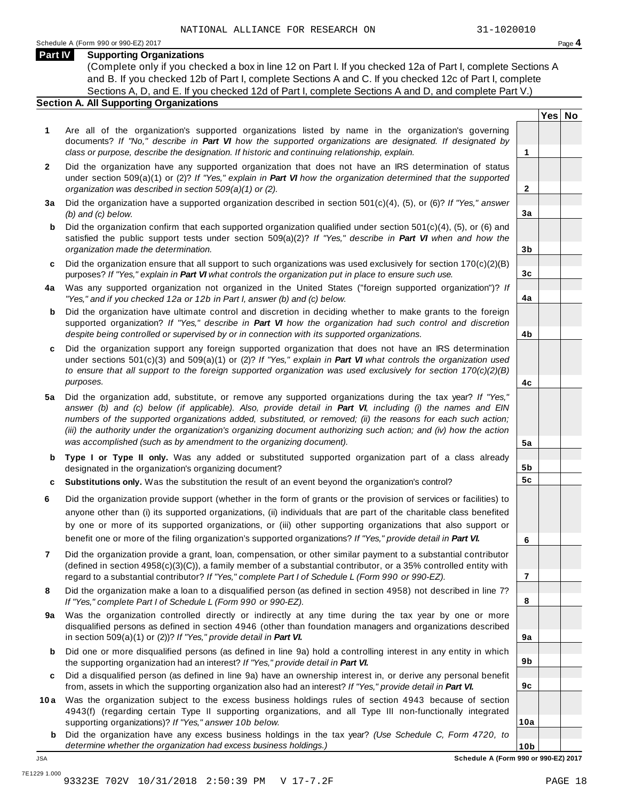**Yes No**

**2**

**3a**

**3b**

**3c**

**4a**

**4b**

**4c**

**5a**

**5b 5c**

**6**

**7**

**8**

**9a**

**9b**

**9c**

**10a**

#### **Part IV Supporting Organizations**

(Complete only if you checked a box in line 12 on Part I. If you checked 12a of Part I, complete Sections A and B. If you checked 12b of Part I, complete Sections A and C. If you checked 12c of Part I, complete Sections A, D, and E. If you checked 12d of Part I, complete Sections A and D, and complete Part V.)

#### **Section A. All Supporting Organizations**

- **1** Are all of the organization's supported organizations listed by name in the organization's governing documents? *If "No," describe in Part VI how the supported organizations are designated. If designated by class or purpose, describe the designation. If historic and continuing relationship, explain.* **1**
- **2** Did the organization have any supported organization that does not have an IRS determination of status under section 509(a)(1) or (2)? *If"Yes," explain in Part VI how the organization determined that the supported organization was described in section 509(a)(1) or (2).*
- **3 a** Did the organization have a supported organization described in section 501(c)(4), (5), or (6)? *If "Yes," answer (b) and (c) below.*
- **b** Did the organization confirm that each supported organization qualified under section 501(c)(4), (5), or (6) and | satisfied the public support tests under section 509(a)(2)? *If "Yes," describe in Part VI when and how the organization made the determination.*
- **c** Did the organization ensure that all support to such organizations was used exclusively for section 170(c)(2)(B) purposes? *If"Yes," explain in Part VI what controls the organization put in place to ensure such use.*
- **4 a** Was any supported organization not organized in the United States ("foreign supported organization")? *If "Yes," and if you checked 12a or 12b in Part I, answer (b) and (c) below.*
- **b** Did the organization have ultimate control and discretion in deciding whether to make grants to the foreign | supported organization? *If "Yes," describe in Part VI how the organization had such control and discretion despite being controlled or supervised by or in connection with its supported organizations.*
- **c** Did the organization support any foreign supported organization that does not have an IRS determination | under sections 501(c)(3) and 509(a)(1) or (2)? *If "Yes," explain in Part VI what controls the organization used to ensure that all support to the foreign supported organization was used exclusively for section 170(c)(2)(B) purposes.*
- **5 a** Did the organization add, substitute, or remove any supported organizations during the tax year? *If "Yes,"* answer (b) and (c) below (if applicable). Also, provide detail in Part VI, including (i) the names and EIN *numbers of the supported organizations added, substituted, or removed; (ii) the reasons for each such action;* (iii) the authority under the organization's organizing document authorizing such action; and (iv) how the action *was accomplished (such as by amendment to the organizing document).*
- **b** Type I or Type II only. Was any added or substituted supported organization part of a class already | designated in the organization's organizing document?
- **c Substitutions only.** Was the substitution the result of an event beyond the organization's control?
- **6** Did the organization provide support (whether in the form of grants or the provision of services or facilities) to anyone other than (i) its supported organizations, (ii) individuals that are part of the charitable class benefited by one or more of its supported organizations, or (iii) other supporting organizations that also support or benefit one or more of the filing organization's supported organizations? *If"Yes," provide detail in Part VI.*
- **7** Did the organization provide a grant, loan, compensation, or other similar payment to a substantial contributor (defined in section 4958(c)(3)(C)), a family member of a substantial contributor, or a 35% controlled entity with regard to a substantial contributor? *If"Yes," complete Part I of Schedule L (Form 990 or 990-EZ).*
- **8** Did the organization make a loan to a disqualified person (as defined in section 4958) not described in line 7? *If "Yes," complete Part I of Schedule L (Form 990 or 990-EZ).*
- **a** Was the organization controlled directly or indirectly at any time during the tax year by one or more | **9** disqualified persons as defined in section 4946 (other than foundation managers and organizations described in section 509(a)(1) or (2))? *If"Yes," provide detail in Part VI.*
- **b** Did one or more disqualified persons (as defined in line 9a) hold a controlling interest in any entity in which | the supporting organization had an interest? *If"Yes," provide detail in Part VI.*
- **c** Did a disqualified person (as defined in line 9a) have an ownership interest in, or derive any personal benefit from, assets in which the supporting organization also had an interest? *If"Yes," provide detail in Part VI.*
- **10a** Was the organization subject to the excess business holdings rules of section 4943 because of section | 4943(f) (regarding certain Type II supporting organizations, and all Type III non-functionally integrated supporting organizations)? *If"Yes," answer 10b below.*
	- **b** Did the organization have any excess business holdings in the tax year? *(Use Schedule C, Form 4720, to determine whether the organization had excess business holdings.)*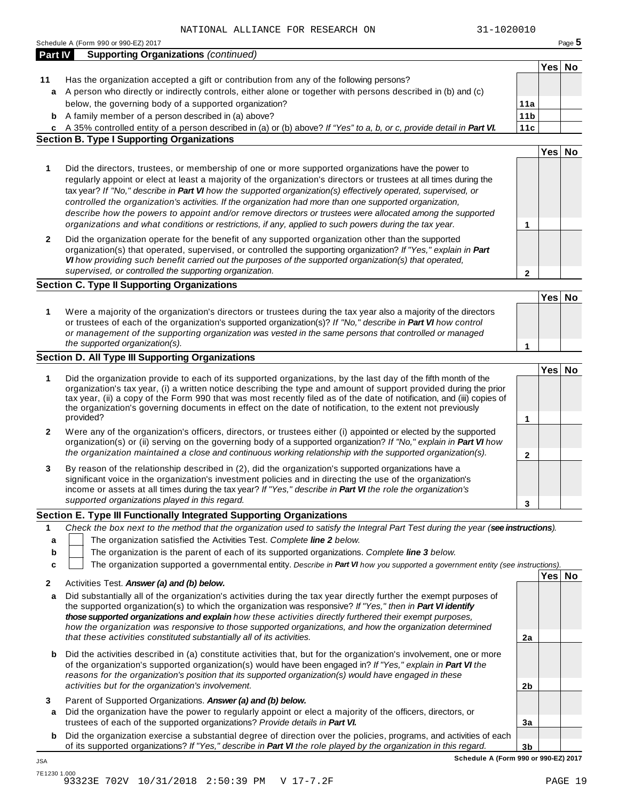|                | Schedule A (Form 990 or 990-EZ) 2017                                                                                                                                                                                                                                                                                                                                                                                                                                                                                                                                                                                                                                         |                 |        | Page 5 |
|----------------|------------------------------------------------------------------------------------------------------------------------------------------------------------------------------------------------------------------------------------------------------------------------------------------------------------------------------------------------------------------------------------------------------------------------------------------------------------------------------------------------------------------------------------------------------------------------------------------------------------------------------------------------------------------------------|-----------------|--------|--------|
| <b>Part IV</b> | <b>Supporting Organizations (continued)</b>                                                                                                                                                                                                                                                                                                                                                                                                                                                                                                                                                                                                                                  |                 |        |        |
|                |                                                                                                                                                                                                                                                                                                                                                                                                                                                                                                                                                                                                                                                                              |                 | Yes No |        |
| 11             | Has the organization accepted a gift or contribution from any of the following persons?                                                                                                                                                                                                                                                                                                                                                                                                                                                                                                                                                                                      |                 |        |        |
| a              | A person who directly or indirectly controls, either alone or together with persons described in (b) and (c)                                                                                                                                                                                                                                                                                                                                                                                                                                                                                                                                                                 |                 |        |        |
|                | below, the governing body of a supported organization?                                                                                                                                                                                                                                                                                                                                                                                                                                                                                                                                                                                                                       | 11a             |        |        |
| b              | A family member of a person described in (a) above?                                                                                                                                                                                                                                                                                                                                                                                                                                                                                                                                                                                                                          | 11 <sub>b</sub> |        |        |
| c              | A 35% controlled entity of a person described in (a) or (b) above? If "Yes" to a, b, or c, provide detail in Part VI.                                                                                                                                                                                                                                                                                                                                                                                                                                                                                                                                                        | 11c             |        |        |
|                | <b>Section B. Type I Supporting Organizations</b>                                                                                                                                                                                                                                                                                                                                                                                                                                                                                                                                                                                                                            |                 |        |        |
|                |                                                                                                                                                                                                                                                                                                                                                                                                                                                                                                                                                                                                                                                                              |                 | Yes No |        |
| 1              | Did the directors, trustees, or membership of one or more supported organizations have the power to<br>regularly appoint or elect at least a majority of the organization's directors or trustees at all times during the<br>tax year? If "No," describe in Part VI how the supported organization(s) effectively operated, supervised, or<br>controlled the organization's activities. If the organization had more than one supported organization,<br>describe how the powers to appoint and/or remove directors or trustees were allocated among the supported<br>organizations and what conditions or restrictions, if any, applied to such powers during the tax year. | 1               |        |        |
| 2              | Did the organization operate for the benefit of any supported organization other than the supported<br>organization(s) that operated, supervised, or controlled the supporting organization? If "Yes," explain in Part<br>VI how providing such benefit carried out the purposes of the supported organization(s) that operated,<br>supervised, or controlled the supporting organization.                                                                                                                                                                                                                                                                                   | $\mathbf{2}$    |        |        |
|                | <b>Section C. Type II Supporting Organizations</b>                                                                                                                                                                                                                                                                                                                                                                                                                                                                                                                                                                                                                           |                 |        |        |
|                |                                                                                                                                                                                                                                                                                                                                                                                                                                                                                                                                                                                                                                                                              |                 | Yes No |        |
| 1              | Were a majority of the organization's directors or trustees during the tax year also a majority of the directors<br>or trustees of each of the organization's supported organization(s)? If "No," describe in Part VI how control<br>or management of the supporting organization was vested in the same persons that controlled or managed<br>the supported organization(s).                                                                                                                                                                                                                                                                                                |                 |        |        |
|                | Section D. All Type III Supporting Organizations                                                                                                                                                                                                                                                                                                                                                                                                                                                                                                                                                                                                                             | 1               |        |        |
|                |                                                                                                                                                                                                                                                                                                                                                                                                                                                                                                                                                                                                                                                                              |                 | Yes No |        |
| 1              | Did the organization provide to each of its supported organizations, by the last day of the fifth month of the<br>organization's tax year, (i) a written notice describing the type and amount of support provided during the prior<br>tax year, (ii) a copy of the Form 990 that was most recently filed as of the date of notification, and (iii) copies of<br>the organization's governing documents in effect on the date of notification, to the extent not previously<br>provided?                                                                                                                                                                                     | 1               |        |        |
| 2              | Were any of the organization's officers, directors, or trustees either (i) appointed or elected by the supported<br>organization(s) or (ii) serving on the governing body of a supported organization? If "No," explain in Part VI how<br>the organization maintained a close and continuous working relationship with the supported organization(s).                                                                                                                                                                                                                                                                                                                        | $\mathbf{2}$    |        |        |
| 3              | By reason of the relationship described in (2), did the organization's supported organizations have a<br>significant voice in the organization's investment policies and in directing the use of the organization's<br>income or assets at all times during the tax year? If "Yes," describe in Part VI the role the organization's<br>supported organizations played in this regard.                                                                                                                                                                                                                                                                                        |                 |        |        |
|                |                                                                                                                                                                                                                                                                                                                                                                                                                                                                                                                                                                                                                                                                              | 3               |        |        |
|                | Section E. Type III Functionally Integrated Supporting Organizations                                                                                                                                                                                                                                                                                                                                                                                                                                                                                                                                                                                                         |                 |        |        |
| 1<br>a         | Check the box next to the method that the organization used to satisfy the Integral Part Test during the year (see instructions).<br>The organization satisfied the Activities Test. Complete line 2 below.                                                                                                                                                                                                                                                                                                                                                                                                                                                                  |                 |        |        |
| b              | The organization is the parent of each of its supported organizations. Complete line 3 below.                                                                                                                                                                                                                                                                                                                                                                                                                                                                                                                                                                                |                 |        |        |
| c              | The organization supported a governmental entity. Describe in Part VI how you supported a government entity (see instructions).                                                                                                                                                                                                                                                                                                                                                                                                                                                                                                                                              |                 |        |        |
|                |                                                                                                                                                                                                                                                                                                                                                                                                                                                                                                                                                                                                                                                                              |                 | Yes No |        |
| 2<br>a         | Activities Test. Answer (a) and (b) below.<br>Did substantially all of the organization's activities during the tax year directly further the exempt purposes of<br>the supported organization(s) to which the organization was responsive? If "Yes," then in Part VI identify<br>those supported organizations and explain how these activities directly furthered their exempt purposes,<br>how the organization was responsive to those supported organizations, and how the organization determined<br>that these activities constituted substantially all of its activities.                                                                                            | 2a              |        |        |
| b              | Did the activities described in (a) constitute activities that, but for the organization's involvement, one or more<br>of the organization's supported organization(s) would have been engaged in? If "Yes," explain in Part VI the<br>reasons for the organization's position that its supported organization(s) would have engaged in these                                                                                                                                                                                                                                                                                                                                |                 |        |        |
|                | activities but for the organization's involvement.                                                                                                                                                                                                                                                                                                                                                                                                                                                                                                                                                                                                                           | 2b              |        |        |
| 3              | Parent of Supported Organizations. Answer (a) and (b) below.                                                                                                                                                                                                                                                                                                                                                                                                                                                                                                                                                                                                                 |                 |        |        |
| a              | Did the organization have the power to regularly appoint or elect a majority of the officers, directors, or                                                                                                                                                                                                                                                                                                                                                                                                                                                                                                                                                                  |                 |        |        |
|                | trustees of each of the supported organizations? Provide details in Part VI.                                                                                                                                                                                                                                                                                                                                                                                                                                                                                                                                                                                                 | 3a              |        |        |
| b              | Did the organization exercise a substantial degree of direction over the policies, programs, and activities of each                                                                                                                                                                                                                                                                                                                                                                                                                                                                                                                                                          |                 |        |        |
|                | of its supported organizations? If "Yes," describe in Part VI the role played by the organization in this regard.                                                                                                                                                                                                                                                                                                                                                                                                                                                                                                                                                            | 3 <sub>b</sub>  |        |        |

JSA

**Schedule A (Form 990 or 990-EZ) 2017**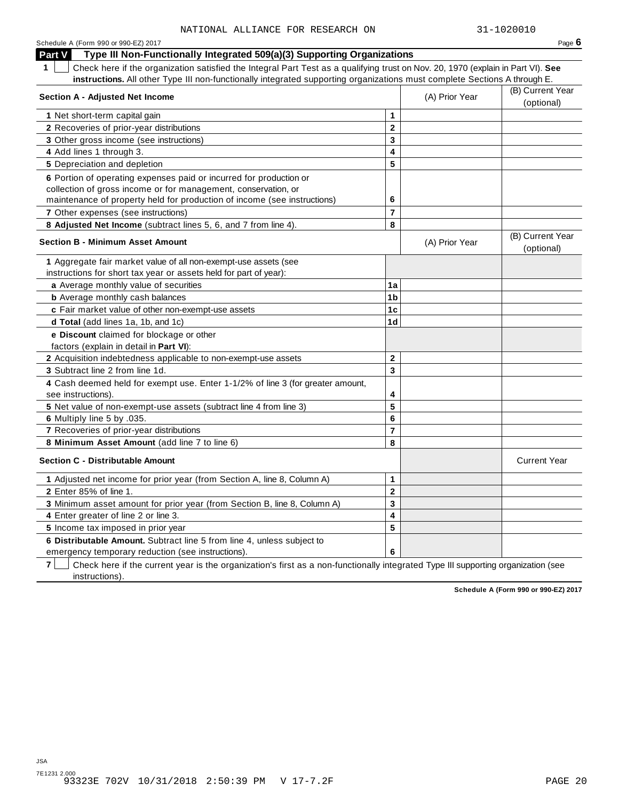| Schedule A (Form 990 or 990-EZ) 2017                                                                                                  |                |                | Page 6                         |
|---------------------------------------------------------------------------------------------------------------------------------------|----------------|----------------|--------------------------------|
| Type III Non-Functionally Integrated 509(a)(3) Supporting Organizations<br>Part V                                                     |                |                |                                |
| 1<br>Check here if the organization satisfied the Integral Part Test as a qualifying trust on Nov. 20, 1970 (explain in Part VI). See |                |                |                                |
| instructions. All other Type III non-functionally integrated supporting organizations must complete Sections A through E.             |                |                |                                |
| <b>Section A - Adjusted Net Income</b>                                                                                                |                | (A) Prior Year | (B) Current Year               |
|                                                                                                                                       |                |                | (optional)                     |
| 1 Net short-term capital gain                                                                                                         | $\mathbf{1}$   |                |                                |
| 2 Recoveries of prior-year distributions                                                                                              | $\mathbf{2}$   |                |                                |
| 3 Other gross income (see instructions)                                                                                               | 3              |                |                                |
| 4 Add lines 1 through 3.                                                                                                              | 4              |                |                                |
| 5 Depreciation and depletion                                                                                                          | 5              |                |                                |
| 6 Portion of operating expenses paid or incurred for production or                                                                    |                |                |                                |
| collection of gross income or for management, conservation, or                                                                        |                |                |                                |
| maintenance of property held for production of income (see instructions)                                                              | 6              |                |                                |
| 7 Other expenses (see instructions)                                                                                                   | $\overline{7}$ |                |                                |
| 8 Adjusted Net Income (subtract lines 5, 6, and 7 from line 4).                                                                       | 8              |                |                                |
| <b>Section B - Minimum Asset Amount</b>                                                                                               |                | (A) Prior Year | (B) Current Year<br>(optional) |
| 1 Aggregate fair market value of all non-exempt-use assets (see                                                                       |                |                |                                |
| instructions for short tax year or assets held for part of year):                                                                     |                |                |                                |
| a Average monthly value of securities                                                                                                 | 1a             |                |                                |
| <b>b</b> Average monthly cash balances                                                                                                | 1 <sub>b</sub> |                |                                |
| c Fair market value of other non-exempt-use assets                                                                                    | 1 <sub>c</sub> |                |                                |
| d Total (add lines 1a, 1b, and 1c)                                                                                                    | 1 <sub>d</sub> |                |                                |
| e Discount claimed for blockage or other                                                                                              |                |                |                                |
| factors (explain in detail in Part VI):                                                                                               |                |                |                                |
| 2 Acquisition indebtedness applicable to non-exempt-use assets                                                                        | $\mathbf{2}$   |                |                                |
| 3 Subtract line 2 from line 1d.                                                                                                       | 3              |                |                                |
| 4 Cash deemed held for exempt use. Enter 1-1/2% of line 3 (for greater amount,<br>see instructions).                                  | 4              |                |                                |
| 5 Net value of non-exempt-use assets (subtract line 4 from line 3)                                                                    | 5              |                |                                |
| 6 Multiply line 5 by .035.                                                                                                            | 6              |                |                                |
| 7 Recoveries of prior-year distributions                                                                                              | $\overline{7}$ |                |                                |
| 8 Minimum Asset Amount (add line 7 to line 6)                                                                                         | 8              |                |                                |
| <b>Section C - Distributable Amount</b>                                                                                               |                |                | <b>Current Year</b>            |
| 1 Adjusted net income for prior year (from Section A, line 8, Column A)                                                               | $\mathbf{1}$   |                |                                |
| 2 Enter 85% of line 1.                                                                                                                | $\mathbf 2$    |                |                                |
| 3 Minimum asset amount for prior year (from Section B, line 8, Column A)                                                              | 3              |                |                                |
| 4 Enter greater of line 2 or line 3.                                                                                                  | 4              |                |                                |
| 5 Income tax imposed in prior year                                                                                                    | 5              |                |                                |
| 6 Distributable Amount. Subtract line 5 from line 4, unless subject to                                                                |                |                |                                |
| emergency temporary reduction (see instructions).                                                                                     | 6              |                |                                |

**7** | Check here if the current year is the organization's first as a non-functionally integrated Type III supporting organization (see instructions).

**Schedule A (Form 990 or 990-EZ) 2017**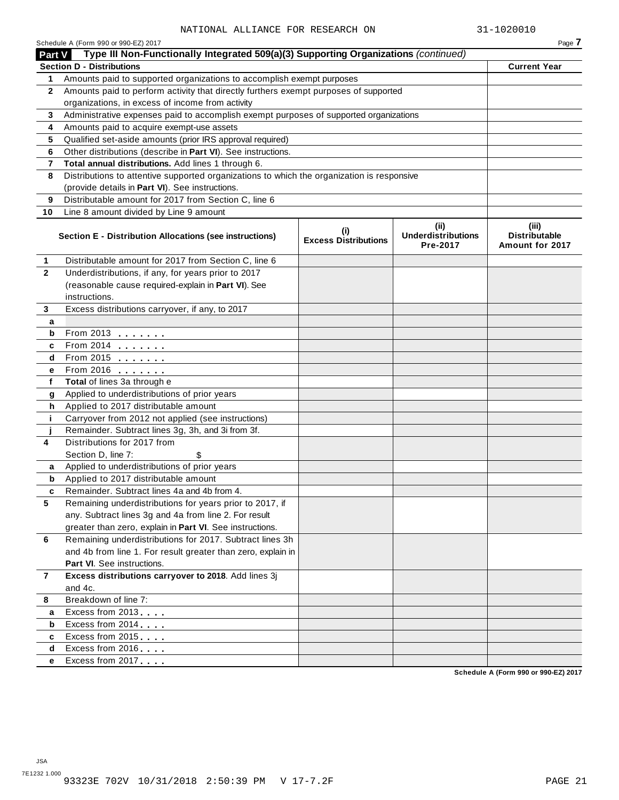|                | Schedule A (Form 990 or 990-EZ) 2017                                                       |                                            |                                               | Page 7                                    |
|----------------|--------------------------------------------------------------------------------------------|--------------------------------------------|-----------------------------------------------|-------------------------------------------|
| Part V         | Type III Non-Functionally Integrated 509(a)(3) Supporting Organizations (continued)        |                                            |                                               |                                           |
|                | <b>Section D - Distributions</b>                                                           |                                            |                                               | <b>Current Year</b>                       |
| 1.             | Amounts paid to supported organizations to accomplish exempt purposes                      |                                            |                                               |                                           |
| $\mathbf{2}$   | Amounts paid to perform activity that directly furthers exempt purposes of supported       |                                            |                                               |                                           |
|                | organizations, in excess of income from activity                                           |                                            |                                               |                                           |
| 3              | Administrative expenses paid to accomplish exempt purposes of supported organizations      |                                            |                                               |                                           |
| 4              | Amounts paid to acquire exempt-use assets                                                  |                                            |                                               |                                           |
| 5              | Qualified set-aside amounts (prior IRS approval required)                                  |                                            |                                               |                                           |
| 6              | Other distributions (describe in Part VI). See instructions.                               |                                            |                                               |                                           |
| 7              | Total annual distributions. Add lines 1 through 6.                                         |                                            |                                               |                                           |
| 8              | Distributions to attentive supported organizations to which the organization is responsive |                                            |                                               |                                           |
|                | (provide details in Part VI). See instructions.                                            |                                            |                                               |                                           |
| 9              | Distributable amount for 2017 from Section C, line 6                                       |                                            |                                               |                                           |
| 10             | Line 8 amount divided by Line 9 amount                                                     |                                            |                                               |                                           |
|                | Section E - Distribution Allocations (see instructions)                                    | $\sf^{(i)}$<br><b>Excess Distributions</b> | (ii)<br><b>Underdistributions</b><br>Pre-2017 | (iii)<br>Distributable<br>Amount for 2017 |
| 1              | Distributable amount for 2017 from Section C, line 6                                       |                                            |                                               |                                           |
| $\overline{2}$ | Underdistributions, if any, for years prior to 2017                                        |                                            |                                               |                                           |
|                | (reasonable cause required-explain in Part VI). See                                        |                                            |                                               |                                           |
|                | instructions.                                                                              |                                            |                                               |                                           |
| 3              | Excess distributions carryover, if any, to 2017                                            |                                            |                                               |                                           |
| а              |                                                                                            |                                            |                                               |                                           |
| b              | From 2013                                                                                  |                                            |                                               |                                           |
| c              | From 2014                                                                                  |                                            |                                               |                                           |
| d              | From 2015 $\qquad \qquad \qquad$                                                           |                                            |                                               |                                           |
| е              | From 2016 <b></b>                                                                          |                                            |                                               |                                           |
| f              | Total of lines 3a through e                                                                |                                            |                                               |                                           |
| g              | Applied to underdistributions of prior years                                               |                                            |                                               |                                           |
| h              | Applied to 2017 distributable amount                                                       |                                            |                                               |                                           |
| j.             | Carryover from 2012 not applied (see instructions)                                         |                                            |                                               |                                           |
|                | Remainder. Subtract lines 3g, 3h, and 3i from 3f.                                          |                                            |                                               |                                           |
| 4              | Distributions for 2017 from                                                                |                                            |                                               |                                           |
|                | Section D, line 7:                                                                         |                                            |                                               |                                           |
| a              | Applied to underdistributions of prior years                                               |                                            |                                               |                                           |
| b              | Applied to 2017 distributable amount                                                       |                                            |                                               |                                           |
| c              | Remainder. Subtract lines 4a and 4b from 4.                                                |                                            |                                               |                                           |
| 5              | Remaining underdistributions for years prior to 2017, if                                   |                                            |                                               |                                           |
|                | any. Subtract lines 3g and 4a from line 2. For result                                      |                                            |                                               |                                           |
|                | greater than zero, explain in Part VI. See instructions.                                   |                                            |                                               |                                           |
| 6              | Remaining underdistributions for 2017. Subtract lines 3h                                   |                                            |                                               |                                           |
|                | and 4b from line 1. For result greater than zero, explain in                               |                                            |                                               |                                           |
|                | <b>Part VI.</b> See instructions.                                                          |                                            |                                               |                                           |
| 7              | Excess distributions carryover to 2018. Add lines 3j                                       |                                            |                                               |                                           |
|                | and 4c.                                                                                    |                                            |                                               |                                           |
| 8              | Breakdown of line 7:                                                                       |                                            |                                               |                                           |
| а              | Excess from 2013                                                                           |                                            |                                               |                                           |
| b              | Excess from 2014                                                                           |                                            |                                               |                                           |
| c              | Excess from 2015                                                                           |                                            |                                               |                                           |
| d              | Excess from 2016                                                                           |                                            |                                               |                                           |
| е              | Excess from 2017                                                                           |                                            |                                               | $0.005$ $-21.00$<br>$\sim$                |

**Schedule A (Form 990 or 990-EZ) 2017**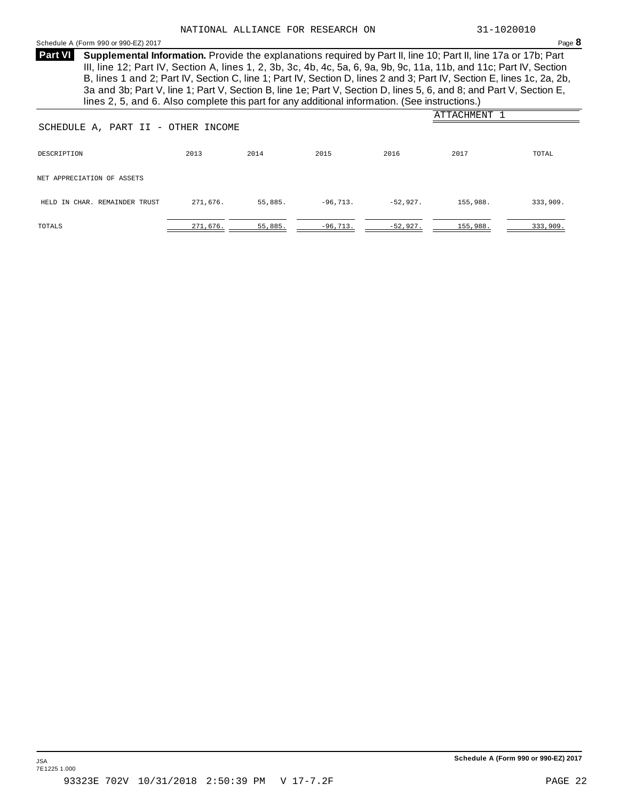#### Schedule <sup>A</sup> (Form <sup>990</sup> or 990-EZ) <sup>2017</sup> Page **8**

**Supplemental Information.** Provide the explanations required by Part II, line 10; Part II, line 17a or 17b; Part **Part VI** III, line 12; Part IV, Section A, lines 1, 2, 3b, 3c, 4b, 4c, 5a, 6, 9a, 9b, 9c, 11a, 11b, and 11c; Part IV, Section B, lines 1 and 2; Part IV, Section C, line 1; Part IV, Section D, lines 2 and 3; Part IV, Section E, lines 1c, 2a, 2b, 3a and 3b; Part V, line 1; Part V, Section B, line 1e; Part V, Section D, lines 5, 6, and 8; and Part V, Section E, lines 2, 5, and 6. Also complete this part for any additional information. (See instructions.)

|                               |                                    |         |            |            | ATTACHMENT |          |  |  |
|-------------------------------|------------------------------------|---------|------------|------------|------------|----------|--|--|
|                               | SCHEDULE A, PART II - OTHER INCOME |         |            |            |            |          |  |  |
| DESCRIPTION                   | 2013                               | 2014    | 2015       | 2016       | 2017       | TOTAL    |  |  |
| NET APPRECIATION OF ASSETS    |                                    |         |            |            |            |          |  |  |
| HELD IN CHAR. REMAINDER TRUST | 271,676.                           | 55,885. | $-96,713.$ | $-52,927.$ | 155,988.   | 333,909. |  |  |
| TOTALS                        | 271,676.                           | 55,885. | $-96,713.$ | $-52,927.$ | 155,988.   | 333,909. |  |  |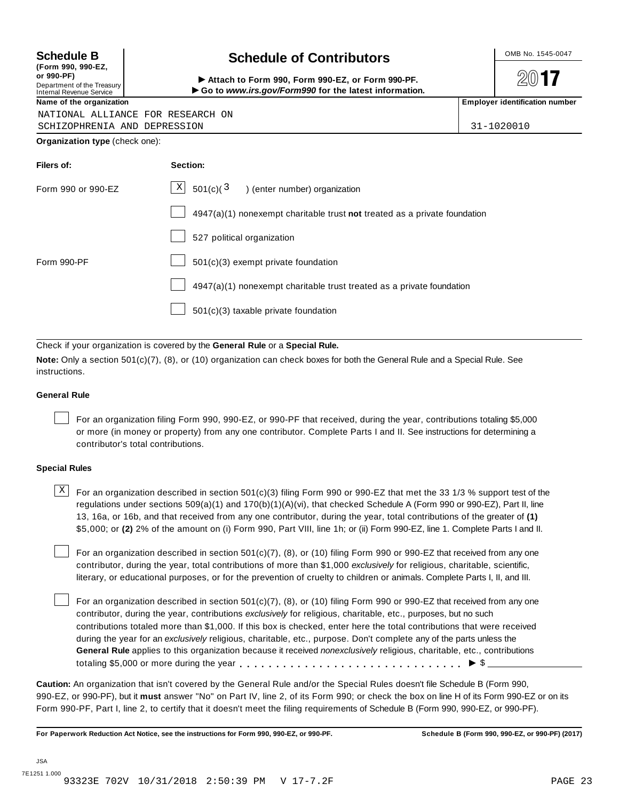**(Form 990, 990-EZ, or 990-PF)** Department of the Treasury<br>Internal Revenue Service

### **Schedule B**  $\leftarrow$  **Contributors**

(Porm 990, Form 990, Form 990-EZ, or Form 990-PF.<br>Department of the Treasury → Attach to Form 990, Form 990-EZ, or Form 990-PF.<br>Internal Revenue Service → → Go to www.irs.gov/Form990 for the latest information.<br>Name of th

 $20$ **17** 

NATIONAL ALLIANCE FOR RESEARCH ON

SCHIZOPHRENIA AND DEPRESSION 31-1020010

**Organization type** (check one):

| Filers of:         | Section:                                                                  |
|--------------------|---------------------------------------------------------------------------|
| Form 990 or 990-EZ | $\mathbb{X}$ 501(c)( $3$ ) (enter number) organization                    |
|                    | 4947(a)(1) nonexempt charitable trust not treated as a private foundation |
|                    | 527 political organization                                                |
| Form 990-PF        | 501(c)(3) exempt private foundation                                       |
|                    | 4947(a)(1) nonexempt charitable trust treated as a private foundation     |
|                    | 501(c)(3) taxable private foundation                                      |

Check if your organization is covered by the **General Rule** or a **Special Rule.**

**Note:** Only a section 501(c)(7), (8), or (10) organization can check boxes for both the General Rule and a Special Rule. See instructions.

#### **General Rule**

For an organization filing Form 990, 990-EZ, or 990-PF that received, during the year, contributions totaling \$5,000 or more (in money or property) from any one contributor. Complete Parts I and II. See instructions for determining a contributor's total contributions.

#### **Special Rules**

 $\text{X}$  For an organization described in section 501(c)(3) filing Form 990 or 990-EZ that met the 33 1/3 % support test of the regulations under sections 509(a)(1) and 170(b)(1)(A)(vi), that checked Schedule A (Form 990 or 990-EZ), Part II, line 13, 16a, or 16b, and that received from any one contributor, during the year, total contributions of the greater of **(1)** \$5,000; or **(2)** 2% of the amount on (i) Form 990, Part VIII, line 1h; or (ii) Form 990-EZ, line 1. Complete Parts I and II.

For an organization described in section 501(c)(7), (8), or (10) filing Form 990 or 990-EZ that received from any one contributor, during the year, total contributions of more than \$1,000 *exclusively* for religious, charitable, scientific, literary, or educational purposes, or for the prevention of cruelty to children or animals. Complete Parts I, II, and III.

For an organization described in section 501(c)(7), (8), or (10) filing Form 990 or 990-EZ that received from any one contributor, during the year, contributions *exclusively* for religious, charitable, etc., purposes, but no such contributions totaled more than \$1,000. If this box is checked, enter here the total contributions that were received during the year for an *exclusively* religious, charitable, etc., purpose. Don't complete any of the parts unless the **General Rule** applies to this organization because it received *nonexclusively* religious, charitable, etc., contributions totaling \$5,000 or more during the year m m m m m m m m m m m m m m m m m m m m m m m m m m m m m m m I \$

**Caution:** An organization that isn't covered by the General Rule and/or the Special Rules doesn't file Schedule B (Form 990, 990-EZ, or 990-PF), but it **must** answer "No" on Part IV, line 2, of its Form 990; or check the box on line H of its Form 990-EZ or on its Form 990-PF, Part I, line 2, to certify that it doesn't meet the filing requirements of Schedule B (Form 990, 990-EZ, or 990-PF).

For Paperwork Reduction Act Notice, see the instructions for Form 990, 990-EZ, or 990-PF. Schedule B (Form 990, 990-EZ, or 990-PF) (2017)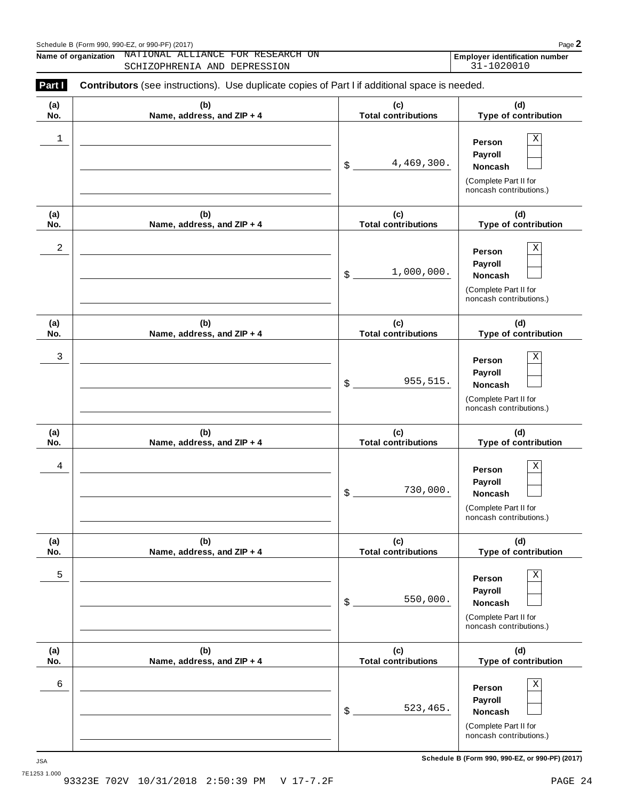| Schedule B (Form 990, 990-EZ, or 990-PF) (2017) | Page |
|-------------------------------------------------|------|
|                                                 |      |

**Name of organization NATIONAL ALLIANCE FOR RESEARCH ON Employer identification number** NATIONAL ALLIANCE FOR RESEARCH ON **Employer identification number**<br>SCHIZOPHRENIA AND DEPRESSION 31-1020010

| Part I     | <b>Contributors</b> (see instructions). Use duplicate copies of Part I if additional space is needed. |                                   |                                                                                       |
|------------|-------------------------------------------------------------------------------------------------------|-----------------------------------|---------------------------------------------------------------------------------------|
| (a)<br>No. | (b)<br>Name, address, and ZIP + 4                                                                     | (c)<br><b>Total contributions</b> | (d)<br>Type of contribution                                                           |
| 1          |                                                                                                       | 4,469,300.<br>\$                  | Χ<br>Person<br>Payroll<br>Noncash<br>(Complete Part II for<br>noncash contributions.) |
| (a)<br>No. | (b)<br>Name, address, and ZIP + 4                                                                     | (c)<br><b>Total contributions</b> | (d)<br>Type of contribution                                                           |
| 2          |                                                                                                       | 1,000,000.<br>\$                  | Χ<br>Person<br>Payroll<br>Noncash<br>(Complete Part II for<br>noncash contributions.) |
| (a)<br>No. | (b)<br>Name, address, and ZIP + 4                                                                     | (c)<br><b>Total contributions</b> | (d)<br>Type of contribution                                                           |
| 3          |                                                                                                       | 955,515.<br>\$                    | Χ<br>Person<br>Payroll<br>Noncash<br>(Complete Part II for<br>noncash contributions.) |
| (a)<br>No. | (b)<br>Name, address, and ZIP + 4                                                                     | (c)<br><b>Total contributions</b> | (d)<br>Type of contribution                                                           |
| 4          |                                                                                                       | 730,000.<br>\$                    | Χ<br>Person<br>Payroll<br>Noncash<br>(Complete Part II for<br>noncash contributions.) |
| (a)<br>No. | (b)<br>Name, address, and ZIP + 4                                                                     | (c)<br><b>Total contributions</b> | (d)<br>Type of contribution                                                           |
| 5          |                                                                                                       | 550,000.<br>\$                    | Χ<br>Person<br>Payroll<br>Noncash<br>(Complete Part II for<br>noncash contributions.) |
| (a)<br>No. | (b)<br>Name, address, and ZIP + 4                                                                     | (c)<br><b>Total contributions</b> | (d)<br>Type of contribution                                                           |
| 6          |                                                                                                       | 523,465.<br>\$                    | Χ<br>Person<br>Payroll<br>Noncash<br>(Complete Part II for<br>noncash contributions.) |

**Schedule B (Form 990, 990-EZ, or 990-PF) (2017)** JSA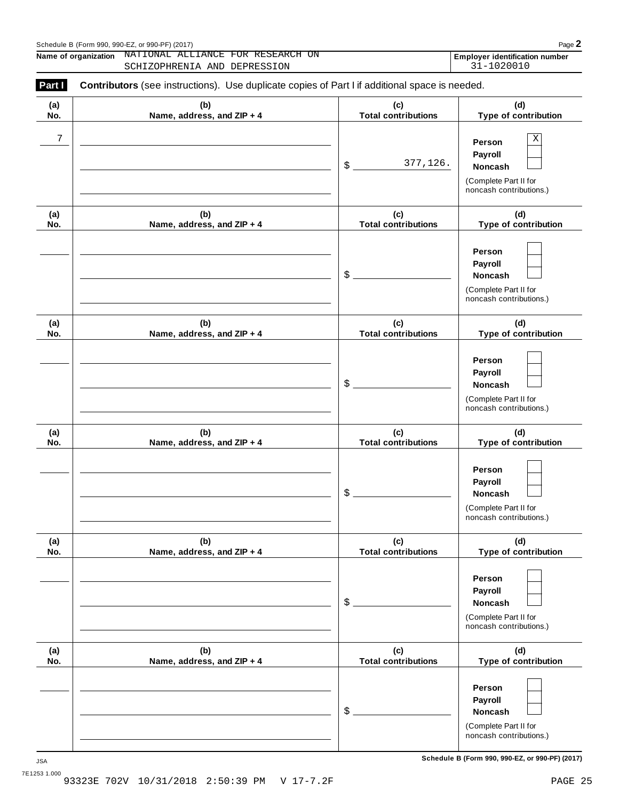| Schedule B (Form 990, 990-EZ, or 990-PF) (2017) | Page |
|-------------------------------------------------|------|
|                                                 |      |

**Name of organization NATIONAL ALLIANCE FOR RESEARCH ON Employer identification number** NATIONAL ALLIANCE FOR RESEARCH ON **Employer identification number**<br>SCHIZOPHRENIA AND DEPRESSION 31-1020010

| Part I     | Contributors (see instructions). Use duplicate copies of Part I if additional space is needed. |                                   |                                                                                              |
|------------|------------------------------------------------------------------------------------------------|-----------------------------------|----------------------------------------------------------------------------------------------|
| (a)<br>No. | (b)<br>Name, address, and ZIP + 4                                                              | (c)<br><b>Total contributions</b> | (d)<br>Type of contribution                                                                  |
| 7          |                                                                                                | 377,126.<br>\$                    | Χ<br>Person<br>Payroll<br><b>Noncash</b><br>(Complete Part II for<br>noncash contributions.) |
| (a)<br>No. | (b)<br>Name, address, and ZIP + 4                                                              | (c)<br><b>Total contributions</b> | (d)<br>Type of contribution                                                                  |
|            |                                                                                                | \$                                | Person<br>Payroll<br>Noncash<br>(Complete Part II for<br>noncash contributions.)             |
| (a)<br>No. | (b)<br>Name, address, and ZIP + 4                                                              | (c)<br><b>Total contributions</b> | (d)<br>Type of contribution                                                                  |
|            |                                                                                                | \$                                | Person<br>Payroll<br>Noncash<br>(Complete Part II for<br>noncash contributions.)             |
| (a)<br>No. | (b)<br>Name, address, and ZIP + 4                                                              | (c)<br><b>Total contributions</b> | (d)<br>Type of contribution                                                                  |
|            |                                                                                                | \$                                | Person<br>Payroll<br>Noncash<br>(Complete Part II for<br>noncash contributions.)             |
| (a)<br>No. | (b)<br>Name, address, and ZIP + 4                                                              | (c)<br><b>Total contributions</b> | (d)<br>Type of contribution                                                                  |
|            |                                                                                                | \$                                | Person<br>Payroll<br><b>Noncash</b><br>(Complete Part II for<br>noncash contributions.)      |
| (a)<br>No. | (b)<br>Name, address, and ZIP + 4                                                              | (c)<br><b>Total contributions</b> | (d)<br>Type of contribution                                                                  |
|            |                                                                                                | \$                                | Person<br>Payroll<br>Noncash<br>(Complete Part II for<br>noncash contributions.)             |

**Schedule B (Form 990, 990-EZ, or 990-PF) (2017)** JSA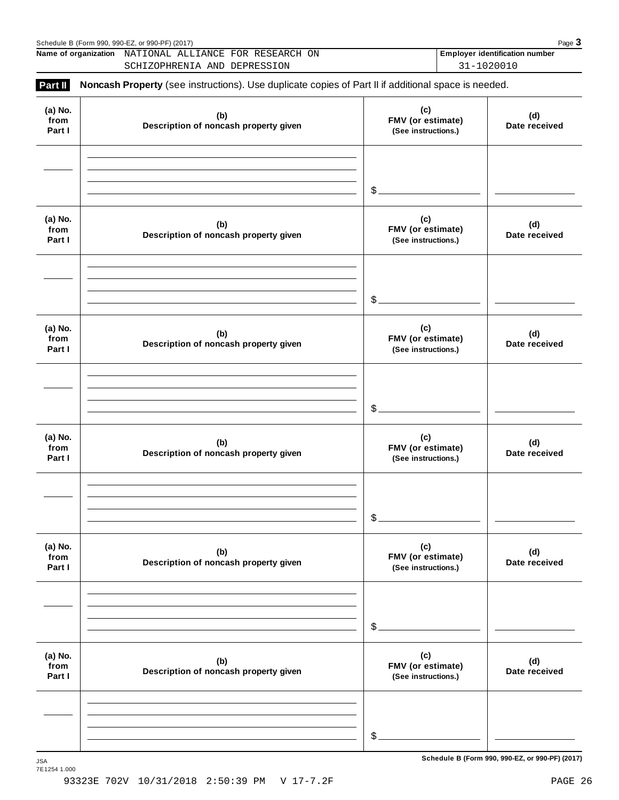|                           | Schedule B (Form 990, 990-EZ, or 990-PF) (2017)                                                     |                                                 | Page $3$                                 |  |                      |
|---------------------------|-----------------------------------------------------------------------------------------------------|-------------------------------------------------|------------------------------------------|--|----------------------|
|                           | Name of organization NATIONAL ALLIANCE FOR RESEARCH ON                                              |                                                 | <b>Employer identification number</b>    |  |                      |
|                           | SCHIZOPHRENIA AND DEPRESSION                                                                        |                                                 | 31-1020010                               |  |                      |
| Part II                   | Noncash Property (see instructions). Use duplicate copies of Part II if additional space is needed. |                                                 |                                          |  |                      |
| (a) No.<br>from<br>Part I | (c)<br>(b)<br>Description of noncash property given                                                 |                                                 | FMV (or estimate)<br>(See instructions.) |  | (d)<br>Date received |
|                           |                                                                                                     |                                                 |                                          |  |                      |
|                           |                                                                                                     | $$$ .                                           |                                          |  |                      |
| (a) No.<br>from<br>Part I | (b)<br>Description of noncash property given                                                        | (c)<br>FMV (or estimate)<br>(See instructions.) | (d)<br>Date received                     |  |                      |
|                           |                                                                                                     |                                                 |                                          |  |                      |
|                           |                                                                                                     | $\$\$ .                                         |                                          |  |                      |
| (a) No.<br>from<br>Part I | (b)<br>Description of noncash property given                                                        | (c)<br>FMV (or estimate)<br>(See instructions.) | (d)<br>Date received                     |  |                      |
|                           |                                                                                                     |                                                 |                                          |  |                      |
|                           |                                                                                                     | $$$ .                                           |                                          |  |                      |
| (a) No.<br>from<br>Part I | (b)<br>Description of noncash property given                                                        | (c)<br>FMV (or estimate)<br>(See instructions.) | (d)<br>Date received                     |  |                      |
|                           |                                                                                                     |                                                 |                                          |  |                      |
|                           |                                                                                                     | \$                                              |                                          |  |                      |
| (a) No.<br>from<br>Part I | (b)<br>Description of noncash property given                                                        | (c)<br>FMV (or estimate)<br>(See instructions.) | (d)<br>Date received                     |  |                      |
|                           |                                                                                                     |                                                 |                                          |  |                      |
|                           |                                                                                                     | \$                                              |                                          |  |                      |
| (a) No.<br>from<br>Part I | (b)<br>Description of noncash property given                                                        | (c)<br>FMV (or estimate)<br>(See instructions.) | (d)<br>Date received                     |  |                      |
|                           |                                                                                                     |                                                 |                                          |  |                      |
|                           |                                                                                                     | \$                                              |                                          |  |                      |
|                           |                                                                                                     |                                                 |                                          |  |                      |

 $S$ chedule B (Form 990, 990-EZ, or 990-PF) (2017)

7E1254 1.000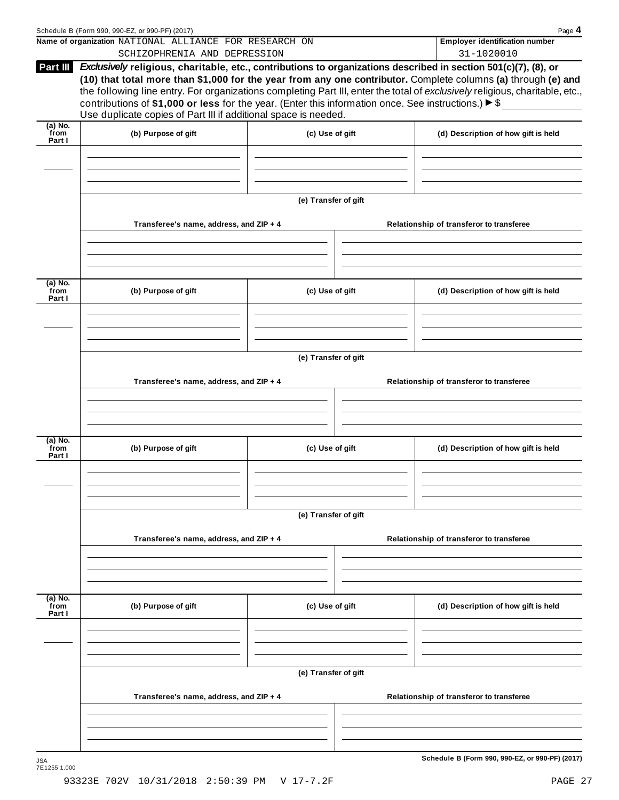|                             | Name of organization NATIONAL ALLIANCE FOR RESEARCH ON<br>SCHIZOPHRENIA AND DEPRESSION                                                                                                                                                                                                                                                                                                                                                                                                                                                                          |                      | <b>Employer identification number</b><br>31-1020010 |  |  |  |
|-----------------------------|-----------------------------------------------------------------------------------------------------------------------------------------------------------------------------------------------------------------------------------------------------------------------------------------------------------------------------------------------------------------------------------------------------------------------------------------------------------------------------------------------------------------------------------------------------------------|----------------------|-----------------------------------------------------|--|--|--|
| Part III                    | Exclusively religious, charitable, etc., contributions to organizations described in section 501(c)(7), (8), or<br>(10) that total more than \$1,000 for the year from any one contributor. Complete columns (a) through (e) and<br>the following line entry. For organizations completing Part III, enter the total of exclusively religious, charitable, etc.,<br>contributions of \$1,000 or less for the year. (Enter this information once. See instructions.) $\blacktriangleright$ \$<br>Use duplicate copies of Part III if additional space is needed. |                      |                                                     |  |  |  |
| $(a)$ No.<br>from<br>Part I | (b) Purpose of gift                                                                                                                                                                                                                                                                                                                                                                                                                                                                                                                                             | (c) Use of gift      | (d) Description of how gift is held                 |  |  |  |
|                             |                                                                                                                                                                                                                                                                                                                                                                                                                                                                                                                                                                 |                      |                                                     |  |  |  |
|                             |                                                                                                                                                                                                                                                                                                                                                                                                                                                                                                                                                                 | (e) Transfer of gift |                                                     |  |  |  |
|                             | Transferee's name, address, and ZIP + 4                                                                                                                                                                                                                                                                                                                                                                                                                                                                                                                         |                      | Relationship of transferor to transferee            |  |  |  |
| (a) No.<br>from<br>Part I   | (b) Purpose of gift                                                                                                                                                                                                                                                                                                                                                                                                                                                                                                                                             | (c) Use of gift      | (d) Description of how gift is held                 |  |  |  |
|                             |                                                                                                                                                                                                                                                                                                                                                                                                                                                                                                                                                                 |                      |                                                     |  |  |  |
|                             | (e) Transfer of gift                                                                                                                                                                                                                                                                                                                                                                                                                                                                                                                                            |                      |                                                     |  |  |  |
|                             | Transferee's name, address, and ZIP + 4                                                                                                                                                                                                                                                                                                                                                                                                                                                                                                                         |                      | Relationship of transferor to transferee            |  |  |  |
| (a) No.<br>from<br>Part I   | (b) Purpose of gift                                                                                                                                                                                                                                                                                                                                                                                                                                                                                                                                             | (c) Use of gift      | (d) Description of how gift is held                 |  |  |  |
|                             |                                                                                                                                                                                                                                                                                                                                                                                                                                                                                                                                                                 |                      |                                                     |  |  |  |
|                             | (e) Transfer of gift<br>Transferee's name, address, and ZIP + 4                                                                                                                                                                                                                                                                                                                                                                                                                                                                                                 |                      | Relationship of transferor to transferee            |  |  |  |
| (a) No.<br>from             | (b) Purpose of gift                                                                                                                                                                                                                                                                                                                                                                                                                                                                                                                                             | (c) Use of gift      | (d) Description of how gift is held                 |  |  |  |
| Part I                      |                                                                                                                                                                                                                                                                                                                                                                                                                                                                                                                                                                 |                      |                                                     |  |  |  |
|                             |                                                                                                                                                                                                                                                                                                                                                                                                                                                                                                                                                                 | (e) Transfer of gift |                                                     |  |  |  |
|                             |                                                                                                                                                                                                                                                                                                                                                                                                                                                                                                                                                                 |                      | Relationship of transferor to transferee            |  |  |  |
|                             | Transferee's name, address, and ZIP + 4                                                                                                                                                                                                                                                                                                                                                                                                                                                                                                                         |                      |                                                     |  |  |  |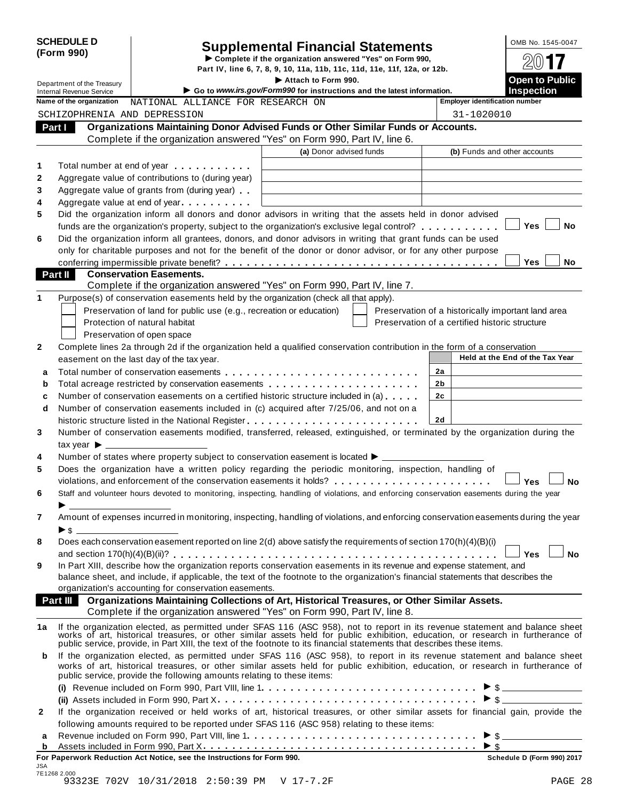|                                                               | <b>SCHEDULE D</b>                     |                                                                                                                                                                                                                                                              | <b>Supplemental Financial Statements</b>                                                      |                                                | OMB No. 1545-0047                                  |
|---------------------------------------------------------------|---------------------------------------|--------------------------------------------------------------------------------------------------------------------------------------------------------------------------------------------------------------------------------------------------------------|-----------------------------------------------------------------------------------------------|------------------------------------------------|----------------------------------------------------|
| (Form 990)                                                    |                                       | Complete if the organization answered "Yes" on Form 990,                                                                                                                                                                                                     |                                                                                               |                                                |                                                    |
| Department of the Treasury<br><b>Internal Revenue Service</b> |                                       |                                                                                                                                                                                                                                                              | Part IV, line 6, 7, 8, 9, 10, 11a, 11b, 11c, 11d, 11e, 11f, 12a, or 12b.                      |                                                |                                                    |
|                                                               |                                       |                                                                                                                                                                                                                                                              | Attach to Form 990.<br>Go to www.irs.gov/Form990 for instructions and the latest information. |                                                | <b>Open to Public</b><br><b>Inspection</b>         |
|                                                               | Name of the organization              | NATIONAL ALLIANCE FOR RESEARCH ON                                                                                                                                                                                                                            |                                                                                               | <b>Employer identification number</b>          |                                                    |
|                                                               |                                       | SCHIZOPHRENIA AND DEPRESSION                                                                                                                                                                                                                                 |                                                                                               | 31-1020010                                     |                                                    |
| Part I                                                        |                                       | Organizations Maintaining Donor Advised Funds or Other Similar Funds or Accounts.                                                                                                                                                                            |                                                                                               |                                                |                                                    |
|                                                               |                                       | Complete if the organization answered "Yes" on Form 990, Part IV, line 6.                                                                                                                                                                                    |                                                                                               |                                                |                                                    |
|                                                               |                                       |                                                                                                                                                                                                                                                              | (a) Donor advised funds                                                                       |                                                | (b) Funds and other accounts                       |
| 1                                                             |                                       | Total number at end of year <b>that the state of the state of the state of the state of the state of the state of the state of the state of the state of the state of the state of the state of the state of the state of the st</b>                         |                                                                                               |                                                |                                                    |
| 2                                                             |                                       | Aggregate value of contributions to (during year)                                                                                                                                                                                                            |                                                                                               |                                                |                                                    |
| 3                                                             |                                       | Aggregate value of grants from (during year)                                                                                                                                                                                                                 |                                                                                               |                                                |                                                    |
| 4                                                             |                                       | Aggregate value at end of year                                                                                                                                                                                                                               |                                                                                               |                                                |                                                    |
| 5                                                             |                                       | Did the organization inform all donors and donor advisors in writing that the assets held in donor advised                                                                                                                                                   |                                                                                               |                                                |                                                    |
|                                                               |                                       | funds are the organization's property, subject to the organization's exclusive legal control?                                                                                                                                                                |                                                                                               |                                                | <b>Yes</b><br><b>No</b>                            |
| 6                                                             |                                       | Did the organization inform all grantees, donors, and donor advisors in writing that grant funds can be used                                                                                                                                                 |                                                                                               |                                                |                                                    |
|                                                               |                                       | only for charitable purposes and not for the benefit of the donor or donor advisor, or for any other purpose                                                                                                                                                 |                                                                                               |                                                |                                                    |
|                                                               |                                       |                                                                                                                                                                                                                                                              |                                                                                               |                                                | <b>Yes</b><br>No                                   |
| Part II                                                       |                                       | <b>Conservation Easements.</b><br>Complete if the organization answered "Yes" on Form 990, Part IV, line 7.                                                                                                                                                  |                                                                                               |                                                |                                                    |
| 1                                                             |                                       | Purpose(s) of conservation easements held by the organization (check all that apply).                                                                                                                                                                        |                                                                                               |                                                |                                                    |
|                                                               |                                       | Preservation of land for public use (e.g., recreation or education)                                                                                                                                                                                          |                                                                                               |                                                | Preservation of a historically important land area |
|                                                               |                                       | Protection of natural habitat                                                                                                                                                                                                                                |                                                                                               | Preservation of a certified historic structure |                                                    |
|                                                               |                                       | Preservation of open space                                                                                                                                                                                                                                   |                                                                                               |                                                |                                                    |
| $\mathbf{2}$                                                  |                                       | Complete lines 2a through 2d if the organization held a qualified conservation contribution in the form of a conservation                                                                                                                                    |                                                                                               |                                                |                                                    |
|                                                               |                                       | easement on the last day of the tax year.                                                                                                                                                                                                                    |                                                                                               |                                                | Held at the End of the Tax Year                    |
| a                                                             |                                       |                                                                                                                                                                                                                                                              |                                                                                               | 2a                                             |                                                    |
| b                                                             |                                       | Total acreage restricted by conservation easements                                                                                                                                                                                                           |                                                                                               | 2b                                             |                                                    |
| c                                                             |                                       | Number of conservation easements on a certified historic structure included in (a)                                                                                                                                                                           |                                                                                               | 2 <sub>c</sub>                                 |                                                    |
| d                                                             |                                       | Number of conservation easements included in (c) acquired after 7/25/06, and not on a                                                                                                                                                                        |                                                                                               |                                                |                                                    |
|                                                               |                                       |                                                                                                                                                                                                                                                              |                                                                                               | 2d                                             |                                                    |
| 3                                                             |                                       | Number of conservation easements modified, transferred, released, extinguished, or terminated by the organization during the                                                                                                                                 |                                                                                               |                                                |                                                    |
|                                                               | tax year $\blacktriangleright$ $\_\_$ |                                                                                                                                                                                                                                                              |                                                                                               |                                                |                                                    |
| 4                                                             |                                       | Number of states where property subject to conservation easement is located $\blacktriangleright$ _                                                                                                                                                          |                                                                                               |                                                |                                                    |
| 5                                                             |                                       | Does the organization have a written policy regarding the periodic monitoring, inspection, handling of                                                                                                                                                       |                                                                                               |                                                |                                                    |
|                                                               |                                       |                                                                                                                                                                                                                                                              |                                                                                               |                                                |                                                    |
| 6                                                             |                                       | Staff and volunteer hours devoted to monitoring, inspecting, handling of violations, and enforcing conservation easements during the year                                                                                                                    |                                                                                               |                                                |                                                    |
|                                                               |                                       |                                                                                                                                                                                                                                                              |                                                                                               |                                                |                                                    |
| 7                                                             |                                       | Amount of expenses incurred in monitoring, inspecting, handling of violations, and enforcing conservation easements during the year                                                                                                                          |                                                                                               |                                                |                                                    |
|                                                               | $\triangleright$ \$                   |                                                                                                                                                                                                                                                              |                                                                                               |                                                |                                                    |
| 8                                                             |                                       | Does each conservation easement reported on line 2(d) above satisfy the requirements of section 170(h)(4)(B)(i)                                                                                                                                              |                                                                                               |                                                |                                                    |
|                                                               |                                       | In Part XIII, describe how the organization reports conservation easements in its revenue and expense statement, and                                                                                                                                         |                                                                                               |                                                | <b>No</b><br>J Yes ⊺                               |
| 9                                                             |                                       | balance sheet, and include, if applicable, the text of the footnote to the organization's financial statements that describes the                                                                                                                            |                                                                                               |                                                |                                                    |
|                                                               |                                       | organization's accounting for conservation easements.                                                                                                                                                                                                        |                                                                                               |                                                |                                                    |
|                                                               | Part III                              | Organizations Maintaining Collections of Art, Historical Treasures, or Other Similar Assets.                                                                                                                                                                 |                                                                                               |                                                |                                                    |
|                                                               |                                       | Complete if the organization answered "Yes" on Form 990, Part IV, line 8.                                                                                                                                                                                    |                                                                                               |                                                |                                                    |
| 1a                                                            |                                       |                                                                                                                                                                                                                                                              |                                                                                               |                                                |                                                    |
|                                                               |                                       | If the organization elected, as permitted under SFAS 116 (ASC 958), not to report in its revenue statement and balance sheet works of art, historical treasures, or other similar assets held for public exhibition, education                               |                                                                                               |                                                |                                                    |
|                                                               |                                       |                                                                                                                                                                                                                                                              |                                                                                               |                                                |                                                    |
| b                                                             |                                       | If the organization elected, as permitted under SFAS 116 (ASC 958), to report in its revenue statement and balance sheet<br>works of art, historical treasures, or other similar assets held for public exhibition, education, or research in furtherance of |                                                                                               |                                                |                                                    |
|                                                               |                                       | public service, provide the following amounts relating to these items:                                                                                                                                                                                       |                                                                                               |                                                |                                                    |
|                                                               |                                       |                                                                                                                                                                                                                                                              |                                                                                               |                                                |                                                    |
|                                                               |                                       |                                                                                                                                                                                                                                                              |                                                                                               |                                                |                                                    |
| 2                                                             |                                       | If the organization received or held works of art, historical treasures, or other similar assets for financial gain, provide the                                                                                                                             |                                                                                               |                                                |                                                    |
|                                                               |                                       | following amounts required to be reported under SFAS 116 (ASC 958) relating to these items:                                                                                                                                                                  |                                                                                               |                                                |                                                    |
| a                                                             |                                       |                                                                                                                                                                                                                                                              |                                                                                               |                                                | $\triangleright$ \$                                |
| b                                                             |                                       |                                                                                                                                                                                                                                                              |                                                                                               |                                                |                                                    |
|                                                               |                                       | For Paperwork Reduction Act Notice, see the Instructions for Form 990.                                                                                                                                                                                       |                                                                                               |                                                | Schedule D (Form 990) 2017                         |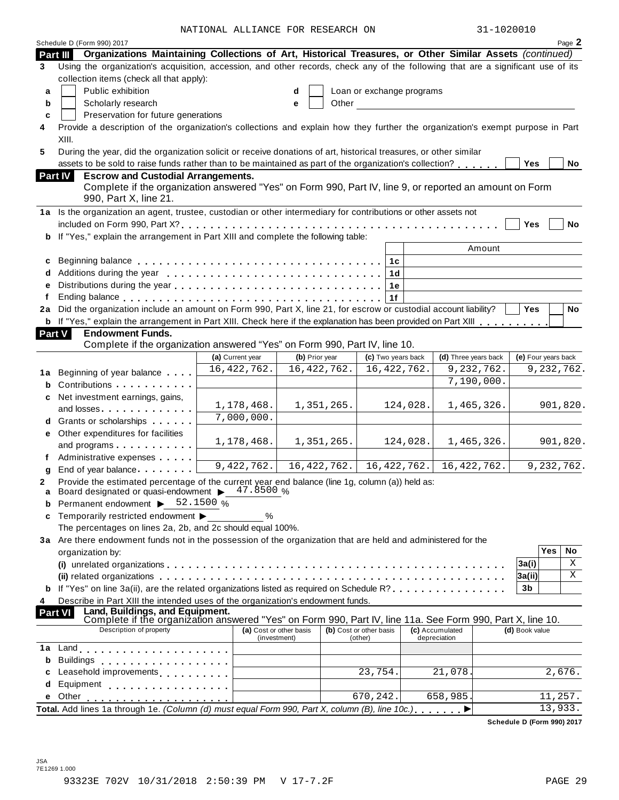NATIONAL ALLIANCE FOR RESEARCH ON 31-1020010

|               | Schedule D (Form 990) 2017                                                                                                       | NAIIUNAD ADDIANCE FUR RESEARCH UN |                                         |               |                                    |          |                                 | フエーエムマハウエム |                     |            | Page 2     |
|---------------|----------------------------------------------------------------------------------------------------------------------------------|-----------------------------------|-----------------------------------------|---------------|------------------------------------|----------|---------------------------------|------------|---------------------|------------|------------|
| Part III      | Organizations Maintaining Collections of Art, Historical Treasures, or Other Similar Assets (continued)                          |                                   |                                         |               |                                    |          |                                 |            |                     |            |            |
| 3             | Using the organization's acquisition, accession, and other records, check any of the following that are a significant use of its |                                   |                                         |               |                                    |          |                                 |            |                     |            |            |
|               | collection items (check all that apply):                                                                                         |                                   |                                         |               |                                    |          |                                 |            |                     |            |            |
| a             | Public exhibition                                                                                                                |                                   | d                                       |               | Loan or exchange programs          |          |                                 |            |                     |            |            |
| b             | Scholarly research                                                                                                               |                                   | е                                       | Other         |                                    |          |                                 |            |                     |            |            |
| C             | Preservation for future generations                                                                                              |                                   |                                         |               |                                    |          |                                 |            |                     |            |            |
| 4             | Provide a description of the organization's collections and explain how they further the organization's exempt purpose in Part   |                                   |                                         |               |                                    |          |                                 |            |                     |            |            |
|               | XIII.                                                                                                                            |                                   |                                         |               |                                    |          |                                 |            |                     |            |            |
| 5             | During the year, did the organization solicit or receive donations of art, historical treasures, or other similar                |                                   |                                         |               |                                    |          |                                 |            |                     |            |            |
|               | assets to be sold to raise funds rather than to be maintained as part of the organization's collection?                          |                                   |                                         |               |                                    |          |                                 |            | Yes                 |            | No         |
|               | <b>Escrow and Custodial Arrangements.</b><br>Part IV                                                                             |                                   |                                         |               |                                    |          |                                 |            |                     |            |            |
|               | Complete if the organization answered "Yes" on Form 990, Part IV, line 9, or reported an amount on Form                          |                                   |                                         |               |                                    |          |                                 |            |                     |            |            |
|               | 990, Part X, line 21.                                                                                                            |                                   |                                         |               |                                    |          |                                 |            |                     |            |            |
|               | 1a Is the organization an agent, trustee, custodian or other intermediary for contributions or other assets not                  |                                   |                                         |               |                                    |          |                                 |            |                     |            |            |
|               |                                                                                                                                  |                                   |                                         |               |                                    |          |                                 |            | <b>Yes</b>          |            | No         |
| b             | If "Yes," explain the arrangement in Part XIII and complete the following table:                                                 |                                   |                                         |               |                                    |          |                                 |            |                     |            |            |
|               |                                                                                                                                  |                                   |                                         |               |                                    |          | Amount                          |            |                     |            |            |
| c             |                                                                                                                                  |                                   |                                         |               | 1 <sub>c</sub>                     |          |                                 |            |                     |            |            |
| d             |                                                                                                                                  |                                   |                                         |               | 1 <sub>d</sub>                     |          |                                 |            |                     |            |            |
| e             |                                                                                                                                  |                                   |                                         |               | 1e                                 |          |                                 |            |                     |            |            |
|               |                                                                                                                                  |                                   |                                         |               | 1f                                 |          |                                 |            |                     |            |            |
| 2a            | Did the organization include an amount on Form 990, Part X, line 21, for escrow or custodial account liability?                  |                                   |                                         |               |                                    |          |                                 |            | Yes                 |            | No         |
| b             | If "Yes," explain the arrangement in Part XIII. Check here if the explanation has been provided on Part XIII                     |                                   |                                         |               |                                    |          |                                 |            |                     |            |            |
| <b>Part V</b> | <b>Endowment Funds.</b>                                                                                                          |                                   |                                         |               |                                    |          |                                 |            |                     |            |            |
|               | Complete if the organization answered "Yes" on Form 990, Part IV, line 10.                                                       |                                   |                                         |               |                                    |          |                                 |            |                     |            |            |
|               |                                                                                                                                  | (a) Current year                  | (b) Prior year                          |               | (c) Two years back                 |          | (d) Three years back            |            | (e) Four years back |            |            |
|               | 1a Beginning of year balance                                                                                                     | 16, 422, 762.                     |                                         | 16, 422, 762. | 16, 422, 762.                      |          | 9, 232, 762.                    |            |                     |            | 9,232,762. |
| b             | Contributions                                                                                                                    |                                   |                                         |               |                                    |          | 7,190,000.                      |            |                     |            |            |
| c             | Net investment earnings, gains,                                                                                                  |                                   |                                         |               |                                    |          |                                 |            |                     |            |            |
|               | and losses                                                                                                                       | 1,178,468.                        |                                         | 1,351,265.    |                                    | 124,028. | 1,465,326.                      |            |                     |            | 901,820.   |
| d             | Grants or scholarships                                                                                                           | 7,000,000.                        |                                         |               |                                    |          |                                 |            |                     |            |            |
| е             | Other expenditures for facilities                                                                                                |                                   |                                         |               |                                    |          |                                 |            |                     |            |            |
|               | and programs                                                                                                                     | 1,178,468.                        |                                         | 1,351,265.    |                                    | 124,028. | 1,465,326.                      |            |                     |            | 901,820.   |
|               | Administrative expenses                                                                                                          |                                   |                                         |               |                                    |          |                                 |            |                     |            |            |
|               | End of year balance <b>Example 2</b>                                                                                             | 9,422,762.                        |                                         | 16, 422, 762. | 16, 422, 762.                      |          | 16, 422, 762.                   |            |                     |            | 9,232,762. |
| g             | Provide the estimated percentage of the current year end balance (line 1g, column (a)) held as:                                  |                                   |                                         |               |                                    |          |                                 |            |                     |            |            |
| a             | Board designated or quasi-endowment > 47.8500 %                                                                                  |                                   |                                         |               |                                    |          |                                 |            |                     |            |            |
|               | Permanent endowment > 52.1500 %                                                                                                  |                                   |                                         |               |                                    |          |                                 |            |                     |            |            |
| c             | Temporarily restricted endowment ▶                                                                                               | %                                 |                                         |               |                                    |          |                                 |            |                     |            |            |
|               | The percentages on lines 2a, 2b, and 2c should equal 100%.                                                                       |                                   |                                         |               |                                    |          |                                 |            |                     |            |            |
|               | 3a Are there endowment funds not in the possession of the organization that are held and administered for the                    |                                   |                                         |               |                                    |          |                                 |            |                     |            |            |
|               | organization by:                                                                                                                 |                                   |                                         |               |                                    |          |                                 |            |                     | <b>Yes</b> | No         |
|               |                                                                                                                                  |                                   |                                         |               |                                    |          |                                 |            | 3a(i)               |            | Χ          |
|               |                                                                                                                                  |                                   |                                         |               |                                    |          |                                 |            | 3a(ii)              |            | Χ          |
|               | If "Yes" on line 3a(ii), are the related organizations listed as required on Schedule R?                                         |                                   |                                         |               |                                    |          |                                 |            | 3b                  |            |            |
| 4             | Describe in Part XIII the intended uses of the organization's endowment funds.                                                   |                                   |                                         |               |                                    |          |                                 |            |                     |            |            |
|               | Land, Buildings, and Equipment.<br>Part VI                                                                                       |                                   |                                         |               |                                    |          |                                 |            |                     |            |            |
|               | Complete if the organization answered "Yes" on Form 990, Part IV, line 11a. See Form 990, Part X, line 10.                       |                                   |                                         |               |                                    |          |                                 |            |                     |            |            |
|               | Description of property                                                                                                          |                                   | (a) Cost or other basis<br>(investment) |               | (b) Cost or other basis<br>(other) |          | (c) Accumulated<br>depreciation |            | (d) Book value      |            |            |
| 1a            |                                                                                                                                  |                                   |                                         |               |                                    |          |                                 |            |                     |            |            |
| b             | <b>Buildings</b>                                                                                                                 |                                   |                                         |               |                                    |          |                                 |            |                     |            |            |
|               | .                                                                                                                                |                                   |                                         |               | 23,754.                            |          | 21,078.                         |            |                     | 2,676.     |            |
| d             |                                                                                                                                  |                                   |                                         |               |                                    |          |                                 |            |                     |            |            |
|               | Equipment                                                                                                                        |                                   |                                         |               | 670,242.                           |          |                                 |            |                     |            |            |
| е             | Other                                                                                                                            |                                   |                                         |               |                                    |          | 658,985.                        |            |                     | 11,257.    |            |
|               | Total. Add lines 1a through 1e. (Column (d) must equal Form 990, Part X, column (B), line 10c.)                                  |                                   |                                         |               |                                    |          |                                 |            |                     | 13,933.    |            |

**Schedule D (Form 990) 2017**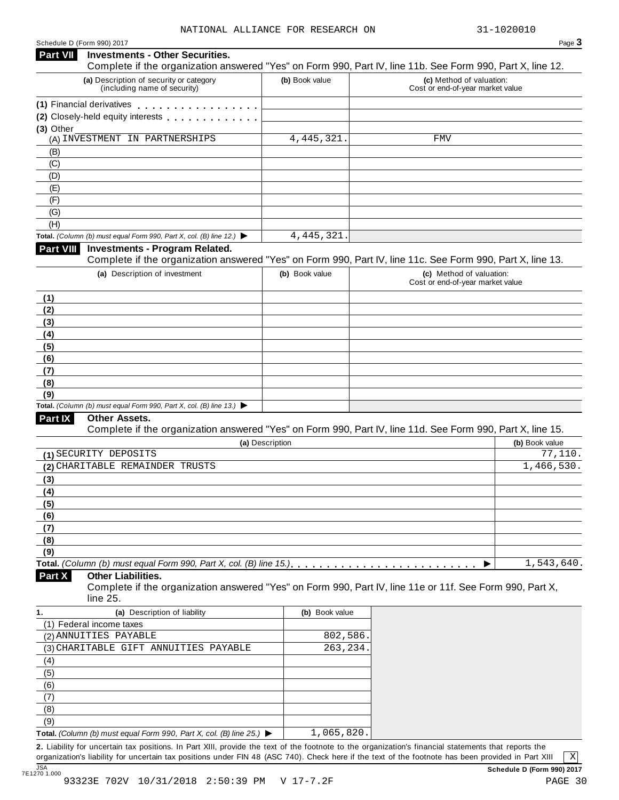#### Schedule <sup>D</sup> (Form 990) <sup>2017</sup> Page **3 Investments - Other Securities. Part VII** Investments - Other Securities.<br>Complete if the organization answered "Yes" on Form 990, Part IV, line 11b. See Form 990, Part X, line 12. **(a)** Description of security or category (including name of security) **(b)** Book value **(c)** Method of valuation: Cost or end-of-year market value **(1)** Financial derivatives **(2)** Closely-held equity interests **(3)** Other (A) INVESTMENT IN PARTNERSHIPS 4,445,321. FMV (B) (C) (D) (E) (F) (G) (H) **Total.** *(Column (b) must equal Form 990, Part X, col. (B) line 12.)* I **Investments - Program Related.** Complete if the organization answered "Yes" on Form 990, Part IV, line 11c. See Form 990, Part X, line 13. **(a)** Description of investment **(b)** Book value **(c)** Method of valuation: Cost or end-of-year market value **(1) (2) (3) (4) (5) (6) (7) (8) (9) Total.** *(Column (b) must equal Form 990, Part X, col. (B) line 13.)* I **Other Assets.** Complete if the organization answered "Yes" on Form 990, Part IV, line 11d. See Form 990, Part X, line 15. **(a)** Description **(b)** Book value **(1)** SECURITY DEPOSITS 77,110. **(2)** CHARITABLE REMAINDER TRUSTS 1,466,530. **(3) (4) (5) (6) (7) (8) (9)**  $\blacksquare$   $\blacksquare$   $\blacksquare$   $\blacksquare$   $\lozenge$   $\lozenge$   $\blacksquare$   $\blacksquare$   $\blacksquare$   $\blacksquare$   $\blacksquare$   $\blacksquare$   $\blacksquare$   $\blacksquare$   $\blacksquare$   $\blacksquare$   $\blacksquare$   $\blacksquare$   $\blacksquare$   $\blacksquare$   $\blacksquare$   $\blacksquare$   $\blacksquare$   $\blacksquare$   $\blacksquare$   $\blacksquare$   $\blacksquare$   $\blacksquare$   $\blacksquare$   $\blacksquare$   $\blacksquare$   $\blacks$ **Other Liabilities.** Complete if the organization answered "Yes" on Form 990, Part IV, line 11e or 11f. See Form 990, Part X, line 25. **Part X 1. (a)** Description of liability **(b)** Book value (1) Federal income taxes (2) ANNUITIES PAYABLE (2) ANNUITIES PAYABLE (3) CHARITABLE GIFT ANNUITIES PAYABLE 263,234. (4) (5) (6) (7) (8) (9) **Total.** *(Column (b) must equal Form 990, Part X, col. (B) line 25.)* I 4,445,321. 1,543,640. 1,065,820.

**2.** Liability for uncertain tax positions. In Part XIII, provide the text of the footnote to the organization's financial statements that reports the organization's liability for uncertain tax positions under FIN 48 (ASC 740). Check here if the text of the footnote has been provided in Part XIII

X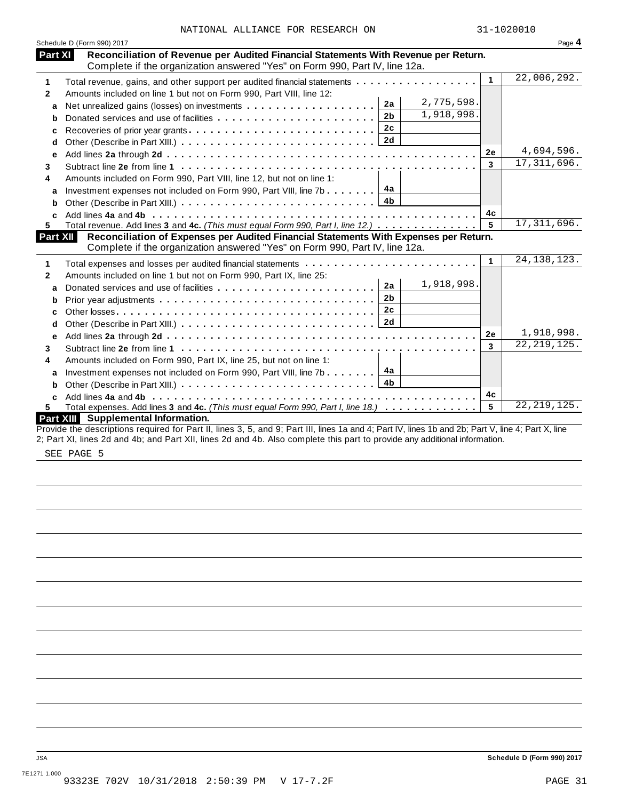| NATIONAL ALLIANCE FOR RESEARCH ON |  | 31-1020010 |
|-----------------------------------|--|------------|
|                                   |  |            |

|                 | Schedule D (Form 990) 2017                                                                                                                                         |              | Page 4        |
|-----------------|--------------------------------------------------------------------------------------------------------------------------------------------------------------------|--------------|---------------|
| Part XI         | Reconciliation of Revenue per Audited Financial Statements With Revenue per Return.<br>Complete if the organization answered "Yes" on Form 990, Part IV, line 12a. |              |               |
| 1               | Total revenue, gains, and other support per audited financial statements                                                                                           | $\mathbf{1}$ | 22,006,292.   |
| $\mathbf{2}$    | Amounts included on line 1 but not on Form 990, Part VIII, line 12:                                                                                                |              |               |
| a               | 2,775,598.<br>2a                                                                                                                                                   |              |               |
| b               | 1,918,998.<br>2 <sub>b</sub>                                                                                                                                       |              |               |
| c               | 2c<br>Recoveries of prior year grants                                                                                                                              |              |               |
| d               | 2d                                                                                                                                                                 |              |               |
| е               |                                                                                                                                                                    | 2e           | 4,694,596.    |
| 3               |                                                                                                                                                                    | 3            | 17, 311, 696. |
| 4               | Amounts included on Form 990, Part VIII, line 12, but not on line 1:                                                                                               |              |               |
|                 | 4a<br>Investment expenses not included on Form 990, Part VIII, line 7b                                                                                             |              |               |
| a<br>b          | 4b                                                                                                                                                                 |              |               |
|                 |                                                                                                                                                                    | 4с           |               |
| C<br>5.         | Total revenue. Add lines 3 and 4c. (This must equal Form 990, Part I, line 12.)                                                                                    | 5            | 17, 311, 696. |
| <b>Part XII</b> | Reconciliation of Expenses per Audited Financial Statements With Expenses per Return.                                                                              |              |               |
|                 | Complete if the organization answered "Yes" on Form 990, Part IV, line 12a.                                                                                        |              |               |
| 1               | Total expenses and losses per audited financial statements                                                                                                         | 1            | 24, 138, 123. |
| 2               | Amounts included on line 1 but not on Form 990, Part IX, line 25:                                                                                                  |              |               |
| a               | 1,918,998.<br>2a                                                                                                                                                   |              |               |
| b               | 2 <sub>b</sub>                                                                                                                                                     |              |               |
| c               | 2 <sub>c</sub>                                                                                                                                                     |              |               |
| d               | 2d                                                                                                                                                                 |              |               |
| е               |                                                                                                                                                                    | 2e           | 1,918,998.    |
| 3               |                                                                                                                                                                    | 3            | 22, 219, 125. |
| 4               | Amounts included on Form 990, Part IX, line 25, but not on line 1:                                                                                                 |              |               |
| a               | 4a<br>Investment expenses not included on Form 990, Part VIII, line 7b                                                                                             |              |               |
| b               | 4b                                                                                                                                                                 |              |               |
|                 |                                                                                                                                                                    | 4c           |               |
| 5.              | Total expenses. Add lines 3 and 4c. (This must equal Form 990, Part I, line 18.)                                                                                   | 5            | 22, 219, 125. |
|                 | Part XIII Supplemental Information.                                                                                                                                |              |               |
|                 | Provide the descriptions required for Part II, lines 3, 5, and 9; Part III, lines 1a and 4; Part IV, lines 1b and 2b; Part V, line 4; Part X, line                 |              |               |
|                 | 2; Part XI, lines 2d and 4b; and Part XII, lines 2d and 4b. Also complete this part to provide any additional information.                                         |              |               |
|                 |                                                                                                                                                                    |              |               |

SEE PAGE 5

JSA **Schedule D (Form 990) 2017**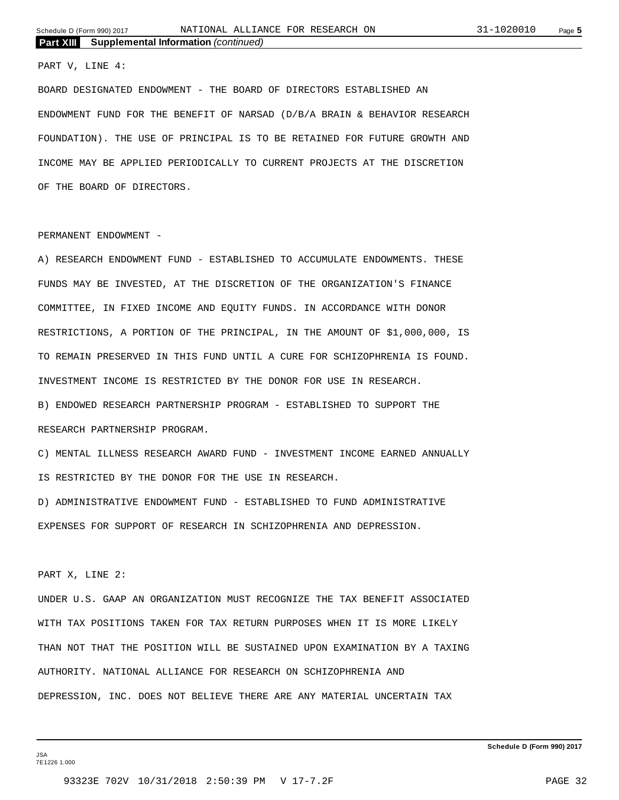#### PART V, LINE 4:

BOARD DESIGNATED ENDOWMENT - THE BOARD OF DIRECTORS ESTABLISHED AN ENDOWMENT FUND FOR THE BENEFIT OF NARSAD (D/B/A BRAIN & BEHAVIOR RESEARCH FOUNDATION). THE USE OF PRINCIPAL IS TO BE RETAINED FOR FUTURE GROWTH AND INCOME MAY BE APPLIED PERIODICALLY TO CURRENT PROJECTS AT THE DISCRETION OF THE BOARD OF DIRECTORS.

#### PERMANENT ENDOWMENT -

A) RESEARCH ENDOWMENT FUND - ESTABLISHED TO ACCUMULATE ENDOWMENTS. THESE FUNDS MAY BE INVESTED, AT THE DISCRETION OF THE ORGANIZATION'S FINANCE COMMITTEE, IN FIXED INCOME AND EQUITY FUNDS. IN ACCORDANCE WITH DONOR RESTRICTIONS, A PORTION OF THE PRINCIPAL, IN THE AMOUNT OF \$1,000,000, IS TO REMAIN PRESERVED IN THIS FUND UNTIL A CURE FOR SCHIZOPHRENIA IS FOUND. INVESTMENT INCOME IS RESTRICTED BY THE DONOR FOR USE IN RESEARCH. B) ENDOWED RESEARCH PARTNERSHIP PROGRAM - ESTABLISHED TO SUPPORT THE RESEARCH PARTNERSHIP PROGRAM.

C) MENTAL ILLNESS RESEARCH AWARD FUND - INVESTMENT INCOME EARNED ANNUALLY IS RESTRICTED BY THE DONOR FOR THE USE IN RESEARCH.

D) ADMINISTRATIVE ENDOWMENT FUND - ESTABLISHED TO FUND ADMINISTRATIVE EXPENSES FOR SUPPORT OF RESEARCH IN SCHIZOPHRENIA AND DEPRESSION.

#### PART X, LINE 2:

UNDER U.S. GAAP AN ORGANIZATION MUST RECOGNIZE THE TAX BENEFIT ASSOCIATED WITH TAX POSITIONS TAKEN FOR TAX RETURN PURPOSES WHEN IT IS MORE LIKELY THAN NOT THAT THE POSITION WILL BE SUSTAINED UPON EXAMINATION BY A TAXING AUTHORITY. NATIONAL ALLIANCE FOR RESEARCH ON SCHIZOPHRENIA AND DEPRESSION, INC. DOES NOT BELIEVE THERE ARE ANY MATERIAL UNCERTAIN TAX

JSA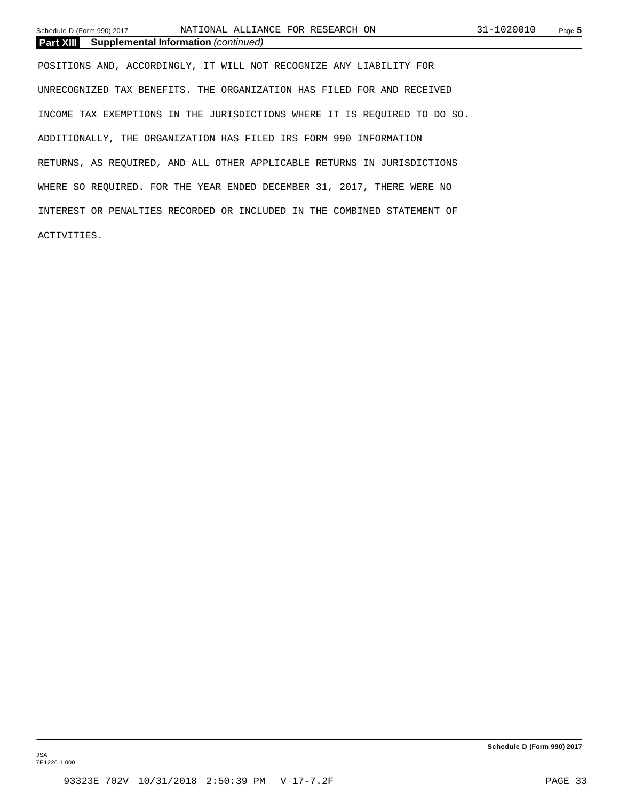Schedule D (Form 990) 2017 Page **5** NATIONAL ALLIANCE FOR RESEARCH ON 31-1020010

**Part XIII Supplemental Information** *(continued)*

POSITIONS AND, ACCORDINGLY, IT WILL NOT RECOGNIZE ANY LIABILITY FOR UNRECOGNIZED TAX BENEFITS. THE ORGANIZATION HAS FILED FOR AND RECEIVED INCOME TAX EXEMPTIONS IN THE JURISDICTIONS WHERE IT IS REQUIRED TO DO SO. ADDITIONALLY, THE ORGANIZATION HAS FILED IRS FORM 990 INFORMATION RETURNS, AS REQUIRED, AND ALL OTHER APPLICABLE RETURNS IN JURISDICTIONS WHERE SO REQUIRED. FOR THE YEAR ENDED DECEMBER 31, 2017, THERE WERE NO INTEREST OR PENALTIES RECORDED OR INCLUDED IN THE COMBINED STATEMENT OF ACTIVITIES.

JSA 7E1226 1.000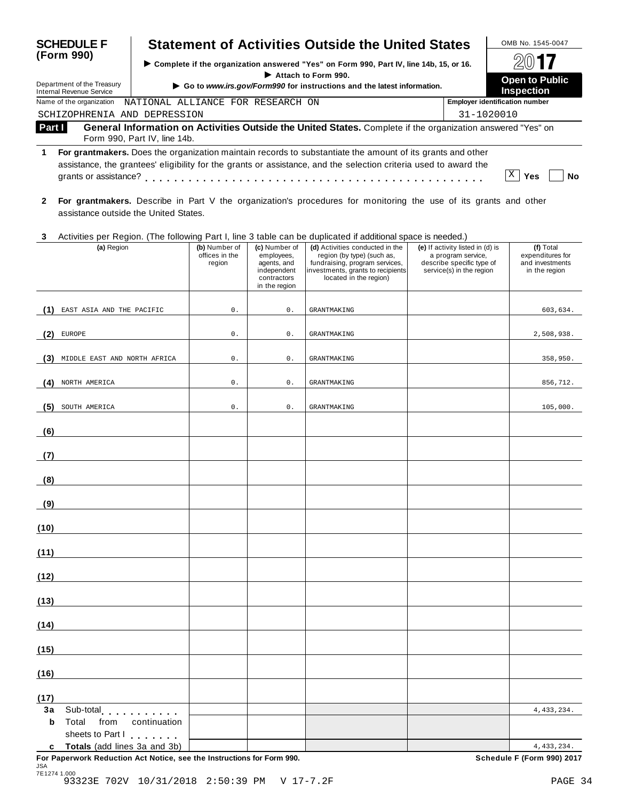| <b>SCHEDULE F</b>                                        |                                                                          |                                           |                                                                                           | <b>Statement of Activities Outside the United States</b>                                                                                                                                                                       |                                                                                                                 | OMB No. 1545-0047                                                 |
|----------------------------------------------------------|--------------------------------------------------------------------------|-------------------------------------------|-------------------------------------------------------------------------------------------|--------------------------------------------------------------------------------------------------------------------------------------------------------------------------------------------------------------------------------|-----------------------------------------------------------------------------------------------------------------|-------------------------------------------------------------------|
| (Form 990)                                               |                                                                          |                                           | Complete if the organization answered "Yes" on Form 990, Part IV, line 14b, 15, or 16.    |                                                                                                                                                                                                                                |                                                                                                                 |                                                                   |
| Department of the Treasury                               |                                                                          |                                           |                                                                                           | Attach to Form 990.                                                                                                                                                                                                            |                                                                                                                 | <b>Open to Public</b>                                             |
| <b>Internal Revenue Service</b>                          |                                                                          |                                           |                                                                                           | Go to www.irs.gov/Form990 for instructions and the latest information.                                                                                                                                                         |                                                                                                                 | Inspection                                                        |
| Name of the organization<br>SCHIZOPHRENIA AND DEPRESSION | NATIONAL ALLIANCE FOR RESEARCH ON                                        |                                           |                                                                                           |                                                                                                                                                                                                                                | 31-1020010                                                                                                      | <b>Employer identification number</b>                             |
| Part I                                                   |                                                                          |                                           |                                                                                           | General Information on Activities Outside the United States. Complete if the organization answered "Yes" on                                                                                                                    |                                                                                                                 |                                                                   |
|                                                          | Form 990, Part IV, line 14b.                                             |                                           |                                                                                           |                                                                                                                                                                                                                                |                                                                                                                 |                                                                   |
| 1                                                        |                                                                          |                                           |                                                                                           | For grantmakers. Does the organization maintain records to substantiate the amount of its grants and other<br>assistance, the grantees' eligibility for the grants or assistance, and the selection criteria used to award the |                                                                                                                 | X <br>Yes<br>No                                                   |
| $\mathbf{2}$                                             | assistance outside the United States.                                    |                                           |                                                                                           | For grantmakers. Describe in Part V the organization's procedures for monitoring the use of its grants and other                                                                                                               |                                                                                                                 |                                                                   |
| 3                                                        |                                                                          |                                           |                                                                                           | Activities per Region. (The following Part I, line 3 table can be duplicated if additional space is needed.)                                                                                                                   |                                                                                                                 |                                                                   |
| (a) Region                                               |                                                                          | (b) Number of<br>offices in the<br>region | (c) Number of<br>employees,<br>agents, and<br>independent<br>contractors<br>in the region | (d) Activities conducted in the<br>region (by type) (such as,<br>fundraising, program services,<br>investments, grants to recipients<br>located in the region)                                                                 | (e) If activity listed in (d) is<br>a program service,<br>describe specific type of<br>service(s) in the region | (f) Total<br>expenditures for<br>and investments<br>in the region |
| EAST ASIA AND THE PACIFIC<br>(1)                         |                                                                          | $0$ .                                     | 0.                                                                                        | <b>GRANTMAKING</b>                                                                                                                                                                                                             |                                                                                                                 | 603,634.                                                          |
| EUROPE<br>(2                                             |                                                                          | $0$ .                                     | 0.                                                                                        | <b>GRANTMAKING</b>                                                                                                                                                                                                             |                                                                                                                 | 2,508,938.                                                        |
| MIDDLE EAST AND NORTH AFRICA<br>(3)                      |                                                                          | $0$ .                                     | 0.                                                                                        | <b>GRANTMAKING</b>                                                                                                                                                                                                             |                                                                                                                 | 358,950.                                                          |
| NORTH AMERICA<br>(4)                                     |                                                                          | $0$ .                                     | 0.                                                                                        | <b>GRANTMAKING</b>                                                                                                                                                                                                             |                                                                                                                 | 856,712.                                                          |
| (5)<br>SOUTH AMERICA                                     |                                                                          | $0$ .                                     | 0.                                                                                        | <b>GRANTMAKING</b>                                                                                                                                                                                                             |                                                                                                                 | 105,000.                                                          |
| (6)                                                      |                                                                          |                                           |                                                                                           |                                                                                                                                                                                                                                |                                                                                                                 |                                                                   |
| (7)                                                      |                                                                          |                                           |                                                                                           |                                                                                                                                                                                                                                |                                                                                                                 |                                                                   |
| (8)                                                      |                                                                          |                                           |                                                                                           |                                                                                                                                                                                                                                |                                                                                                                 |                                                                   |
| (9)                                                      |                                                                          |                                           |                                                                                           |                                                                                                                                                                                                                                |                                                                                                                 |                                                                   |
| (10)                                                     |                                                                          |                                           |                                                                                           |                                                                                                                                                                                                                                |                                                                                                                 |                                                                   |
| (11)                                                     |                                                                          |                                           |                                                                                           |                                                                                                                                                                                                                                |                                                                                                                 |                                                                   |
| (12)                                                     |                                                                          |                                           |                                                                                           |                                                                                                                                                                                                                                |                                                                                                                 |                                                                   |
| (13)<br>(14)                                             |                                                                          |                                           |                                                                                           |                                                                                                                                                                                                                                |                                                                                                                 |                                                                   |
| (15)                                                     |                                                                          |                                           |                                                                                           |                                                                                                                                                                                                                                |                                                                                                                 |                                                                   |
| (16)                                                     |                                                                          |                                           |                                                                                           |                                                                                                                                                                                                                                |                                                                                                                 |                                                                   |
|                                                          |                                                                          |                                           |                                                                                           |                                                                                                                                                                                                                                |                                                                                                                 |                                                                   |
| (17)<br>3a<br>Sub-total<br>b<br>Total<br>from            | continuation                                                             |                                           |                                                                                           |                                                                                                                                                                                                                                |                                                                                                                 | 4, 433, 234.                                                      |
| sheets to Part I<br>c.                                   | $\mathcal{L}$ . The set of $\mathcal{L}$<br>Totals (add lines 3a and 3b) |                                           |                                                                                           |                                                                                                                                                                                                                                |                                                                                                                 | 4, 433, 234.                                                      |

**c** Totals (add lines 3a and 3b) **For Paperwork Reduction Act Notice, see the Instructions for Form 990. Schedule F (Form 990) 2017** JSA 7E1274 1.000 93323E 702V 10/31/2018 2:50:39 PM V 17-7.2F PAGE 34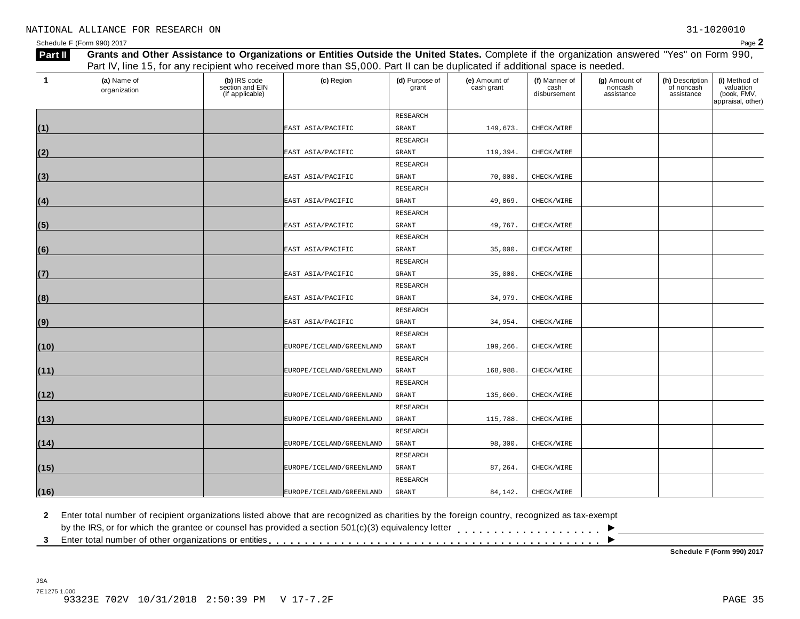| 1    | (a) Name of<br>organization | (b) IRS code<br>section and EIN<br>(if applicable) | (c) Region                   | (d) Purpose of<br>grant | (e) Amount of<br>cash grant | (f) Manner of<br>cash<br>disbursement | (g) Amount of<br>noncash<br>assistance | (h) Description<br>of noncash<br>assistance | (i) Method of<br>valuation<br>(book, FMV,<br>appraisal, other) |
|------|-----------------------------|----------------------------------------------------|------------------------------|-------------------------|-----------------------------|---------------------------------------|----------------------------------------|---------------------------------------------|----------------------------------------------------------------|
|      |                             |                                                    |                              | RESEARCH                |                             |                                       |                                        |                                             |                                                                |
| (1)  |                             |                                                    | EAST ASIA/PACIFIC            | GRANT                   | 149,673.                    | CHECK/WIRE                            |                                        |                                             |                                                                |
|      |                             |                                                    |                              | RESEARCH                |                             |                                       |                                        |                                             |                                                                |
| (2)  |                             |                                                    | EAST ASIA/PACIFIC            | GRANT                   | 119,394.                    | CHECK/WIRE                            |                                        |                                             |                                                                |
|      |                             |                                                    |                              | RESEARCH                |                             |                                       |                                        |                                             |                                                                |
| (3)  |                             |                                                    | EAST ASIA/PACIFIC            | GRANT                   | 70,000.                     | CHECK/WIRE                            |                                        |                                             |                                                                |
|      |                             |                                                    |                              | RESEARCH                |                             |                                       |                                        |                                             |                                                                |
| (4)  |                             |                                                    | EAST ASIA/PACIFIC            | <b>GRANT</b>            | 49,869.                     | CHECK/WIRE                            |                                        |                                             |                                                                |
|      |                             |                                                    |                              | RESEARCH                |                             |                                       |                                        |                                             |                                                                |
| (5)  |                             |                                                    | EAST ASIA/PACIFIC            | GRANT                   | 49,767.                     | CHECK/WIRE                            |                                        |                                             |                                                                |
|      |                             |                                                    |                              | RESEARCH                |                             |                                       |                                        |                                             |                                                                |
| (6)  |                             |                                                    | EAST ASIA/PACIFIC            | GRANT                   | 35,000.                     | CHECK/WIRE                            |                                        |                                             |                                                                |
|      |                             |                                                    |                              | RESEARCH                |                             |                                       |                                        |                                             |                                                                |
| (7)  |                             |                                                    | EAST ASIA/PACIFIC            | <b>GRANT</b>            | 35,000.                     | CHECK/WIRE                            |                                        |                                             |                                                                |
|      |                             |                                                    |                              | RESEARCH                |                             |                                       |                                        |                                             |                                                                |
| (8)  |                             |                                                    | EAST ASIA/PACIFIC            | GRANT                   | 34,979.                     | CHECK/WIRE                            |                                        |                                             |                                                                |
|      |                             |                                                    |                              | RESEARCH                |                             |                                       |                                        |                                             |                                                                |
| (9)  |                             |                                                    | EAST ASIA/PACIFIC            | GRANT                   | 34,954.                     | CHECK/WIRE                            |                                        |                                             |                                                                |
|      |                             |                                                    |                              | RESEARCH                |                             |                                       |                                        |                                             |                                                                |
| (10) |                             |                                                    | EUROPE / ICELAND / GREENLAND | GRANT                   | 199,266.                    | CHECK/WIRE                            |                                        |                                             |                                                                |
|      |                             |                                                    |                              | <b>RESEARCH</b>         |                             |                                       |                                        |                                             |                                                                |
| (11) |                             |                                                    | EUROPE / ICELAND / GREENLAND | GRANT                   | 168,988.                    | CHECK/WIRE                            |                                        |                                             |                                                                |
|      |                             |                                                    |                              | RESEARCH                |                             |                                       |                                        |                                             |                                                                |
| (12) |                             |                                                    | EUROPE/ICELAND/GREENLAND     | GRANT                   | 135,000.                    | CHECK/WIRE                            |                                        |                                             |                                                                |
|      |                             |                                                    |                              | RESEARCH                |                             |                                       |                                        |                                             |                                                                |
| (13) |                             |                                                    | EUROPE/ICELAND/GREENLAND     | <b>GRANT</b>            | 115,788.                    | CHECK/WIRE                            |                                        |                                             |                                                                |
|      |                             |                                                    |                              | RESEARCH                |                             |                                       |                                        |                                             |                                                                |
| (14) |                             |                                                    | EUROPE/ICELAND/GREENLAND     | GRANT                   | 98,300.                     | CHECK/WIRE                            |                                        |                                             |                                                                |
|      |                             |                                                    |                              | RESEARCH                |                             |                                       |                                        |                                             |                                                                |
| (15) |                             |                                                    | EUROPE / ICELAND / GREENLAND | GRANT                   | 87,264.                     | CHECK/WIRE                            |                                        |                                             |                                                                |
|      |                             |                                                    |                              | RESEARCH                |                             |                                       |                                        |                                             |                                                                |
| (16) |                             |                                                    | EUROPE / ICELAND / GREENLAND | GRANT                   | 84,142.                     | CHECK/WIRE                            |                                        |                                             |                                                                |

**2** Enter total number of recipient organizations listed above that are recognized as charities by the foreign country, recognized as tax-exempt

 $\blacksquare$ <br>by the IRS, or for which the grantee or counsel has provided a section 501(c)(3) equivalency letter<br>3 Enter total number of other organizations or entities

**Schedule F (Form 990) 2017**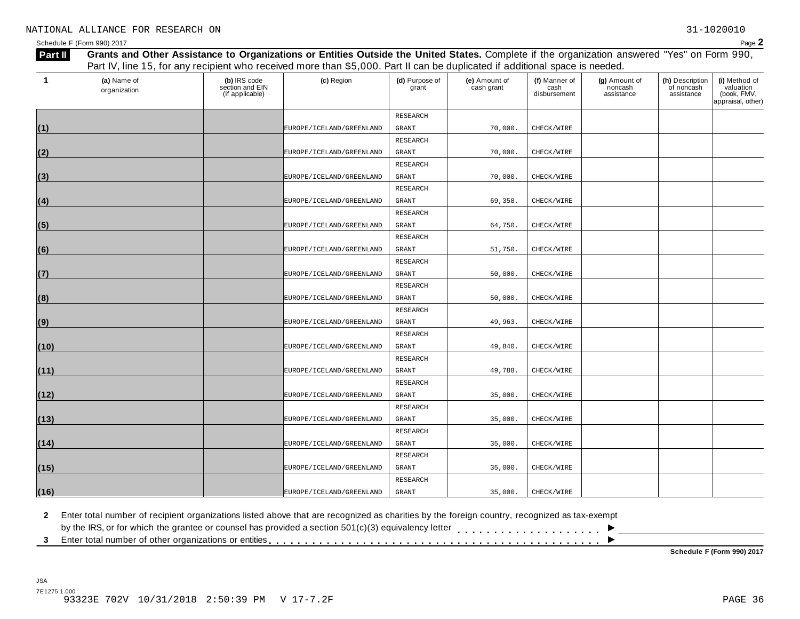| 1    | (a) Name of  | (b) IRS code                       | (c) Region                   | (d) Purpose of  | (e) Amount of | (f) Manner of        | (g) Amount of         | (h) Description          | (i) Method of                                 |
|------|--------------|------------------------------------|------------------------------|-----------------|---------------|----------------------|-----------------------|--------------------------|-----------------------------------------------|
|      | organization | section and EIN<br>(if applicable) |                              | grant           | cash grant    | cash<br>disbursement | noncash<br>assistance | of noncash<br>assistance | valuation<br>(book, FMV,<br>appraisal, other) |
|      |              |                                    |                              | <b>RESEARCH</b> |               |                      |                       |                          |                                               |
| (1)  |              |                                    | EUROPE / ICELAND / GREENLAND | GRANT           | 70,000.       | CHECK/WIRE           |                       |                          |                                               |
|      |              |                                    |                              | RESEARCH        |               |                      |                       |                          |                                               |
| (2)  |              |                                    | EUROPE / ICELAND / GREENLAND | <b>GRANT</b>    | 70,000.       | CHECK/WIRE           |                       |                          |                                               |
|      |              |                                    |                              | RESEARCH        |               |                      |                       |                          |                                               |
| (3)  |              |                                    | EUROPE / ICELAND / GREENLAND | GRANT           | 70,000.       | CHECK/WIRE           |                       |                          |                                               |
|      |              |                                    |                              | RESEARCH        |               |                      |                       |                          |                                               |
| (4)  |              |                                    | EUROPE / ICELAND / GREENLAND | GRANT           | 69,358.       | CHECK/WIRE           |                       |                          |                                               |
|      |              |                                    |                              | <b>RESEARCH</b> |               |                      |                       |                          |                                               |
| (5)  |              |                                    | EUROPE / ICELAND / GREENLAND | <b>GRANT</b>    | 64,750.       | CHECK/WIRE           |                       |                          |                                               |
|      |              |                                    |                              | RESEARCH        |               |                      |                       |                          |                                               |
| (6)  |              |                                    | EUROPE / ICELAND / GREENLAND | <b>GRANT</b>    | 51,750.       | CHECK/WIRE           |                       |                          |                                               |
|      |              |                                    |                              | RESEARCH        |               |                      |                       |                          |                                               |
| (7)  |              |                                    | EUROPE / ICELAND / GREENLAND | GRANT           | 50,000.       | CHECK/WIRE           |                       |                          |                                               |
|      |              |                                    |                              | RESEARCH        |               |                      |                       |                          |                                               |
| (8)  |              |                                    | EUROPE / ICELAND / GREENLAND | GRANT           | 50,000.       | CHECK/WIRE           |                       |                          |                                               |
|      |              |                                    |                              | RESEARCH        |               |                      |                       |                          |                                               |
| (9)  |              |                                    | EUROPE / ICELAND / GREENLAND | <b>GRANT</b>    | 49,963.       | CHECK/WIRE           |                       |                          |                                               |
|      |              |                                    |                              | RESEARCH        |               |                      |                       |                          |                                               |
| (10) |              |                                    | EUROPE/ICELAND/GREENLAND     | <b>GRANT</b>    | 49,840.       | CHECK/WIRE           |                       |                          |                                               |
|      |              |                                    |                              | RESEARCH        |               |                      |                       |                          |                                               |
| (11) |              |                                    | EUROPE / ICELAND / GREENLAND | GRANT           | 49,788.       | CHECK/WIRE           |                       |                          |                                               |
|      |              |                                    |                              | RESEARCH        |               |                      |                       |                          |                                               |
| (12) |              |                                    | EUROPE / ICELAND / GREENLAND | GRANT           | 35,000.       | CHECK/WIRE           |                       |                          |                                               |
|      |              |                                    |                              | RESEARCH        |               |                      |                       |                          |                                               |
| (13) |              |                                    | EUROPE / ICELAND / GREENLAND | GRANT           | 35,000.       | CHECK/WIRE           |                       |                          |                                               |
|      |              |                                    |                              | RESEARCH        |               |                      |                       |                          |                                               |
| (14) |              |                                    | EUROPE / ICELAND / GREENLAND | GRANT           | 35,000.       | CHECK/WIRE           |                       |                          |                                               |
|      |              |                                    |                              | RESEARCH        |               |                      |                       |                          |                                               |
| (15) |              |                                    | EUROPE / ICELAND / GREENLAND | GRANT           | 35,000.       | CHECK/WIRE           |                       |                          |                                               |
|      |              |                                    |                              | <b>RESEARCH</b> |               |                      |                       |                          |                                               |
| (16) |              |                                    | EUROPE / ICELAND / GREENLAND | GRANT           | 35,000.       | CHECK/WIRE           |                       |                          |                                               |

**2** Enter total number of recipient organizations listed above that are recognized as charities by the foreign country, recognized as tax-exempt

 $\blacksquare$ <br>by the IRS, or for which the grantee or counsel has provided a section 501(c)(3) equivalency letter<br>3 Enter total number of other organizations or entities

**Schedule F (Form 990) 2017**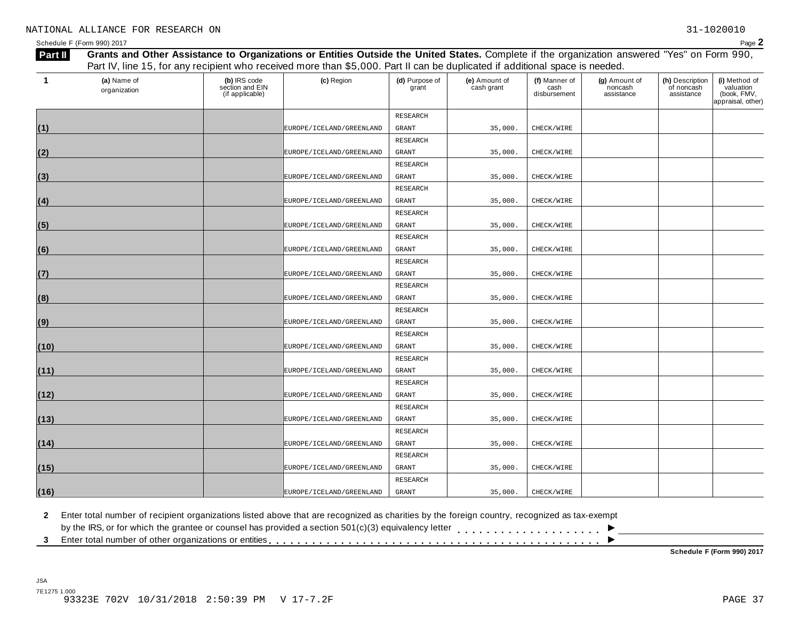|      | (a) Name of  | (b) IRS code                       | Part IV, line 15, for any recipient who received more than \$5,000. Part II can be duplicated if additional space is needed.<br>(c) Region | (d) Purpose of | (e) Amount of | (f) Manner of        | (g) Amount of         | (h) Description          | (i) Method of                                 |
|------|--------------|------------------------------------|--------------------------------------------------------------------------------------------------------------------------------------------|----------------|---------------|----------------------|-----------------------|--------------------------|-----------------------------------------------|
|      | organization | section and EIN<br>(if applicable) |                                                                                                                                            | grant          | cash grant    | cash<br>disbursement | noncash<br>assistance | of noncash<br>assistance | valuation<br>(book, FMV,<br>appraisal, other) |
|      |              |                                    |                                                                                                                                            | RESEARCH       |               |                      |                       |                          |                                               |
| (1)  |              |                                    | EUROPE/ICELAND/GREENLAND                                                                                                                   | GRANT          | 35,000.       | CHECK/WIRE           |                       |                          |                                               |
|      |              |                                    |                                                                                                                                            | RESEARCH       |               |                      |                       |                          |                                               |
| (2)  |              |                                    | EUROPE / ICELAND / GREENLAND                                                                                                               | GRANT          | 35,000.       | CHECK/WIRE           |                       |                          |                                               |
|      |              |                                    |                                                                                                                                            | RESEARCH       |               |                      |                       |                          |                                               |
| (3)  |              |                                    | EUROPE/ICELAND/GREENLAND                                                                                                                   | <b>GRANT</b>   | 35,000.       | CHECK/WIRE           |                       |                          |                                               |
|      |              |                                    |                                                                                                                                            | RESEARCH       |               |                      |                       |                          |                                               |
| (4)  |              |                                    | EUROPE/ICELAND/GREENLAND                                                                                                                   | GRANT          | 35,000.       | CHECK/WIRE           |                       |                          |                                               |
|      |              |                                    |                                                                                                                                            | RESEARCH       |               |                      |                       |                          |                                               |
| (5)  |              |                                    | EUROPE / ICELAND / GREENLAND                                                                                                               | GRANT          | 35,000.       | CHECK/WIRE           |                       |                          |                                               |
|      |              |                                    |                                                                                                                                            | RESEARCH       |               |                      |                       |                          |                                               |
| (6)  |              |                                    | EUROPE / ICELAND / GREENLAND                                                                                                               | GRANT          | 35,000.       | CHECK/WIRE           |                       |                          |                                               |
|      |              |                                    |                                                                                                                                            | RESEARCH       |               |                      |                       |                          |                                               |
| (7)  |              |                                    | EUROPE/ICELAND/GREENLAND                                                                                                                   | <b>GRANT</b>   | 35,000.       | CHECK/WIRE           |                       |                          |                                               |
|      |              |                                    |                                                                                                                                            | RESEARCH       |               |                      |                       |                          |                                               |
| (8)  |              |                                    | EUROPE / ICELAND / GREENLAND                                                                                                               | GRANT          | 35,000.       | CHECK/WIRE           |                       |                          |                                               |
|      |              |                                    |                                                                                                                                            | RESEARCH       |               |                      |                       |                          |                                               |
| (9)  |              |                                    | EUROPE / ICELAND / GREENLAND                                                                                                               | <b>GRANT</b>   | 35,000        | CHECK/WIRE           |                       |                          |                                               |
|      |              |                                    |                                                                                                                                            | RESEARCH       |               |                      |                       |                          |                                               |
| (10) |              |                                    | EUROPE / ICELAND / GREENLAND                                                                                                               | GRANT          | 35,000.       | CHECK/WIRE           |                       |                          |                                               |
|      |              |                                    |                                                                                                                                            | RESEARCH       |               |                      |                       |                          |                                               |
| (11) |              |                                    | EUROPE/ICELAND/GREENLAND                                                                                                                   | <b>GRANT</b>   | 35,000.       | CHECK/WIRE           |                       |                          |                                               |
|      |              |                                    |                                                                                                                                            | RESEARCH       |               |                      |                       |                          |                                               |
| (12) |              |                                    | EUROPE / ICELAND / GREENLAND                                                                                                               | GRANT          | 35,000.       | CHECK/WIRE           |                       |                          |                                               |
|      |              |                                    |                                                                                                                                            | RESEARCH       |               |                      |                       |                          |                                               |
| (13) |              |                                    | EUROPE/ICELAND/GREENLAND                                                                                                                   | GRANT          | 35,000.       | CHECK/WIRE           |                       |                          |                                               |
|      |              |                                    |                                                                                                                                            | RESEARCH       |               |                      |                       |                          |                                               |
| (14) |              |                                    | EUROPE / ICELAND / GREENLAND                                                                                                               | GRANT          | 35,000.       | CHECK/WIRE           |                       |                          |                                               |
|      |              |                                    |                                                                                                                                            | RESEARCH       |               |                      |                       |                          |                                               |
| (15) |              |                                    | EUROPE/ICELAND/GREENLAND                                                                                                                   | <b>GRANT</b>   | 35,000.       | CHECK/WIRE           |                       |                          |                                               |
|      |              |                                    |                                                                                                                                            | RESEARCH       |               |                      |                       |                          |                                               |
| (16) |              |                                    | EUROPE / ICELAND / GREENLAND                                                                                                               | GRANT          | 35,000.       | CHECK/WIRE           |                       |                          |                                               |
|      |              |                                    |                                                                                                                                            |                |               |                      |                       |                          |                                               |

**2** Enter total number of recipient organizations listed above that are recognized as charities by the foreign country, recognized as tax-exempt

 $\blacksquare$ <br>by the IRS, or for which the grantee or counsel has provided a section 501(c)(3) equivalency letter<br>3 Enter total number of other organizations or entities

**Schedule F (Form 990) 2017**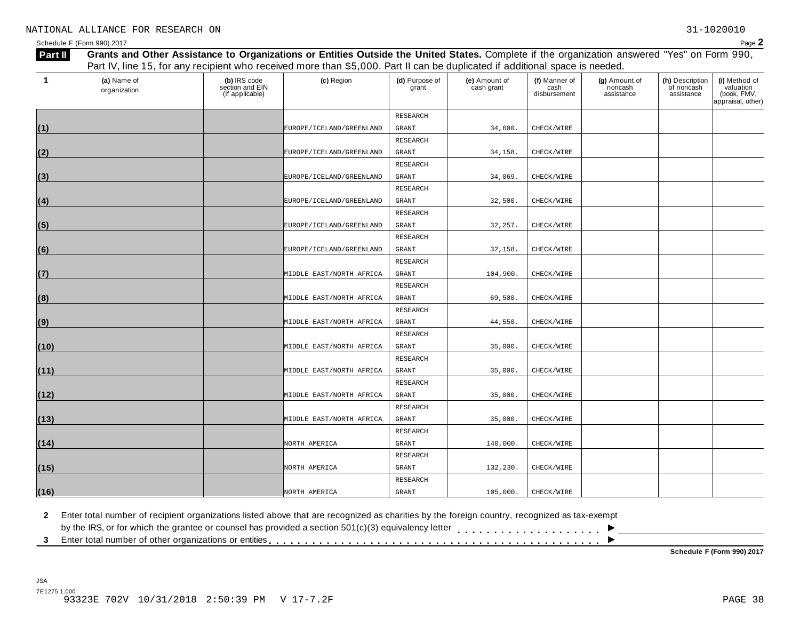| $\mathbf 1$ | (a) Name of<br>organization | (b) IRS code<br>section and EIN<br>(if applicable) | (c) Region               | (d) Purpose of<br>grant | (e) Amount of<br>cash grant | (f) Manner of<br>cash<br>disbursement | (g) Amount of<br>noncash<br>assistance | (h) Description<br>of noncash<br>assistance | (i) Method of<br>valuation<br>(book, FMV,<br>appraisal, other) |
|-------------|-----------------------------|----------------------------------------------------|--------------------------|-------------------------|-----------------------------|---------------------------------------|----------------------------------------|---------------------------------------------|----------------------------------------------------------------|
|             |                             |                                                    |                          | RESEARCH                |                             |                                       |                                        |                                             |                                                                |
| (1)         |                             |                                                    | EUROPE/ICELAND/GREENLAND | GRANT                   | 34,600.                     | CHECK/WIRE                            |                                        |                                             |                                                                |
|             |                             |                                                    |                          | RESEARCH                |                             |                                       |                                        |                                             |                                                                |
| (2)         |                             |                                                    | EUROPE/ICELAND/GREENLAND | <b>GRANT</b>            | 34,158.                     | CHECK/WIRE                            |                                        |                                             |                                                                |
|             |                             |                                                    |                          | RESEARCH                |                             |                                       |                                        |                                             |                                                                |
| (3)         |                             |                                                    | EUROPE/ICELAND/GREENLAND | <b>GRANT</b>            | 34,069.                     | CHECK/WIRE                            |                                        |                                             |                                                                |
|             |                             |                                                    |                          | RESEARCH                |                             |                                       |                                        |                                             |                                                                |
| (4)         |                             |                                                    | EUROPE/ICELAND/GREENLAND | <b>GRANT</b>            | 32,500.                     | CHECK/WIRE                            |                                        |                                             |                                                                |
|             |                             |                                                    |                          | RESEARCH                |                             |                                       |                                        |                                             |                                                                |
| (5)         |                             |                                                    | EUROPE/ICELAND/GREENLAND | <b>GRANT</b>            | 32,257.                     | CHECK/WIRE                            |                                        |                                             |                                                                |
|             |                             |                                                    |                          | RESEARCH                |                             |                                       |                                        |                                             |                                                                |
| (6)         |                             |                                                    | EUROPE/ICELAND/GREENLAND | <b>GRANT</b>            | 32,158.                     | CHECK/WIRE                            |                                        |                                             |                                                                |
|             |                             |                                                    |                          | RESEARCH                |                             |                                       |                                        |                                             |                                                                |
| (7)         |                             |                                                    | MIDDLE EAST/NORTH AFRICA | <b>GRANT</b>            | 104,900.                    | CHECK/WIRE                            |                                        |                                             |                                                                |
|             |                             |                                                    |                          | RESEARCH                |                             |                                       |                                        |                                             |                                                                |
| (8)         |                             |                                                    | MIDDLE EAST/NORTH AFRICA | <b>GRANT</b>            | 69,500.                     | CHECK/WIRE                            |                                        |                                             |                                                                |
|             |                             |                                                    |                          | RESEARCH                |                             |                                       |                                        |                                             |                                                                |
| (9)         |                             |                                                    | MIDDLE EAST/NORTH AFRICA | <b>GRANT</b>            | 44,550.                     | CHECK/WIRE                            |                                        |                                             |                                                                |
|             |                             |                                                    |                          | RESEARCH                |                             |                                       |                                        |                                             |                                                                |
| (10)        |                             |                                                    | MIDDLE EAST/NORTH AFRICA | <b>GRANT</b>            | 35,000.                     | CHECK/WIRE                            |                                        |                                             |                                                                |
|             |                             |                                                    |                          | RESEARCH                |                             |                                       |                                        |                                             |                                                                |
| (11)        |                             |                                                    | MIDDLE EAST/NORTH AFRICA | <b>GRANT</b>            | 35,000.                     | CHECK/WIRE                            |                                        |                                             |                                                                |
|             |                             |                                                    |                          | RESEARCH                |                             |                                       |                                        |                                             |                                                                |
| (12)        |                             |                                                    | MIDDLE EAST/NORTH AFRICA | GRANT                   | 35,000.                     | CHECK/WIRE                            |                                        |                                             |                                                                |
|             |                             |                                                    |                          | RESEARCH                |                             |                                       |                                        |                                             |                                                                |
| (13)        |                             |                                                    | MIDDLE EAST/NORTH AFRICA | GRANT                   | 35,000.                     | CHECK/WIRE                            |                                        |                                             |                                                                |
|             |                             |                                                    |                          | RESEARCH                |                             |                                       |                                        |                                             |                                                                |
| (14)        |                             |                                                    | NORTH AMERICA            | GRANT                   | 140,000.                    | CHECK/WIRE                            |                                        |                                             |                                                                |
|             |                             |                                                    |                          | RESEARCH                |                             |                                       |                                        |                                             |                                                                |
| (15)        |                             |                                                    | NORTH AMERICA            | GRANT                   | 132,230.                    | CHECK/WIRE                            |                                        |                                             |                                                                |
|             |                             |                                                    |                          | RESEARCH                |                             |                                       |                                        |                                             |                                                                |
| (16)        |                             |                                                    | NORTH AMERICA            | <b>GRANT</b>            | 105,000.                    | CHECK/WIRE                            |                                        |                                             |                                                                |
|             |                             |                                                    |                          |                         |                             |                                       |                                        |                                             |                                                                |

**2** Enter total number of recipient organizations listed above that are recognized as charities by the foreign country, recognized as tax-exempt

 $\blacksquare$ <br>by the IRS, or for which the grantee or counsel has provided a section 501(c)(3) equivalency letter<br>3 Enter total number of other organizations or entities

**Schedule F (Form 990) 2017**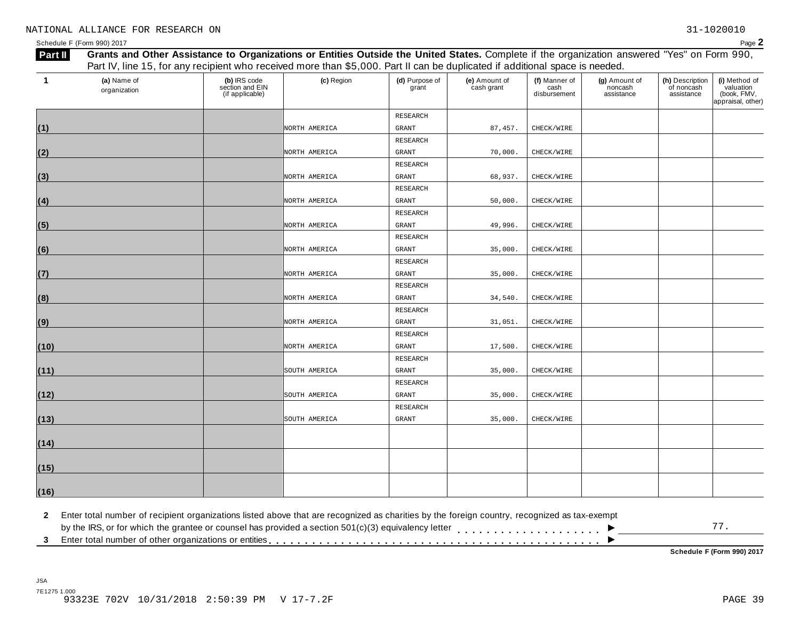| $\mathbf{1}$ | (a) Name of<br>organization | (b) IRS code<br>section and EIN<br>(if applicable) | (c) Region    | (d) Purpose of<br>grant | (e) Amount of<br>cash grant | (f) Manner of<br>cash<br>disbursement | (g) Amount of<br>noncash<br>assistance | (h) Description<br>of noncash<br>assistance | (i) Method of<br>valuation<br>(book, FMV,<br>appraisal, other) |
|--------------|-----------------------------|----------------------------------------------------|---------------|-------------------------|-----------------------------|---------------------------------------|----------------------------------------|---------------------------------------------|----------------------------------------------------------------|
|              |                             |                                                    |               | RESEARCH                |                             |                                       |                                        |                                             |                                                                |
| (1)          |                             |                                                    | NORTH AMERICA | <b>GRANT</b>            | 87, 457.                    | CHECK/WIRE                            |                                        |                                             |                                                                |
|              |                             |                                                    |               | RESEARCH                |                             |                                       |                                        |                                             |                                                                |
| (2)          |                             |                                                    | NORTH AMERICA | GRANT                   | 70,000.                     | CHECK/WIRE                            |                                        |                                             |                                                                |
|              |                             |                                                    |               | RESEARCH                |                             |                                       |                                        |                                             |                                                                |
| (3)          |                             |                                                    | NORTH AMERICA | GRANT                   | 68,937.                     | CHECK/WIRE                            |                                        |                                             |                                                                |
|              |                             |                                                    |               | RESEARCH                |                             |                                       |                                        |                                             |                                                                |
| (4)          |                             |                                                    | NORTH AMERICA | <b>GRANT</b>            | 50,000.                     | CHECK/WIRE                            |                                        |                                             |                                                                |
|              |                             |                                                    |               | RESEARCH                |                             |                                       |                                        |                                             |                                                                |
| (5)          |                             |                                                    | NORTH AMERICA | GRANT                   | 49,996.                     | CHECK/WIRE                            |                                        |                                             |                                                                |
|              |                             |                                                    |               | RESEARCH                |                             |                                       |                                        |                                             |                                                                |
| (6)          |                             |                                                    | NORTH AMERICA | <b>GRANT</b>            | 35,000.                     | CHECK/WIRE                            |                                        |                                             |                                                                |
|              |                             |                                                    |               | RESEARCH                |                             |                                       |                                        |                                             |                                                                |
| (7)          |                             |                                                    | NORTH AMERICA | GRANT                   | 35,000.                     | CHECK/WIRE                            |                                        |                                             |                                                                |
|              |                             |                                                    |               | RESEARCH                |                             |                                       |                                        |                                             |                                                                |
| (8)          |                             |                                                    | NORTH AMERICA | GRANT                   | 34,540.                     | CHECK/WIRE                            |                                        |                                             |                                                                |
|              |                             |                                                    |               | RESEARCH                |                             |                                       |                                        |                                             |                                                                |
| (9)          |                             |                                                    | NORTH AMERICA | <b>GRANT</b>            | 31,051.                     | CHECK/WIRE                            |                                        |                                             |                                                                |
|              |                             |                                                    |               | RESEARCH                |                             |                                       |                                        |                                             |                                                                |
| (10)         |                             |                                                    | NORTH AMERICA | GRANT                   | 17,500.                     | CHECK/WIRE                            |                                        |                                             |                                                                |
|              |                             |                                                    |               | RESEARCH                |                             |                                       |                                        |                                             |                                                                |
| (11)         |                             |                                                    | SOUTH AMERICA | GRANT                   | 35,000.                     | CHECK/WIRE                            |                                        |                                             |                                                                |
|              |                             |                                                    |               | RESEARCH                |                             |                                       |                                        |                                             |                                                                |
| (12)         |                             |                                                    | SOUTH AMERICA | GRANT                   | 35,000.                     | CHECK/WIRE                            |                                        |                                             |                                                                |
|              |                             |                                                    |               | RESEARCH                |                             |                                       |                                        |                                             |                                                                |
| (13)         |                             |                                                    | SOUTH AMERICA | GRANT                   | 35,000.                     | CHECK/WIRE                            |                                        |                                             |                                                                |
|              |                             |                                                    |               |                         |                             |                                       |                                        |                                             |                                                                |
| (14)         |                             |                                                    |               |                         |                             |                                       |                                        |                                             |                                                                |
| (15)         |                             |                                                    |               |                         |                             |                                       |                                        |                                             |                                                                |
| (16)         |                             |                                                    |               |                         |                             |                                       |                                        |                                             |                                                                |

**2** Enter total number of recipient organizations listed above that are recognized as charities by the foreign country, recognized as tax-exempt

 $\blacksquare$ <br>by the IRS, or for which the grantee or counsel has provided a section 501(c)(3) equivalency letter<br>3 Enter total number of other organizations or entities  $\overline{\phantom{a}}$ 77.

**Schedule F (Form 990) 2017**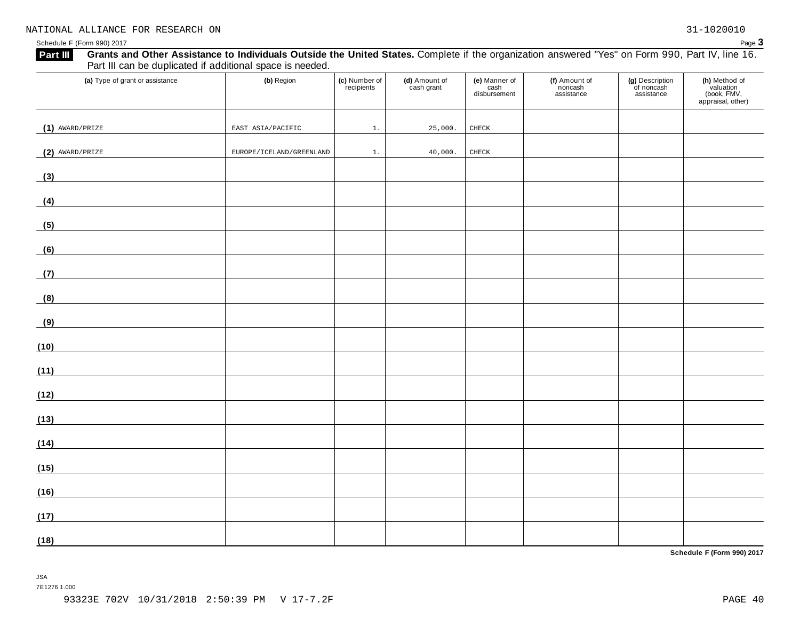| (a) Type of grant or assistance                                                                                              | (b) Region               | (c) Number of<br>recipients | (d) Amount of<br>cash grant | (e) Manner of<br>cash<br>disbursement | (f) Amount of<br>noncash<br>assistance | (g) Description<br>of noncash<br>assistance | (h) Method of<br>valuation<br>(book, FMV,<br>appraisal, other) |
|------------------------------------------------------------------------------------------------------------------------------|--------------------------|-----------------------------|-----------------------------|---------------------------------------|----------------------------------------|---------------------------------------------|----------------------------------------------------------------|
| $(1)$ AWARD/PRIZE                                                                                                            | EAST ASIA/PACIFIC        | 1.                          | 25,000.                     | CHECK                                 |                                        |                                             |                                                                |
| $(2)$ AWARD/PRIZE                                                                                                            | EUROPE/ICELAND/GREENLAND | $1$ .                       | 40,000.                     | CHECK                                 |                                        |                                             |                                                                |
| (3)                                                                                                                          |                          |                             |                             |                                       |                                        |                                             |                                                                |
| (4)                                                                                                                          |                          |                             |                             |                                       |                                        |                                             |                                                                |
| (5)<br><u> 1980 - Jan Samuel Barbara, politik a</u>                                                                          |                          |                             |                             |                                       |                                        |                                             |                                                                |
|                                                                                                                              |                          |                             |                             |                                       |                                        |                                             |                                                                |
| (6)                                                                                                                          |                          |                             |                             |                                       |                                        |                                             |                                                                |
| (7)                                                                                                                          |                          |                             |                             |                                       |                                        |                                             |                                                                |
| (8)                                                                                                                          |                          |                             |                             |                                       |                                        |                                             |                                                                |
| (9)                                                                                                                          |                          |                             |                             |                                       |                                        |                                             |                                                                |
| (10)<br><u> 1980 - Johann Barn, mars ann an t-</u>                                                                           |                          |                             |                             |                                       |                                        |                                             |                                                                |
| (11)<br><u> 1989 - Jan Stein Stein Stein Stein Stein Stein Stein Stein Stein Stein Stein Stein Stein Stein Stein Stein S</u> |                          |                             |                             |                                       |                                        |                                             |                                                                |
| (12)                                                                                                                         |                          |                             |                             |                                       |                                        |                                             |                                                                |
| (13)                                                                                                                         |                          |                             |                             |                                       |                                        |                                             |                                                                |
| (14)                                                                                                                         |                          |                             |                             |                                       |                                        |                                             |                                                                |
| (15)                                                                                                                         |                          |                             |                             |                                       |                                        |                                             |                                                                |
| (16)                                                                                                                         |                          |                             |                             |                                       |                                        |                                             |                                                                |
| (17)                                                                                                                         |                          |                             |                             |                                       |                                        |                                             |                                                                |
| (18)                                                                                                                         |                          |                             |                             |                                       |                                        |                                             |                                                                |

**Schedule F (Form 990) 2017**

JSA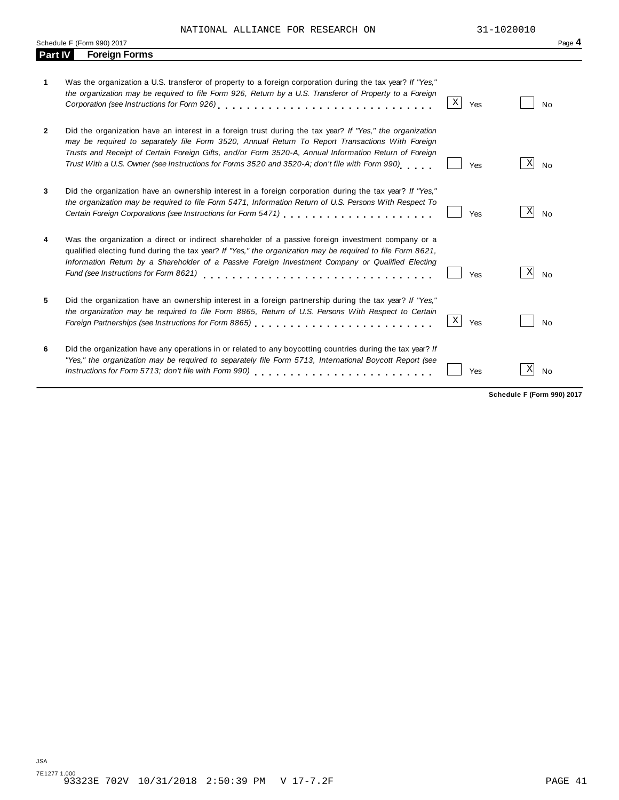NATIONAL ALLIANCE FOR RESEARCH ON 31-1020010

|                | Schedule F (Form 990) 2017                                                                                                                                                                                                                                                                                                                                                                                             |             |     |   | Page 4    |
|----------------|------------------------------------------------------------------------------------------------------------------------------------------------------------------------------------------------------------------------------------------------------------------------------------------------------------------------------------------------------------------------------------------------------------------------|-------------|-----|---|-----------|
| <b>Part IV</b> | <b>Foreign Forms</b>                                                                                                                                                                                                                                                                                                                                                                                                   |             |     |   |           |
| 1.             | Was the organization a U.S. transferor of property to a foreign corporation during the tax year? If "Yes,"<br>the organization may be required to file Form 926, Return by a U.S. Transferor of Property to a Foreign                                                                                                                                                                                                  | Χ           | Yes |   | No        |
| 2              | Did the organization have an interest in a foreign trust during the tax year? If "Yes," the organization<br>may be required to separately file Form 3520, Annual Return To Report Transactions With Foreign<br>Trusts and Receipt of Certain Foreign Gifts, and/or Form 3520-A, Annual Information Return of Foreign<br>Trust With a U.S. Owner (see Instructions for Forms 3520 and 3520-A; don't file with Form 990) |             | Yes | X | <b>No</b> |
| 3              | Did the organization have an ownership interest in a foreign corporation during the tax year? If "Yes,"<br>the organization may be required to file Form 5471, Information Return of U.S. Persons With Respect To<br>Certain Foreign Corporations (see Instructions for Form 5471) [10] [2010] [2010 [2010] [2010] [2010 [2010] [20                                                                                    |             | Yes | X | <b>No</b> |
| 4              | Was the organization a direct or indirect shareholder of a passive foreign investment company or a<br>qualified electing fund during the tax year? If "Yes," the organization may be required to file Form 8621,<br>Information Return by a Shareholder of a Passive Foreign Investment Company or Qualified Electing<br>Fund (see Instructions for Form 8621)                                                         |             | Yes | X | <b>No</b> |
| 5              | Did the organization have an ownership interest in a foreign partnership during the tax year? If "Yes,"<br>the organization may be required to file Form 8865, Return of U.S. Persons With Respect to Certain                                                                                                                                                                                                          | $\mathbf X$ | Yes |   | No        |
| 6              | Did the organization have any operations in or related to any boycotting countries during the tax year? If<br>"Yes," the organization may be required to separately file Form 5713, International Boycott Report (see<br>Instructions for Form 5713; don't file with Form 990)                                                                                                                                         |             | Yes | Χ | <b>No</b> |

**Schedule F (Form 990) 2017**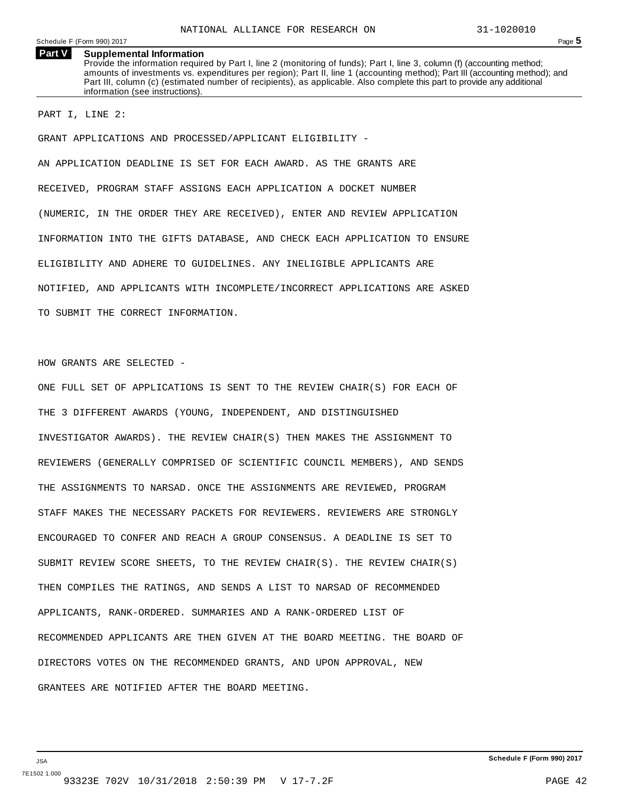**Part V Supplemental Information** Provide the information required by Part I, line 2 (monitoring of funds); Part I, line 3, column (f) (accounting method; amounts of investments vs. expenditures per region); Part II, line 1 (accounting method); Part III (accounting method); and Part III, column (c) (estimated number of recipients), as applicable. Also complete this part to provide any additional information (see instructions).

PART I, LINE 2:

GRANT APPLICATIONS AND PROCESSED/APPLICANT ELIGIBILITY -

AN APPLICATION DEADLINE IS SET FOR EACH AWARD. AS THE GRANTS ARE RECEIVED, PROGRAM STAFF ASSIGNS EACH APPLICATION A DOCKET NUMBER (NUMERIC, IN THE ORDER THEY ARE RECEIVED), ENTER AND REVIEW APPLICATION INFORMATION INTO THE GIFTS DATABASE, AND CHECK EACH APPLICATION TO ENSURE ELIGIBILITY AND ADHERE TO GUIDELINES. ANY INELIGIBLE APPLICANTS ARE NOTIFIED, AND APPLICANTS WITH INCOMPLETE/INCORRECT APPLICATIONS ARE ASKED TO SUBMIT THE CORRECT INFORMATION.

HOW GRANTS ARE SELECTED -

ONE FULL SET OF APPLICATIONS IS SENT TO THE REVIEW CHAIR(S) FOR EACH OF THE 3 DIFFERENT AWARDS (YOUNG, INDEPENDENT, AND DISTINGUISHED INVESTIGATOR AWARDS). THE REVIEW CHAIR(S) THEN MAKES THE ASSIGNMENT TO REVIEWERS (GENERALLY COMPRISED OF SCIENTIFIC COUNCIL MEMBERS), AND SENDS THE ASSIGNMENTS TO NARSAD. ONCE THE ASSIGNMENTS ARE REVIEWED, PROGRAM STAFF MAKES THE NECESSARY PACKETS FOR REVIEWERS. REVIEWERS ARE STRONGLY ENCOURAGED TO CONFER AND REACH A GROUP CONSENSUS. A DEADLINE IS SET TO SUBMIT REVIEW SCORE SHEETS, TO THE REVIEW CHAIR(S). THE REVIEW CHAIR(S) THEN COMPILES THE RATINGS, AND SENDS A LIST TO NARSAD OF RECOMMENDED APPLICANTS, RANK-ORDERED. SUMMARIES AND A RANK-ORDERED LIST OF RECOMMENDED APPLICANTS ARE THEN GIVEN AT THE BOARD MEETING. THE BOARD OF DIRECTORS VOTES ON THE RECOMMENDED GRANTS, AND UPON APPROVAL, NEW GRANTEES ARE NOTIFIED AFTER THE BOARD MEETING.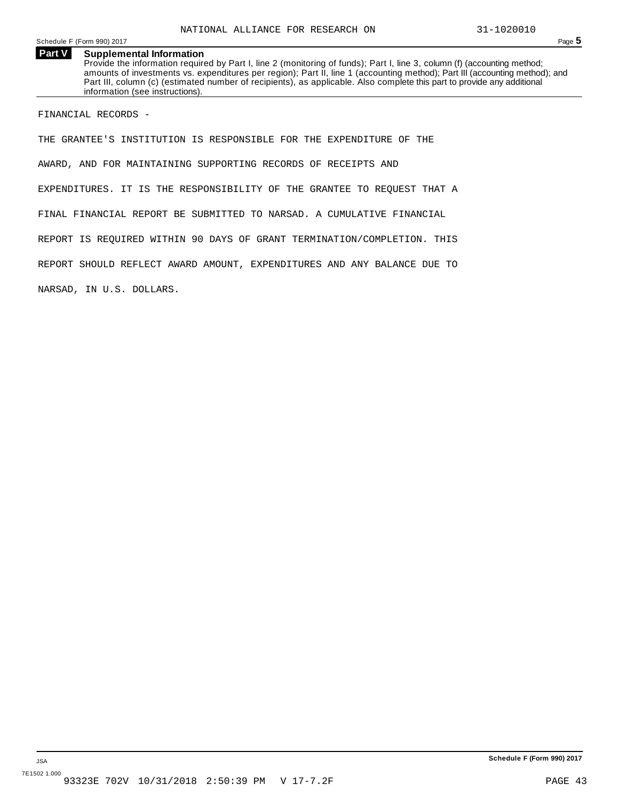#### **Part V Supplemental Information**

Provide the information required by Part I, line 2 (monitoring of funds); Part I, line 3, column (f) (accounting method; amounts of investments vs. expenditures per region); Part II, line 1 (accounting method); Part III (accounting method); and Part III, column (c) (estimated number of recipients), as applicable. Also complete this part to provide any additional information (see instructions).

FINANCIAL RECORDS -

THE GRANTEE'S INSTITUTION IS RESPONSIBLE FOR THE EXPENDITURE OF THE AWARD, AND FOR MAINTAINING SUPPORTING RECORDS OF RECEIPTS AND EXPENDITURES. IT IS THE RESPONSIBILITY OF THE GRANTEE TO REQUEST THAT A FINAL FINANCIAL REPORT BE SUBMITTED TO NARSAD. A CUMULATIVE FINANCIAL REPORT IS REQUIRED WITHIN 90 DAYS OF GRANT TERMINATION/COMPLETION. THIS REPORT SHOULD REFLECT AWARD AMOUNT, EXPENDITURES AND ANY BALANCE DUE TO NARSAD, IN U.S. DOLLARS.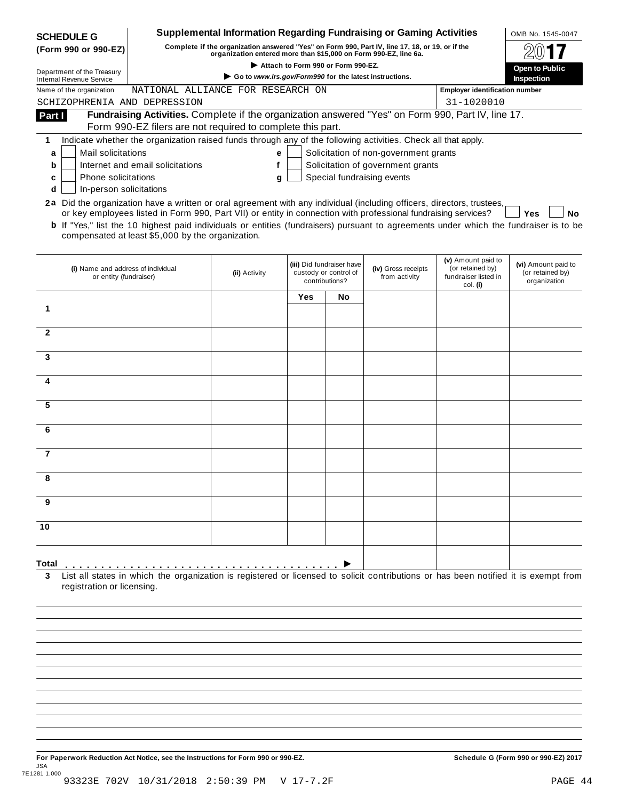| <b>SCHEDULE G</b>                                             |                                                                                                                                                                                                                                                                                                                                                                                                                                               | <b>Supplemental Information Regarding Fundraising or Gaming Activities</b>                                                                                          |                                                                      |     |                                       |                                                                            | OMB No. 1545-0047                                       |
|---------------------------------------------------------------|-----------------------------------------------------------------------------------------------------------------------------------------------------------------------------------------------------------------------------------------------------------------------------------------------------------------------------------------------------------------------------------------------------------------------------------------------|---------------------------------------------------------------------------------------------------------------------------------------------------------------------|----------------------------------------------------------------------|-----|---------------------------------------|----------------------------------------------------------------------------|---------------------------------------------------------|
| (Form 990 or 990-EZ)                                          |                                                                                                                                                                                                                                                                                                                                                                                                                                               | Complete if the organization answered "Yes" on Form 990, Part IV, line 17, 18, or 19, or if the<br>organization entered more than \$15,000 on Form 990-EZ, line 6a. |                                                                      |     |                                       |                                                                            |                                                         |
|                                                               |                                                                                                                                                                                                                                                                                                                                                                                                                                               |                                                                                                                                                                     | Attach to Form 990 or Form 990-EZ.                                   |     |                                       |                                                                            | Open to Public                                          |
| Department of the Treasury<br><b>Internal Revenue Service</b> |                                                                                                                                                                                                                                                                                                                                                                                                                                               | Go to www.irs.gov/Form990 for the latest instructions.                                                                                                              |                                                                      |     |                                       |                                                                            | <b>Inspection</b>                                       |
| Name of the organization                                      | NATIONAL ALLIANCE FOR RESEARCH ON                                                                                                                                                                                                                                                                                                                                                                                                             |                                                                                                                                                                     |                                                                      |     |                                       | <b>Employer identification number</b>                                      |                                                         |
| SCHIZOPHRENIA AND DEPRESSION                                  |                                                                                                                                                                                                                                                                                                                                                                                                                                               |                                                                                                                                                                     |                                                                      |     |                                       | 31-1020010                                                                 |                                                         |
| Part I                                                        | Fundraising Activities. Complete if the organization answered "Yes" on Form 990, Part IV, line 17.                                                                                                                                                                                                                                                                                                                                            |                                                                                                                                                                     |                                                                      |     |                                       |                                                                            |                                                         |
|                                                               | Form 990-EZ filers are not required to complete this part.                                                                                                                                                                                                                                                                                                                                                                                    |                                                                                                                                                                     |                                                                      |     |                                       |                                                                            |                                                         |
| 1                                                             | Indicate whether the organization raised funds through any of the following activities. Check all that apply.                                                                                                                                                                                                                                                                                                                                 |                                                                                                                                                                     |                                                                      |     |                                       |                                                                            |                                                         |
| Mail solicitations<br>a                                       |                                                                                                                                                                                                                                                                                                                                                                                                                                               | е                                                                                                                                                                   |                                                                      |     | Solicitation of non-government grants |                                                                            |                                                         |
| b                                                             | Internet and email solicitations                                                                                                                                                                                                                                                                                                                                                                                                              | f                                                                                                                                                                   |                                                                      |     | Solicitation of government grants     |                                                                            |                                                         |
| Phone solicitations<br>c                                      |                                                                                                                                                                                                                                                                                                                                                                                                                                               | g                                                                                                                                                                   |                                                                      |     | Special fundraising events            |                                                                            |                                                         |
| In-person solicitations<br>d                                  |                                                                                                                                                                                                                                                                                                                                                                                                                                               |                                                                                                                                                                     |                                                                      |     |                                       |                                                                            |                                                         |
|                                                               | 2a Did the organization have a written or oral agreement with any individual (including officers, directors, trustees,<br>or key employees listed in Form 990, Part VII) or entity in connection with professional fundraising services?<br><b>b</b> If "Yes," list the 10 highest paid individuals or entities (fundraisers) pursuant to agreements under which the fundraiser is to be<br>compensated at least \$5,000 by the organization. |                                                                                                                                                                     |                                                                      |     |                                       |                                                                            | <b>Yes</b><br>No                                        |
| (i) Name and address of individual<br>or entity (fundraiser)  |                                                                                                                                                                                                                                                                                                                                                                                                                                               | (ii) Activity                                                                                                                                                       | (iii) Did fundraiser have<br>custody or control of<br>contributions? |     | (iv) Gross receipts<br>from activity  | (v) Amount paid to<br>(or retained by)<br>fundraiser listed in<br>col. (i) | (vi) Amount paid to<br>(or retained by)<br>organization |
|                                                               |                                                                                                                                                                                                                                                                                                                                                                                                                                               |                                                                                                                                                                     | Yes                                                                  | No. |                                       |                                                                            |                                                         |
| 1                                                             |                                                                                                                                                                                                                                                                                                                                                                                                                                               |                                                                                                                                                                     |                                                                      |     |                                       |                                                                            |                                                         |
|                                                               |                                                                                                                                                                                                                                                                                                                                                                                                                                               |                                                                                                                                                                     |                                                                      |     |                                       |                                                                            |                                                         |
| $\mathbf{2}$                                                  |                                                                                                                                                                                                                                                                                                                                                                                                                                               |                                                                                                                                                                     |                                                                      |     |                                       |                                                                            |                                                         |
|                                                               |                                                                                                                                                                                                                                                                                                                                                                                                                                               |                                                                                                                                                                     |                                                                      |     |                                       |                                                                            |                                                         |
| 3                                                             |                                                                                                                                                                                                                                                                                                                                                                                                                                               |                                                                                                                                                                     |                                                                      |     |                                       |                                                                            |                                                         |
|                                                               |                                                                                                                                                                                                                                                                                                                                                                                                                                               |                                                                                                                                                                     |                                                                      |     |                                       |                                                                            |                                                         |
|                                                               |                                                                                                                                                                                                                                                                                                                                                                                                                                               |                                                                                                                                                                     |                                                                      |     |                                       |                                                                            |                                                         |
|                                                               |                                                                                                                                                                                                                                                                                                                                                                                                                                               |                                                                                                                                                                     |                                                                      |     |                                       |                                                                            |                                                         |
| 5                                                             |                                                                                                                                                                                                                                                                                                                                                                                                                                               |                                                                                                                                                                     |                                                                      |     |                                       |                                                                            |                                                         |
|                                                               |                                                                                                                                                                                                                                                                                                                                                                                                                                               |                                                                                                                                                                     |                                                                      |     |                                       |                                                                            |                                                         |
| 6                                                             |                                                                                                                                                                                                                                                                                                                                                                                                                                               |                                                                                                                                                                     |                                                                      |     |                                       |                                                                            |                                                         |
|                                                               |                                                                                                                                                                                                                                                                                                                                                                                                                                               |                                                                                                                                                                     |                                                                      |     |                                       |                                                                            |                                                         |
| 7                                                             |                                                                                                                                                                                                                                                                                                                                                                                                                                               |                                                                                                                                                                     |                                                                      |     |                                       |                                                                            |                                                         |
|                                                               |                                                                                                                                                                                                                                                                                                                                                                                                                                               |                                                                                                                                                                     |                                                                      |     |                                       |                                                                            |                                                         |
| 8                                                             |                                                                                                                                                                                                                                                                                                                                                                                                                                               |                                                                                                                                                                     |                                                                      |     |                                       |                                                                            |                                                         |
|                                                               |                                                                                                                                                                                                                                                                                                                                                                                                                                               |                                                                                                                                                                     |                                                                      |     |                                       |                                                                            |                                                         |
| 9                                                             |                                                                                                                                                                                                                                                                                                                                                                                                                                               |                                                                                                                                                                     |                                                                      |     |                                       |                                                                            |                                                         |
|                                                               |                                                                                                                                                                                                                                                                                                                                                                                                                                               |                                                                                                                                                                     |                                                                      |     |                                       |                                                                            |                                                         |
|                                                               |                                                                                                                                                                                                                                                                                                                                                                                                                                               |                                                                                                                                                                     |                                                                      |     |                                       |                                                                            |                                                         |
|                                                               |                                                                                                                                                                                                                                                                                                                                                                                                                                               |                                                                                                                                                                     |                                                                      |     |                                       |                                                                            |                                                         |
| 10                                                            |                                                                                                                                                                                                                                                                                                                                                                                                                                               |                                                                                                                                                                     |                                                                      |     |                                       |                                                                            |                                                         |
| Total                                                         |                                                                                                                                                                                                                                                                                                                                                                                                                                               |                                                                                                                                                                     |                                                                      |     |                                       |                                                                            |                                                         |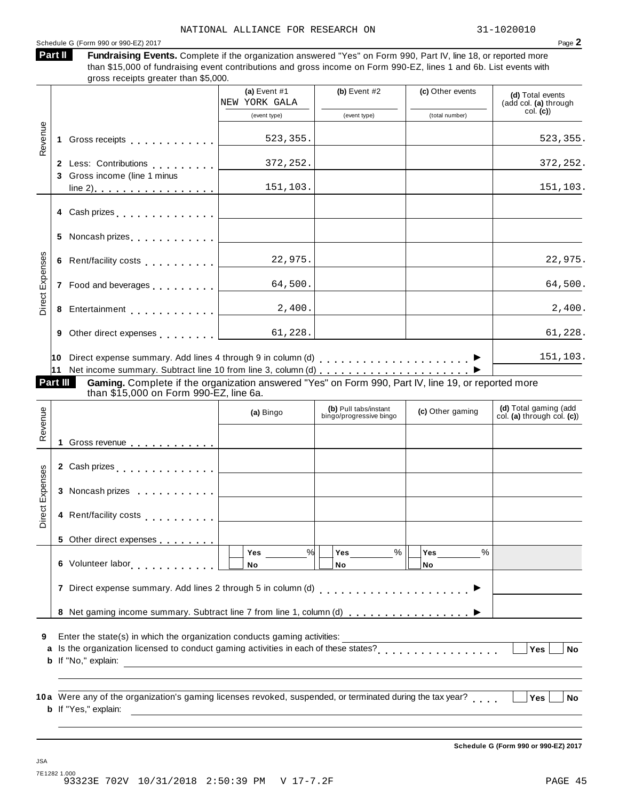#### Schedule <sup>G</sup> (Form <sup>990</sup> or 990-EZ) <sup>2017</sup> Page **2**

Fundraising Events. Complete if the organization answered "Yes" on Form 990, Part IV, line 18, or reported more than \$15,000 of fundraising event contributions and gross income on Form 990-EZ, lines 1 and 6b. List events with gross receipts greater than \$5,000. **Part II**

|                 |                                                                                                                                                                                                                                | (a) Event $#1$<br>NEW YORK GALA                                                                                      | (b) Event $#2$                                   | (c) Other events           | (d) Total events<br>(add col. (a) through           |
|-----------------|--------------------------------------------------------------------------------------------------------------------------------------------------------------------------------------------------------------------------------|----------------------------------------------------------------------------------------------------------------------|--------------------------------------------------|----------------------------|-----------------------------------------------------|
|                 |                                                                                                                                                                                                                                | (event type)                                                                                                         | (event type)                                     | (total number)             | col. (c)                                            |
| Revenue         | 1 Gross receipts [1] Gross receipts                                                                                                                                                                                            | 523,355.                                                                                                             |                                                  |                            | 523, 355.                                           |
|                 | 2 Less: Contributions [1999]<br>3 Gross income (line 1 minus                                                                                                                                                                   | 372,252.                                                                                                             |                                                  |                            | 372,252.                                            |
|                 | <u>line 2).</u>                                                                                                                                                                                                                | 151,103.                                                                                                             |                                                  |                            | 151,103.                                            |
|                 | 4 Cash prizes <u>  _ _ _ _ _ _ _ _ _ _ _</u>                                                                                                                                                                                   |                                                                                                                      |                                                  |                            |                                                     |
|                 |                                                                                                                                                                                                                                | the control of the control of the control of                                                                         |                                                  |                            |                                                     |
|                 |                                                                                                                                                                                                                                | 22,975.                                                                                                              |                                                  |                            | 22,975.                                             |
| Direct Expenses | 7 Food and beverages <b>Food and beverages</b>                                                                                                                                                                                 | 64,500.                                                                                                              |                                                  |                            | 64,500.                                             |
|                 | 8 Entertainment and a set of the set of the set of the set of the set of the set of the set of the set of the set of the set of the set of the set of the set of the set of the set of the set of the set of the set of the se | 2,400.                                                                                                               |                                                  |                            | 2,400.                                              |
|                 | 9 Other direct expenses and all property of the state of the state of the state of the state of the state of the state of the state of the state of the state of the state of the state of the state of the state of the state | 61,228.                                                                                                              |                                                  |                            | 61,228.                                             |
|                 |                                                                                                                                                                                                                                |                                                                                                                      |                                                  |                            | 151,103.                                            |
| Part III        | Gaming. Complete if the organization answered "Yes" on Form 990, Part IV, line 19, or reported more<br>than \$15,000 on Form 990-EZ, line 6a.                                                                                  |                                                                                                                      |                                                  |                            |                                                     |
|                 |                                                                                                                                                                                                                                | (a) Bingo                                                                                                            | (b) Pull tabs/instant<br>bingo/progressive bingo | (c) Other gaming           | (d) Total gaming (add<br>col. (a) through col. (c)) |
| Revenue         |                                                                                                                                                                                                                                | <u> 1980 - Jan Stein Stein Stein Stein Stein Stein Stein Stein Stein Stein Stein Stein Stein Stein Stein Stein S</u> |                                                  |                            |                                                     |
|                 |                                                                                                                                                                                                                                |                                                                                                                      |                                                  |                            |                                                     |
| Direct Expenses | 3 Noncash prizes <u>  _ _ _ _ _ _ _ _ _</u> _ _ _                                                                                                                                                                              |                                                                                                                      |                                                  |                            |                                                     |
|                 |                                                                                                                                                                                                                                |                                                                                                                      |                                                  |                            |                                                     |
|                 | 5 Other direct expenses                                                                                                                                                                                                        |                                                                                                                      |                                                  |                            |                                                     |
|                 | 6 Volunteer labor <b>6 Volunteer</b> labor                                                                                                                                                                                     | %<br>Yes<br>No                                                                                                       | $\%$<br>Yes<br>No                                | $\frac{0}{0}$<br>Yes<br>No |                                                     |
|                 | 7 Direct expense summary. Add lines 2 through 5 in column (d)                                                                                                                                                                  |                                                                                                                      | .                                                |                            |                                                     |
|                 | 8 Net gaming income summary. Subtract line 7 from line 1, column (d)                                                                                                                                                           |                                                                                                                      |                                                  |                            |                                                     |
| 9<br>a          | Enter the state(s) in which the organization conducts gaming activities:<br>Is the organization licensed to conduct gaming activities in each of these states?<br><b>b</b> If "No," explain:                                   |                                                                                                                      |                                                  |                            | Yes<br><b>No</b>                                    |
|                 | 10a Were any of the organization's gaming licenses revoked, suspended, or terminated during the tax year?<br><b>b</b> If "Yes," explain:                                                                                       |                                                                                                                      |                                                  |                            | <b>Yes</b><br><b>No</b>                             |

**Schedule G (Form 990 or 990-EZ) 2017**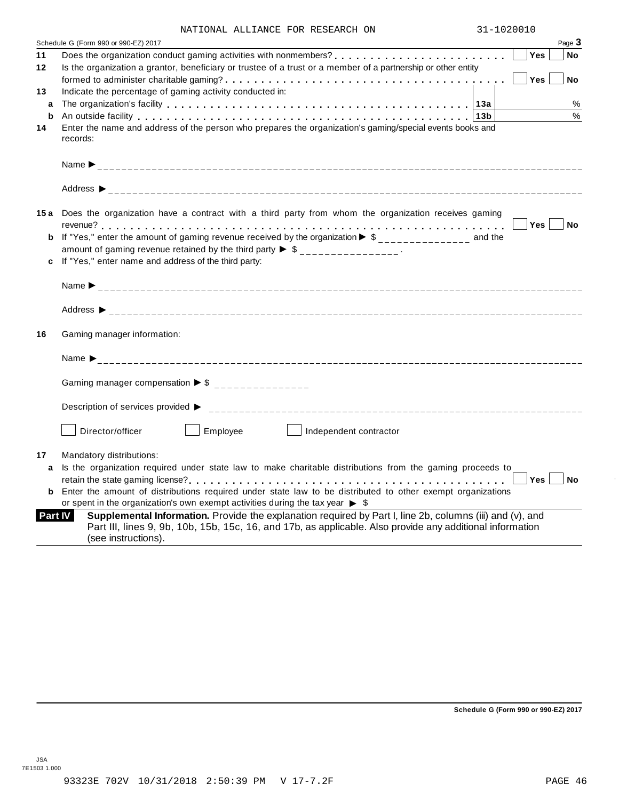| NATIONAL ALLIANCE FOR RESEARCH ON |  | 31-1020010 |
|-----------------------------------|--|------------|
|                                   |  |            |

|                | Page $3$<br>Schedule G (Form 990 or 990-EZ) 2017                                                                                                                                                                                              |
|----------------|-----------------------------------------------------------------------------------------------------------------------------------------------------------------------------------------------------------------------------------------------|
| 11             | <b>Yes</b><br>No                                                                                                                                                                                                                              |
| 12             | Is the organization a grantor, beneficiary or trustee of a trust or a member of a partnership or other entity                                                                                                                                 |
|                | Yes<br><b>No</b>                                                                                                                                                                                                                              |
| 13             | Indicate the percentage of gaming activity conducted in:                                                                                                                                                                                      |
| a              | %                                                                                                                                                                                                                                             |
| b              | %<br>An outside facility enterpretation of the control of the control of the control of the control of the control o                                                                                                                          |
| 14             | Enter the name and address of the person who prepares the organization's gaming/special events books and<br>records:                                                                                                                          |
|                |                                                                                                                                                                                                                                               |
|                |                                                                                                                                                                                                                                               |
|                | 15a Does the organization have a contract with a third party from whom the organization receives gaming                                                                                                                                       |
|                | Yes No                                                                                                                                                                                                                                        |
|                | If "Yes," enter the amount of gaming revenue received by the organization $\blacktriangleright$ \$______________ and the                                                                                                                      |
|                | amount of gaming revenue retained by the third party $\triangleright$ \$ _______________.                                                                                                                                                     |
|                | If "Yes," enter name and address of the third party:                                                                                                                                                                                          |
|                |                                                                                                                                                                                                                                               |
|                |                                                                                                                                                                                                                                               |
| 16             | Gaming manager information:                                                                                                                                                                                                                   |
|                | Name $\sum_{-2}$                                                                                                                                                                                                                              |
|                | Gaming manager compensation $\triangleright$ \$ _______________                                                                                                                                                                               |
|                | Description of services provided ▶                                                                                                                                                                                                            |
|                | Director/officer<br>Employee<br>Independent contractor                                                                                                                                                                                        |
| 17             | Mandatory distributions:                                                                                                                                                                                                                      |
| a              | Is the organization required under state law to make charitable distributions from the gaming proceeds to                                                                                                                                     |
|                | Yes<br><b>No</b>                                                                                                                                                                                                                              |
| b              | Enter the amount of distributions required under state law to be distributed to other exempt organizations                                                                                                                                    |
|                | or spent in the organization's own exempt activities during the tax year $\triangleright$ \$                                                                                                                                                  |
| <b>Part IV</b> | Supplemental Information. Provide the explanation required by Part I, line 2b, columns (iii) and (v), and<br>Part III, lines 9, 9b, 10b, 15b, 15c, 16, and 17b, as applicable. Also provide any additional information<br>(see instructions). |
|                |                                                                                                                                                                                                                                               |

**Schedule G (Form 990 or 990-EZ) 2017**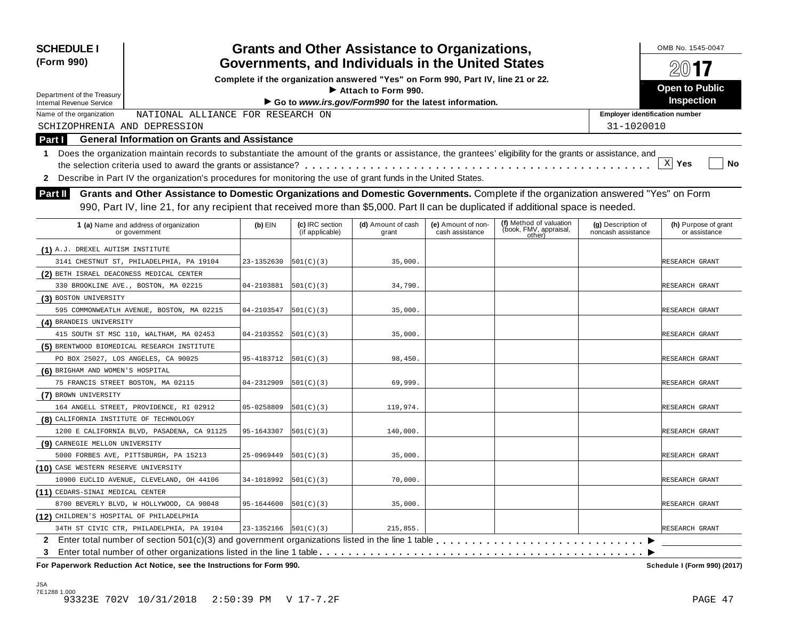| <b>Grants and Other Assistance to Organizations,</b><br><b>SCHEDULE I</b><br>Governments, and Individuals in the United States<br>(Form 990)                                                                                                                                        |            | OMB No. 1545-0047<br>201           |                                                                                  |                                       |                                                             |                                          |                                       |
|-------------------------------------------------------------------------------------------------------------------------------------------------------------------------------------------------------------------------------------------------------------------------------------|------------|------------------------------------|----------------------------------------------------------------------------------|---------------------------------------|-------------------------------------------------------------|------------------------------------------|---------------------------------------|
|                                                                                                                                                                                                                                                                                     |            |                                    | Complete if the organization answered "Yes" on Form 990, Part IV, line 21 or 22. |                                       |                                                             |                                          |                                       |
| Department of the Treasury                                                                                                                                                                                                                                                          |            |                                    | Attach to Form 990.                                                              |                                       |                                                             |                                          | <b>Open to Public</b>                 |
| <b>Internal Revenue Service</b>                                                                                                                                                                                                                                                     |            |                                    | Go to www.irs.gov/Form990 for the latest information.                            |                                       |                                                             |                                          | Inspection                            |
| NATIONAL ALLIANCE FOR RESEARCH ON<br>Name of the organization                                                                                                                                                                                                                       |            |                                    |                                                                                  |                                       |                                                             | <b>Employer identification number</b>    |                                       |
| SCHIZOPHRENIA AND DEPRESSION                                                                                                                                                                                                                                                        |            |                                    |                                                                                  |                                       |                                                             | 31-1020010                               |                                       |
| <b>General Information on Grants and Assistance</b><br>Part I                                                                                                                                                                                                                       |            |                                    |                                                                                  |                                       |                                                             |                                          |                                       |
| Does the organization maintain records to substantiate the amount of the grants or assistance, the grantees' eligibility for the grants or assistance, and<br>1.<br>2 Describe in Part IV the organization's procedures for monitoring the use of grant funds in the United States. |            |                                    |                                                                                  |                                       |                                                             |                                          | $\mathbf{x}$<br>Yes<br>No             |
| Grants and Other Assistance to Domestic Organizations and Domestic Governments. Complete if the organization answered "Yes" on Form<br><b>Part II</b>                                                                                                                               |            |                                    |                                                                                  |                                       |                                                             |                                          |                                       |
| 990, Part IV, line 21, for any recipient that received more than \$5,000. Part II can be duplicated if additional space is needed.                                                                                                                                                  |            |                                    |                                                                                  |                                       |                                                             |                                          |                                       |
| 1 (a) Name and address of organization<br>or government                                                                                                                                                                                                                             | (b) EIN    | (c) IRC section<br>(if applicable) | (d) Amount of cash<br>grant                                                      | (e) Amount of non-<br>cash assistance | (f) Method of valuation<br>(book, FMV, appraisal,<br>other) | (g) Description of<br>noncash assistance | (h) Purpose of grant<br>or assistance |
| (1) A.J. DREXEL AUTISM INSTITUTE                                                                                                                                                                                                                                                    |            |                                    |                                                                                  |                                       |                                                             |                                          |                                       |
| 3141 CHESTNUT ST, PHILADELPHIA, PA 19104                                                                                                                                                                                                                                            | 23-1352630 | 501(C)(3)                          | 35,000.                                                                          |                                       |                                                             |                                          | RESEARCH GRANT                        |
| (2) BETH ISRAEL DEACONESS MEDICAL CENTER                                                                                                                                                                                                                                            |            |                                    |                                                                                  |                                       |                                                             |                                          |                                       |
| 330 BROOKLINE AVE., BOSTON, MA 02215                                                                                                                                                                                                                                                | 04-2103881 | 501(C)(3)                          | 34,790.                                                                          |                                       |                                                             |                                          | RESEARCH GRANT                        |
| (3) BOSTON UNIVERSITY                                                                                                                                                                                                                                                               |            |                                    |                                                                                  |                                       |                                                             |                                          |                                       |
| 595 COMMONWEATLH AVENUE, BOSTON, MA 02215                                                                                                                                                                                                                                           | 04-2103547 | 501(C)(3)                          | 35,000.                                                                          |                                       |                                                             |                                          | RESEARCH GRANT                        |
| (4) BRANDEIS UNIVERSITY                                                                                                                                                                                                                                                             |            |                                    |                                                                                  |                                       |                                                             |                                          |                                       |
| 415 SOUTH ST MSC 110, WALTHAM, MA 02453                                                                                                                                                                                                                                             | 04-2103552 | 501(C)(3)                          | 35,000.                                                                          |                                       |                                                             |                                          | RESEARCH GRANT                        |
| (5) BRENTWOOD BIOMEDICAL RESEARCH INSTITUTE                                                                                                                                                                                                                                         |            |                                    |                                                                                  |                                       |                                                             |                                          |                                       |
| PO BOX 25027, LOS ANGELES, CA 90025                                                                                                                                                                                                                                                 | 95-4183712 | 501(C)(3)                          | 98,450.                                                                          |                                       |                                                             |                                          | RESEARCH GRANT                        |
| (6) BRIGHAM AND WOMEN'S HOSPITAL                                                                                                                                                                                                                                                    |            |                                    |                                                                                  |                                       |                                                             |                                          |                                       |
| 75 FRANCIS STREET BOSTON, MA 02115                                                                                                                                                                                                                                                  | 04-2312909 | 501(C)(3)                          | 69,999.                                                                          |                                       |                                                             |                                          | RESEARCH GRANT                        |
| (7) BROWN UNIVERSITY                                                                                                                                                                                                                                                                |            |                                    |                                                                                  |                                       |                                                             |                                          |                                       |
| 164 ANGELL STREET, PROVIDENCE, RI 02912                                                                                                                                                                                                                                             | 05-0258809 | 501(C)(3)                          | 119,974.                                                                         |                                       |                                                             |                                          | RESEARCH GRANT                        |
| (8) CALIFORNIA INSTITUTE OF TECHNOLOGY                                                                                                                                                                                                                                              |            |                                    |                                                                                  |                                       |                                                             |                                          |                                       |
| 1200 E CALIFORNIA BLVD, PASADENA, CA 91125                                                                                                                                                                                                                                          | 95-1643307 | 501(C)(3)                          | 140,000.                                                                         |                                       |                                                             |                                          | RESEARCH GRANT                        |
| (9) CARNEGIE MELLON UNIVERSITY                                                                                                                                                                                                                                                      |            |                                    |                                                                                  |                                       |                                                             |                                          |                                       |
| 5000 FORBES AVE, PITTSBURGH, PA 15213                                                                                                                                                                                                                                               | 25-0969449 | 501(C)(3)                          | 35,000.                                                                          |                                       |                                                             |                                          | RESEARCH GRANT                        |
| (10) CASE WESTERN RESERVE UNIVERSITY                                                                                                                                                                                                                                                |            |                                    |                                                                                  |                                       |                                                             |                                          |                                       |
| 10900 EUCLID AVENUE, CLEVELAND, OH 44106                                                                                                                                                                                                                                            | 34-1018992 | 501(C)(3)                          | 70,000.                                                                          |                                       |                                                             |                                          | RESEARCH GRANT                        |
| (11) CEDARS-SINAI MEDICAL CENTER                                                                                                                                                                                                                                                    |            |                                    |                                                                                  |                                       |                                                             |                                          |                                       |
| 8700 BEVERLY BLVD, W HOLLYWOOD, CA 90048                                                                                                                                                                                                                                            | 95-1644600 | 501(C)(3)                          | 35,000.                                                                          |                                       |                                                             |                                          | RESEARCH GRANT                        |
| (12) CHILDREN'S HOSPITAL OF PHILADELPHIA                                                                                                                                                                                                                                            |            |                                    |                                                                                  |                                       |                                                             |                                          |                                       |
| 34TH ST CIVIC CTR, PHILADELPHIA, PA 19104                                                                                                                                                                                                                                           | 23-1352166 | 501(C)(3)                          | 215,855.                                                                         |                                       |                                                             |                                          | RESEARCH GRANT                        |
| $\mathbf{2}$                                                                                                                                                                                                                                                                        |            |                                    |                                                                                  |                                       |                                                             |                                          |                                       |
| 3                                                                                                                                                                                                                                                                                   |            |                                    |                                                                                  |                                       |                                                             |                                          |                                       |

 $F$  **Paperwork** Reduction Act Notice, see the Instructions for Form 990.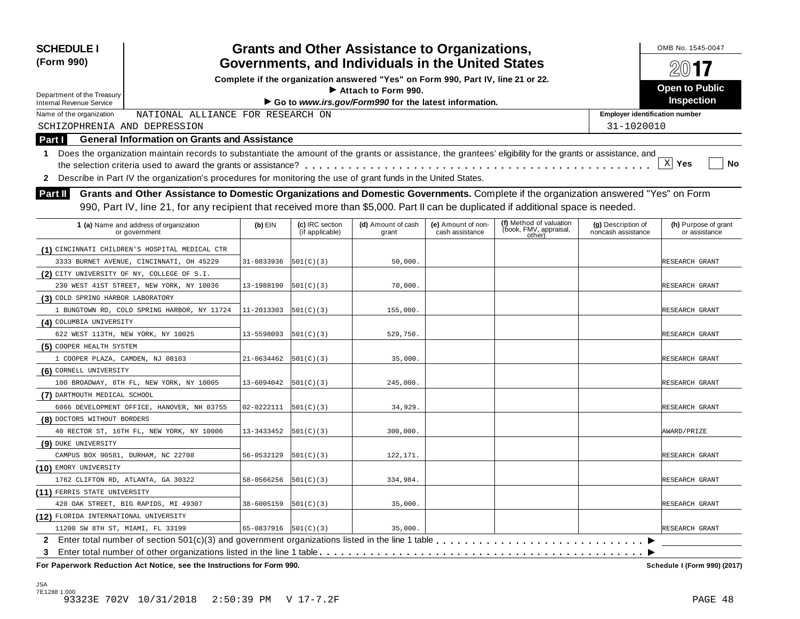| <b>SCHEDULE I</b><br>(Form 990)                                                                                                                                  | <b>Grants and Other Assistance to Organizations,</b><br>Governments, and Individuals in the United States |                                    |                                                                                  |                                       |                                                             |                                          |                                       |  |  |  |
|------------------------------------------------------------------------------------------------------------------------------------------------------------------|-----------------------------------------------------------------------------------------------------------|------------------------------------|----------------------------------------------------------------------------------|---------------------------------------|-------------------------------------------------------------|------------------------------------------|---------------------------------------|--|--|--|
|                                                                                                                                                                  |                                                                                                           |                                    | Complete if the organization answered "Yes" on Form 990, Part IV, line 21 or 22. |                                       |                                                             |                                          | 2017                                  |  |  |  |
| Department of the Treasury                                                                                                                                       |                                                                                                           |                                    | Attach to Form 990.                                                              |                                       |                                                             |                                          | <b>Open to Public</b>                 |  |  |  |
| <b>Internal Revenue Service</b>                                                                                                                                  |                                                                                                           |                                    | Go to www.irs.gov/Form990 for the latest information.                            |                                       |                                                             |                                          | Inspection                            |  |  |  |
| Name of the organization<br>NATIONAL ALLIANCE FOR RESEARCH ON                                                                                                    |                                                                                                           |                                    |                                                                                  |                                       |                                                             | <b>Employer identification number</b>    |                                       |  |  |  |
| SCHIZOPHRENIA AND DEPRESSION                                                                                                                                     |                                                                                                           |                                    |                                                                                  |                                       |                                                             | 31-1020010                               |                                       |  |  |  |
| <b>General Information on Grants and Assistance</b><br><b>Part I</b>                                                                                             |                                                                                                           |                                    |                                                                                  |                                       |                                                             |                                          |                                       |  |  |  |
| Does the organization maintain records to substantiate the amount of the grants or assistance, the grantees' eligibility for the grants or assistance, and<br>1. |                                                                                                           |                                    |                                                                                  |                                       |                                                             |                                          |                                       |  |  |  |
|                                                                                                                                                                  |                                                                                                           |                                    |                                                                                  |                                       |                                                             |                                          | $\mathbf{x}$<br>Yes<br>No             |  |  |  |
| 2 Describe in Part IV the organization's procedures for monitoring the use of grant funds in the United States.                                                  |                                                                                                           |                                    |                                                                                  |                                       |                                                             |                                          |                                       |  |  |  |
| Grants and Other Assistance to Domestic Organizations and Domestic Governments. Complete if the organization answered "Yes" on Form<br><b>Part II</b>            |                                                                                                           |                                    |                                                                                  |                                       |                                                             |                                          |                                       |  |  |  |
| 990, Part IV, line 21, for any recipient that received more than \$5,000. Part II can be duplicated if additional space is needed.                               |                                                                                                           |                                    |                                                                                  |                                       |                                                             |                                          |                                       |  |  |  |
|                                                                                                                                                                  |                                                                                                           |                                    |                                                                                  |                                       |                                                             |                                          |                                       |  |  |  |
| 1 (a) Name and address of organization<br>or government                                                                                                          | $(b)$ EIN                                                                                                 | (c) IRC section<br>(if applicable) | (d) Amount of cash<br>grant                                                      | (e) Amount of non-<br>cash assistance | (f) Method of valuation<br>(book, FMV, appraisal,<br>other) | (g) Description of<br>noncash assistance | (h) Purpose of grant<br>or assistance |  |  |  |
| (1) CINCINNATI CHILDREN'S HOSPITAL MEDICAL CTR                                                                                                                   |                                                                                                           |                                    |                                                                                  |                                       |                                                             |                                          |                                       |  |  |  |
| 3333 BURNET AVENUE, CINCINNATI, OH 45229                                                                                                                         | 31-0833936                                                                                                | 501(C)(3)                          | 50,000                                                                           |                                       |                                                             |                                          | RESEARCH GRANT                        |  |  |  |
| (2) CITY UNIVERSITY OF NY, COLLEGE OF S.I.                                                                                                                       |                                                                                                           |                                    |                                                                                  |                                       |                                                             |                                          |                                       |  |  |  |
| 230 WEST 41ST STREET, NEW YORK, NY 10036                                                                                                                         | 13-1988190                                                                                                | 501(C)(3)                          | 70,000                                                                           |                                       |                                                             |                                          | RESEARCH GRANT                        |  |  |  |
| (3) COLD SPRING HARBOR LABORATORY                                                                                                                                |                                                                                                           |                                    |                                                                                  |                                       |                                                             |                                          |                                       |  |  |  |
| 1 BUNGTOWN RD, COLD SPRING HARBOR, NY 11724                                                                                                                      | 11-2013303                                                                                                | 501(C)(3)                          | 155,000.                                                                         |                                       |                                                             |                                          | RESEARCH GRANT                        |  |  |  |
| (4) COLUMBIA UNIVERSITY                                                                                                                                          |                                                                                                           |                                    |                                                                                  |                                       |                                                             |                                          |                                       |  |  |  |
| 622 WEST 113TH, NEW YORK, NY 10025                                                                                                                               | 13-5598093                                                                                                | 501(C)(3)                          | 529,750.                                                                         |                                       |                                                             |                                          | RESEARCH GRANT                        |  |  |  |
| (5) COOPER HEALTH SYSTEM                                                                                                                                         |                                                                                                           |                                    |                                                                                  |                                       |                                                             |                                          |                                       |  |  |  |
| 1 COOPER PLAZA, CAMDEN, NJ 08103                                                                                                                                 | 21-0634462                                                                                                | 501(C)(3)                          | 35,000.                                                                          |                                       |                                                             |                                          | RESEARCH GRANT                        |  |  |  |
| (6) CORNELL UNIVERSITY                                                                                                                                           |                                                                                                           |                                    |                                                                                  |                                       |                                                             |                                          |                                       |  |  |  |
| 100 BROADWAY, 8TH FL, NEW YORK, NY 10005                                                                                                                         | 13-6094042                                                                                                | 501(C)(3)                          | 245,000.                                                                         |                                       |                                                             |                                          | RESEARCH GRANT                        |  |  |  |
| (7) DARTMOUTH MEDICAL SCHOOL                                                                                                                                     |                                                                                                           |                                    |                                                                                  |                                       |                                                             |                                          |                                       |  |  |  |
| 6066 DEVELOPMENT OFFICE, HANOVER, NH 03755                                                                                                                       | 02-0222111                                                                                                | 501(C)(3)                          | 34,929                                                                           |                                       |                                                             |                                          | RESEARCH GRANT                        |  |  |  |
| (8) DOCTORS WITHOUT BORDERS                                                                                                                                      |                                                                                                           |                                    |                                                                                  |                                       |                                                             |                                          |                                       |  |  |  |
| 40 RECTOR ST, 16TH FL, NEW YORK, NY 10006                                                                                                                        | 13-3433452                                                                                                | 501(C)(3)                          | 300,000.                                                                         |                                       |                                                             |                                          | AWARD/PRIZE                           |  |  |  |
| (9) DUKE UNIVERSITY                                                                                                                                              |                                                                                                           |                                    |                                                                                  |                                       |                                                             |                                          |                                       |  |  |  |
| CAMPUS BOX 90581, DURHAM, NC 22708                                                                                                                               | 56-0532129                                                                                                | 501(C)(3)                          | 122,171.                                                                         |                                       |                                                             |                                          | RESEARCH GRANT                        |  |  |  |
| (10) EMORY UNIVERSITY                                                                                                                                            |                                                                                                           |                                    |                                                                                  |                                       |                                                             |                                          |                                       |  |  |  |
| 1762 CLIFTON RD, ATLANTA, GA 30322                                                                                                                               | 58-0566256                                                                                                | 501(C)(3)                          | 334,984.                                                                         |                                       |                                                             |                                          | RESEARCH GRANT                        |  |  |  |
| (11) FERRIS STATE UNIVERSITY                                                                                                                                     |                                                                                                           |                                    |                                                                                  |                                       |                                                             |                                          |                                       |  |  |  |
| 420 OAK STREET, BIG RAPIDS, MI 49307                                                                                                                             | 38-6005159                                                                                                | 501(C)(3)                          | 35,000.                                                                          |                                       |                                                             |                                          | RESEARCH GRANT                        |  |  |  |
| (12) FLORIDA INTERNATIONAL UNIVERSITY                                                                                                                            |                                                                                                           |                                    |                                                                                  |                                       |                                                             |                                          |                                       |  |  |  |
| 11200 SW 8TH ST, MIAMI, FL 33199                                                                                                                                 | 65-0837916                                                                                                | 501(C)(3)                          | 35,000                                                                           |                                       |                                                             |                                          | RESEARCH GRANT                        |  |  |  |
| $\mathbf{2}$                                                                                                                                                     |                                                                                                           |                                    |                                                                                  |                                       |                                                             |                                          |                                       |  |  |  |
|                                                                                                                                                                  |                                                                                                           |                                    |                                                                                  |                                       |                                                             |                                          |                                       |  |  |  |

 $F$  **Paperwork** Reduction Act Notice, see the Instructions for Form 990.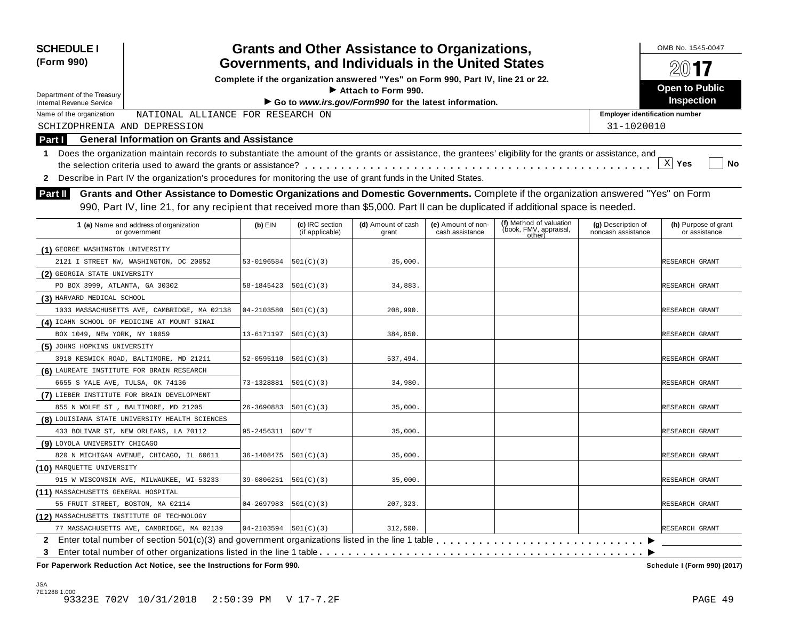| <b>SCHEDULE I</b><br>(Form 990)                                                                                                                                                                                                                                                             |                                                                                                                                                            |                            |                                    | <b>Grants and Other Assistance to Organizations,</b><br>Governments, and Individuals in the United States |                                       |                                                             |                                          | OMB No. 1545-0047<br>2017             |  |  |
|---------------------------------------------------------------------------------------------------------------------------------------------------------------------------------------------------------------------------------------------------------------------------------------------|------------------------------------------------------------------------------------------------------------------------------------------------------------|----------------------------|------------------------------------|-----------------------------------------------------------------------------------------------------------|---------------------------------------|-------------------------------------------------------------|------------------------------------------|---------------------------------------|--|--|
|                                                                                                                                                                                                                                                                                             |                                                                                                                                                            |                            |                                    | Complete if the organization answered "Yes" on Form 990, Part IV, line 21 or 22.                          |                                       |                                                             |                                          |                                       |  |  |
| Department of the Treasury                                                                                                                                                                                                                                                                  |                                                                                                                                                            |                            |                                    | $\blacktriangleright$ Attach to Form 990.                                                                 |                                       |                                                             |                                          | <b>Open to Public</b>                 |  |  |
| <b>Internal Revenue Service</b>                                                                                                                                                                                                                                                             |                                                                                                                                                            |                            |                                    | Go to www.irs.gov/Form990 for the latest information.                                                     |                                       |                                                             |                                          | <b>Inspection</b>                     |  |  |
| Name of the organization                                                                                                                                                                                                                                                                    | NATIONAL ALLIANCE FOR RESEARCH ON                                                                                                                          |                            |                                    |                                                                                                           |                                       |                                                             | <b>Employer identification number</b>    |                                       |  |  |
| SCHIZOPHRENIA AND DEPRESSION                                                                                                                                                                                                                                                                |                                                                                                                                                            |                            |                                    |                                                                                                           |                                       |                                                             | 31-1020010                               |                                       |  |  |
| Part I                                                                                                                                                                                                                                                                                      | <b>General Information on Grants and Assistance</b>                                                                                                        |                            |                                    |                                                                                                           |                                       |                                                             |                                          |                                       |  |  |
| 1.                                                                                                                                                                                                                                                                                          | Does the organization maintain records to substantiate the amount of the grants or assistance, the grantees' eligibility for the grants or assistance, and |                            |                                    |                                                                                                           |                                       |                                                             |                                          |                                       |  |  |
|                                                                                                                                                                                                                                                                                             |                                                                                                                                                            |                            |                                    |                                                                                                           |                                       |                                                             |                                          | X <br>Yes<br>No                       |  |  |
| 2                                                                                                                                                                                                                                                                                           | Describe in Part IV the organization's procedures for monitoring the use of grant funds in the United States.                                              |                            |                                    |                                                                                                           |                                       |                                                             |                                          |                                       |  |  |
| Grants and Other Assistance to Domestic Organizations and Domestic Governments. Complete if the organization answered "Yes" on Form<br><b>Part II</b><br>990, Part IV, line 21, for any recipient that received more than \$5,000. Part II can be duplicated if additional space is needed. |                                                                                                                                                            |                            |                                    |                                                                                                           |                                       |                                                             |                                          |                                       |  |  |
|                                                                                                                                                                                                                                                                                             | 1 (a) Name and address of organization<br>or government                                                                                                    | $(b)$ EIN                  | (c) IRC section<br>(if applicable) | (d) Amount of cash<br>grant                                                                               | (e) Amount of non-<br>cash assistance | (f) Method of valuation<br>(book, FMV, appraisal,<br>other) | (g) Description of<br>noncash assistance | (h) Purpose of grant<br>or assistance |  |  |
| (1) GEORGE WASHINGTON UNIVERSITY                                                                                                                                                                                                                                                            |                                                                                                                                                            |                            |                                    |                                                                                                           |                                       |                                                             |                                          |                                       |  |  |
|                                                                                                                                                                                                                                                                                             | 2121 I STREET NW, WASHINGTON, DC 20052                                                                                                                     | 53-0196584                 | 501(C)(3)                          | 35,000.                                                                                                   |                                       |                                                             |                                          | RESEARCH GRANT                        |  |  |
| (2) GEORGIA STATE UNIVERSITY                                                                                                                                                                                                                                                                |                                                                                                                                                            |                            |                                    |                                                                                                           |                                       |                                                             |                                          |                                       |  |  |
| PO BOX 3999, ATLANTA, GA 30302                                                                                                                                                                                                                                                              |                                                                                                                                                            | 58-1845423                 | 501(C)(3)                          | 34,883.                                                                                                   |                                       |                                                             |                                          | RESEARCH GRANT                        |  |  |
| (3) HARVARD MEDICAL SCHOOL                                                                                                                                                                                                                                                                  |                                                                                                                                                            |                            |                                    |                                                                                                           |                                       |                                                             |                                          |                                       |  |  |
|                                                                                                                                                                                                                                                                                             | 1033 MASSACHUSETTS AVE, CAMBRIDGE, MA 02138                                                                                                                | 04-2103580                 | 501(C)(3)                          | 208,990.                                                                                                  |                                       |                                                             |                                          | RESEARCH GRANT                        |  |  |
|                                                                                                                                                                                                                                                                                             | (4) ICAHN SCHOOL OF MEDICINE AT MOUNT SINAI                                                                                                                |                            |                                    |                                                                                                           |                                       |                                                             |                                          |                                       |  |  |
| BOX 1049, NEW YORK, NY 10059                                                                                                                                                                                                                                                                |                                                                                                                                                            | 13-6171197                 | 501(C)(3)                          | 384,850.                                                                                                  |                                       |                                                             |                                          | RESEARCH GRANT                        |  |  |
| (5) JOHNS HOPKINS UNIVERSITY                                                                                                                                                                                                                                                                |                                                                                                                                                            |                            |                                    |                                                                                                           |                                       |                                                             |                                          |                                       |  |  |
|                                                                                                                                                                                                                                                                                             | 3910 KESWICK ROAD, BALTIMORE, MD 21211                                                                                                                     | 52-0595110                 | 501(C)(3)                          | 537,494.                                                                                                  |                                       |                                                             |                                          | RESEARCH GRANT                        |  |  |
| (6) LAUREATE INSTITUTE FOR BRAIN RESEARCH                                                                                                                                                                                                                                                   |                                                                                                                                                            |                            |                                    |                                                                                                           |                                       |                                                             |                                          |                                       |  |  |
| 6655 S YALE AVE, TULSA, OK 74136                                                                                                                                                                                                                                                            |                                                                                                                                                            | 73-1328881                 | 501(C)(3)                          | 34,980.                                                                                                   |                                       |                                                             |                                          | RESEARCH GRANT                        |  |  |
|                                                                                                                                                                                                                                                                                             | (7) LIEBER INSTITUTE FOR BRAIN DEVELOPMENT                                                                                                                 |                            |                                    |                                                                                                           |                                       |                                                             |                                          |                                       |  |  |
|                                                                                                                                                                                                                                                                                             | 855 N WOLFE ST , BALTIMORE, MD 21205                                                                                                                       | 26-3690883                 | 501(C)(3)                          | 35,000.                                                                                                   |                                       |                                                             |                                          | RESEARCH GRANT                        |  |  |
|                                                                                                                                                                                                                                                                                             | (8) LOUISIANA STATE UNIVERSITY HEALTH SCIENCES                                                                                                             |                            |                                    |                                                                                                           |                                       |                                                             |                                          |                                       |  |  |
|                                                                                                                                                                                                                                                                                             | 433 BOLIVAR ST, NEW ORLEANS, LA 70112                                                                                                                      | 95-2456311                 | GOV ' T                            | 35,000.                                                                                                   |                                       |                                                             |                                          | RESEARCH GRANT                        |  |  |
| (9) LOYOLA UNIVERSITY CHICAGO                                                                                                                                                                                                                                                               |                                                                                                                                                            |                            |                                    |                                                                                                           |                                       |                                                             |                                          |                                       |  |  |
|                                                                                                                                                                                                                                                                                             | 820 N MICHIGAN AVENUE, CHICAGO, IL 60611                                                                                                                   | 36-1408475                 | 501(C)(3)                          | 35,000.                                                                                                   |                                       |                                                             |                                          | RESEARCH GRANT                        |  |  |
| (10) MARQUETTE UNIVERSITY                                                                                                                                                                                                                                                                   |                                                                                                                                                            |                            |                                    |                                                                                                           |                                       |                                                             |                                          |                                       |  |  |
|                                                                                                                                                                                                                                                                                             | 915 W WISCONSIN AVE, MILWAUKEE, WI 53233                                                                                                                   | $39-0806251$ $ 501(C)(3) $ |                                    | 35,000.                                                                                                   |                                       |                                                             |                                          | RESEARCH GRANT                        |  |  |
| (11) MASSACHUSETTS GENERAL HOSPITAL                                                                                                                                                                                                                                                         |                                                                                                                                                            |                            |                                    |                                                                                                           |                                       |                                                             |                                          |                                       |  |  |
| 55 FRUIT STREET, BOSTON, MA 02114                                                                                                                                                                                                                                                           |                                                                                                                                                            | 04-2697983                 | 501(C)(3)                          | 207,323.                                                                                                  |                                       |                                                             |                                          | RESEARCH GRANT                        |  |  |
| (12) MASSACHUSETTS INSTITUTE OF TECHNOLOGY                                                                                                                                                                                                                                                  |                                                                                                                                                            |                            |                                    |                                                                                                           |                                       |                                                             |                                          |                                       |  |  |
|                                                                                                                                                                                                                                                                                             | 77 MASSACHUSETTS AVE, CAMBRIDGE, MA 02139                                                                                                                  | $04-2103594$ $ 501(C)(3) $ |                                    | 312,500.                                                                                                  |                                       |                                                             |                                          | RESEARCH GRANT                        |  |  |
| 3                                                                                                                                                                                                                                                                                           | 2 Enter total number of section 501(c)(3) and government organizations listed in the line 1 table                                                          |                            |                                    |                                                                                                           |                                       |                                                             |                                          |                                       |  |  |
|                                                                                                                                                                                                                                                                                             | For Paperwork Reduction Act Notice, see the Instructions for Form 990.                                                                                     |                            |                                    |                                                                                                           |                                       |                                                             |                                          | Schedule I (Form 990) (2017)          |  |  |

JSA 7E1288 1.000 93323E 702V 10/31/2018 2:50:39 PM V 17-7.2F PAGE 49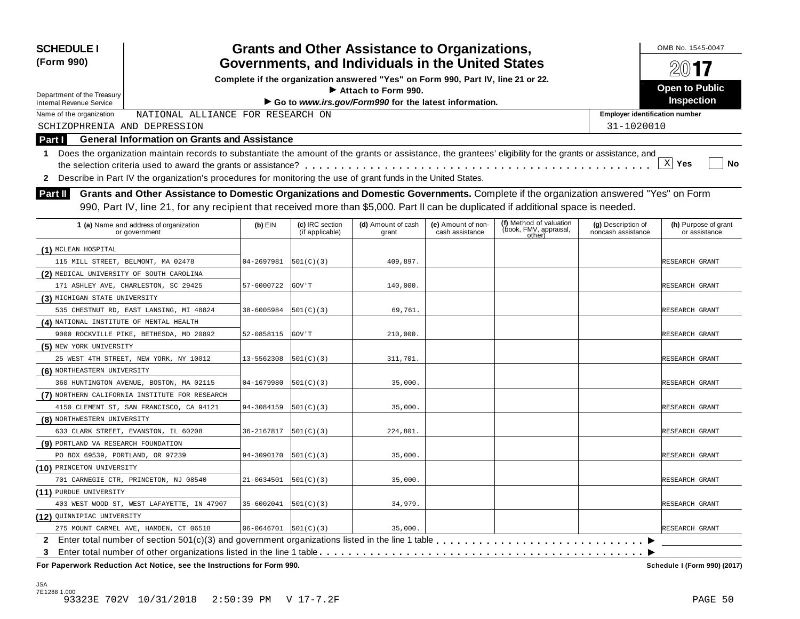| <b>SCHEDULE I</b><br>(Form 990)                               |                                                                                                                                                                                                                                                                           |                            |                                    | <b>Grants and Other Assistance to Organizations,</b><br>Governments, and Individuals in the United States |                                       |                                                             |                                          | OMB No. 1545-0047                     |
|---------------------------------------------------------------|---------------------------------------------------------------------------------------------------------------------------------------------------------------------------------------------------------------------------------------------------------------------------|----------------------------|------------------------------------|-----------------------------------------------------------------------------------------------------------|---------------------------------------|-------------------------------------------------------------|------------------------------------------|---------------------------------------|
|                                                               |                                                                                                                                                                                                                                                                           |                            |                                    | Complete if the organization answered "Yes" on Form 990, Part IV, line 21 or 22.                          |                                       |                                                             |                                          | $200$ 17                              |
|                                                               |                                                                                                                                                                                                                                                                           |                            |                                    | Attach to Form 990.                                                                                       |                                       |                                                             |                                          | <b>Open to Public</b>                 |
| Department of the Treasury<br><b>Internal Revenue Service</b> |                                                                                                                                                                                                                                                                           |                            |                                    | Go to www.irs.gov/Form990 for the latest information.                                                     |                                       |                                                             |                                          | Inspection                            |
| Name of the organization                                      | NATIONAL ALLIANCE FOR RESEARCH ON                                                                                                                                                                                                                                         |                            |                                    |                                                                                                           |                                       |                                                             | <b>Employer identification number</b>    |                                       |
| SCHIZOPHRENIA AND DEPRESSION                                  |                                                                                                                                                                                                                                                                           |                            |                                    |                                                                                                           |                                       |                                                             | 31-1020010                               |                                       |
| <b>Part I</b>                                                 | <b>General Information on Grants and Assistance</b>                                                                                                                                                                                                                       |                            |                                    |                                                                                                           |                                       |                                                             |                                          |                                       |
| 1                                                             | Does the organization maintain records to substantiate the amount of the grants or assistance, the grantees' eligibility for the grants or assistance, and                                                                                                                |                            |                                    |                                                                                                           |                                       |                                                             |                                          |                                       |
|                                                               |                                                                                                                                                                                                                                                                           |                            |                                    |                                                                                                           |                                       |                                                             |                                          | $X$ Yes<br>No                         |
| $\mathbf{2}$                                                  | Describe in Part IV the organization's procedures for monitoring the use of grant funds in the United States.                                                                                                                                                             |                            |                                    |                                                                                                           |                                       |                                                             |                                          |                                       |
| <b>Part II</b>                                                | Grants and Other Assistance to Domestic Organizations and Domestic Governments. Complete if the organization answered "Yes" on Form<br>990, Part IV, line 21, for any recipient that received more than \$5,000. Part II can be duplicated if additional space is needed. |                            |                                    |                                                                                                           |                                       |                                                             |                                          |                                       |
|                                                               | 1 (a) Name and address of organization<br>or government                                                                                                                                                                                                                   | $(b)$ EIN                  | (c) IRC section<br>(if applicable) | (d) Amount of cash<br>grant                                                                               | (e) Amount of non-<br>cash assistance | (f) Method of valuation<br>(book, FMV, appraisal,<br>other) | (g) Description of<br>noncash assistance | (h) Purpose of grant<br>or assistance |
| (1) MCLEAN HOSPITAL                                           |                                                                                                                                                                                                                                                                           |                            |                                    |                                                                                                           |                                       |                                                             |                                          |                                       |
| 115 MILL STREET, BELMONT, MA 02478                            |                                                                                                                                                                                                                                                                           | 04-2697981                 | 501(C)(3)                          | 409,897.                                                                                                  |                                       |                                                             |                                          | RESEARCH GRANT                        |
| (2) MEDICAL UNIVERSITY OF SOUTH CAROLINA                      |                                                                                                                                                                                                                                                                           |                            |                                    |                                                                                                           |                                       |                                                             |                                          |                                       |
|                                                               | 171 ASHLEY AVE, CHARLESTON, SC 29425                                                                                                                                                                                                                                      | 57-6000722                 | GOV ' T                            | 140,000.                                                                                                  |                                       |                                                             |                                          | RESEARCH GRANT                        |
| (3) MICHIGAN STATE UNIVERSITY                                 |                                                                                                                                                                                                                                                                           |                            |                                    |                                                                                                           |                                       |                                                             |                                          |                                       |
|                                                               | 535 CHESTNUT RD, EAST LANSING, MI 48824                                                                                                                                                                                                                                   | 38-6005984                 | 501(C)(3)                          | 69,761.                                                                                                   |                                       |                                                             |                                          | RESEARCH GRANT                        |
| (4) NATIONAL INSTITUTE OF MENTAL HEALTH                       |                                                                                                                                                                                                                                                                           |                            |                                    |                                                                                                           |                                       |                                                             |                                          |                                       |
|                                                               | 9000 ROCKVILLE PIKE, BETHESDA, MD 20892                                                                                                                                                                                                                                   | 52-0858115                 | GOV ' T                            | 210,000.                                                                                                  |                                       |                                                             |                                          | RESEARCH GRANT                        |
| (5) NEW YORK UNIVERSITY                                       |                                                                                                                                                                                                                                                                           |                            |                                    |                                                                                                           |                                       |                                                             |                                          |                                       |
|                                                               | 25 WEST 4TH STREET, NEW YORK, NY 10012                                                                                                                                                                                                                                    | 13-5562308                 | 501(C)(3)                          | 311,701                                                                                                   |                                       |                                                             |                                          | RESEARCH GRANT                        |
| (6) NORTHEASTERN UNIVERSITY                                   |                                                                                                                                                                                                                                                                           |                            |                                    |                                                                                                           |                                       |                                                             |                                          |                                       |
|                                                               | 360 HUNTINGTON AVENUE, BOSTON, MA 02115                                                                                                                                                                                                                                   | 04-1679980                 | 501(C)(3)                          | 35,000.                                                                                                   |                                       |                                                             |                                          | RESEARCH GRANT                        |
|                                                               | (7) NORTHERN CALIFORNIA INSTITUTE FOR RESEARCH                                                                                                                                                                                                                            |                            |                                    |                                                                                                           |                                       |                                                             |                                          |                                       |
|                                                               | 4150 CLEMENT ST, SAN FRANCISCO, CA 94121                                                                                                                                                                                                                                  | 94-3084159                 | 501(C)(3)                          | 35,000.                                                                                                   |                                       |                                                             |                                          | RESEARCH GRANT                        |
| (8) NORTHWESTERN UNIVERSITY                                   |                                                                                                                                                                                                                                                                           |                            |                                    |                                                                                                           |                                       |                                                             |                                          |                                       |
|                                                               | 633 CLARK STREET, EVANSTON, IL 60208                                                                                                                                                                                                                                      | 36-2167817                 | 501(C)(3)                          | 224,801                                                                                                   |                                       |                                                             |                                          | RESEARCH GRANT                        |
| (9) PORTLAND VA RESEARCH FOUNDATION                           |                                                                                                                                                                                                                                                                           |                            |                                    |                                                                                                           |                                       |                                                             |                                          |                                       |
| PO BOX 69539, PORTLAND, OR 97239                              |                                                                                                                                                                                                                                                                           | 94-3090170                 | 501(C)(3)                          | 35,000.                                                                                                   |                                       |                                                             |                                          | RESEARCH GRANT                        |
| (10) PRINCETON UNIVERSITY                                     |                                                                                                                                                                                                                                                                           |                            |                                    |                                                                                                           |                                       |                                                             |                                          |                                       |
|                                                               | 701 CARNEGIE CTR, PRINCETON, NJ 08540                                                                                                                                                                                                                                     | 21-0634501                 | 501(C)(3)                          | 35,000.                                                                                                   |                                       |                                                             |                                          | RESEARCH GRANT                        |
| (11) PURDUE UNIVERSITY                                        |                                                                                                                                                                                                                                                                           |                            |                                    |                                                                                                           |                                       |                                                             |                                          |                                       |
|                                                               | 403 WEST WOOD ST, WEST LAFAYETTE, IN 47907                                                                                                                                                                                                                                | 35-6002041                 | 501(C)(3)                          | 34,979.                                                                                                   |                                       |                                                             |                                          | RESEARCH GRANT                        |
| (12) QUINNIPIAC UNIVERSITY                                    |                                                                                                                                                                                                                                                                           |                            |                                    |                                                                                                           |                                       |                                                             |                                          |                                       |
|                                                               | 275 MOUNT CARMEL AVE, HAMDEN, CT 06518                                                                                                                                                                                                                                    | $06 - 0646701$   501(C)(3) |                                    | 35,000.                                                                                                   |                                       |                                                             |                                          | RESEARCH GRANT                        |
| 3                                                             |                                                                                                                                                                                                                                                                           |                            |                                    |                                                                                                           |                                       |                                                             |                                          |                                       |
|                                                               | For Paperwork Reduction Act Notice, see the Instructions for Form 990.                                                                                                                                                                                                    |                            |                                    |                                                                                                           |                                       |                                                             |                                          | Schedule I (Form 990) (2017)          |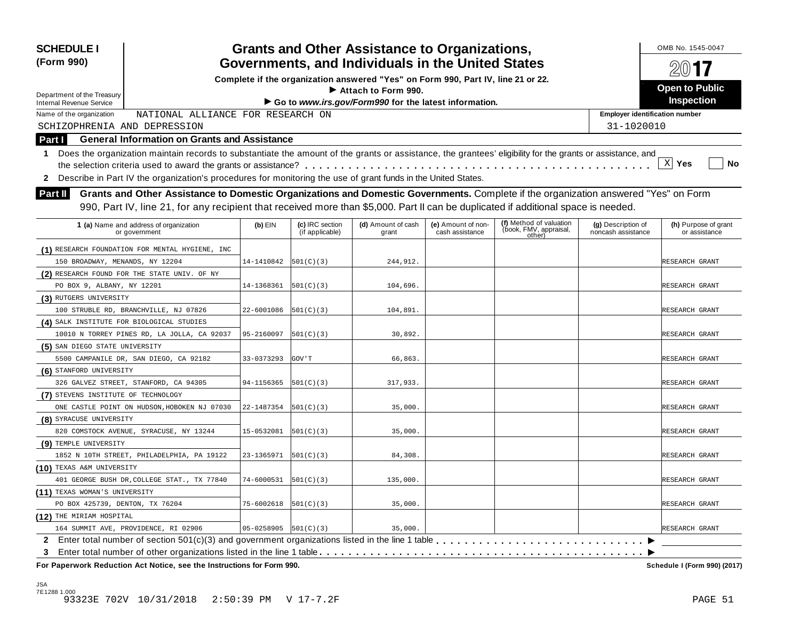| <b>SCHEDULE I</b><br>(Form 990)                                                                                                                                                                                                                                                                        |            |                                    | <b>Grants and Other Assistance to Organizations,</b><br>Governments, and Individuals in the United States |                                       |                                                             |                                          | OMB No. 1545-0047                     |  |  |  |  |
|--------------------------------------------------------------------------------------------------------------------------------------------------------------------------------------------------------------------------------------------------------------------------------------------------------|------------|------------------------------------|-----------------------------------------------------------------------------------------------------------|---------------------------------------|-------------------------------------------------------------|------------------------------------------|---------------------------------------|--|--|--|--|
|                                                                                                                                                                                                                                                                                                        |            |                                    | Complete if the organization answered "Yes" on Form 990, Part IV, line 21 or 22.                          |                                       |                                                             |                                          |                                       |  |  |  |  |
| Department of the Treasury                                                                                                                                                                                                                                                                             |            |                                    | Attach to Form 990.                                                                                       |                                       |                                                             |                                          | <b>Open to Public</b>                 |  |  |  |  |
| <b>Internal Revenue Service</b>                                                                                                                                                                                                                                                                        |            |                                    | Go to www.irs.gov/Form990 for the latest information.                                                     |                                       |                                                             |                                          | Inspection                            |  |  |  |  |
| NATIONAL ALLIANCE FOR RESEARCH ON<br>Name of the organization                                                                                                                                                                                                                                          |            |                                    |                                                                                                           |                                       |                                                             | <b>Employer identification number</b>    |                                       |  |  |  |  |
| SCHIZOPHRENIA AND DEPRESSION                                                                                                                                                                                                                                                                           |            |                                    |                                                                                                           |                                       |                                                             | 31-1020010                               |                                       |  |  |  |  |
| <b>General Information on Grants and Assistance</b><br>Part I                                                                                                                                                                                                                                          |            |                                    |                                                                                                           |                                       |                                                             |                                          |                                       |  |  |  |  |
| Does the organization maintain records to substantiate the amount of the grants or assistance, the grantees' eligibility for the grants or assistance, and<br>1<br>$X$ Yes<br>No<br>Describe in Part IV the organization's procedures for monitoring the use of grant funds in the United States.<br>2 |            |                                    |                                                                                                           |                                       |                                                             |                                          |                                       |  |  |  |  |
| Grants and Other Assistance to Domestic Organizations and Domestic Governments. Complete if the organization answered "Yes" on Form<br><b>Part II</b><br>990, Part IV, line 21, for any recipient that received more than \$5,000. Part II can be duplicated if additional space is needed.            |            |                                    |                                                                                                           |                                       |                                                             |                                          |                                       |  |  |  |  |
| 1 (a) Name and address of organization<br>or government                                                                                                                                                                                                                                                | $(b)$ EIN  | (c) IRC section<br>(if applicable) | (d) Amount of cash<br>grant                                                                               | (e) Amount of non-<br>cash assistance | (f) Method of valuation<br>(book, FMV, appraisal,<br>other) | (g) Description of<br>noncash assistance | (h) Purpose of grant<br>or assistance |  |  |  |  |
| (1) RESEARCH FOUNDATION FOR MENTAL HYGIENE, INC                                                                                                                                                                                                                                                        |            |                                    |                                                                                                           |                                       |                                                             |                                          |                                       |  |  |  |  |
| 150 BROADWAY, MENANDS, NY 12204                                                                                                                                                                                                                                                                        | 14-1410842 | 501(C)(3)                          | 244,912                                                                                                   |                                       |                                                             |                                          | RESEARCH GRANT                        |  |  |  |  |
| (2) RESEARCH FOUND FOR THE STATE UNIV. OF NY                                                                                                                                                                                                                                                           |            |                                    |                                                                                                           |                                       |                                                             |                                          |                                       |  |  |  |  |
| PO BOX 9, ALBANY, NY 12201                                                                                                                                                                                                                                                                             | 14-1368361 | 501(C)(3)                          | 104,696.                                                                                                  |                                       |                                                             |                                          | RESEARCH GRANT                        |  |  |  |  |
| (3) RUTGERS UNIVERSITY                                                                                                                                                                                                                                                                                 |            |                                    |                                                                                                           |                                       |                                                             |                                          |                                       |  |  |  |  |
| 100 STRUBLE RD, BRANCHVILLE, NJ 07826                                                                                                                                                                                                                                                                  | 22-6001086 | 501(C)(3)                          | 104,891.                                                                                                  |                                       |                                                             |                                          | RESEARCH GRANT                        |  |  |  |  |
| (4) SALK INSTITUTE FOR BIOLOGICAL STUDIES                                                                                                                                                                                                                                                              |            |                                    |                                                                                                           |                                       |                                                             |                                          |                                       |  |  |  |  |
| 10010 N TORREY PINES RD, LA JOLLA, CA 92037                                                                                                                                                                                                                                                            | 95-2160097 | 501(C)(3)                          | 30,892.                                                                                                   |                                       |                                                             |                                          | RESEARCH GRANT                        |  |  |  |  |
| (5) SAN DIEGO STATE UNIVERSITY                                                                                                                                                                                                                                                                         |            |                                    |                                                                                                           |                                       |                                                             |                                          |                                       |  |  |  |  |
| 5500 CAMPANILE DR, SAN DIEGO, CA 92182                                                                                                                                                                                                                                                                 | 33-0373293 | GOV ' T                            | 66,863.                                                                                                   |                                       |                                                             |                                          | RESEARCH GRANT                        |  |  |  |  |
| (6) STANFORD UNIVERSITY                                                                                                                                                                                                                                                                                |            |                                    |                                                                                                           |                                       |                                                             |                                          |                                       |  |  |  |  |
| 326 GALVEZ STREET, STANFORD, CA 94305                                                                                                                                                                                                                                                                  | 94-1156365 | 501(C)(3)                          | 317,933.                                                                                                  |                                       |                                                             |                                          | RESEARCH GRANT                        |  |  |  |  |
| (7) STEVENS INSTITUTE OF TECHNOLOGY                                                                                                                                                                                                                                                                    |            |                                    |                                                                                                           |                                       |                                                             |                                          |                                       |  |  |  |  |
| ONE CASTLE POINT ON HUDSON, HOBOKEN NJ 07030                                                                                                                                                                                                                                                           | 22-1487354 | 501(C)(3)                          | 35,000.                                                                                                   |                                       |                                                             |                                          | RESEARCH GRANT                        |  |  |  |  |
| (8) SYRACUSE UNIVERSITY                                                                                                                                                                                                                                                                                |            |                                    |                                                                                                           |                                       |                                                             |                                          |                                       |  |  |  |  |
| 820 COMSTOCK AVENUE, SYRACUSE, NY 13244                                                                                                                                                                                                                                                                | 15-0532081 | 501(C)(3)                          | 35,000.                                                                                                   |                                       |                                                             |                                          | RESEARCH GRANT                        |  |  |  |  |
| (9) TEMPLE UNIVERSITY                                                                                                                                                                                                                                                                                  |            |                                    |                                                                                                           |                                       |                                                             |                                          |                                       |  |  |  |  |
| 1852 N 10TH STREET, PHILADELPHIA, PA 19122                                                                                                                                                                                                                                                             | 23-1365971 | 501(C)(3)                          | 84,308.                                                                                                   |                                       |                                                             |                                          | RESEARCH GRANT                        |  |  |  |  |
| (10) TEXAS A&M UNIVERSITY                                                                                                                                                                                                                                                                              |            |                                    |                                                                                                           |                                       |                                                             |                                          |                                       |  |  |  |  |
| 401 GEORGE BUSH DR, COLLEGE STAT., TX 77840                                                                                                                                                                                                                                                            | 74-6000531 | 501(C)(3)                          | 135,000.                                                                                                  |                                       |                                                             |                                          | RESEARCH GRANT                        |  |  |  |  |
| (11) TEXAS WOMAN'S UNIVERSITY                                                                                                                                                                                                                                                                          |            |                                    |                                                                                                           |                                       |                                                             |                                          |                                       |  |  |  |  |
| PO BOX 425739, DENTON, TX 76204                                                                                                                                                                                                                                                                        | 75-6002618 | 501(C)(3)                          | 35,000.                                                                                                   |                                       |                                                             |                                          | RESEARCH GRANT                        |  |  |  |  |
| (12) THE MIRIAM HOSPITAL                                                                                                                                                                                                                                                                               |            |                                    |                                                                                                           |                                       |                                                             |                                          |                                       |  |  |  |  |
| 164 SUMMIT AVE, PROVIDENCE, RI 02906                                                                                                                                                                                                                                                                   | 05-0258905 | 501(C)(3)                          | 35,000                                                                                                    |                                       |                                                             |                                          | RESEARCH GRANT                        |  |  |  |  |
| $\mathbf{2}$                                                                                                                                                                                                                                                                                           |            |                                    |                                                                                                           |                                       |                                                             |                                          |                                       |  |  |  |  |
| 3                                                                                                                                                                                                                                                                                                      |            |                                    |                                                                                                           |                                       |                                                             |                                          |                                       |  |  |  |  |

 $F$  **Paperwork** Reduction Act Notice, see the Instructions for Form 990.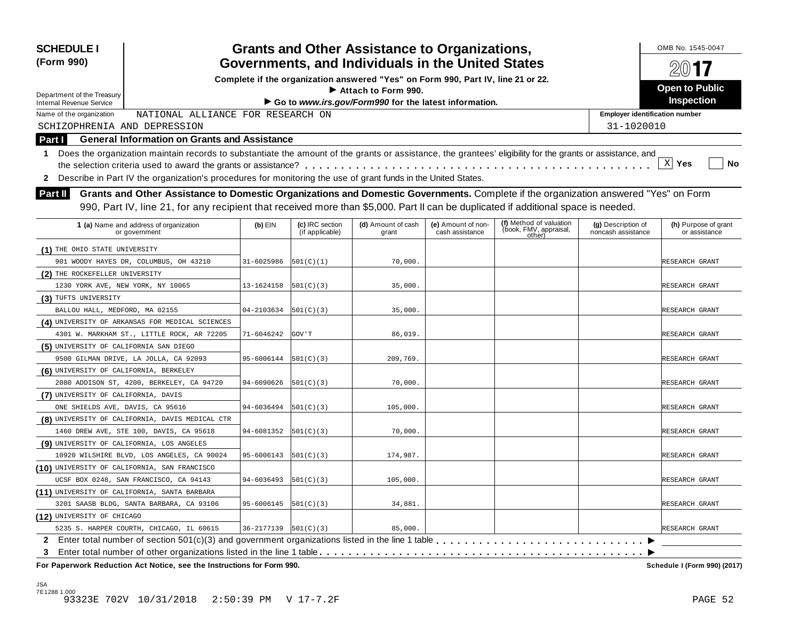| <b>SCHEDULE I</b><br>(Form 990)                                                                                                                                                                                                                                                             |                                                                                                                                                            |                        |                                    | <b>Grants and Other Assistance to Organizations,</b><br>Governments, and Individuals in the United States |                                       |                                                             |                                          | OMB No. 1545-0047<br>$200$ 17         |  |
|---------------------------------------------------------------------------------------------------------------------------------------------------------------------------------------------------------------------------------------------------------------------------------------------|------------------------------------------------------------------------------------------------------------------------------------------------------------|------------------------|------------------------------------|-----------------------------------------------------------------------------------------------------------|---------------------------------------|-------------------------------------------------------------|------------------------------------------|---------------------------------------|--|
|                                                                                                                                                                                                                                                                                             |                                                                                                                                                            |                        |                                    | Complete if the organization answered "Yes" on Form 990, Part IV, line 21 or 22.                          |                                       |                                                             |                                          |                                       |  |
| Department of the Treasury                                                                                                                                                                                                                                                                  |                                                                                                                                                            |                        |                                    | $\blacktriangleright$ Attach to Form 990.                                                                 |                                       |                                                             |                                          | <b>Open to Public</b>                 |  |
| <b>Internal Revenue Service</b>                                                                                                                                                                                                                                                             |                                                                                                                                                            |                        |                                    | Go to www.irs.gov/Form990 for the latest information.                                                     |                                       |                                                             |                                          | <b>Inspection</b>                     |  |
| Name of the organization                                                                                                                                                                                                                                                                    | NATIONAL ALLIANCE FOR RESEARCH ON                                                                                                                          |                        |                                    |                                                                                                           |                                       |                                                             | <b>Employer identification number</b>    |                                       |  |
| SCHIZOPHRENIA AND DEPRESSION                                                                                                                                                                                                                                                                |                                                                                                                                                            |                        |                                    |                                                                                                           |                                       |                                                             | 31-1020010                               |                                       |  |
| Part I                                                                                                                                                                                                                                                                                      | <b>General Information on Grants and Assistance</b>                                                                                                        |                        |                                    |                                                                                                           |                                       |                                                             |                                          |                                       |  |
| 1.                                                                                                                                                                                                                                                                                          | Does the organization maintain records to substantiate the amount of the grants or assistance, the grantees' eligibility for the grants or assistance, and |                        |                                    |                                                                                                           |                                       |                                                             |                                          |                                       |  |
|                                                                                                                                                                                                                                                                                             |                                                                                                                                                            |                        |                                    |                                                                                                           |                                       |                                                             |                                          | X <br>Yes<br>No                       |  |
| 2                                                                                                                                                                                                                                                                                           | Describe in Part IV the organization's procedures for monitoring the use of grant funds in the United States.                                              |                        |                                    |                                                                                                           |                                       |                                                             |                                          |                                       |  |
| Grants and Other Assistance to Domestic Organizations and Domestic Governments. Complete if the organization answered "Yes" on Form<br><b>Part II</b><br>990, Part IV, line 21, for any recipient that received more than \$5,000. Part II can be duplicated if additional space is needed. |                                                                                                                                                            |                        |                                    |                                                                                                           |                                       |                                                             |                                          |                                       |  |
|                                                                                                                                                                                                                                                                                             | 1 (a) Name and address of organization<br>or government                                                                                                    | $(b)$ EIN              | (c) IRC section<br>(if applicable) | (d) Amount of cash<br>grant                                                                               | (e) Amount of non-<br>cash assistance | (f) Method of valuation<br>(book, FMV, appraisal,<br>other) | (g) Description of<br>noncash assistance | (h) Purpose of grant<br>or assistance |  |
| (1) THE OHIO STATE UNIVERSITY                                                                                                                                                                                                                                                               |                                                                                                                                                            |                        |                                    |                                                                                                           |                                       |                                                             |                                          |                                       |  |
|                                                                                                                                                                                                                                                                                             | 901 WOODY HAYES DR, COLUMBUS, OH 43210                                                                                                                     | 31-6025986             | 501(C)(1)                          | 70,000.                                                                                                   |                                       |                                                             |                                          | RESEARCH GRANT                        |  |
| (2) THE ROCKEFELLER UNIVERSITY                                                                                                                                                                                                                                                              |                                                                                                                                                            |                        |                                    |                                                                                                           |                                       |                                                             |                                          |                                       |  |
| 1230 YORK AVE, NEW YORK, NY 10065                                                                                                                                                                                                                                                           |                                                                                                                                                            | 13-1624158             | 501(C)(3)                          | 35,000.                                                                                                   |                                       |                                                             |                                          | RESEARCH GRANT                        |  |
| (3) TUFTS UNIVERSITY                                                                                                                                                                                                                                                                        |                                                                                                                                                            |                        |                                    |                                                                                                           |                                       |                                                             |                                          |                                       |  |
| BALLOU HALL, MEDFORD, MA 02155                                                                                                                                                                                                                                                              |                                                                                                                                                            | 04-2103634             | 501(C)(3)                          | 35,000.                                                                                                   |                                       |                                                             |                                          | RESEARCH GRANT                        |  |
|                                                                                                                                                                                                                                                                                             | (4) UNIVERSITY OF ARKANSAS FOR MEDICAL SCIENCES                                                                                                            |                        |                                    |                                                                                                           |                                       |                                                             |                                          |                                       |  |
|                                                                                                                                                                                                                                                                                             | 4301 W. MARKHAM ST., LITTLE ROCK, AR 72205                                                                                                                 | 71-6046242             | GOV ' T                            | 86,019.                                                                                                   |                                       |                                                             |                                          | RESEARCH GRANT                        |  |
| (5) UNIVERSITY OF CALIFORNIA SAN DIEGO                                                                                                                                                                                                                                                      |                                                                                                                                                            |                        |                                    |                                                                                                           |                                       |                                                             |                                          |                                       |  |
|                                                                                                                                                                                                                                                                                             | 9500 GILMAN DRIVE, LA JOLLA, CA 92093                                                                                                                      | 95-6006144             | 501(C)(3)                          | 209,769.                                                                                                  |                                       |                                                             |                                          | RESEARCH GRANT                        |  |
| (6) UNIVERSITY OF CALIFORNIA, BERKELEY                                                                                                                                                                                                                                                      |                                                                                                                                                            |                        |                                    |                                                                                                           |                                       |                                                             |                                          |                                       |  |
|                                                                                                                                                                                                                                                                                             | 2080 ADDISON ST, 4200, BERKELEY, CA 94720                                                                                                                  | 94-6090626             | 501(C)(3)                          | 70,000.                                                                                                   |                                       |                                                             |                                          | RESEARCH GRANT                        |  |
| (7) UNIVERSITY OF CALIFORNIA, DAVIS                                                                                                                                                                                                                                                         |                                                                                                                                                            |                        |                                    |                                                                                                           |                                       |                                                             |                                          |                                       |  |
| ONE SHIELDS AVE, DAVIS, CA 95616                                                                                                                                                                                                                                                            |                                                                                                                                                            | 94-6036494             | 501(C)(3)                          | 105,000.                                                                                                  |                                       |                                                             |                                          | RESEARCH GRANT                        |  |
|                                                                                                                                                                                                                                                                                             | (8) UNIVERSITY OF CALIFORNIA, DAVIS MEDICAL CTR                                                                                                            |                        |                                    |                                                                                                           |                                       |                                                             |                                          |                                       |  |
|                                                                                                                                                                                                                                                                                             | 1460 DREW AVE, STE 100, DAVIS, CA 95618                                                                                                                    | 94-6081352             | 501(C)(3)                          | 70,000.                                                                                                   |                                       |                                                             |                                          | RESEARCH GRANT                        |  |
| (9) UNIVERSITY OF CALIFORNIA, LOS ANGELES                                                                                                                                                                                                                                                   |                                                                                                                                                            |                        |                                    |                                                                                                           |                                       |                                                             |                                          |                                       |  |
|                                                                                                                                                                                                                                                                                             | 10920 WILSHIRE BLVD, LOS ANGELES, CA 90024                                                                                                                 | 95-6006143             | 501(C)(3)                          | 174,987.                                                                                                  |                                       |                                                             |                                          | RESEARCH GRANT                        |  |
| (10) UNIVERSITY OF CALIFORNIA, SAN FRANCISCO                                                                                                                                                                                                                                                |                                                                                                                                                            |                        |                                    |                                                                                                           |                                       |                                                             |                                          |                                       |  |
|                                                                                                                                                                                                                                                                                             | UCSF BOX 0248, SAN FRANCISCO, CA 94143                                                                                                                     | 94-6036493             | 501(C)(3)                          | 105,000.                                                                                                  |                                       |                                                             |                                          | RESEARCH GRANT                        |  |
| (11) UNIVERSITY OF CALIFORNIA, SANTA BARBARA                                                                                                                                                                                                                                                |                                                                                                                                                            |                        |                                    |                                                                                                           |                                       |                                                             |                                          |                                       |  |
|                                                                                                                                                                                                                                                                                             | 3201 SAASB BLDG, SANTA BARBARA, CA 93106                                                                                                                   | 95-6006145             | 501(C)(3)                          | 34,881.                                                                                                   |                                       |                                                             |                                          | RESEARCH GRANT                        |  |
| (12) UNIVERSITY OF CHICAGO                                                                                                                                                                                                                                                                  |                                                                                                                                                            |                        |                                    |                                                                                                           |                                       |                                                             |                                          |                                       |  |
|                                                                                                                                                                                                                                                                                             | 5235 S. HARPER COURTH, CHICAGO, IL 60615                                                                                                                   | 36-2177139   501(C)(3) |                                    | 85,000.                                                                                                   |                                       |                                                             |                                          | RESEARCH GRANT                        |  |
| 3                                                                                                                                                                                                                                                                                           | 2 Enter total number of section 501(c)(3) and government organizations listed in the line 1 table                                                          |                        |                                    |                                                                                                           |                                       |                                                             |                                          |                                       |  |
|                                                                                                                                                                                                                                                                                             | For Paperwork Reduction Act Notice, see the Instructions for Form 990.                                                                                     |                        |                                    |                                                                                                           |                                       |                                                             |                                          | Schedule I (Form 990) (2017)          |  |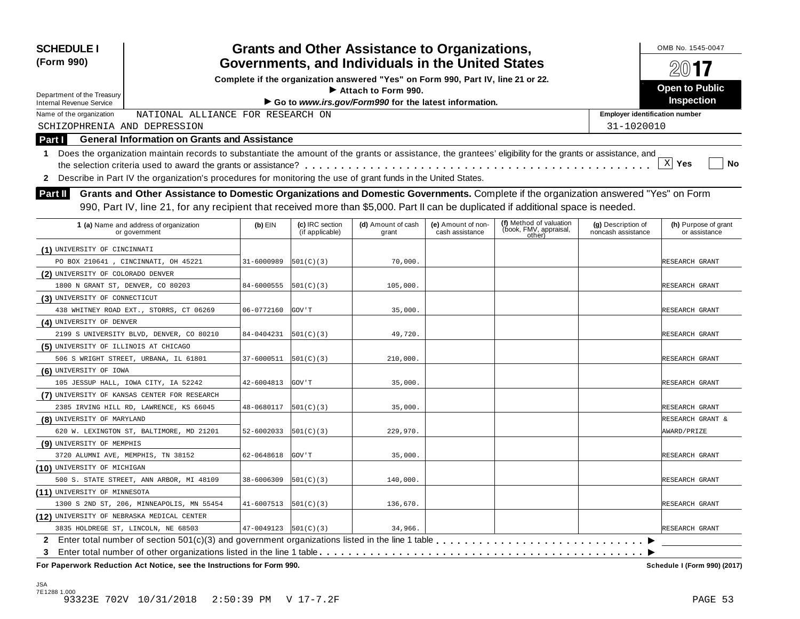| <b>SCHEDULE I</b><br>(Form 990)              |                                                                                                                                                                                                                                                                           |                            |                                    | <b>Grants and Other Assistance to Organizations,</b><br>Governments, and Individuals in the United States |                                       |                                                             |                                          | OMB No. 1545-0047<br>2017             |
|----------------------------------------------|---------------------------------------------------------------------------------------------------------------------------------------------------------------------------------------------------------------------------------------------------------------------------|----------------------------|------------------------------------|-----------------------------------------------------------------------------------------------------------|---------------------------------------|-------------------------------------------------------------|------------------------------------------|---------------------------------------|
|                                              |                                                                                                                                                                                                                                                                           |                            |                                    | Complete if the organization answered "Yes" on Form 990, Part IV, line 21 or 22.                          |                                       |                                                             |                                          |                                       |
| Department of the Treasury                   |                                                                                                                                                                                                                                                                           |                            |                                    | $\blacktriangleright$ Attach to Form 990.                                                                 |                                       |                                                             |                                          | <b>Open to Public</b>                 |
| <b>Internal Revenue Service</b>              |                                                                                                                                                                                                                                                                           |                            |                                    | Go to www.irs.gov/Form990 for the latest information.                                                     |                                       |                                                             |                                          | <b>Inspection</b>                     |
| Name of the organization                     | NATIONAL ALLIANCE FOR RESEARCH ON                                                                                                                                                                                                                                         |                            |                                    |                                                                                                           |                                       |                                                             | <b>Employer identification number</b>    |                                       |
| SCHIZOPHRENIA AND DEPRESSION                 |                                                                                                                                                                                                                                                                           |                            |                                    |                                                                                                           |                                       |                                                             | 31-1020010                               |                                       |
| Part I                                       | <b>General Information on Grants and Assistance</b>                                                                                                                                                                                                                       |                            |                                    |                                                                                                           |                                       |                                                             |                                          |                                       |
| 1.                                           | Does the organization maintain records to substantiate the amount of the grants or assistance, the grantees' eligibility for the grants or assistance, and                                                                                                                |                            |                                    |                                                                                                           |                                       |                                                             |                                          |                                       |
|                                              |                                                                                                                                                                                                                                                                           |                            |                                    |                                                                                                           |                                       |                                                             |                                          | X <br>Yes<br>No                       |
| 2                                            | Describe in Part IV the organization's procedures for monitoring the use of grant funds in the United States.                                                                                                                                                             |                            |                                    |                                                                                                           |                                       |                                                             |                                          |                                       |
| <b>Part II</b>                               | Grants and Other Assistance to Domestic Organizations and Domestic Governments. Complete if the organization answered "Yes" on Form<br>990, Part IV, line 21, for any recipient that received more than \$5,000. Part II can be duplicated if additional space is needed. |                            |                                    |                                                                                                           |                                       |                                                             |                                          |                                       |
|                                              | 1 (a) Name and address of organization<br>or government                                                                                                                                                                                                                   | $(b)$ EIN                  | (c) IRC section<br>(if applicable) | (d) Amount of cash<br>grant                                                                               | (e) Amount of non-<br>cash assistance | (f) Method of valuation<br>(book, FMV, appraisal,<br>other) | (g) Description of<br>noncash assistance | (h) Purpose of grant<br>or assistance |
| (1) UNIVERSITY OF CINCINNATI                 |                                                                                                                                                                                                                                                                           |                            |                                    |                                                                                                           |                                       |                                                             |                                          |                                       |
| PO BOX 210641, CINCINNATI, OH 45221          |                                                                                                                                                                                                                                                                           | 31-6000989                 | 501(C)(3)                          | 70,000.                                                                                                   |                                       |                                                             |                                          | RESEARCH GRANT                        |
| (2) UNIVERSITY OF COLORADO DENVER            |                                                                                                                                                                                                                                                                           |                            |                                    |                                                                                                           |                                       |                                                             |                                          |                                       |
| 1800 N GRANT ST, DENVER, CO 80203            |                                                                                                                                                                                                                                                                           | 84-6000555                 | 501(C)(3)                          | 105,000.                                                                                                  |                                       |                                                             |                                          | RESEARCH GRANT                        |
| (3) UNIVERSITY OF CONNECTICUT                |                                                                                                                                                                                                                                                                           |                            |                                    |                                                                                                           |                                       |                                                             |                                          |                                       |
| 438 WHITNEY ROAD EXT., STORRS, CT 06269      |                                                                                                                                                                                                                                                                           | 06-0772160                 | GOV ' T                            | 35,000.                                                                                                   |                                       |                                                             |                                          | RESEARCH GRANT                        |
| (4) UNIVERSITY OF DENVER                     |                                                                                                                                                                                                                                                                           |                            |                                    |                                                                                                           |                                       |                                                             |                                          |                                       |
|                                              | 2199 S UNIVERSITY BLVD, DENVER, CO 80210                                                                                                                                                                                                                                  | 84-0404231                 | 501(C)(3)                          | 49,720.                                                                                                   |                                       |                                                             |                                          | RESEARCH GRANT                        |
| (5) UNIVERSITY OF ILLINOIS AT CHICAGO        |                                                                                                                                                                                                                                                                           |                            |                                    |                                                                                                           |                                       |                                                             |                                          |                                       |
| 506 S WRIGHT STREET, URBANA, IL 61801        |                                                                                                                                                                                                                                                                           | 37-6000511                 | 501(C)(3)                          | 210,000.                                                                                                  |                                       |                                                             |                                          | RESEARCH GRANT                        |
| (6) UNIVERSITY OF IOWA                       |                                                                                                                                                                                                                                                                           |                            |                                    |                                                                                                           |                                       |                                                             |                                          |                                       |
| 105 JESSUP HALL, IOWA CITY, IA 52242         |                                                                                                                                                                                                                                                                           | 42-6004813                 | GOV ' T                            | 35,000.                                                                                                   |                                       |                                                             |                                          | RESEARCH GRANT                        |
| (7) UNIVERSITY OF KANSAS CENTER FOR RESEARCH |                                                                                                                                                                                                                                                                           |                            |                                    |                                                                                                           |                                       |                                                             |                                          |                                       |
| 2385 IRVING HILL RD, LAWRENCE, KS 66045      |                                                                                                                                                                                                                                                                           | 48-0680117                 | 501(C)(3)                          | 35,000.                                                                                                   |                                       |                                                             |                                          | RESEARCH GRANT                        |
| (8) UNIVERSITY OF MARYLAND                   |                                                                                                                                                                                                                                                                           |                            |                                    |                                                                                                           |                                       |                                                             |                                          | RESEARCH GRANT &                      |
| 620 W. LEXINGTON ST, BALTIMORE, MD 21201     |                                                                                                                                                                                                                                                                           | 52-6002033                 | 501(C)(3)                          | 229,970.                                                                                                  |                                       |                                                             |                                          | AWARD/PRIZE                           |
| (9) UNIVERSITY OF MEMPHIS                    |                                                                                                                                                                                                                                                                           |                            |                                    |                                                                                                           |                                       |                                                             |                                          |                                       |
| 3720 ALUMNI AVE, MEMPHIS, TN 38152           |                                                                                                                                                                                                                                                                           | 62-0648618                 | GOV ' T                            | 35,000.                                                                                                   |                                       |                                                             |                                          | RESEARCH GRANT                        |
| (10) UNIVERSITY OF MICHIGAN                  |                                                                                                                                                                                                                                                                           |                            |                                    |                                                                                                           |                                       |                                                             |                                          |                                       |
|                                              | 500 S. STATE STREET, ANN ARBOR, MI 48109                                                                                                                                                                                                                                  | 38-6006309                 | 501(C)(3)                          | 140,000.                                                                                                  |                                       |                                                             |                                          | RESEARCH GRANT                        |
| (11) UNIVERSITY OF MINNESOTA                 |                                                                                                                                                                                                                                                                           |                            |                                    |                                                                                                           |                                       |                                                             |                                          |                                       |
|                                              | 1300 S 2ND ST, 206, MINNEAPOLIS, MN 55454                                                                                                                                                                                                                                 | 41-6007513                 | 501(C)(3)                          | 136,670.                                                                                                  |                                       |                                                             |                                          | RESEARCH GRANT                        |
| (12) UNIVERSITY OF NEBRASKA MEDICAL CENTER   |                                                                                                                                                                                                                                                                           |                            |                                    |                                                                                                           |                                       |                                                             |                                          |                                       |
| 3835 HOLDREGE ST, LINCOLN, NE 68503          |                                                                                                                                                                                                                                                                           | $47-0049123$ $ 501(C)(3) $ |                                    | 34,966.                                                                                                   |                                       |                                                             |                                          | RESEARCH GRANT                        |
| 3                                            |                                                                                                                                                                                                                                                                           |                            |                                    |                                                                                                           |                                       |                                                             |                                          |                                       |
|                                              | For Paperwork Reduction Act Notice, see the Instructions for Form 990.                                                                                                                                                                                                    |                            |                                    |                                                                                                           |                                       |                                                             |                                          | Schedule I (Form 990) (2017)          |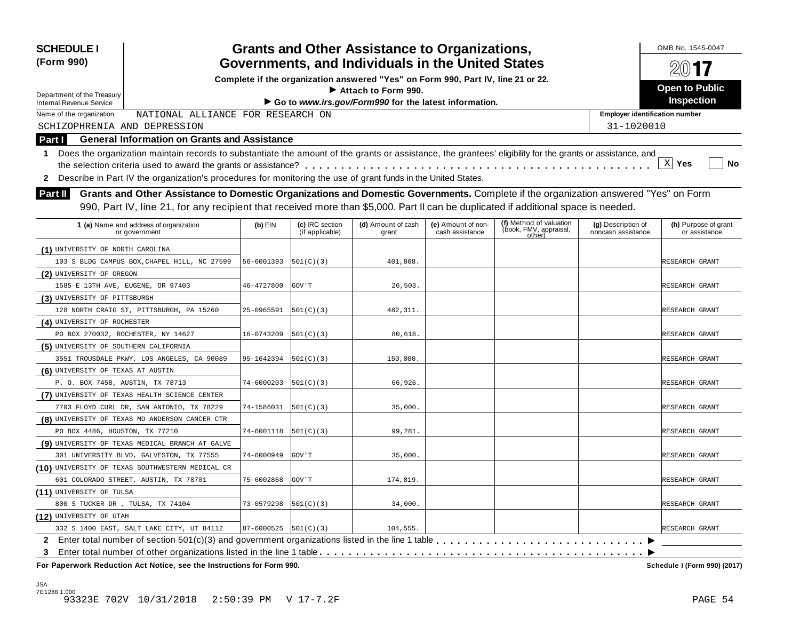| <b>SCHEDULE I</b><br>(Form 990)                                                                                                                                                                                                                                                                      | <b>Grants and Other Assistance to Organizations,</b><br>Governments, and Individuals in the United States                           |                            | OMB No. 1545-0047                  |                                                                                  |                                       |                                                             |                                          |                                       |  |  |  |
|------------------------------------------------------------------------------------------------------------------------------------------------------------------------------------------------------------------------------------------------------------------------------------------------------|-------------------------------------------------------------------------------------------------------------------------------------|----------------------------|------------------------------------|----------------------------------------------------------------------------------|---------------------------------------|-------------------------------------------------------------|------------------------------------------|---------------------------------------|--|--|--|
|                                                                                                                                                                                                                                                                                                      |                                                                                                                                     |                            |                                    | Complete if the organization answered "Yes" on Form 990, Part IV, line 21 or 22. |                                       |                                                             |                                          |                                       |  |  |  |
| Department of the Treasury                                                                                                                                                                                                                                                                           |                                                                                                                                     |                            |                                    | Attach to Form 990.                                                              |                                       |                                                             |                                          | <b>Open to Public</b>                 |  |  |  |
| <b>Internal Revenue Service</b>                                                                                                                                                                                                                                                                      |                                                                                                                                     |                            |                                    | Go to www.irs.gov/Form990 for the latest information.                            |                                       |                                                             |                                          | <b>Inspection</b>                     |  |  |  |
| Name of the organization                                                                                                                                                                                                                                                                             | NATIONAL ALLIANCE FOR RESEARCH ON                                                                                                   |                            |                                    |                                                                                  |                                       |                                                             | <b>Employer identification number</b>    |                                       |  |  |  |
| SCHIZOPHRENIA AND DEPRESSION                                                                                                                                                                                                                                                                         |                                                                                                                                     |                            |                                    |                                                                                  |                                       |                                                             | 31-1020010                               |                                       |  |  |  |
| <b>Part I</b>                                                                                                                                                                                                                                                                                        | <b>General Information on Grants and Assistance</b>                                                                                 |                            |                                    |                                                                                  |                                       |                                                             |                                          |                                       |  |  |  |
| Does the organization maintain records to substantiate the amount of the grants or assistance, the grantees' eligibility for the grants or assistance, and<br>1.<br>$X$ Yes<br>No<br>2 Describe in Part IV the organization's procedures for monitoring the use of grant funds in the United States. |                                                                                                                                     |                            |                                    |                                                                                  |                                       |                                                             |                                          |                                       |  |  |  |
| <b>Part II</b>                                                                                                                                                                                                                                                                                       | Grants and Other Assistance to Domestic Organizations and Domestic Governments. Complete if the organization answered "Yes" on Form |                            |                                    |                                                                                  |                                       |                                                             |                                          |                                       |  |  |  |
|                                                                                                                                                                                                                                                                                                      | 990, Part IV, line 21, for any recipient that received more than \$5,000. Part II can be duplicated if additional space is needed.  |                            |                                    |                                                                                  |                                       |                                                             |                                          |                                       |  |  |  |
|                                                                                                                                                                                                                                                                                                      | 1 (a) Name and address of organization<br>or government                                                                             | $(b)$ EIN                  | (c) IRC section<br>(if applicable) | (d) Amount of cash<br>grant                                                      | (e) Amount of non-<br>cash assistance | (f) Method of valuation<br>(book, FMV, appraisal,<br>other) | (g) Description of<br>noncash assistance | (h) Purpose of grant<br>or assistance |  |  |  |
| (1) UNIVERSITY OF NORTH CAROLINA                                                                                                                                                                                                                                                                     |                                                                                                                                     |                            |                                    |                                                                                  |                                       |                                                             |                                          |                                       |  |  |  |
|                                                                                                                                                                                                                                                                                                      | 103 S BLDG CAMPUS BOX, CHAPEL HILL, NC 27599                                                                                        | 56-6001393                 | 501(C)(3)                          | 401,868.                                                                         |                                       |                                                             |                                          | RESEARCH GRANT                        |  |  |  |
| (2) UNIVERSITY OF OREGON                                                                                                                                                                                                                                                                             |                                                                                                                                     |                            |                                    |                                                                                  |                                       |                                                             |                                          |                                       |  |  |  |
| 1585 E 13TH AVE, EUGENE, OR 97403                                                                                                                                                                                                                                                                    |                                                                                                                                     | 46-4727800                 | GOV ' T                            | 26,503                                                                           |                                       |                                                             |                                          | RESEARCH GRANT                        |  |  |  |
| (3) UNIVERSITY OF PITTSBURGH                                                                                                                                                                                                                                                                         |                                                                                                                                     |                            |                                    |                                                                                  |                                       |                                                             |                                          |                                       |  |  |  |
|                                                                                                                                                                                                                                                                                                      | 128 NORTH CRAIG ST, PITTSBURGH, PA 15260                                                                                            | 25-0965591                 | 501(C)(3)                          | 482, 311.                                                                        |                                       |                                                             |                                          | RESEARCH GRANT                        |  |  |  |
| (4) UNIVERSITY OF ROCHESTER                                                                                                                                                                                                                                                                          |                                                                                                                                     |                            |                                    |                                                                                  |                                       |                                                             |                                          |                                       |  |  |  |
| PO BOX 270032, ROCHESTER, NY 14627                                                                                                                                                                                                                                                                   |                                                                                                                                     | 16-0743209                 | 501(C)(3)                          | 80,618.                                                                          |                                       |                                                             |                                          | RESEARCH GRANT                        |  |  |  |
| (5) UNIVERSITY OF SOUTHERN CALIFORNIA                                                                                                                                                                                                                                                                |                                                                                                                                     |                            |                                    |                                                                                  |                                       |                                                             |                                          |                                       |  |  |  |
|                                                                                                                                                                                                                                                                                                      | 3551 TROUSDALE PKWY, LOS ANGELES, CA 90089                                                                                          | 95-1642394                 | 501(C)(3)                          | 150,000.                                                                         |                                       |                                                             |                                          | RESEARCH GRANT                        |  |  |  |
| (6) UNIVERSITY OF TEXAS AT AUSTIN                                                                                                                                                                                                                                                                    |                                                                                                                                     |                            |                                    |                                                                                  |                                       |                                                             |                                          |                                       |  |  |  |
| P. O. BOX 7458, AUSTIN, TX 78713                                                                                                                                                                                                                                                                     |                                                                                                                                     | 74-6000203                 | 501(C)(3)                          | 66,926.                                                                          |                                       |                                                             |                                          | RESEARCH GRANT                        |  |  |  |
| (7) UNIVERSITY OF TEXAS HEALTH SCIENCE CENTER                                                                                                                                                                                                                                                        |                                                                                                                                     |                            |                                    |                                                                                  |                                       |                                                             |                                          |                                       |  |  |  |
|                                                                                                                                                                                                                                                                                                      | 7703 FLOYD CURL DR, SAN ANTONIO, TX 78229                                                                                           | 74-1586031                 | 501(C)(3)                          | 35,000                                                                           |                                       |                                                             |                                          | RESEARCH GRANT                        |  |  |  |
|                                                                                                                                                                                                                                                                                                      | (8) UNIVERSITY OF TEXAS MD ANDERSON CANCER CTR                                                                                      |                            |                                    |                                                                                  |                                       |                                                             |                                          |                                       |  |  |  |
| PO BOX 4486, HOUSTON, TX 77210                                                                                                                                                                                                                                                                       |                                                                                                                                     | 74-6001118                 | 501(C)(3)                          | 99,281.                                                                          |                                       |                                                             |                                          | RESEARCH GRANT                        |  |  |  |
|                                                                                                                                                                                                                                                                                                      | (9) UNIVERSITY OF TEXAS MEDICAL BRANCH AT GALVE                                                                                     |                            |                                    |                                                                                  |                                       |                                                             |                                          |                                       |  |  |  |
|                                                                                                                                                                                                                                                                                                      | 301 UNIVERSITY BLVD, GALVESTON, TX 77555                                                                                            | 74-6000949                 | GOV ' T                            | 35,000.                                                                          |                                       |                                                             |                                          | RESEARCH GRANT                        |  |  |  |
|                                                                                                                                                                                                                                                                                                      | (10) UNIVERSITY OF TEXAS SOUTHWESTERN MEDICAL CR                                                                                    |                            |                                    |                                                                                  |                                       |                                                             |                                          |                                       |  |  |  |
| 601 COLORADO STREET, AUSTIN, TX 78701                                                                                                                                                                                                                                                                |                                                                                                                                     | 75-6002868                 | <b>GOV</b> 'T                      | 174,819.                                                                         |                                       |                                                             |                                          | RESEARCH GRANT                        |  |  |  |
| (11) UNIVERSITY OF TULSA                                                                                                                                                                                                                                                                             |                                                                                                                                     |                            |                                    |                                                                                  |                                       |                                                             |                                          |                                       |  |  |  |
| 800 S TUCKER DR , TULSA, TX 74104                                                                                                                                                                                                                                                                    |                                                                                                                                     | 73-0579298                 | 501(C)(3)                          | 34,000.                                                                          |                                       |                                                             |                                          | RESEARCH GRANT                        |  |  |  |
| (12) UNIVERSITY OF UTAH                                                                                                                                                                                                                                                                              |                                                                                                                                     |                            |                                    |                                                                                  |                                       |                                                             |                                          |                                       |  |  |  |
|                                                                                                                                                                                                                                                                                                      | 332 S 1400 EAST, SALT LAKE CITY, UT 84112                                                                                           | $87 - 6000525$ $501(C)(3)$ |                                    | 104,555                                                                          |                                       |                                                             |                                          | RESEARCH GRANT                        |  |  |  |
| $\mathbf{2}$                                                                                                                                                                                                                                                                                         | Enter total number of section 501(c)(3) and government organizations listed in the line 1 table                                     |                            |                                    |                                                                                  |                                       |                                                             | ▸                                        |                                       |  |  |  |
| 3                                                                                                                                                                                                                                                                                                    |                                                                                                                                     |                            |                                    |                                                                                  |                                       |                                                             |                                          |                                       |  |  |  |

 **For Paperwork Reduction Act Notice, see the Instructions for Form 990.** 

Schedule I (Form 990) (2017)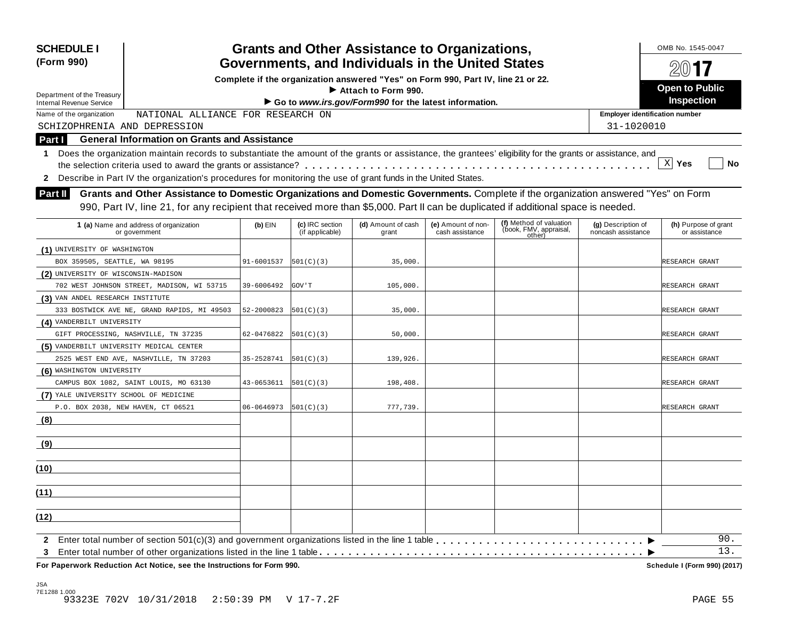| <b>SCHEDULE I</b><br>(Form 990)          | <b>Grants and Other Assistance to Organizations,</b><br>Governments, and Individuals in the United States                                                                                                                                                                 |            |                                    |                                                                                  |                                       |                                                             |                                          | OMB No. 1545-0047                     |
|------------------------------------------|---------------------------------------------------------------------------------------------------------------------------------------------------------------------------------------------------------------------------------------------------------------------------|------------|------------------------------------|----------------------------------------------------------------------------------|---------------------------------------|-------------------------------------------------------------|------------------------------------------|---------------------------------------|
|                                          |                                                                                                                                                                                                                                                                           |            |                                    | Complete if the organization answered "Yes" on Form 990, Part IV, line 21 or 22. |                                       |                                                             |                                          |                                       |
| Department of the Treasury               |                                                                                                                                                                                                                                                                           |            |                                    | $\blacktriangleright$ Attach to Form 990.                                        |                                       |                                                             |                                          | <b>Open to Public</b>                 |
| <b>Internal Revenue Service</b>          |                                                                                                                                                                                                                                                                           |            |                                    | Go to www.irs.gov/Form990 for the latest information.                            |                                       |                                                             |                                          | <b>Inspection</b>                     |
| Name of the organization                 | NATIONAL ALLIANCE FOR RESEARCH ON                                                                                                                                                                                                                                         |            |                                    |                                                                                  |                                       |                                                             | <b>Employer identification number</b>    |                                       |
| SCHIZOPHRENIA AND DEPRESSION             |                                                                                                                                                                                                                                                                           |            |                                    |                                                                                  |                                       |                                                             | 31-1020010                               |                                       |
| <b>Part I</b>                            | <b>General Information on Grants and Assistance</b>                                                                                                                                                                                                                       |            |                                    |                                                                                  |                                       |                                                             |                                          |                                       |
| 1                                        | Does the organization maintain records to substantiate the amount of the grants or assistance, the grantees' eligibility for the grants or assistance, and                                                                                                                |            |                                    |                                                                                  |                                       |                                                             |                                          |                                       |
|                                          |                                                                                                                                                                                                                                                                           |            |                                    |                                                                                  |                                       |                                                             |                                          | X <br>Yes<br>No                       |
| $\mathbf{z}$                             | Describe in Part IV the organization's procedures for monitoring the use of grant funds in the United States.                                                                                                                                                             |            |                                    |                                                                                  |                                       |                                                             |                                          |                                       |
| <b>Part II</b>                           | Grants and Other Assistance to Domestic Organizations and Domestic Governments. Complete if the organization answered "Yes" on Form<br>990, Part IV, line 21, for any recipient that received more than \$5,000. Part II can be duplicated if additional space is needed. |            |                                    |                                                                                  |                                       |                                                             |                                          |                                       |
|                                          | 1 (a) Name and address of organization<br>or government                                                                                                                                                                                                                   | $(b)$ EIN  | (c) IRC section<br>(if applicable) | (d) Amount of cash<br>grant                                                      | (e) Amount of non-<br>cash assistance | (f) Method of valuation<br>(book, FMV, appraisal,<br>other) | (g) Description of<br>noncash assistance | (h) Purpose of grant<br>or assistance |
| (1) UNIVERSITY OF WASHINGTON             |                                                                                                                                                                                                                                                                           |            |                                    |                                                                                  |                                       |                                                             |                                          |                                       |
| BOX 359505, SEATTLE, WA 98195            |                                                                                                                                                                                                                                                                           | 91-6001537 | 501(C)(3)                          | 35,000.                                                                          |                                       |                                                             |                                          | RESEARCH GRANT                        |
| (2) UNIVERSITY OF WISCONSIN-MADISON      |                                                                                                                                                                                                                                                                           |            |                                    |                                                                                  |                                       |                                                             |                                          |                                       |
|                                          | 702 WEST JOHNSON STREET, MADISON, WI 53715                                                                                                                                                                                                                                | 39-6006492 | GOV ' T                            | 105,000.                                                                         |                                       |                                                             |                                          | RESEARCH GRANT                        |
| (3) VAN ANDEL RESEARCH INSTITUTE         |                                                                                                                                                                                                                                                                           |            |                                    |                                                                                  |                                       |                                                             |                                          |                                       |
|                                          | 333 BOSTWICK AVE NE, GRAND RAPIDS, MI 49503                                                                                                                                                                                                                               | 52-2000823 | 501(C)(3)                          | 35,000.                                                                          |                                       |                                                             |                                          | RESEARCH GRANT                        |
| (4) VANDERBILT UNIVERSITY                |                                                                                                                                                                                                                                                                           |            |                                    |                                                                                  |                                       |                                                             |                                          |                                       |
| GIFT PROCESSING, NASHVILLE, TN 37235     |                                                                                                                                                                                                                                                                           | 62-0476822 | 501(C)(3)                          | 50,000.                                                                          |                                       |                                                             |                                          | RESEARCH GRANT                        |
| (5) VANDERBILT UNIVERSITY MEDICAL CENTER |                                                                                                                                                                                                                                                                           |            |                                    |                                                                                  |                                       |                                                             |                                          |                                       |
|                                          | 2525 WEST END AVE, NASHVILLE, TN 37203                                                                                                                                                                                                                                    | 35-2528741 | 501(C)(3)                          | 139,926.                                                                         |                                       |                                                             |                                          | RESEARCH GRANT                        |
| (6) WASHINGTON UNIVERSITY                |                                                                                                                                                                                                                                                                           |            |                                    |                                                                                  |                                       |                                                             |                                          |                                       |
|                                          | CAMPUS BOX 1082, SAINT LOUIS, MO 63130                                                                                                                                                                                                                                    | 43-0653611 | 501(C)(3)                          | 198,408.                                                                         |                                       |                                                             |                                          | RESEARCH GRANT                        |
| (7) YALE UNIVERSITY SCHOOL OF MEDICINE   |                                                                                                                                                                                                                                                                           |            |                                    |                                                                                  |                                       |                                                             |                                          |                                       |
| P.O. BOX 2038, NEW HAVEN, CT 06521       |                                                                                                                                                                                                                                                                           | 06-0646973 | 501(C)(3)                          | 777,739.                                                                         |                                       |                                                             |                                          | RESEARCH GRANT                        |
| (8)                                      |                                                                                                                                                                                                                                                                           |            |                                    |                                                                                  |                                       |                                                             |                                          |                                       |
| (9)                                      |                                                                                                                                                                                                                                                                           |            |                                    |                                                                                  |                                       |                                                             |                                          |                                       |
| (10)                                     |                                                                                                                                                                                                                                                                           |            |                                    |                                                                                  |                                       |                                                             |                                          |                                       |
| (11)                                     |                                                                                                                                                                                                                                                                           |            |                                    |                                                                                  |                                       |                                                             |                                          |                                       |
| (12)                                     |                                                                                                                                                                                                                                                                           |            |                                    |                                                                                  |                                       |                                                             |                                          |                                       |
|                                          |                                                                                                                                                                                                                                                                           |            |                                    |                                                                                  |                                       |                                                             |                                          |                                       |
| 3                                        |                                                                                                                                                                                                                                                                           |            |                                    |                                                                                  |                                       |                                                             |                                          | 90.<br>13.                            |
|                                          | For Paperwork Reduction Act Notice, see the Instructions for Form 990.                                                                                                                                                                                                    |            |                                    |                                                                                  |                                       |                                                             |                                          | Schedule I (Form 990) (2017)          |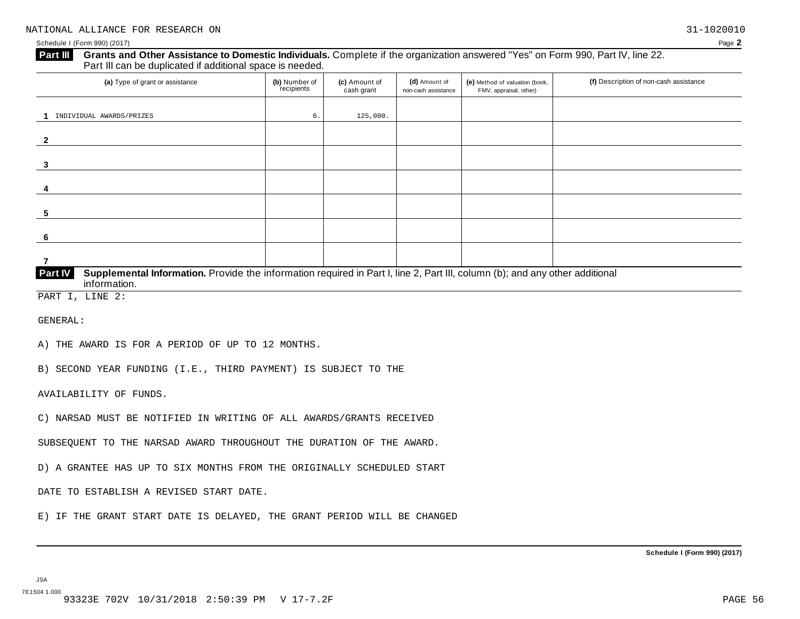#### **Grants and Other Assistance to Domestic Individuals.** Complete ifthe organization answered "Yes" on Form 990, Part IV, line 22. **Part III** Grants and Other Assistance to Domestic Individuals<br>Part III can be duplicated if additional space is needed.

| (a) Type of grant or assistance                                                                                                         | (b) Number of<br>recipients | (c) Amount of<br>cash grant | (d) Amount of<br>non-cash assistance | (e) Method of valuation (book,<br>FMV, appraisal, other) | (f) Description of non-cash assistance |  |  |  |
|-----------------------------------------------------------------------------------------------------------------------------------------|-----------------------------|-----------------------------|--------------------------------------|----------------------------------------------------------|----------------------------------------|--|--|--|
|                                                                                                                                         |                             |                             |                                      |                                                          |                                        |  |  |  |
| INDIVIDUAL AWARDS/PRIZES                                                                                                                | 6.                          | 125,000.                    |                                      |                                                          |                                        |  |  |  |
|                                                                                                                                         |                             |                             |                                      |                                                          |                                        |  |  |  |
| -2                                                                                                                                      |                             |                             |                                      |                                                          |                                        |  |  |  |
|                                                                                                                                         |                             |                             |                                      |                                                          |                                        |  |  |  |
| 3                                                                                                                                       |                             |                             |                                      |                                                          |                                        |  |  |  |
|                                                                                                                                         |                             |                             |                                      |                                                          |                                        |  |  |  |
| 4                                                                                                                                       |                             |                             |                                      |                                                          |                                        |  |  |  |
|                                                                                                                                         |                             |                             |                                      |                                                          |                                        |  |  |  |
| 5                                                                                                                                       |                             |                             |                                      |                                                          |                                        |  |  |  |
|                                                                                                                                         |                             |                             |                                      |                                                          |                                        |  |  |  |
| -6                                                                                                                                      |                             |                             |                                      |                                                          |                                        |  |  |  |
|                                                                                                                                         |                             |                             |                                      |                                                          |                                        |  |  |  |
| 7                                                                                                                                       |                             |                             |                                      |                                                          |                                        |  |  |  |
| Part IV<br>Supplemental Information. Provide the information required in Part I, line 2, Part III, column (b); and any other additional |                             |                             |                                      |                                                          |                                        |  |  |  |

PART I, LINE 2:

GENERAL:

A) THE AWARD IS FOR A PERIOD OF UP TO 12 MONTHS.

B) SECOND YEAR FUNDING (I.E., THIRD PAYMENT) IS SUBJECT TO THE

AVAILABILITY OF FUNDS.

 $information$ .

C) NARSAD MUST BE NOTIFIED IN WRITING OF ALL AWARDS/GRANTS RECEIVED

SUBSEQUENT TO THE NARSAD AWARD THROUGHOUT THE DURATION OF THE AWARD.

D) A GRANTEE HAS UP TO SIX MONTHS FROM THE ORIGINALLY SCHEDULED START

DATE TO ESTABLISH A REVISED START DATE.

E) IF THE GRANT START DATE IS DELAYED, THE GRANT PERIOD WILL BE CHANGED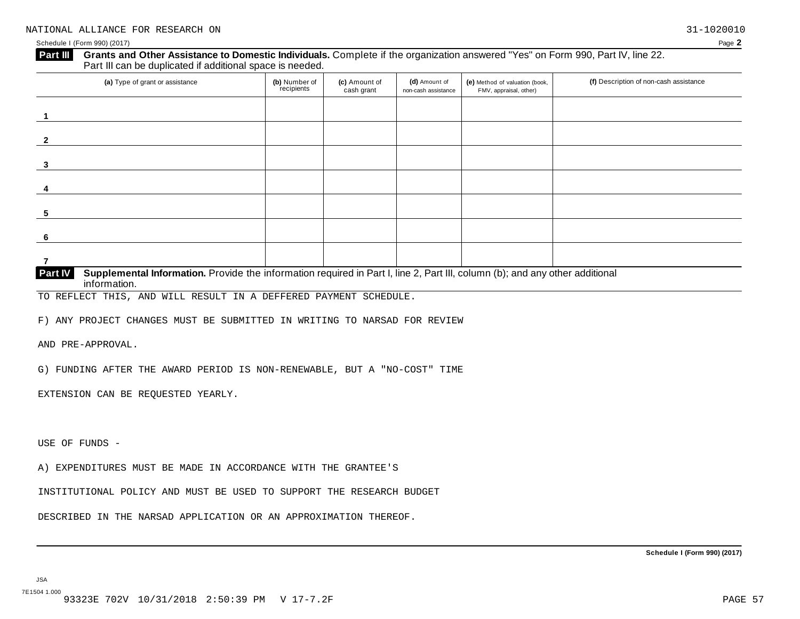#### **Grants and Other Assistance to Domestic Individuals.** Complete ifthe organization answered "Yes" on Form 990, Part IV, line 22. **Part III** Grants and Other Assistance to Domestic Individuals<br>Part III can be duplicated if additional space is needed.

| (a) Type of grant or assistance                                                                                                              | (b) Number of<br>recipients | (c) Amount of<br>cash grant | (d) Amount of<br>non-cash assistance | (e) Method of valuation (book,<br>FMV, appraisal, other) | (f) Description of non-cash assistance |  |  |
|----------------------------------------------------------------------------------------------------------------------------------------------|-----------------------------|-----------------------------|--------------------------------------|----------------------------------------------------------|----------------------------------------|--|--|
|                                                                                                                                              |                             |                             |                                      |                                                          |                                        |  |  |
| $\overline{\mathbf{z}}$                                                                                                                      |                             |                             |                                      |                                                          |                                        |  |  |
| 3                                                                                                                                            |                             |                             |                                      |                                                          |                                        |  |  |
|                                                                                                                                              |                             |                             |                                      |                                                          |                                        |  |  |
| 5                                                                                                                                            |                             |                             |                                      |                                                          |                                        |  |  |
| -6                                                                                                                                           |                             |                             |                                      |                                                          |                                        |  |  |
| 7                                                                                                                                            |                             |                             |                                      |                                                          |                                        |  |  |
| D <sub>out</sub> N<br>Cupulamental Information, Dravida the information required in Dert Lline 2. Dent III, equipmental any other odditional |                             |                             |                                      |                                                          |                                        |  |  |

**Supplemental Information.** Provide the information required in Part I, line 2, Part III, column (b); and any other additional information. **Part IV**

TO REFLECT THIS, AND WILL RESULT IN A DEFFERED PAYMENT SCHEDULE.

F) ANY PROJECT CHANGES MUST BE SUBMITTED IN WRITING TO NARSAD FOR REVIEW

AND PRE-APPROVAL.

G) FUNDING AFTER THE AWARD PERIOD IS NON-RENEWABLE, BUT A "NO-COST" TIME

EXTENSION CAN BE REQUESTED YEARLY.

USE OF FUNDS -

A) EXPENDITURES MUST BE MADE IN ACCORDANCE WITH THE GRANTEE'S

INSTITUTIONAL POLICY AND MUST BE USED TO SUPPORT THE RESEARCH BUDGET

DESCRIBED IN THE NARSAD APPLICATION OR AN APPROXIMATION THEREOF.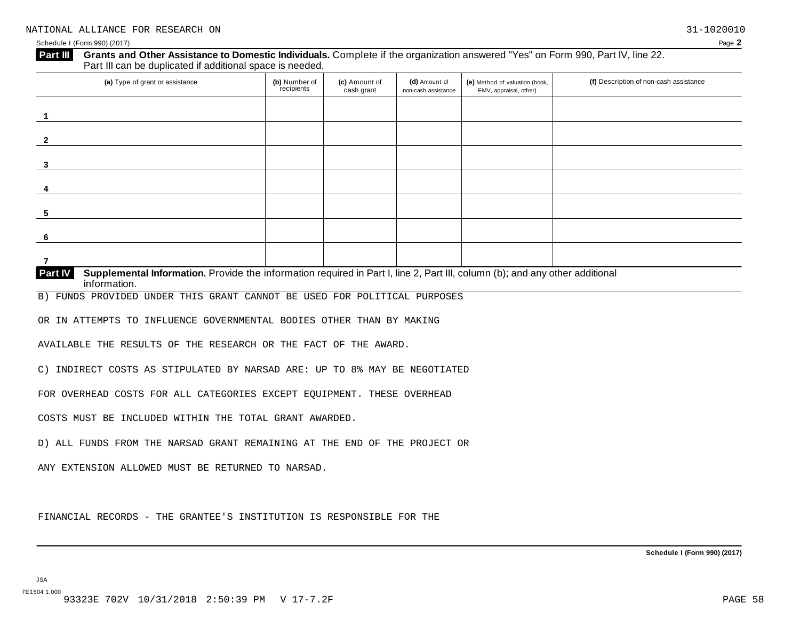|                                                                                                                                                         | (b) Number of<br>recipients | (c) Amount of<br>cash grant | (d) Amount of<br>non-cash assistance | (e) Method of valuation (book,<br>FMV, appraisal, other) | (f) Description of non-cash assistance |
|---------------------------------------------------------------------------------------------------------------------------------------------------------|-----------------------------|-----------------------------|--------------------------------------|----------------------------------------------------------|----------------------------------------|
| 1                                                                                                                                                       |                             |                             |                                      |                                                          |                                        |
| $\mathbf{2}$                                                                                                                                            |                             |                             |                                      |                                                          |                                        |
| 3                                                                                                                                                       |                             |                             |                                      |                                                          |                                        |
| 4                                                                                                                                                       |                             |                             |                                      |                                                          |                                        |
| 5                                                                                                                                                       |                             |                             |                                      |                                                          |                                        |
| 6                                                                                                                                                       |                             |                             |                                      |                                                          |                                        |
| $\overline{7}$                                                                                                                                          |                             |                             |                                      |                                                          |                                        |
| Supplemental Information. Provide the information required in Part I, line 2, Part III, column (b); and any other additional<br>Part IV<br>information. |                             |                             |                                      |                                                          |                                        |
| B) FUNDS PROVIDED UNDER THIS GRANT CANNOT BE USED FOR POLITICAL PURPOSES                                                                                |                             |                             |                                      |                                                          |                                        |
| OR IN ATTEMPTS TO INFLUENCE GOVERNMENTAL BODIES OTHER THAN BY MAKING                                                                                    |                             |                             |                                      |                                                          |                                        |
| AVAILABLE THE RESULTS OF THE RESEARCH OR THE FACT OF THE AWARD.                                                                                         |                             |                             |                                      |                                                          |                                        |
| C) INDIRECT COSTS AS STIPULATED BY NARSAD ARE: UP TO 8% MAY BE NEGOTIATED                                                                               |                             |                             |                                      |                                                          |                                        |
| FOR OVERHEAD COSTS FOR ALL CATEGORIES EXCEPT EQUIPMENT. THESE OVERHEAD                                                                                  |                             |                             |                                      |                                                          |                                        |
| COSTS MUST BE INCLUDED WITHIN THE TOTAL GRANT AWARDED.                                                                                                  |                             |                             |                                      |                                                          |                                        |
|                                                                                                                                                         |                             |                             |                                      |                                                          |                                        |
| D) ALL FUNDS FROM THE NARSAD GRANT REMAINING AT THE END OF THE PROJECT OR                                                                               |                             |                             |                                      |                                                          |                                        |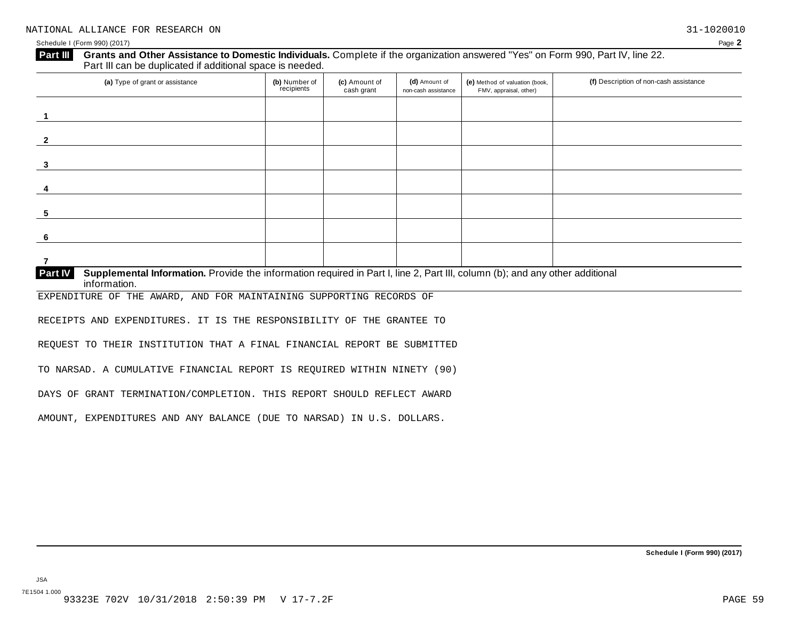### **Grants and Other Assistance to Domestic Individuals.** Complete ifthe organization answered "Yes" on Form 990, Part IV, line 22. **Part III** Grants and Other Assistance to Domestic Individuals<br>Part III can be duplicated if additional space is needed.

| (a) Type of grant or assistance                                                                                                         | (b) Number of<br>recipients | (c) Amount of<br>cash grant | (d) Amount of<br>non-cash assistance | (e) Method of valuation (book,<br>FMV, appraisal, other) | (f) Description of non-cash assistance |
|-----------------------------------------------------------------------------------------------------------------------------------------|-----------------------------|-----------------------------|--------------------------------------|----------------------------------------------------------|----------------------------------------|
|                                                                                                                                         |                             |                             |                                      |                                                          |                                        |
| $\mathbf{2}$                                                                                                                            |                             |                             |                                      |                                                          |                                        |
| 3                                                                                                                                       |                             |                             |                                      |                                                          |                                        |
| 4                                                                                                                                       |                             |                             |                                      |                                                          |                                        |
| 5                                                                                                                                       |                             |                             |                                      |                                                          |                                        |
| 6                                                                                                                                       |                             |                             |                                      |                                                          |                                        |
|                                                                                                                                         |                             |                             |                                      |                                                          |                                        |
| Part IV<br>Supplemental Information. Provide the information required in Part I, line 2, Part III, column (b); and any other additional |                             |                             |                                      |                                                          |                                        |

 $information$ .

EXPENDITURE OF THE AWARD, AND FOR MAINTAINING SUPPORTING RECORDS OF

RECEIPTS AND EXPENDITURES. IT IS THE RESPONSIBILITY OF THE GRANTEE TO

REQUEST TO THEIR INSTITUTION THAT A FINAL FINANCIAL REPORT BE SUBMITTED

TO NARSAD. A CUMULATIVE FINANCIAL REPORT IS REQUIRED WITHIN NINETY (90)

DAYS OF GRANT TERMINATION/COMPLETION. THIS REPORT SHOULD REFLECT AWARD

AMOUNT, EXPENDITURES AND ANY BALANCE (DUE TO NARSAD) IN U.S. DOLLARS.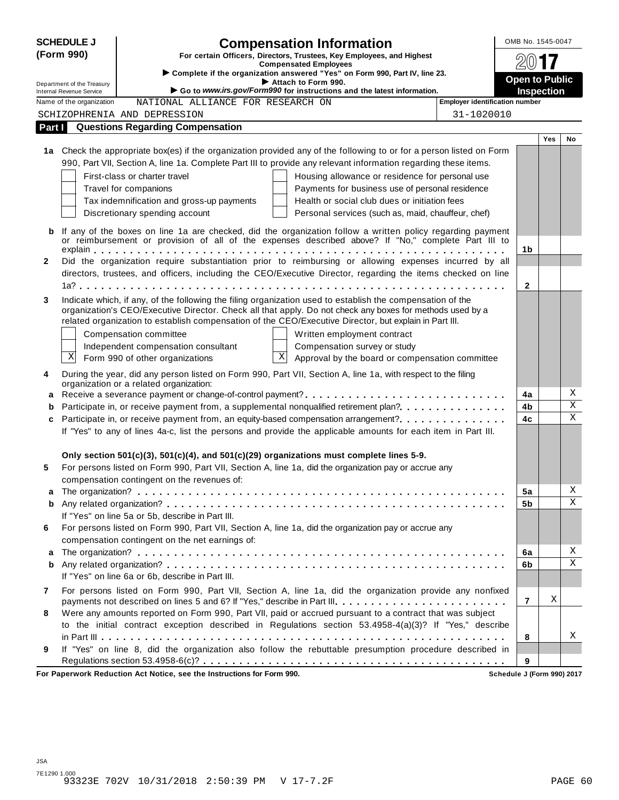|              | <b>SCHEDULE J</b>                                                                                          | <b>Compensation Information</b>                                                                                                                                                                                   |                                       | OMB No. 1545-0047     |            |             |
|--------------|------------------------------------------------------------------------------------------------------------|-------------------------------------------------------------------------------------------------------------------------------------------------------------------------------------------------------------------|---------------------------------------|-----------------------|------------|-------------|
|              | (Form 990)<br>For certain Officers, Directors, Trustees, Key Employees, and Highest                        |                                                                                                                                                                                                                   |                                       |                       |            |             |
|              | <b>Compensated Employees</b><br>Complete if the organization answered "Yes" on Form 990, Part IV, line 23. |                                                                                                                                                                                                                   |                                       |                       |            |             |
|              | Department of the Treasury                                                                                 | Attach to Form 990.                                                                                                                                                                                               |                                       | <b>Open to Public</b> |            |             |
|              | Internal Revenue Service                                                                                   | Go to www.irs.gov/Form990 for instructions and the latest information.                                                                                                                                            |                                       | <b>Inspection</b>     |            |             |
|              | Name of the organization                                                                                   | NATIONAL ALLIANCE FOR RESEARCH ON                                                                                                                                                                                 | <b>Employer identification number</b> |                       |            |             |
|              |                                                                                                            | SCHIZOPHRENIA AND DEPRESSION                                                                                                                                                                                      | 31-1020010                            |                       |            |             |
| Part I       |                                                                                                            | <b>Questions Regarding Compensation</b>                                                                                                                                                                           |                                       |                       |            |             |
|              |                                                                                                            | 1a Check the appropriate box(es) if the organization provided any of the following to or for a person listed on Form                                                                                              |                                       |                       | <b>Yes</b> | <b>No</b>   |
|              |                                                                                                            | 990, Part VII, Section A, line 1a. Complete Part III to provide any relevant information regarding these items.                                                                                                   |                                       |                       |            |             |
|              |                                                                                                            | First-class or charter travel<br>Housing allowance or residence for personal use                                                                                                                                  |                                       |                       |            |             |
|              |                                                                                                            | Payments for business use of personal residence<br>Travel for companions                                                                                                                                          |                                       |                       |            |             |
|              |                                                                                                            | Tax indemnification and gross-up payments<br>Health or social club dues or initiation fees                                                                                                                        |                                       |                       |            |             |
|              |                                                                                                            | Discretionary spending account<br>Personal services (such as, maid, chauffeur, chef)                                                                                                                              |                                       |                       |            |             |
|              |                                                                                                            |                                                                                                                                                                                                                   |                                       |                       |            |             |
| b            |                                                                                                            | If any of the boxes on line 1a are checked, did the organization follow a written policy regarding payment<br>or reimbursement or provision of all of the expenses described above? If "No," complete Part III to |                                       |                       |            |             |
|              |                                                                                                            |                                                                                                                                                                                                                   |                                       | 1 <sub>b</sub>        |            |             |
| $\mathbf{2}$ |                                                                                                            | Did the organization require substantiation prior to reimbursing or allowing expenses incurred by all                                                                                                             |                                       |                       |            |             |
|              |                                                                                                            | directors, trustees, and officers, including the CEO/Executive Director, regarding the items checked on line                                                                                                      |                                       |                       |            |             |
|              |                                                                                                            |                                                                                                                                                                                                                   |                                       | $\mathbf{2}$          |            |             |
| 3            |                                                                                                            | Indicate which, if any, of the following the filing organization used to establish the compensation of the                                                                                                        |                                       |                       |            |             |
|              |                                                                                                            | organization's CEO/Executive Director. Check all that apply. Do not check any boxes for methods used by a                                                                                                         |                                       |                       |            |             |
|              |                                                                                                            | related organization to establish compensation of the CEO/Executive Director, but explain in Part III.                                                                                                            |                                       |                       |            |             |
|              |                                                                                                            | Compensation committee<br>Written employment contract                                                                                                                                                             |                                       |                       |            |             |
|              | Χ                                                                                                          | Independent compensation consultant<br>Compensation survey or study<br>$\mathbf X$                                                                                                                                |                                       |                       |            |             |
|              |                                                                                                            | Form 990 of other organizations<br>Approval by the board or compensation committee                                                                                                                                |                                       |                       |            |             |
| 4            |                                                                                                            | During the year, did any person listed on Form 990, Part VII, Section A, line 1a, with respect to the filing                                                                                                      |                                       |                       |            |             |
| а            |                                                                                                            | organization or a related organization:<br>Receive a severance payment or change-of-control payment?                                                                                                              |                                       | 4a                    |            | Χ           |
| b            |                                                                                                            | Participate in, or receive payment from, a supplemental nonqualified retirement plan?.                                                                                                                            |                                       | 4b                    |            | $\mathbf X$ |
| c            |                                                                                                            | Participate in, or receive payment from, an equity-based compensation arrangement?                                                                                                                                |                                       | 4c                    |            | X           |
|              |                                                                                                            | If "Yes" to any of lines 4a-c, list the persons and provide the applicable amounts for each item in Part III.                                                                                                     |                                       |                       |            |             |
|              |                                                                                                            |                                                                                                                                                                                                                   |                                       |                       |            |             |
|              |                                                                                                            | Only section $501(c)(3)$ , $501(c)(4)$ , and $501(c)(29)$ organizations must complete lines 5-9.                                                                                                                  |                                       |                       |            |             |
| 5            |                                                                                                            | For persons listed on Form 990, Part VII, Section A, line 1a, did the organization pay or accrue any                                                                                                              |                                       |                       |            |             |
|              |                                                                                                            | compensation contingent on the revenues of:                                                                                                                                                                       |                                       |                       |            |             |
| а            |                                                                                                            |                                                                                                                                                                                                                   |                                       | 5a                    |            | Χ           |
| b            |                                                                                                            |                                                                                                                                                                                                                   |                                       | 5b                    |            | Χ           |
|              |                                                                                                            | If "Yes" on line 5a or 5b, describe in Part III.                                                                                                                                                                  |                                       |                       |            |             |
| 6            |                                                                                                            | For persons listed on Form 990, Part VII, Section A, line 1a, did the organization pay or accrue any                                                                                                              |                                       |                       |            |             |
|              |                                                                                                            | compensation contingent on the net earnings of:                                                                                                                                                                   |                                       |                       |            |             |
| а            |                                                                                                            |                                                                                                                                                                                                                   |                                       | 6a                    |            | Χ<br>X      |
| b            |                                                                                                            | If "Yes" on line 6a or 6b, describe in Part III.                                                                                                                                                                  |                                       | 6b                    |            |             |
|              |                                                                                                            |                                                                                                                                                                                                                   |                                       |                       |            |             |
| 7            |                                                                                                            | For persons listed on Form 990, Part VII, Section A, line 1a, did the organization provide any nonfixed<br>payments not described on lines 5 and 6? If "Yes," describe in Part III.                               |                                       | $\overline{7}$        | X          |             |
| 8            |                                                                                                            | Were any amounts reported on Form 990, Part VII, paid or accrued pursuant to a contract that was subject                                                                                                          |                                       |                       |            |             |
|              |                                                                                                            | to the initial contract exception described in Regulations section 53.4958-4(a)(3)? If "Yes," describe                                                                                                            |                                       |                       |            |             |
|              |                                                                                                            |                                                                                                                                                                                                                   |                                       | 8                     |            | Χ           |
| 9            |                                                                                                            | If "Yes" on line 8, did the organization also follow the rebuttable presumption procedure described in                                                                                                            |                                       |                       |            |             |
|              |                                                                                                            |                                                                                                                                                                                                                   |                                       | 9                     |            |             |

**For Paperwork Reduction Act Notice, see the Instructions for Form 990. Schedule J (Form 990) 2017**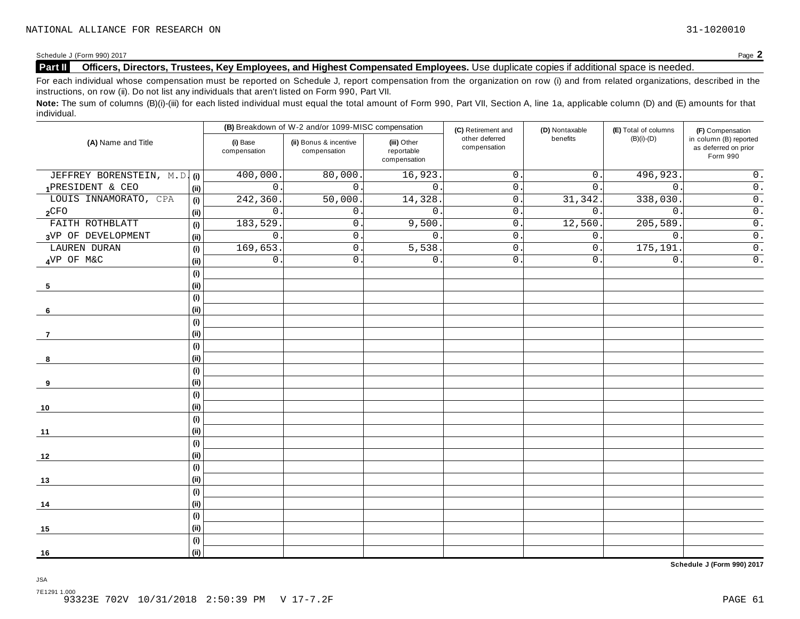### **Part II** Officers, Directors, Trustees, Key Employees, and Highest Compensated Employees. Use duplicate copies if additional space is needed.

For each individual whose compensation must be reported on Schedule J, report compensation from the organization on row (i) and from related organizations, described in the instructions, on row (ii). Do not list any individuals that aren't listed on Form 990, Part VII.

Note: The sum of columns (B)(i)-(iii) for each listed individual must equal the total amount of Form 990, Part VII, Section A, line 1a, applicable column (D) and (E) amounts for that individual.

|                              |                          | (B) Breakdown of W-2 and/or 1099-MISC compensation |                                           | (C) Retirement and             | (D) Nontaxable   | (E) Total of columns | (F) Compensation                                           |
|------------------------------|--------------------------|----------------------------------------------------|-------------------------------------------|--------------------------------|------------------|----------------------|------------------------------------------------------------|
| (A) Name and Title           | (i) Base<br>compensation | (ii) Bonus & incentive<br>compensation             | (iii) Other<br>reportable<br>compensation | other deferred<br>compensation | benefits         | $(B)(i)-(D)$         | in column (B) reported<br>as deferred on prior<br>Form 990 |
| JEFFREY BORENSTEIN, M.D. (i) | 400,000                  | 80,000.                                            | 16,923.                                   | $\mathsf{O}$ .                 | $\overline{0}$ . | 496,923.             | $\overline{0}$ .                                           |
| 1PRESIDENT & CEO             | $\mathbf 0$<br>(i)       | $\mathbf 0$ .                                      | $\mathbf{0}$ .                            | $0$ .                          | 0.               | $\mathbf{0}$ .       | $\overline{0}$ .                                           |
| LOUIS INNAMORATO, CPA        | 242,360<br>(i)           | 50,000                                             | 14,328.                                   | $0$ .                          | 31,342.          | 338,030              | $\overline{0}$ .                                           |
| 2 <sup>CFO</sup>             | $\mathsf{O}$<br>(i)      | $\mathbf 0$ .                                      | $0$ .                                     | $\mathbf{0}$                   | 0.               | $\mathbf{0}$ .       | $\overline{0}$ .                                           |
| FAITH ROTHBLATT              | 183,529<br>(i)           | $\mathsf{O}$ .                                     | 9,500.                                    | $\mathbf{0}$                   | 12,560.          | 205,589              | $\overline{0}$ .                                           |
| 3VP OF DEVELOPMENT           | $\mathbf 0$<br>(i)       | $\mathbf 0$ .                                      | $\mathbf{0}$ .                            | $\mathbf{0}$                   | 0.               | $\mathbf{0}$         | $\overline{0}$ .                                           |
| LAUREN DURAN                 | 169,653<br>(i)           | $\mathbf 0$ .                                      | 5,538.                                    | $0$ .                          | $0$ .            | 175, 191             | $\overline{0}$ .                                           |
| 4VP OF M&C                   | $\mathbf 0$<br>(i)       | $\mathsf{0}$ .                                     | 0.                                        | $0$ .                          | 0.               | $\mathbf 0$ .        | $\overline{\overline{0}}$ .                                |
|                              | (i)                      |                                                    |                                           |                                |                  |                      |                                                            |
| 5                            | (i)                      |                                                    |                                           |                                |                  |                      |                                                            |
|                              | (i)                      |                                                    |                                           |                                |                  |                      |                                                            |
| 6                            | (i)                      |                                                    |                                           |                                |                  |                      |                                                            |
|                              | (i)                      |                                                    |                                           |                                |                  |                      |                                                            |
| $\overline{7}$               | (i)                      |                                                    |                                           |                                |                  |                      |                                                            |
|                              | (i)                      |                                                    |                                           |                                |                  |                      |                                                            |
| 8                            | (i)                      |                                                    |                                           |                                |                  |                      |                                                            |
|                              | (i)                      |                                                    |                                           |                                |                  |                      |                                                            |
| 9                            | (i)                      |                                                    |                                           |                                |                  |                      |                                                            |
|                              | (i)                      |                                                    |                                           |                                |                  |                      |                                                            |
| 10                           | (i)                      |                                                    |                                           |                                |                  |                      |                                                            |
|                              | (i)                      |                                                    |                                           |                                |                  |                      |                                                            |
| 11                           | (ii)                     |                                                    |                                           |                                |                  |                      |                                                            |
|                              | (i)                      |                                                    |                                           |                                |                  |                      |                                                            |
| 12                           | (i)                      |                                                    |                                           |                                |                  |                      |                                                            |
|                              | (i)                      |                                                    |                                           |                                |                  |                      |                                                            |
| 13                           | (i)                      |                                                    |                                           |                                |                  |                      |                                                            |
|                              | (i)                      |                                                    |                                           |                                |                  |                      |                                                            |
| 14                           | (i)                      |                                                    |                                           |                                |                  |                      |                                                            |
|                              | (i)                      |                                                    |                                           |                                |                  |                      |                                                            |
| 15                           | (i)                      |                                                    |                                           |                                |                  |                      |                                                            |
|                              | (i)                      |                                                    |                                           |                                |                  |                      |                                                            |
| 16                           | (ii)                     |                                                    |                                           |                                |                  |                      |                                                            |

**Schedule J (Form 990) 2017**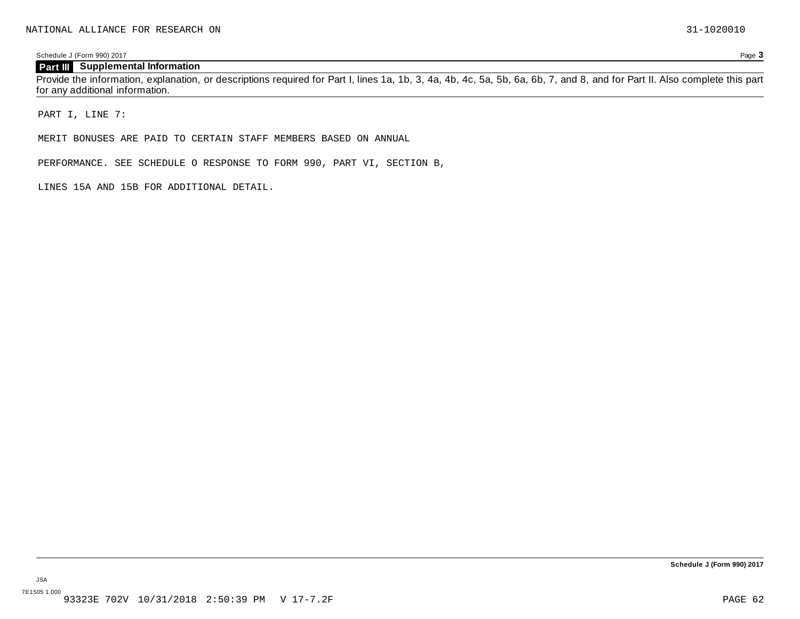#### **Part III Supplemental Information**

Provide the information, explanation, or descriptions required for Part I, lines 1a, 1b, 3, 4a, 4b, 4c, 5a, 5b, 6a, 6b, 7, and 8, and for Part II. Also complete this part for any additional information.

PART I, LINE 7:

MERIT BONUSES ARE PAID TO CERTAIN STAFF MEMBERS BASED ON ANNUAL

PERFORMANCE. SEE SCHEDULE O RESPONSE TO FORM 990, PART VI, SECTION B,

LINES 15A AND 15B FOR ADDITIONAL DETAIL.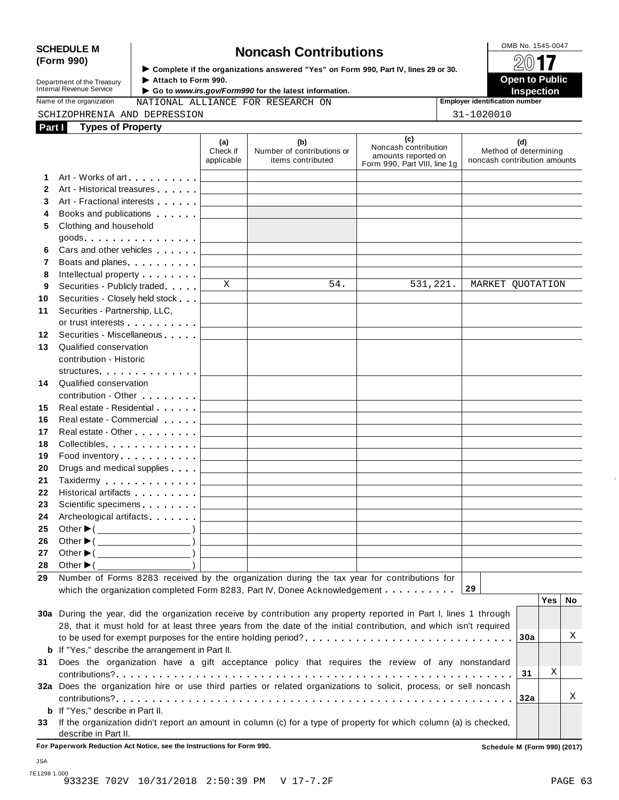# SCHEDULE M<br> **SCHEDULE M SCHEDULE M SCHEDULE M Noncash Contributions**<br> **SCHEDULE M None All <b>non- SCHEDULE M SCHEDULE M SCHEDULE M SCHEDULE M SCHEDULE M SCHEDULE M SCHEDULE M SC**

**Department of the Treasury<br>Internal Revenue Service** 

**Examplete** if the organizations answered "Yes" on Form 990, Part Ⅳ, lines 29 or 30. 
<br>● Attach to Form 990. **Department of the Treasury** ▶ Attach to Form 990.<br>Internal Revenue Service ▶ Go to *www.irs.gov/Form990* for the latest information.<br>Nome of the organization and TATE ONLY TO PRESENTE OF PREDATE ON **INSPECTION** 

Name of the organization **MATIONAL ALLIANCE FOR RESEARCH ON Employer identification number** 

| SCHIZOPHRENIA AND DEPRESSION              | 1020010<br>$-1$ |
|-------------------------------------------|-----------------|
| <b>Types of Property</b><br><b>Part I</b> |                 |

| 31-1020010 |
|------------|
|            |

|              |                                                                                                                                                                                                                                          | (a)<br>Check if<br>applicable | (b)<br>Number of contributions or<br>items contributed | (c)<br>Noncash contribution<br>amounts reported on<br>Form 990, Part VIII, line 1g | (d)<br>Method of determining<br>noncash contribution amounts |         |    |
|--------------|------------------------------------------------------------------------------------------------------------------------------------------------------------------------------------------------------------------------------------------|-------------------------------|--------------------------------------------------------|------------------------------------------------------------------------------------|--------------------------------------------------------------|---------|----|
| 1.           | Art - Works of art                                                                                                                                                                                                                       |                               |                                                        |                                                                                    |                                                              |         |    |
| $\mathbf{2}$ | Art - Historical treasures                                                                                                                                                                                                               |                               |                                                        |                                                                                    |                                                              |         |    |
| 3            | Art - Fractional interests                                                                                                                                                                                                               |                               |                                                        |                                                                                    |                                                              |         |    |
| 4            | Books and publications <b>Solutions</b>                                                                                                                                                                                                  |                               |                                                        |                                                                                    |                                                              |         |    |
| 5            | Clothing and household                                                                                                                                                                                                                   |                               |                                                        |                                                                                    |                                                              |         |    |
|              | $goods.$                                                                                                                                                                                                                                 |                               |                                                        |                                                                                    |                                                              |         |    |
| 6            | Cars and other vehicles [11]                                                                                                                                                                                                             |                               |                                                        |                                                                                    |                                                              |         |    |
| 7            | Boats and planes experience of                                                                                                                                                                                                           |                               |                                                        |                                                                                    |                                                              |         |    |
| 8            | Intellectual property                                                                                                                                                                                                                    |                               |                                                        |                                                                                    |                                                              |         |    |
| 9            | Securities - Publicly traded                                                                                                                                                                                                             | X                             | 54.                                                    | 531,221.                                                                           | MARKET QUOTATION                                             |         |    |
| 10           | Securities - Closely held stock                                                                                                                                                                                                          |                               |                                                        |                                                                                    |                                                              |         |    |
| 11           | Securities - Partnership, LLC,                                                                                                                                                                                                           |                               |                                                        |                                                                                    |                                                              |         |    |
|              |                                                                                                                                                                                                                                          |                               |                                                        |                                                                                    |                                                              |         |    |
| 12           | Securities - Miscellaneous                                                                                                                                                                                                               |                               |                                                        |                                                                                    |                                                              |         |    |
| 13           | Qualified conservation                                                                                                                                                                                                                   |                               |                                                        |                                                                                    |                                                              |         |    |
|              | contribution - Historic                                                                                                                                                                                                                  |                               |                                                        |                                                                                    |                                                              |         |    |
|              | structures structures and the structures of the structure of the structure of the structure of the structure of the structure of the structure of the structure of the structure of the structure of the structure of the stru           |                               |                                                        |                                                                                    |                                                              |         |    |
| 14           | Qualified conservation                                                                                                                                                                                                                   |                               |                                                        |                                                                                    |                                                              |         |    |
|              | contribution - Other [19]                                                                                                                                                                                                                |                               |                                                        |                                                                                    |                                                              |         |    |
| 15           |                                                                                                                                                                                                                                          |                               |                                                        |                                                                                    |                                                              |         |    |
| 16           | Real estate - Commercial                                                                                                                                                                                                                 |                               |                                                        |                                                                                    |                                                              |         |    |
| 17           | Real estate - Other <b>National Executive</b>                                                                                                                                                                                            |                               |                                                        |                                                                                    |                                                              |         |    |
| 18           | Collectibles.                                                                                                                                                                                                                            |                               |                                                        |                                                                                    |                                                              |         |    |
| 19           | Food inventory                                                                                                                                                                                                                           |                               |                                                        |                                                                                    |                                                              |         |    |
| 20           | Drugs and medical supplies                                                                                                                                                                                                               |                               |                                                        |                                                                                    |                                                              |         |    |
| 21           |                                                                                                                                                                                                                                          |                               |                                                        |                                                                                    |                                                              |         |    |
| 22           | Historical artifacts <b>All Accords</b>                                                                                                                                                                                                  |                               |                                                        |                                                                                    |                                                              |         |    |
| 23           | Scientific specimens <b>contains container</b>                                                                                                                                                                                           |                               |                                                        |                                                                                    |                                                              |         |    |
| 24           | Archeological artifacts <b>Archeological artifacts</b>                                                                                                                                                                                   |                               |                                                        |                                                                                    |                                                              |         |    |
| 25           | Other $\blacktriangleright$ ( $\_\_\_\_\_\_\_\_$ )                                                                                                                                                                                       |                               |                                                        |                                                                                    |                                                              |         |    |
| 26           | Other ▶( <u>________________</u> ) │                                                                                                                                                                                                     |                               |                                                        |                                                                                    |                                                              |         |    |
| 27           | Other $\blacktriangleright$ ( $\qquad \qquad$                                                                                                                                                                                            |                               |                                                        |                                                                                    |                                                              |         |    |
| 28           | Other $\blacktriangleright$ (                                                                                                                                                                                                            |                               |                                                        |                                                                                    |                                                              |         |    |
| 29           | Number of Forms 8283 received by the organization during the tax year for contributions for                                                                                                                                              |                               |                                                        |                                                                                    |                                                              |         |    |
|              | which the organization completed Form 8283, Part IV, Donee Acknowledgement $\dots \dots \dots$ [29]                                                                                                                                      |                               |                                                        |                                                                                    |                                                              | Yes     | No |
|              |                                                                                                                                                                                                                                          |                               |                                                        |                                                                                    |                                                              |         |    |
|              | 30a During the year, did the organization receive by contribution any property reported in Part I, lines 1 through<br>28, that it must hold for at least three years from the date of the initial contribution, and which isn't required |                               |                                                        |                                                                                    |                                                              |         |    |
|              |                                                                                                                                                                                                                                          |                               |                                                        |                                                                                    |                                                              | 30a     | Χ  |
|              | <b>b</b> If "Yes," describe the arrangement in Part II.                                                                                                                                                                                  |                               |                                                        |                                                                                    |                                                              |         |    |
| 31           | Does the organization have a gift acceptance policy that requires the review of any nonstandard                                                                                                                                          |                               |                                                        |                                                                                    |                                                              |         |    |
|              |                                                                                                                                                                                                                                          |                               |                                                        |                                                                                    |                                                              | Χ<br>31 |    |
|              | 32a Does the organization hire or use third parties or related organizations to solicit, process, or sell noncash                                                                                                                        |                               |                                                        |                                                                                    |                                                              |         |    |
|              |                                                                                                                                                                                                                                          |                               |                                                        |                                                                                    |                                                              | 32a     | Χ  |
|              | <b>b</b> If "Yes," describe in Part II.                                                                                                                                                                                                  |                               |                                                        |                                                                                    |                                                              |         |    |
| 33           | If the organization didn't report an amount in column (c) for a type of property for which column (a) is checked,                                                                                                                        |                               |                                                        |                                                                                    |                                                              |         |    |
|              | describe in Part II.                                                                                                                                                                                                                     |                               |                                                        |                                                                                    |                                                              |         |    |

**For Paperwork Reduction Act Notice, see the Instructions for Form 990. Schedule M (Form 990) (2017)**

JSA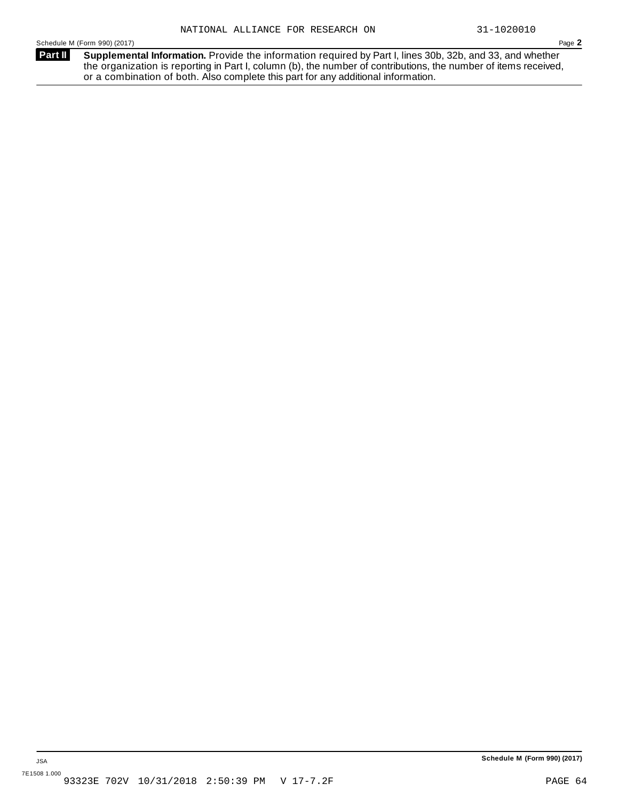**Supplemental Information.** Provide the information required by Part I, lines 30b, 32b, and 33, and whether the organization is reporting in Part I, column (b), the number of contributions, the number of items received, or a combination of both. Also complete this part for any additional information. **Part II**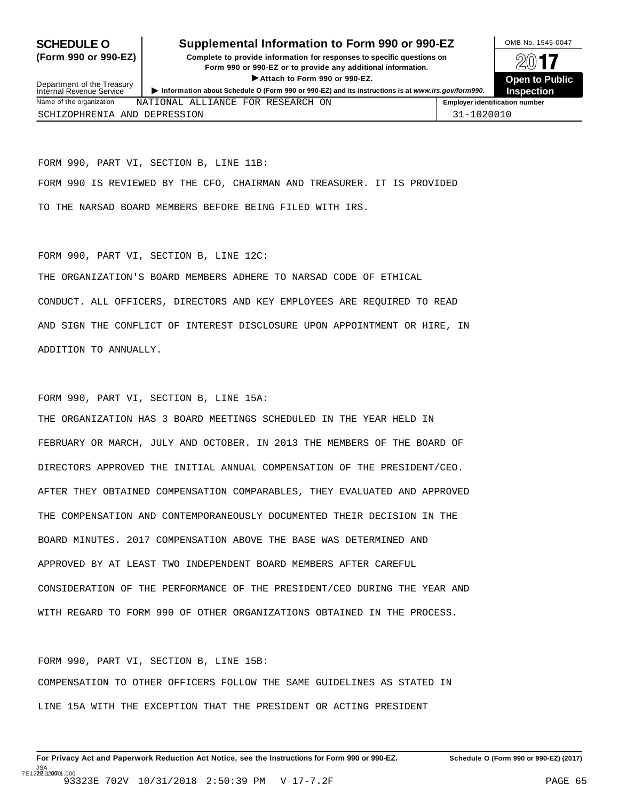### **SCHEDULE O** Supplemental Information to Form 990 or 990-EZ DMB No. 1545-0047

**(Form 990 or 990-EZ) Complete to provide information for responses to specific questions on** plete to provide information for responses to specific questions on  $\Box$   $\Box$   $\Box$ **EXECTED TO PUBLIC 2012 CONSIDER**<br> **EXECTED EXECTED COPEN COPEN COPEN COPEN COPEN COPEN COPEN COPEN COPEN COPEN COPEN COPEN COPEN COPEN COPEN COPEN COPEN COPEN COPEN COPEN C** ► Attach to Form 990 or 990-EZ.<br>• Information about Schedule O (Form 990 or 990-EZ) and its instructions is at www.irs.gov/form990. Inspection



| Department of the Treasury<br>Internal Revenue Service |                                   | F ANGUN NG EURIN JUU UL JUU LE. | Information about Schedule O (Form 990 or 990-EZ) and its instructions is at www.irs.gov/form990. | <b>UDELL IO FUDIL</b><br><b>Inspection</b> |
|--------------------------------------------------------|-----------------------------------|---------------------------------|---------------------------------------------------------------------------------------------------|--------------------------------------------|
| Name of the organization                               | NATIONAL ALLIANCE FOR RESEARCH ON |                                 |                                                                                                   | <b>Employer identification number</b>      |
| SCHIZOPHRENIA AND DEPRESSION                           |                                   |                                 |                                                                                                   | 31-1020010                                 |

FORM 990, PART VI, SECTION B, LINE 11B: FORM 990 IS REVIEWED BY THE CFO, CHAIRMAN AND TREASURER. IT IS PROVIDED TO THE NARSAD BOARD MEMBERS BEFORE BEING FILED WITH IRS.

#### FORM 990, PART VI, SECTION B, LINE 12C:

THE ORGANIZATION'S BOARD MEMBERS ADHERE TO NARSAD CODE OF ETHICAL CONDUCT. ALL OFFICERS, DIRECTORS AND KEY EMPLOYEES ARE REQUIRED TO READ AND SIGN THE CONFLICT OF INTEREST DISCLOSURE UPON APPOINTMENT OR HIRE, IN ADDITION TO ANNUALLY.

FORM 990, PART VI, SECTION B, LINE 15A:

THE ORGANIZATION HAS 3 BOARD MEETINGS SCHEDULED IN THE YEAR HELD IN FEBRUARY OR MARCH, JULY AND OCTOBER. IN 2013 THE MEMBERS OF THE BOARD OF DIRECTORS APPROVED THE INITIAL ANNUAL COMPENSATION OF THE PRESIDENT/CEO. AFTER THEY OBTAINED COMPENSATION COMPARABLES, THEY EVALUATED AND APPROVED THE COMPENSATION AND CONTEMPORANEOUSLY DOCUMENTED THEIR DECISION IN THE BOARD MINUTES. 2017 COMPENSATION ABOVE THE BASE WAS DETERMINED AND APPROVED BY AT LEAST TWO INDEPENDENT BOARD MEMBERS AFTER CAREFUL CONSIDERATION OF THE PERFORMANCE OF THE PRESIDENT/CEO DURING THE YEAR AND WITH REGARD TO FORM 990 OF OTHER ORGANIZATIONS OBTAINED IN THE PROCESS.

FORM 990, PART VI, SECTION B, LINE 15B: COMPENSATION TO OTHER OFFICERS FOLLOW THE SAME GUIDELINES AS STATED IN LINE 15A WITH THE EXCEPTION THAT THE PRESIDENT OR ACTING PRESIDENT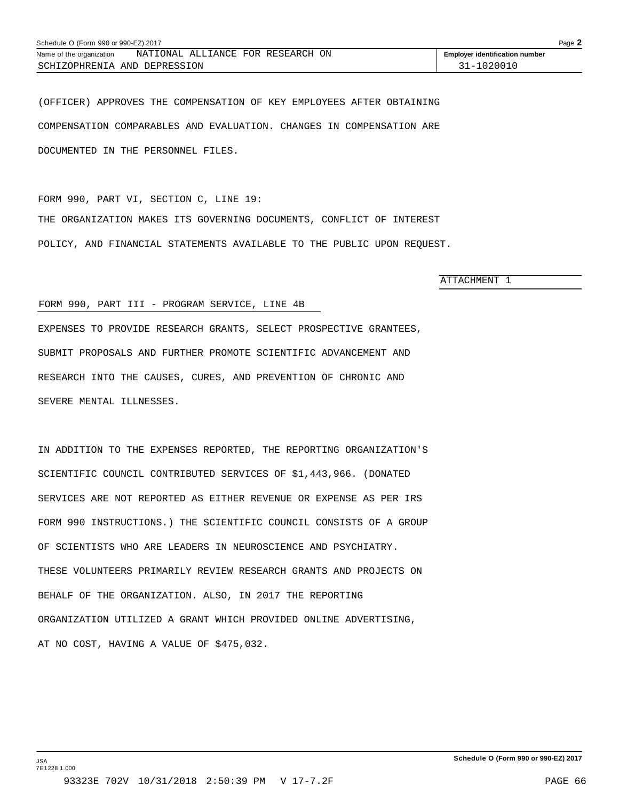| Schedule O (Form 990 or 990-EZ) 2017 |                                   |                                       |  |  |
|--------------------------------------|-----------------------------------|---------------------------------------|--|--|
| Name of the organization             | NATIONAL ALLIANCE FOR RESEARCH ON | <b>Employer identification number</b> |  |  |
| SCHIZOPHRENIA AND DEPRESSION         |                                   | 31-1020010                            |  |  |

(OFFICER) APPROVES THE COMPENSATION OF KEY EMPLOYEES AFTER OBTAINING COMPENSATION COMPARABLES AND EVALUATION. CHANGES IN COMPENSATION ARE DOCUMENTED IN THE PERSONNEL FILES.

FORM 990, PART VI, SECTION C, LINE 19: THE ORGANIZATION MAKES ITS GOVERNING DOCUMENTS, CONFLICT OF INTEREST POLICY, AND FINANCIAL STATEMENTS AVAILABLE TO THE PUBLIC UPON REQUEST.

ATTACHMENT 1

#### FORM 990, PART III - PROGRAM SERVICE, LINE 4B

EXPENSES TO PROVIDE RESEARCH GRANTS, SELECT PROSPECTIVE GRANTEES, SUBMIT PROPOSALS AND FURTHER PROMOTE SCIENTIFIC ADVANCEMENT AND RESEARCH INTO THE CAUSES, CURES, AND PREVENTION OF CHRONIC AND SEVERE MENTAL ILLNESSES.

IN ADDITION TO THE EXPENSES REPORTED, THE REPORTING ORGANIZATION'S SCIENTIFIC COUNCIL CONTRIBUTED SERVICES OF \$1,443,966. (DONATED SERVICES ARE NOT REPORTED AS EITHER REVENUE OR EXPENSE AS PER IRS FORM 990 INSTRUCTIONS.) THE SCIENTIFIC COUNCIL CONSISTS OF A GROUP OF SCIENTISTS WHO ARE LEADERS IN NEUROSCIENCE AND PSYCHIATRY. THESE VOLUNTEERS PRIMARILY REVIEW RESEARCH GRANTS AND PROJECTS ON BEHALF OF THE ORGANIZATION. ALSO, IN 2017 THE REPORTING ORGANIZATION UTILIZED A GRANT WHICH PROVIDED ONLINE ADVERTISING, AT NO COST, HAVING A VALUE OF \$475,032.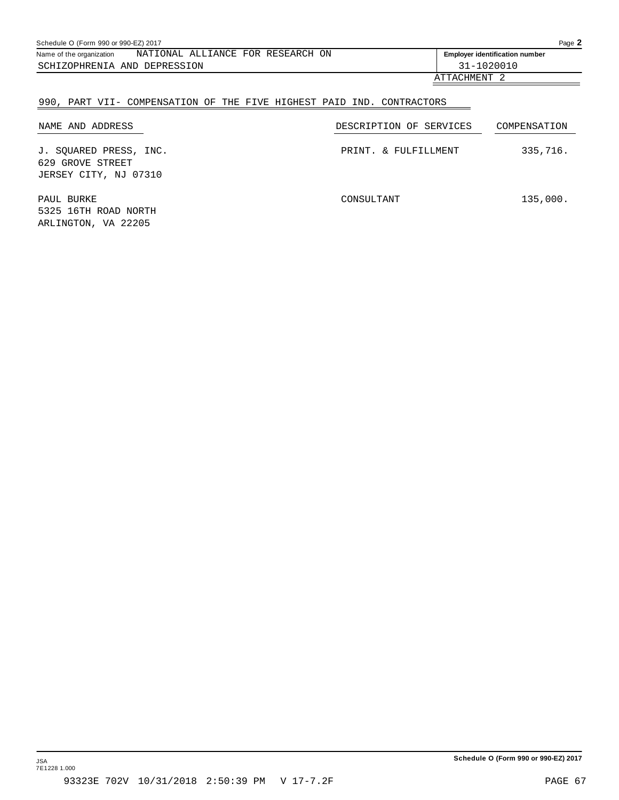| Schedule O (Form 990 or 990-EZ) 2017<br>NATIONAL ALLIANCE FOR RESEARCH ON<br>Name of the organization<br><b>Employer identification number</b><br>31-1020010<br>SCHIZOPHRENIA AND DEPRESSION |  |            |  |  |
|----------------------------------------------------------------------------------------------------------------------------------------------------------------------------------------------|--|------------|--|--|
|                                                                                                                                                                                              |  |            |  |  |
|                                                                                                                                                                                              |  |            |  |  |
|                                                                                                                                                                                              |  | ATTACHMENT |  |  |

| 990, PART VII- COMPENSATION OF THE FIVE HIGHEST PAID IND. CONTRACTORS |                         |              |
|-----------------------------------------------------------------------|-------------------------|--------------|
| NAME AND ADDRESS                                                      | DESCRIPTION OF SERVICES | COMPENSATION |
| J. SOUARED PRESS, INC.<br>629 GROVE STREET<br>JERSEY CITY, NJ 07310   | PRINT, & FULFILLMENT    | 335,716.     |
| PAUL BURKE<br>5325 16TH ROAD NORTH<br>ARLINGTON, VA 22205             | CONSULTANT              | 135,000.     |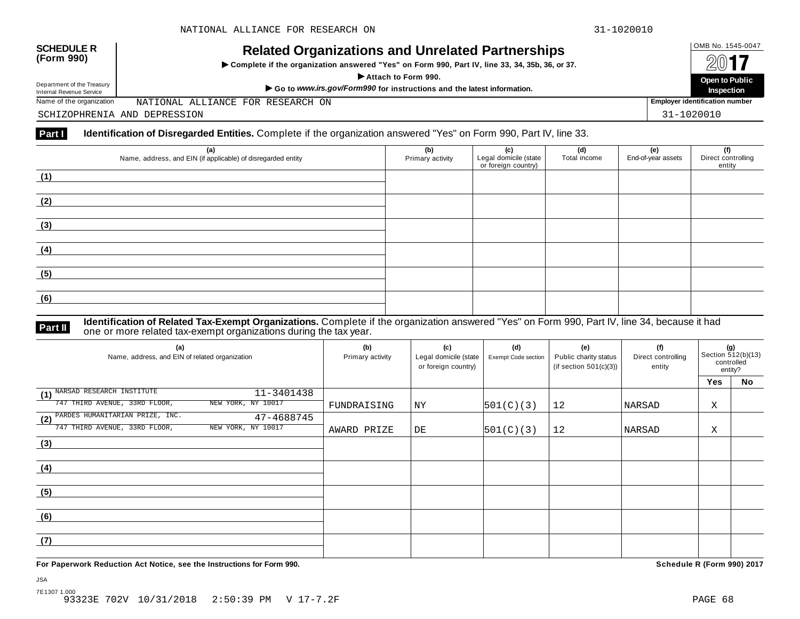

# OMB No. 1545-0047 **SCHEDULE R (Form 990) Related Organizations and Unrelated Partnerships**

 $\triangleright$  Complete if the organization answered "Yes" on Form 990, Part IV, line 33, 34, 35b, 36, or 37.



Department of the Treasury<br>Internal Revenue Service

Department of the Treasury **open to Public**<br>Internal Revenue Service **Service**<br>Name of the organization MATIONAL ALLIANCE FOR RESEARCH ON **Proper ATTABLE AND A SERVICE OF A SERVICE OF A SERVICE OF A SERVICE OF A SERVICE OF** NATIONAL ALLIANCE FOR RESEARCH ON

SCHIZOPHRENIA AND DEPRESSION 31-1020010

#### **Part I Identification of Disregarded Entities.** Complete if the organization answered "Yes" on Form 990, Part IV, line 33.

| (a)<br>Name, address, and EIN (if applicable) of disregarded entity | (b)<br>Primary activity | (c)<br>Legal domicile (state<br>or foreign country) | (d)<br>Total income | (e)<br>End-of-year assets | (f)<br>Direct controlling<br>entity |
|---------------------------------------------------------------------|-------------------------|-----------------------------------------------------|---------------------|---------------------------|-------------------------------------|
| (1)                                                                 |                         |                                                     |                     |                           |                                     |
| (2)                                                                 |                         |                                                     |                     |                           |                                     |
| (3)                                                                 |                         |                                                     |                     |                           |                                     |
| (4)                                                                 |                         |                                                     |                     |                           |                                     |
| (5)                                                                 |                         |                                                     |                     |                           |                                     |
| (6)                                                                 |                         |                                                     |                     |                           |                                     |

#### **Identification of Related Tax-Exempt Organizations.** Complete if the organization answered "Yes" on Form 990, Part IV, line 34, because it had **Part II** one or more related tax-exempt organizations during the tax year.

| (a)<br>Name, address, and EIN of related organization | (b)<br>Primary activity | (c)<br>Legal domicile (state<br>or foreign country) | (d)<br>Exempt Code section | (e)<br>Public charity status<br>(if section $501(c)(3)$ ) | (f)<br>Direct controlling<br>entity | (g)<br>Section 512(b)(13)<br>controlled<br>entity? |    |  |
|-------------------------------------------------------|-------------------------|-----------------------------------------------------|----------------------------|-----------------------------------------------------------|-------------------------------------|----------------------------------------------------|----|--|
|                                                       |                         |                                                     |                            |                                                           |                                     | Yes                                                | No |  |
| (1) NARSAD RESEARCH INSTITUTE<br>11-3401438           |                         |                                                     |                            |                                                           |                                     |                                                    |    |  |
| 747 THIRD AVENUE, 33RD FLOOR,<br>NEW YORK, NY 10017   | FUNDRAISING             | ΝY                                                  | 501(C)(3)                  | 12                                                        | NARSAD                              | Χ                                                  |    |  |
| (2) PARDES HUMANITARIAN PRIZE, INC.<br>47-4688745     |                         |                                                     |                            |                                                           |                                     |                                                    |    |  |
| NEW YORK, NY 10017<br>747 THIRD AVENUE, 33RD FLOOR,   | AWARD PRIZE             | DE                                                  | 501(C)(3)                  | 12                                                        | NARSAD                              | Χ                                                  |    |  |
| (3)                                                   |                         |                                                     |                            |                                                           |                                     |                                                    |    |  |
|                                                       |                         |                                                     |                            |                                                           |                                     |                                                    |    |  |
| (4)                                                   |                         |                                                     |                            |                                                           |                                     |                                                    |    |  |
|                                                       |                         |                                                     |                            |                                                           |                                     |                                                    |    |  |
| (5)                                                   |                         |                                                     |                            |                                                           |                                     |                                                    |    |  |
|                                                       |                         |                                                     |                            |                                                           |                                     |                                                    |    |  |
| (6)                                                   |                         |                                                     |                            |                                                           |                                     |                                                    |    |  |
|                                                       |                         |                                                     |                            |                                                           |                                     |                                                    |    |  |
| (7)                                                   |                         |                                                     |                            |                                                           |                                     |                                                    |    |  |
|                                                       |                         |                                                     |                            |                                                           |                                     |                                                    |    |  |

**For Paperwork Reduction Act Notice, see the Instructions for Form 990. Schedule R (Form 990) 2017**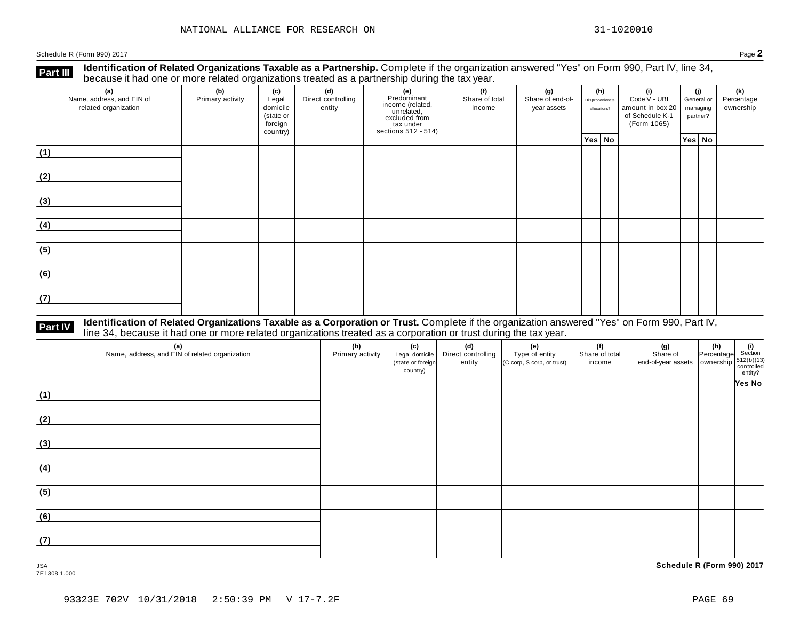**Identification of Related Organizations Taxable as a Partnership.** Complete if the organization answered "Yes" on Form 990, Part IV, line 34, **because it had one or more related organizations Taxable as a Partnership.** Complete if the organization of Related organizations treated as a partnership during the tax year.

| (a)<br>Name, address, and EIN of<br>related organization | ັ<br>(b)<br>Primary activity | (c)<br>Legal<br>domicile<br>(state or<br>foreign<br>country) | .<br>(d)<br>Direct controlling<br>entity | ັ<br>(e)<br>Predominant<br>Frecommant<br>income (related,<br>unrelated,<br>excluded from<br>sections 512 - 514) | (f)<br>Share of total<br>income | (g)<br>Share of end-of-<br>year assets | (h)<br>Disproportionate<br>allocations? |  |  |        |  |  | (i)<br>Code V - UBI<br>amount in box 20<br>of Schedule K-1<br>(Form 1065) | (j)<br>General or<br>managing<br>partner? | (k)<br>Percentage<br>ownership |
|----------------------------------------------------------|------------------------------|--------------------------------------------------------------|------------------------------------------|-----------------------------------------------------------------------------------------------------------------|---------------------------------|----------------------------------------|-----------------------------------------|--|--|--------|--|--|---------------------------------------------------------------------------|-------------------------------------------|--------------------------------|
|                                                          |                              |                                                              |                                          |                                                                                                                 |                                 |                                        | Yes No                                  |  |  | Yes No |  |  |                                                                           |                                           |                                |
| (1)                                                      |                              |                                                              |                                          |                                                                                                                 |                                 |                                        |                                         |  |  |        |  |  |                                                                           |                                           |                                |
| (2)                                                      |                              |                                                              |                                          |                                                                                                                 |                                 |                                        |                                         |  |  |        |  |  |                                                                           |                                           |                                |
| (3)                                                      |                              |                                                              |                                          |                                                                                                                 |                                 |                                        |                                         |  |  |        |  |  |                                                                           |                                           |                                |
| (4)                                                      |                              |                                                              |                                          |                                                                                                                 |                                 |                                        |                                         |  |  |        |  |  |                                                                           |                                           |                                |
| (5)                                                      |                              |                                                              |                                          |                                                                                                                 |                                 |                                        |                                         |  |  |        |  |  |                                                                           |                                           |                                |
| (6)                                                      |                              |                                                              |                                          |                                                                                                                 |                                 |                                        |                                         |  |  |        |  |  |                                                                           |                                           |                                |
| (7)                                                      |                              |                                                              |                                          |                                                                                                                 |                                 |                                        |                                         |  |  |        |  |  |                                                                           |                                           |                                |

# **Part IV** Identification of Related Organizations Taxable as a Corporation or Trust. Complete if the organization answered "Yes" on Form 990, Part IV,<br>line 34, because it had one or more related organizations treated as a

| (a)<br>Name, address, and EIN of related organization | (b)<br>Primary activity | (c)<br>Legal domicile<br>(state or foreign<br>country) | (d)<br>Direct controlling<br>entity | (e)<br>Type of entity<br>(C corp, S corp, or trust) | (f)<br>Share of total<br>income | (g) (h) $\frac{1}{2}$ (i) $\frac{1}{2}$ (i) $\frac{1}{2}$ (i) $\frac{1}{2}$ (i) $\frac{1}{2}$ (i) $\frac{1}{2}$ (i) $\frac{1}{2}$ (i) $\frac{1}{2}$ (i) $\frac{1}{2}$ (i) $\frac{1}{2}$ (i) $\frac{1}{2}$ (i) $\frac{1}{2}$ (i) $\frac{1}{2}$ (i) $\frac{1}{2}$ (i) $\frac{1}{2}$ (i) $\frac$ |        |
|-------------------------------------------------------|-------------------------|--------------------------------------------------------|-------------------------------------|-----------------------------------------------------|---------------------------------|-----------------------------------------------------------------------------------------------------------------------------------------------------------------------------------------------------------------------------------------------------------------------------------------------|--------|
|                                                       |                         |                                                        |                                     |                                                     |                                 |                                                                                                                                                                                                                                                                                               | Yes No |
| (1)                                                   |                         |                                                        |                                     |                                                     |                                 |                                                                                                                                                                                                                                                                                               |        |
| (2)                                                   |                         |                                                        |                                     |                                                     |                                 |                                                                                                                                                                                                                                                                                               |        |
| (3)                                                   |                         |                                                        |                                     |                                                     |                                 |                                                                                                                                                                                                                                                                                               |        |
| (4)                                                   |                         |                                                        |                                     |                                                     |                                 |                                                                                                                                                                                                                                                                                               |        |
| (5)                                                   |                         |                                                        |                                     |                                                     |                                 |                                                                                                                                                                                                                                                                                               |        |
| (6)                                                   |                         |                                                        |                                     |                                                     |                                 |                                                                                                                                                                                                                                                                                               |        |
| (7)                                                   |                         |                                                        |                                     |                                                     |                                 |                                                                                                                                                                                                                                                                                               |        |

JSA **Schedule R (Form 990) 2017**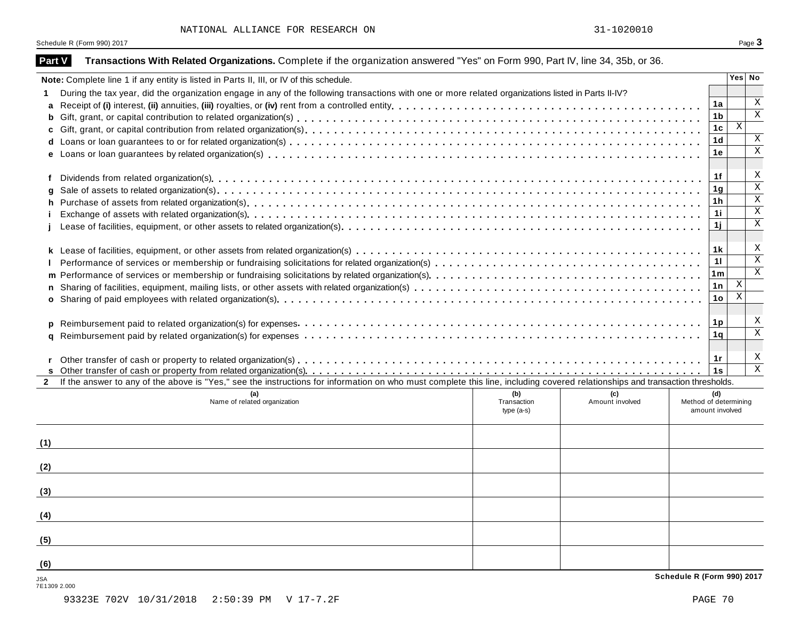| Part V       | Transactions With Related Organizations. Complete if the organization answered "Yes" on Form 990, Part IV, line 34, 35b, or 36.                                              |                            |                 |                                          |                           |                         |
|--------------|------------------------------------------------------------------------------------------------------------------------------------------------------------------------------|----------------------------|-----------------|------------------------------------------|---------------------------|-------------------------|
|              | Note: Complete line 1 if any entity is listed in Parts II, III, or IV of this schedule.                                                                                      |                            |                 |                                          |                           | Yes No                  |
| 1.           | During the tax year, did the organization engage in any of the following transactions with one or more related organizations listed in Parts II-IV?                          |                            |                 |                                          |                           |                         |
|              |                                                                                                                                                                              |                            |                 | 1a                                       |                           | Χ                       |
| b            |                                                                                                                                                                              |                            |                 | 1 <sub>b</sub>                           |                           | $\mathbf X$             |
|              |                                                                                                                                                                              |                            |                 | 1c                                       | $\mathbf X$               |                         |
|              |                                                                                                                                                                              |                            |                 | 1 <sub>d</sub>                           |                           | X                       |
|              |                                                                                                                                                                              |                            |                 | 1е                                       |                           | $\mathbf X$             |
| f            |                                                                                                                                                                              |                            |                 | 1f                                       |                           | X                       |
| q            |                                                                                                                                                                              |                            |                 | 1 <sub>g</sub>                           |                           | $\overline{\mathbf{x}}$ |
| h            |                                                                                                                                                                              |                            |                 | 1 <sub>h</sub>                           |                           | $\mathbf X$             |
|              |                                                                                                                                                                              |                            |                 | 1i                                       |                           | $\mathbf X$             |
|              |                                                                                                                                                                              |                            |                 | 1j                                       |                           | $\mathbf X$             |
|              |                                                                                                                                                                              |                            |                 | 1 k                                      |                           | Χ                       |
|              |                                                                                                                                                                              |                            |                 | 11                                       |                           | $\overline{\mathbf{x}}$ |
|              |                                                                                                                                                                              |                            |                 | 1 <sub>m</sub>                           |                           | $\mathbf X$             |
|              |                                                                                                                                                                              |                            |                 | 1n                                       | X                         |                         |
|              |                                                                                                                                                                              |                            |                 | 1 <sub>o</sub>                           | $\boldsymbol{\mathrm{X}}$ |                         |
|              |                                                                                                                                                                              |                            |                 |                                          |                           |                         |
| p            |                                                                                                                                                                              |                            |                 | 1p                                       |                           | Χ                       |
| a            |                                                                                                                                                                              |                            |                 | 1q                                       |                           | $\mathbf X$             |
|              |                                                                                                                                                                              |                            |                 | 1r<br>1s                                 |                           | Х<br>X                  |
| $\mathbf{2}$ | If the answer to any of the above is "Yes," see the instructions for information on who must complete this line, including covered relationships and transaction thresholds. |                            |                 |                                          |                           |                         |
|              | (a)                                                                                                                                                                          | (b)                        | (c)             | (d)                                      |                           |                         |
|              | Name of related organization                                                                                                                                                 | Transaction<br>$type(a-s)$ | Amount involved | Method of determining<br>amount involved |                           |                         |
|              |                                                                                                                                                                              |                            |                 |                                          |                           |                         |
| (1)          |                                                                                                                                                                              |                            |                 |                                          |                           |                         |
| (2)          |                                                                                                                                                                              |                            |                 |                                          |                           |                         |
|              |                                                                                                                                                                              |                            |                 |                                          |                           |                         |
| (3)          |                                                                                                                                                                              |                            |                 |                                          |                           |                         |
| (4)          |                                                                                                                                                                              |                            |                 |                                          |                           |                         |
| (5)          |                                                                                                                                                                              |                            |                 |                                          |                           |                         |
| (6)          |                                                                                                                                                                              |                            |                 |                                          |                           |                         |
| <b>JSA</b>   |                                                                                                                                                                              |                            |                 | Schedule R (Form 990) 2017               |                           |                         |

JSA<br>7E1309 2.000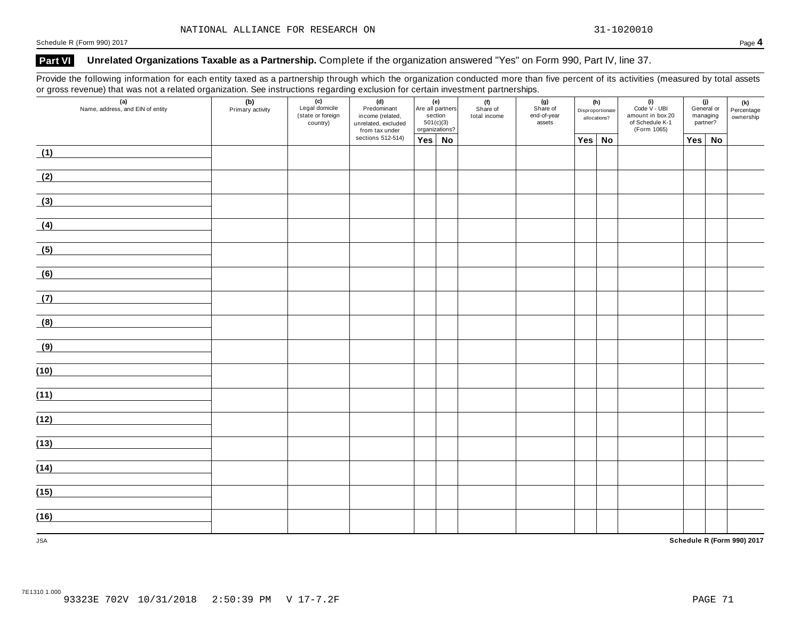### **Part VI Unrelated Organizations Taxable as a Partnership.** Complete if the organization answered "Yes" on Form 990, Part IV, line 37.

Provide the following information for each entity taxed as a partnership through which the organization conducted more than five percent of its activities (measured by total assets or gross revenue) that was not a related organization. See instructions regarding exclusion for certain investment partnerships.

| $\overline{a}$<br>Name, address, and EIN of entity | (b)<br>Primary activity | (c)<br>Legal domicile<br>(state or foreign<br>country) | (d)<br>Predominant<br>income (related,<br>unrelated, excluded<br>from tax under | (e)<br>Are all partners<br>section<br>501(c)(3)<br>organizations? |  | (f)<br>Share of<br>total income | (g)<br>Share of<br>end-of-year<br>assets | (h)<br>Disproportionate<br>allocations? |        | $(i)$<br>Code $\vee$ - UBI<br>amount in box 20<br>of Schedule K-1<br>(Form 1065) | (j)<br>General or<br>managing<br>partner? |    | (k)<br>Percentage<br>ownership |  |
|----------------------------------------------------|-------------------------|--------------------------------------------------------|---------------------------------------------------------------------------------|-------------------------------------------------------------------|--|---------------------------------|------------------------------------------|-----------------------------------------|--------|----------------------------------------------------------------------------------|-------------------------------------------|----|--------------------------------|--|
|                                                    |                         |                                                        | sections 512-514)                                                               | $Yes \mid No$                                                     |  |                                 |                                          |                                         | Yes No |                                                                                  | Yes                                       | No |                                |  |
| (1)                                                |                         |                                                        |                                                                                 |                                                                   |  |                                 |                                          |                                         |        |                                                                                  |                                           |    |                                |  |
| (2)                                                |                         |                                                        |                                                                                 |                                                                   |  |                                 |                                          |                                         |        |                                                                                  |                                           |    |                                |  |
| (3)                                                |                         |                                                        |                                                                                 |                                                                   |  |                                 |                                          |                                         |        |                                                                                  |                                           |    |                                |  |
| (4)                                                |                         |                                                        |                                                                                 |                                                                   |  |                                 |                                          |                                         |        |                                                                                  |                                           |    |                                |  |
| (5)                                                |                         |                                                        |                                                                                 |                                                                   |  |                                 |                                          |                                         |        |                                                                                  |                                           |    |                                |  |
| (6)                                                |                         |                                                        |                                                                                 |                                                                   |  |                                 |                                          |                                         |        |                                                                                  |                                           |    |                                |  |
| (7)                                                |                         |                                                        |                                                                                 |                                                                   |  |                                 |                                          |                                         |        |                                                                                  |                                           |    |                                |  |
| (8)                                                |                         |                                                        |                                                                                 |                                                                   |  |                                 |                                          |                                         |        |                                                                                  |                                           |    |                                |  |
| (9)                                                |                         |                                                        |                                                                                 |                                                                   |  |                                 |                                          |                                         |        |                                                                                  |                                           |    |                                |  |
| (10)                                               |                         |                                                        |                                                                                 |                                                                   |  |                                 |                                          |                                         |        |                                                                                  |                                           |    |                                |  |
| (11)                                               |                         |                                                        |                                                                                 |                                                                   |  |                                 |                                          |                                         |        |                                                                                  |                                           |    |                                |  |
| (12)                                               |                         |                                                        |                                                                                 |                                                                   |  |                                 |                                          |                                         |        |                                                                                  |                                           |    |                                |  |
| (13)                                               |                         |                                                        |                                                                                 |                                                                   |  |                                 |                                          |                                         |        |                                                                                  |                                           |    |                                |  |
| (14)                                               |                         |                                                        |                                                                                 |                                                                   |  |                                 |                                          |                                         |        |                                                                                  |                                           |    |                                |  |
| (15)                                               |                         |                                                        |                                                                                 |                                                                   |  |                                 |                                          |                                         |        |                                                                                  |                                           |    |                                |  |
| (16)                                               |                         |                                                        |                                                                                 |                                                                   |  |                                 |                                          |                                         |        |                                                                                  |                                           |    |                                |  |
| <b>JSA</b>                                         |                         |                                                        |                                                                                 |                                                                   |  |                                 |                                          |                                         |        |                                                                                  |                                           |    | Schedule R (Form 990) 2017     |  |